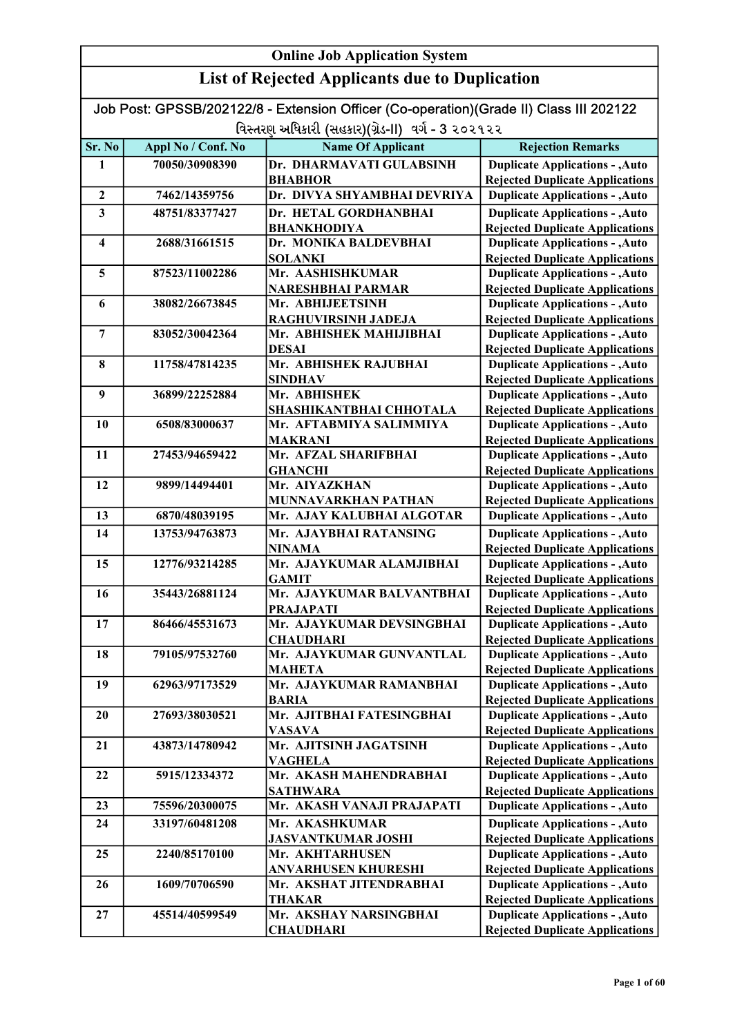|                         | <b>Online Job Application System</b>                  |                                                                                        |                                                                                  |  |
|-------------------------|-------------------------------------------------------|----------------------------------------------------------------------------------------|----------------------------------------------------------------------------------|--|
|                         | <b>List of Rejected Applicants due to Duplication</b> |                                                                                        |                                                                                  |  |
|                         |                                                       | Job Post: GPSSB/202122/8 - Extension Officer (Co-operation)(Grade II) Class III 202122 |                                                                                  |  |
|                         |                                                       | વિસ્તરણ અધિકારી (સહકાર)(ગ્રેડ-II) વર્ગ - 3 ૨૦૨૧૨૨                                      |                                                                                  |  |
| Sr. No                  | Appl No / Conf. No                                    | <b>Name Of Applicant</b>                                                               | <b>Rejection Remarks</b>                                                         |  |
| 1                       | 70050/30908390                                        | Dr. DHARMAVATI GULABSINH                                                               | <b>Duplicate Applications - , Auto</b>                                           |  |
|                         |                                                       | <b>BHABHOR</b>                                                                         | <b>Rejected Duplicate Applications</b>                                           |  |
| $\mathbf{2}$            | 7462/14359756                                         | Dr. DIVYA SHYAMBHAI DEVRIYA                                                            | <b>Duplicate Applications - , Auto</b>                                           |  |
| $\overline{\mathbf{3}}$ | 48751/83377427                                        | Dr. HETAL GORDHANBHAI                                                                  | <b>Duplicate Applications - , Auto</b>                                           |  |
|                         |                                                       | <b>BHANKHODIYA</b>                                                                     | <b>Rejected Duplicate Applications</b>                                           |  |
| $\overline{\mathbf{4}}$ | 2688/31661515                                         | Dr. MONIKA BALDEVBHAI                                                                  | <b>Duplicate Applications - , Auto</b>                                           |  |
|                         |                                                       | <b>SOLANKI</b>                                                                         | <b>Rejected Duplicate Applications</b>                                           |  |
| 5                       | 87523/11002286                                        | Mr. AASHISHKUMAR                                                                       | <b>Duplicate Applications - , Auto</b>                                           |  |
|                         |                                                       | NARESHBHAI PARMAR                                                                      | <b>Rejected Duplicate Applications</b>                                           |  |
| 6                       | 38082/26673845                                        | Mr. ABHIJEETSINH                                                                       | <b>Duplicate Applications - , Auto</b>                                           |  |
|                         |                                                       | RAGHUVIRSINH JADEJA                                                                    | <b>Rejected Duplicate Applications</b>                                           |  |
| 7                       | 83052/30042364                                        | Mr. ABHISHEK MAHIJIBHAI                                                                | <b>Duplicate Applications - , Auto</b>                                           |  |
|                         |                                                       | <b>DESAI</b>                                                                           | <b>Rejected Duplicate Applications</b>                                           |  |
| 8                       | 11758/47814235                                        | Mr. ABHISHEK RAJUBHAI                                                                  | <b>Duplicate Applications - , Auto</b>                                           |  |
| 9                       | 36899/22252884                                        | <b>SINDHAV</b><br>Mr. ABHISHEK                                                         | <b>Rejected Duplicate Applications</b><br><b>Duplicate Applications - , Auto</b> |  |
|                         |                                                       | SHASHIKANTBHAI CHHOTALA                                                                | <b>Rejected Duplicate Applications</b>                                           |  |
| 10                      | 6508/83000637                                         | Mr. AFTABMIYA SALIMMIYA                                                                | <b>Duplicate Applications - , Auto</b>                                           |  |
|                         |                                                       | <b>MAKRANI</b>                                                                         | <b>Rejected Duplicate Applications</b>                                           |  |
| 11                      | 27453/94659422                                        | Mr. AFZAL SHARIFBHAI                                                                   | <b>Duplicate Applications - , Auto</b>                                           |  |
|                         |                                                       | <b>GHANCHI</b>                                                                         | <b>Rejected Duplicate Applications</b>                                           |  |
| 12                      | 9899/14494401                                         | Mr. AIYAZKHAN                                                                          | <b>Duplicate Applications - , Auto</b>                                           |  |
|                         |                                                       | MUNNAVARKHAN PATHAN                                                                    | <b>Rejected Duplicate Applications</b>                                           |  |
| 13                      | 6870/48039195                                         | Mr. AJAY KALUBHAI ALGOTAR                                                              | <b>Duplicate Applications - , Auto</b>                                           |  |
| 14                      | 13753/94763873                                        | Mr. AJAYBHAI RATANSING                                                                 | <b>Duplicate Applications - , Auto</b>                                           |  |
|                         |                                                       | <b>NINAMA</b>                                                                          | <b>Rejected Duplicate Applications</b>                                           |  |
| 15                      | 12776/93214285                                        | Mr. AJAYKUMAR ALAMJIBHAI                                                               | <b>Duplicate Applications - , Auto</b>                                           |  |
|                         |                                                       | <b>GAMIT</b>                                                                           | <b>Rejected Duplicate Applications</b>                                           |  |
| 16                      | 35443/26881124                                        | Mr. AJAYKUMAR BALVANTBHAI                                                              | <b>Duplicate Applications - , Auto</b>                                           |  |
|                         |                                                       | <b>PRAJAPATI</b>                                                                       | <b>Rejected Duplicate Applications</b>                                           |  |
| 17                      | 86466/45531673                                        | Mr. AJAYKUMAR DEVSINGBHAI                                                              | <b>Duplicate Applications - , Auto</b>                                           |  |
| 18                      | 79105/97532760                                        | <b>CHAUDHARI</b><br>Mr. AJAYKUMAR GUNVANTLAL                                           | <b>Rejected Duplicate Applications</b><br><b>Duplicate Applications - , Auto</b> |  |
|                         |                                                       | <b>MAHETA</b>                                                                          | <b>Rejected Duplicate Applications</b>                                           |  |
| 19                      | 62963/97173529                                        | Mr. AJAYKUMAR RAMANBHAI                                                                | <b>Duplicate Applications - , Auto</b>                                           |  |
|                         |                                                       | <b>BARIA</b>                                                                           | <b>Rejected Duplicate Applications</b>                                           |  |
| 20                      | 27693/38030521                                        | Mr. AJITBHAI FATESINGBHAI                                                              | <b>Duplicate Applications - , Auto</b>                                           |  |
|                         |                                                       | <b>VASAVA</b>                                                                          | <b>Rejected Duplicate Applications</b>                                           |  |
| 21                      | 43873/14780942                                        | Mr. AJITSINH JAGATSINH                                                                 | <b>Duplicate Applications - , Auto</b>                                           |  |
|                         |                                                       | <b>VAGHELA</b>                                                                         | <b>Rejected Duplicate Applications</b>                                           |  |
| 22                      | 5915/12334372                                         | Mr. AKASH MAHENDRABHAI                                                                 | <b>Duplicate Applications - , Auto</b>                                           |  |
|                         |                                                       | <b>SATHWARA</b>                                                                        | <b>Rejected Duplicate Applications</b>                                           |  |
| 23                      | 75596/20300075                                        | Mr. AKASH VANAJI PRAJAPATI                                                             | <b>Duplicate Applications - , Auto</b>                                           |  |
| 24                      | 33197/60481208                                        | Mr. AKASHKUMAR                                                                         | <b>Duplicate Applications - , Auto</b>                                           |  |
|                         |                                                       | <b>JASVANTKUMAR JOSHI</b>                                                              | <b>Rejected Duplicate Applications</b>                                           |  |
| 25                      | 2240/85170100                                         | Mr. AKHTARHUSEN                                                                        | <b>Duplicate Applications - , Auto</b>                                           |  |
|                         |                                                       | <b>ANVARHUSEN KHURESHI</b>                                                             | <b>Rejected Duplicate Applications</b>                                           |  |
| 26                      | 1609/70706590                                         | Mr. AKSHAT JITENDRABHAI                                                                | <b>Duplicate Applications - , Auto</b>                                           |  |
|                         |                                                       | <b>THAKAR</b>                                                                          | <b>Rejected Duplicate Applications</b>                                           |  |
| 27                      | 45514/40599549                                        | Mr. AKSHAY NARSINGBHAI                                                                 | <b>Duplicate Applications - , Auto</b>                                           |  |
|                         |                                                       | <b>CHAUDHARI</b>                                                                       | <b>Rejected Duplicate Applications</b>                                           |  |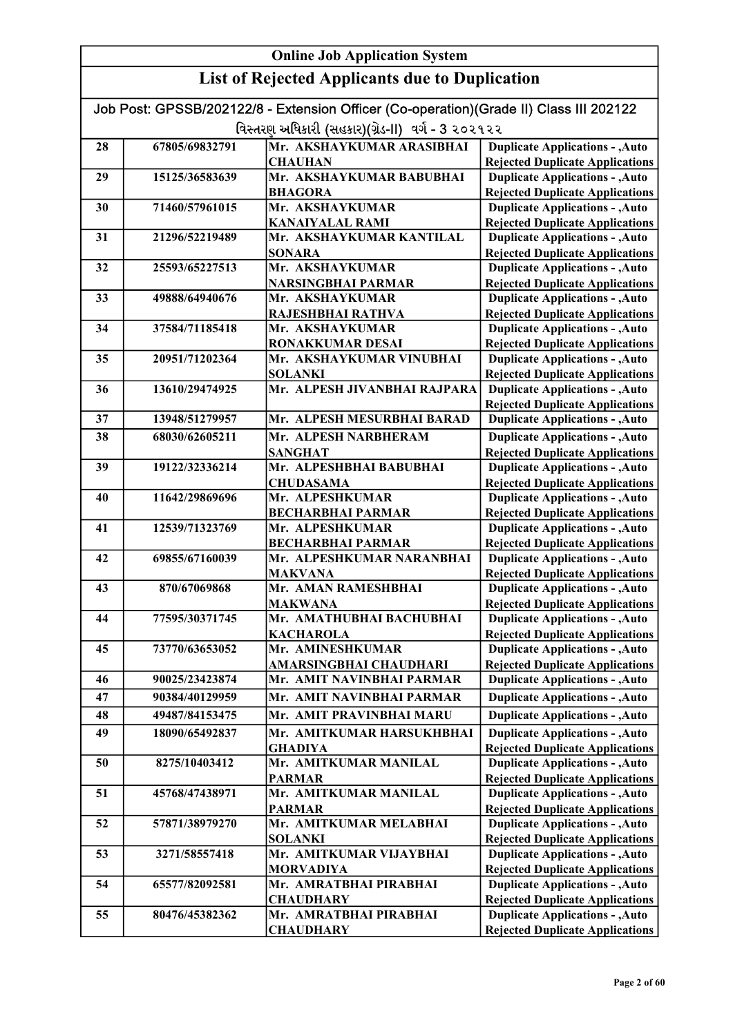|    |                | <b>Online Job Application System</b>                                                                                                        |                                                                                  |
|----|----------------|---------------------------------------------------------------------------------------------------------------------------------------------|----------------------------------------------------------------------------------|
|    |                | <b>List of Rejected Applicants due to Duplication</b>                                                                                       |                                                                                  |
|    |                | Job Post: GPSSB/202122/8 - Extension Officer (Co-operation)(Grade II) Class III 202122<br>વિસ્તરણ અધિકારી (સહકાર)(ગ્રેડ-II) વર્ગ - 3 ૨૦૨૧૨૨ |                                                                                  |
| 28 | 67805/69832791 | Mr. AKSHAYKUMAR ARASIBHAI                                                                                                                   | <b>Duplicate Applications - , Auto</b>                                           |
|    |                | <b>CHAUHAN</b>                                                                                                                              | <b>Rejected Duplicate Applications</b>                                           |
| 29 | 15125/36583639 | Mr. AKSHAYKUMAR BABUBHAI                                                                                                                    | <b>Duplicate Applications - , Auto</b>                                           |
|    |                | <b>BHAGORA</b>                                                                                                                              | <b>Rejected Duplicate Applications</b>                                           |
| 30 | 71460/57961015 | Mr. AKSHAYKUMAR                                                                                                                             | <b>Duplicate Applications - , Auto</b>                                           |
|    |                | <b>KANAIYALAL RAMI</b>                                                                                                                      | <b>Rejected Duplicate Applications</b>                                           |
| 31 | 21296/52219489 | Mr. AKSHAYKUMAR KANTILAL                                                                                                                    | <b>Duplicate Applications - , Auto</b>                                           |
|    |                | <b>SONARA</b>                                                                                                                               | <b>Rejected Duplicate Applications</b>                                           |
| 32 | 25593/65227513 | Mr. AKSHAYKUMAR                                                                                                                             | <b>Duplicate Applications - , Auto</b>                                           |
|    |                | <b>NARSINGBHAI PARMAR</b>                                                                                                                   | <b>Rejected Duplicate Applications</b>                                           |
| 33 | 49888/64940676 | Mr. AKSHAYKUMAR                                                                                                                             | <b>Duplicate Applications - , Auto</b>                                           |
| 34 | 37584/71185418 | RAJESHBHAI RATHVA<br>Mr. AKSHAYKUMAR                                                                                                        | <b>Rejected Duplicate Applications</b><br><b>Duplicate Applications - , Auto</b> |
|    |                | <b>RONAKKUMAR DESAI</b>                                                                                                                     | <b>Rejected Duplicate Applications</b>                                           |
| 35 | 20951/71202364 | Mr. AKSHAYKUMAR VINUBHAI                                                                                                                    | <b>Duplicate Applications - , Auto</b>                                           |
|    |                | <b>SOLANKI</b>                                                                                                                              | <b>Rejected Duplicate Applications</b>                                           |
| 36 | 13610/29474925 | Mr. ALPESH JIVANBHAI RAJPARA                                                                                                                | <b>Duplicate Applications - , Auto</b>                                           |
|    |                |                                                                                                                                             | <b>Rejected Duplicate Applications</b>                                           |
| 37 | 13948/51279957 | Mr. ALPESH MESURBHAI BARAD                                                                                                                  | <b>Duplicate Applications - , Auto</b>                                           |
| 38 | 68030/62605211 | Mr. ALPESH NARBHERAM                                                                                                                        | <b>Duplicate Applications - , Auto</b>                                           |
|    |                | <b>SANGHAT</b>                                                                                                                              | <b>Rejected Duplicate Applications</b>                                           |
| 39 | 19122/32336214 | Mr. ALPESHBHAI BABUBHAI                                                                                                                     | <b>Duplicate Applications - , Auto</b>                                           |
|    |                | <b>CHUDASAMA</b>                                                                                                                            | <b>Rejected Duplicate Applications</b>                                           |
| 40 | 11642/29869696 | Mr. ALPESHKUMAR                                                                                                                             | <b>Duplicate Applications - , Auto</b>                                           |
| 41 | 12539/71323769 | <b>BECHARBHAI PARMAR</b><br>Mr. ALPESHKUMAR                                                                                                 | <b>Rejected Duplicate Applications</b><br><b>Duplicate Applications - , Auto</b> |
|    |                | <b>BECHARBHAI PARMAR</b>                                                                                                                    | <b>Rejected Duplicate Applications</b>                                           |
| 42 | 69855/67160039 | Mr. ALPESHKUMAR NARANBHAI                                                                                                                   | <b>Duplicate Applications - , Auto</b>                                           |
|    |                | <b>MAKVANA</b>                                                                                                                              | <b>Rejected Duplicate Applications</b>                                           |
| 43 | 870/67069868   | Mr. AMAN RAMESHBHAI                                                                                                                         | <b>Duplicate Applications - , Auto</b>                                           |
|    |                | <b>MAKWANA</b>                                                                                                                              | <b>Rejected Duplicate Applications</b>                                           |
| 44 | 77595/30371745 | Mr. AMATHUBHAI BACHUBHAI                                                                                                                    | <b>Duplicate Applications - , Auto</b>                                           |
|    |                | <b>KACHAROLA</b>                                                                                                                            | <b>Rejected Duplicate Applications</b>                                           |
| 45 | 73770/63653052 | Mr. AMINESHKUMAR                                                                                                                            | <b>Duplicate Applications - , Auto</b>                                           |
|    |                | AMARSINGBHAI CHAUDHARI                                                                                                                      | <b>Rejected Duplicate Applications</b>                                           |
| 46 | 90025/23423874 | Mr. AMIT NAVINBHAI PARMAR                                                                                                                   | <b>Duplicate Applications - , Auto</b>                                           |
| 47 | 90384/40129959 | Mr. AMIT NAVINBHAI PARMAR                                                                                                                   | <b>Duplicate Applications - , Auto</b>                                           |
| 48 | 49487/84153475 | Mr. AMIT PRAVINBHAI MARU                                                                                                                    | <b>Duplicate Applications - , Auto</b>                                           |
| 49 | 18090/65492837 | Mr. AMITKUMAR HARSUKHBHAI<br><b>GHADIYA</b>                                                                                                 | <b>Duplicate Applications - , Auto</b><br><b>Rejected Duplicate Applications</b> |
| 50 | 8275/10403412  | Mr. AMITKUMAR MANILAL                                                                                                                       | <b>Duplicate Applications - , Auto</b>                                           |
| 51 | 45768/47438971 | <b>PARMAR</b><br>Mr. AMITKUMAR MANILAL                                                                                                      | <b>Rejected Duplicate Applications</b><br><b>Duplicate Applications - , Auto</b> |
|    |                | <b>PARMAR</b>                                                                                                                               | <b>Rejected Duplicate Applications</b>                                           |
| 52 | 57871/38979270 | Mr. AMITKUMAR MELABHAI                                                                                                                      | <b>Duplicate Applications - , Auto</b>                                           |
|    |                | <b>SOLANKI</b>                                                                                                                              | <b>Rejected Duplicate Applications</b>                                           |
| 53 | 3271/58557418  | Mr. AMITKUMAR VIJAYBHAI                                                                                                                     | <b>Duplicate Applications - , Auto</b>                                           |
|    |                | <b>MORVADIYA</b>                                                                                                                            | <b>Rejected Duplicate Applications</b>                                           |
| 54 | 65577/82092581 | Mr. AMRATBHAI PIRABHAI                                                                                                                      | <b>Duplicate Applications - , Auto</b>                                           |
|    |                | <b>CHAUDHARY</b>                                                                                                                            | <b>Rejected Duplicate Applications</b>                                           |
| 55 | 80476/45382362 | Mr. AMRATBHAI PIRABHAI                                                                                                                      | <b>Duplicate Applications - , Auto</b>                                           |
|    |                | <b>CHAUDHARY</b>                                                                                                                            | <b>Rejected Duplicate Applications</b>                                           |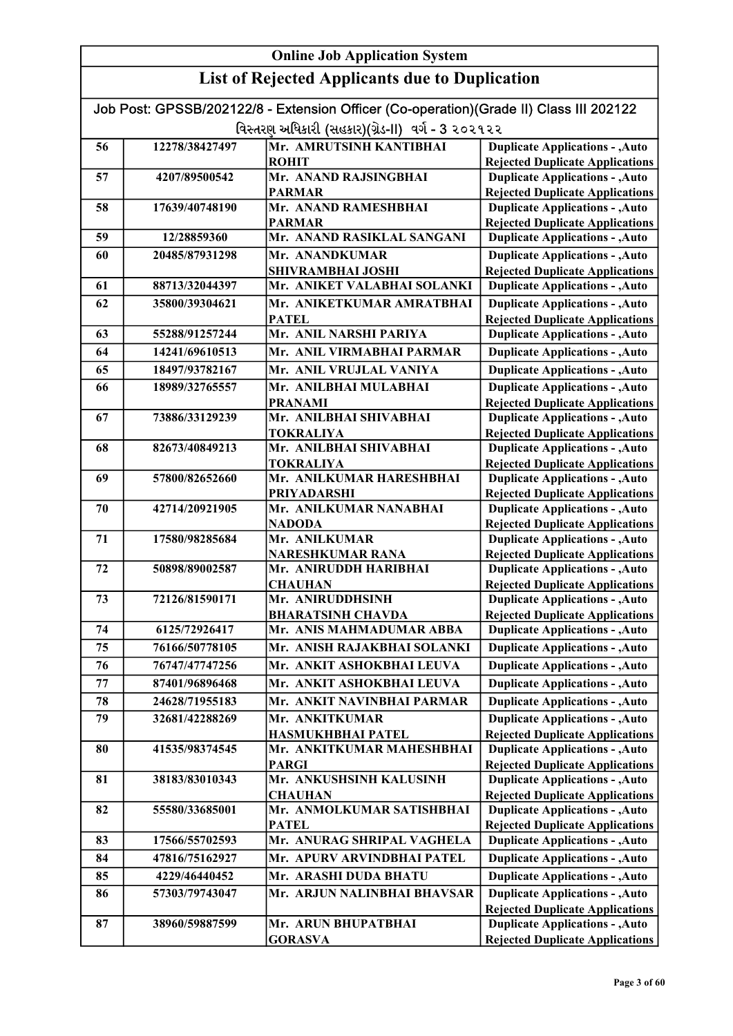|    | Job Post: GPSSB/202122/8 - Extension Officer (Co-operation)(Grade II) Class III 202122 |                                                      |                                                                                  |  |  |
|----|----------------------------------------------------------------------------------------|------------------------------------------------------|----------------------------------------------------------------------------------|--|--|
|    |                                                                                        | વિસ્તરણ અધિકારી (સહકાર)(ગ્રેડ-II) વર્ગ - 3 ૨૦૨૧૨૨    |                                                                                  |  |  |
| 56 | Mr. AMRUTSINH KANTIBHAI<br>12278/38427497<br><b>Duplicate Applications - , Auto</b>    |                                                      |                                                                                  |  |  |
|    |                                                                                        | <b>ROHIT</b>                                         | <b>Rejected Duplicate Applications</b>                                           |  |  |
| 57 | 4207/89500542                                                                          | Mr. ANAND RAJSINGBHAI                                | <b>Duplicate Applications - , Auto</b>                                           |  |  |
|    |                                                                                        | <b>PARMAR</b>                                        | <b>Rejected Duplicate Applications</b>                                           |  |  |
| 58 | 17639/40748190                                                                         | Mr. ANAND RAMESHBHAI                                 | <b>Duplicate Applications - , Auto</b>                                           |  |  |
|    |                                                                                        | <b>PARMAR</b>                                        | <b>Rejected Duplicate Applications</b>                                           |  |  |
| 59 | 12/28859360                                                                            | Mr. ANAND RASIKLAL SANGANI                           | <b>Duplicate Applications - , Auto</b>                                           |  |  |
| 60 | 20485/87931298                                                                         | Mr. ANANDKUMAR                                       | <b>Duplicate Applications - , Auto</b>                                           |  |  |
|    |                                                                                        | <b>SHIVRAMBHAI JOSHI</b>                             | <b>Rejected Duplicate Applications</b>                                           |  |  |
| 61 | 88713/32044397                                                                         | Mr. ANIKET VALABHAI SOLANKI                          | <b>Duplicate Applications - , Auto</b>                                           |  |  |
| 62 | 35800/39304621                                                                         | Mr. ANIKETKUMAR AMRATBHAI                            | <b>Duplicate Applications - , Auto</b>                                           |  |  |
|    |                                                                                        | <b>PATEL</b>                                         | <b>Rejected Duplicate Applications</b>                                           |  |  |
| 63 | 55288/91257244                                                                         | Mr. ANIL NARSHI PARIYA                               | <b>Duplicate Applications - , Auto</b>                                           |  |  |
| 64 | 14241/69610513                                                                         | Mr. ANIL VIRMABHAI PARMAR                            | <b>Duplicate Applications - , Auto</b>                                           |  |  |
| 65 | 18497/93782167                                                                         | Mr. ANIL VRUJLAL VANIYA                              | <b>Duplicate Applications - , Auto</b>                                           |  |  |
| 66 | 18989/32765557                                                                         | Mr. ANILBHAI MULABHAI                                | <b>Duplicate Applications - , Auto</b>                                           |  |  |
|    |                                                                                        | <b>PRANAMI</b>                                       | <b>Rejected Duplicate Applications</b>                                           |  |  |
| 67 | 73886/33129239                                                                         | Mr. ANILBHAI SHIVABHAI                               | <b>Duplicate Applications - , Auto</b>                                           |  |  |
|    |                                                                                        | <b>TOKRALIYA</b>                                     | <b>Rejected Duplicate Applications</b>                                           |  |  |
| 68 | 82673/40849213                                                                         | Mr. ANILBHAI SHIVABHAI                               | <b>Duplicate Applications - , Auto</b>                                           |  |  |
| 69 | 57800/82652660                                                                         | <b>TOKRALIYA</b><br>Mr. ANILKUMAR HARESHBHAI         | <b>Rejected Duplicate Applications</b><br><b>Duplicate Applications - , Auto</b> |  |  |
|    |                                                                                        | <b>PRIYADARSHI</b>                                   | <b>Rejected Duplicate Applications</b>                                           |  |  |
| 70 | 42714/20921905                                                                         | Mr. ANILKUMAR NANABHAI                               | <b>Duplicate Applications - , Auto</b>                                           |  |  |
|    |                                                                                        | NADODA                                               | <b>Rejected Duplicate Applications</b>                                           |  |  |
| 71 | 17580/98285684                                                                         | Mr. ANILKUMAR                                        | <b>Duplicate Applications - , Auto</b>                                           |  |  |
|    |                                                                                        | <b>NARESHKUMAR RANA</b>                              | <b>Rejected Duplicate Applications</b>                                           |  |  |
| 72 | 50898/89002587                                                                         | Mr. ANIRUDDH HARIBHAI                                | <b>Duplicate Applications - , Auto</b>                                           |  |  |
|    |                                                                                        | <b>CHAUHAN</b>                                       | <b>Rejected Duplicate Applications</b>                                           |  |  |
| 73 | 72126/81590171                                                                         | Mr. ANIRUDDHSINH                                     | <b>Duplicate Applications - , Auto</b>                                           |  |  |
|    | 6125/72926417                                                                          | <b>BHARATSINH CHAVDA</b><br>Mr. ANIS MAHMADUMAR ABBA | <b>Rejected Duplicate Applications</b>                                           |  |  |
| 74 |                                                                                        |                                                      | <b>Duplicate Applications - , Auto</b>                                           |  |  |
| 75 | 76166/50778105                                                                         | Mr. ANISH RAJAKBHAI SOLANKI                          | <b>Duplicate Applications - , Auto</b>                                           |  |  |
| 76 | 76747/47747256                                                                         | Mr. ANKIT ASHOKBHAI LEUVA                            | <b>Duplicate Applications - , Auto</b>                                           |  |  |
| 77 | 87401/96896468                                                                         | Mr. ANKIT ASHOKBHAI LEUVA                            | <b>Duplicate Applications - , Auto</b>                                           |  |  |
| 78 | 24628/71955183                                                                         | Mr. ANKIT NAVINBHAI PARMAR                           | <b>Duplicate Applications - , Auto</b>                                           |  |  |
| 79 | 32681/42288269                                                                         | Mr. ANKITKUMAR                                       | <b>Duplicate Applications - , Auto</b>                                           |  |  |
|    |                                                                                        | <b>HASMUKHBHAI PATEL</b>                             | <b>Rejected Duplicate Applications</b>                                           |  |  |
| 80 | 41535/98374545                                                                         | Mr. ANKITKUMAR MAHESHBHAI                            | <b>Duplicate Applications - , Auto</b>                                           |  |  |
| 81 | 38183/83010343                                                                         | <b>PARGI</b><br>Mr. ANKUSHSINH KALUSINH              | <b>Rejected Duplicate Applications</b><br><b>Duplicate Applications - , Auto</b> |  |  |
|    |                                                                                        | <b>CHAUHAN</b>                                       | <b>Rejected Duplicate Applications</b>                                           |  |  |
| 82 | 55580/33685001                                                                         | Mr. ANMOLKUMAR SATISHBHAI                            | <b>Duplicate Applications - , Auto</b>                                           |  |  |
|    |                                                                                        | <b>PATEL</b>                                         | <b>Rejected Duplicate Applications</b>                                           |  |  |
| 83 | 17566/55702593                                                                         | Mr. ANURAG SHRIPAL VAGHELA                           | <b>Duplicate Applications - , Auto</b>                                           |  |  |
| 84 | 47816/75162927                                                                         | Mr. APURV ARVINDBHAI PATEL                           | <b>Duplicate Applications - , Auto</b>                                           |  |  |
| 85 | 4229/46440452                                                                          | Mr. ARASHI DUDA BHATU                                | <b>Duplicate Applications - , Auto</b>                                           |  |  |
| 86 | 57303/79743047                                                                         | Mr. ARJUN NALINBHAI BHAVSAR                          | <b>Duplicate Applications - , Auto</b>                                           |  |  |
|    |                                                                                        |                                                      | <b>Rejected Duplicate Applications</b>                                           |  |  |
| 87 | 38960/59887599                                                                         | Mr. ARUN BHUPATBHAI                                  | <b>Duplicate Applications - , Auto</b>                                           |  |  |
|    |                                                                                        | <b>GORASVA</b>                                       | <b>Rejected Duplicate Applications</b>                                           |  |  |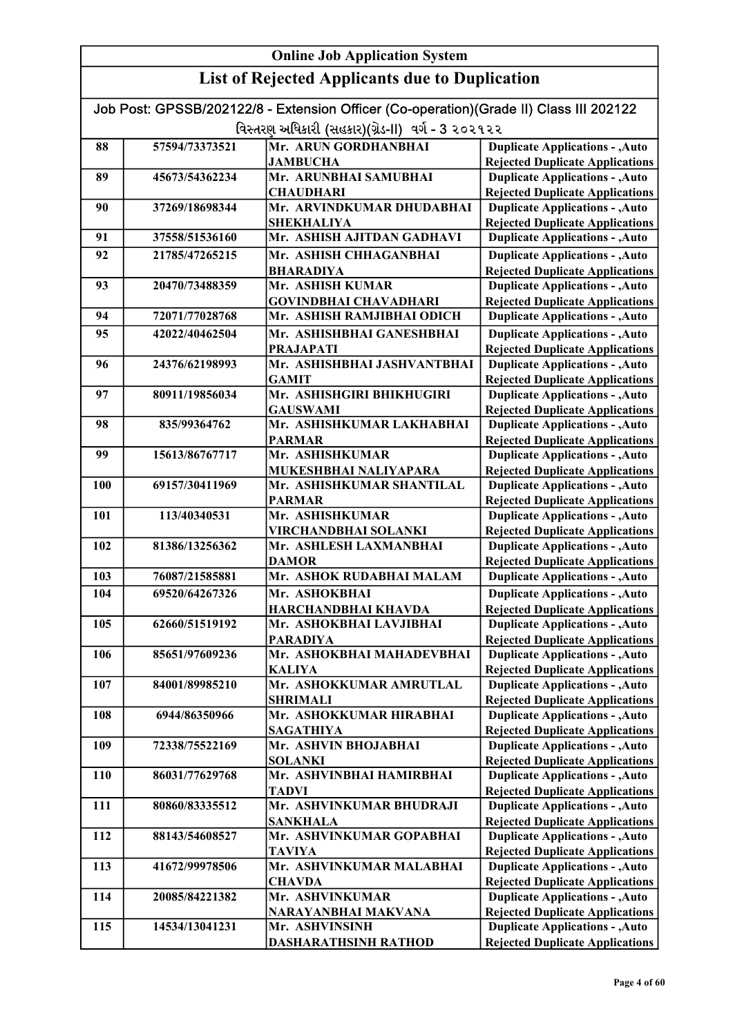#### Online Job Application System List of Rejected Applicants due to Duplication Job Post: GPSSB/202122/8 - Extension Officer (Co-operation)(Grade II) Class III 202122 વિસ્તરણ અધિકારી (સહકાર)(ગ્રેડ-II) વર્ગ - 3 ૨૦૨૧૨૨ 88 57594/73373521 Mr. ARUN GORDHANBHAI **JAMBUCHA** 89 45673/54362234 Mr. ARUNBHAI SAMUBHAI **CHAUDHARI** 90 37269/18698344 Mr. ARVINDKUMAR DHUDABHAI SHEKHALIYA 91 37558/51536160 Mr. ASHISH AJITDAN GADHAVI 92 21785/47265215 Mr. ASHISH CHHAGANBHAI BHARADIYA 93 20470/73488359 Mr. ASHISH KUMAR GOVINDBHAI CHAVADHARI 94 72071/77028768 Mr. ASHISH RAMJIBHAI ODICH 95 42022/40462504 Mr. ASHISHBHAI GANESHBHAI PRAJAPATI 96 24376/62198993 Mr. ASHISHBHAI JASHVANTBHAI GAMIT 97 | 80911/19856034 | Mr. ASHISHGIRI BHIKHUGIRI GAUSWAMI 98 835/99364762 Mr. ASHISHKUMAR LAKHABHAI PARMAR 99 15613/86767717 Mr. ASHISHKUMAR MUKESHBHAI NALIYAPARA 100 69157/30411969 Mr. ASHISHKUMAR SHANTILAL PARMAR 101 113/40340531 Mr. ASHISHKUMAR VIRCHANDBHAI SOLANKI 102 81386/13256362 Mr. ASHLESH LAXMANBHAI DAMOR 103 76087/21585881 Mr. ASHOK RUDABHAI MALAM 104 69520/64267326 Mr. ASHOKBHAI HARCHANDBHAI KHAVDA 105 62660/51519192 Mr. ASHOKBHAI LAVJIBHAI PARADIYA 106 85651/97609236 Mr. ASHOKBHAI MAHADEVBHAI KALIYA 107 84001/89985210 Mr. ASHOKKUMAR AMRUTLAL SHRIMALI 108 6944/86350966 Mr. ASHOKKUMAR HIRABHAI SAGATHIYA 109 72338/75522169 Mr. ASHVIN BHOJABHAI SOLANKI 110 86031/77629768 Mr. ASHVINBHAI HAMIRBHAI TADVI 111 80860/83335512 Mr. ASHVINKUMAR BHUDRAJI SANKHALA 112 88143/54608527 Mr. ASHVINKUMAR GOPABHAI TAVIYA 113 41672/99978506 Mr. ASHVINKUMAR MALABHAI **CHAVDA** 114 20085/84221382 Mr. ASHVINKUMAR NARAYANBHAI MAKVANA 115 14534/13041231 Mr. ASHVINSINH DASHARATHSINH RATHOD Duplicate Applications - ,Auto **Duplicate Applications - ,Auto** Rejected Duplicate Applications Duplicate Applications - ,Auto Rejected Duplicate Applications Duplicate Applications - ,Auto **Duplicate Applications - ,Auto** Rejected Duplicate Applications Duplicate Applications - ,Auto Rejected Duplicate Applications Duplicate Applications - ,Auto Rejected Duplicate Applications Duplicate Applications - ,Auto Rejected Duplicate Applications Duplicate Applications - ,Auto Rejected Duplicate Applications Duplicate Applications - ,Auto Rejected Duplicate Applications Duplicate Applications - ,Auto Rejected Duplicate Applications Duplicate Applications - ,Auto Rejected Duplicate Applications Duplicate Applications - ,Auto Rejected Duplicate Applications Duplicate Applications - ,Auto Rejected Duplicate Applications Duplicate Applications - ,Auto Rejected Duplicate Applications Duplicate Applications - ,Auto **Duplicate Applications - ,Auto** Rejected Duplicate Applications Duplicate Applications - ,Auto Rejected Duplicate Applications Duplicate Applications - ,Auto Rejected Duplicate Applications Duplicate Applications - ,Auto Rejected Duplicate Applications Duplicate Applications - ,Auto Rejected Duplicate Applications Duplicate Applications - ,Auto Rejected Duplicate Applications Duplicate Applications - ,Auto Rejected Duplicate Applications Duplicate Applications - ,Auto Rejected Duplicate Applications Duplicate Applications - ,Auto Rejected Duplicate Applications Duplicate Applications - ,Auto Rejected Duplicate Applications Duplicate Applications - ,Auto Rejected Duplicate Applications Duplicate Applications - ,Auto Rejected Duplicate Applications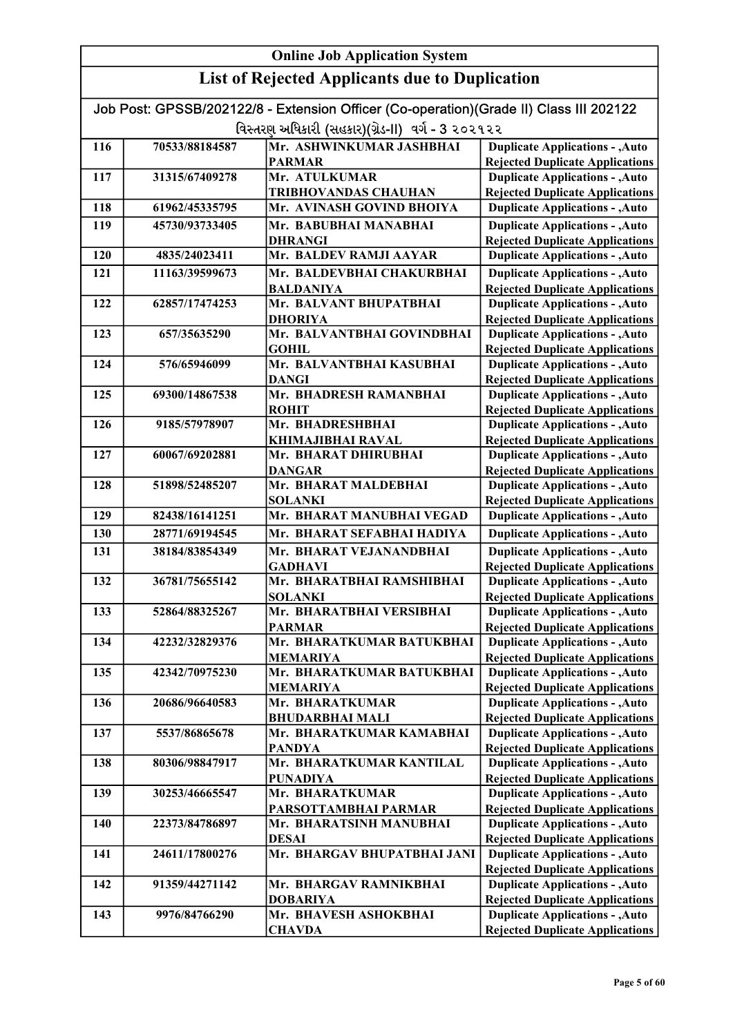|     | <b>Online Job Application System</b> |                                                                                        |                                                                                  |  |
|-----|--------------------------------------|----------------------------------------------------------------------------------------|----------------------------------------------------------------------------------|--|
|     |                                      | <b>List of Rejected Applicants due to Duplication</b>                                  |                                                                                  |  |
|     |                                      | Job Post: GPSSB/202122/8 - Extension Officer (Co-operation)(Grade II) Class III 202122 |                                                                                  |  |
|     |                                      | વિસ્તરણ અધિકારી (સહકાર)(ગ્રેડ-II) વર્ગ - 3 ૨૦૨૧૨૨                                      |                                                                                  |  |
| 116 | 70533/88184587                       | Mr. ASHWINKUMAR JASHBHAI                                                               | <b>Duplicate Applications - , Auto</b>                                           |  |
|     |                                      | <b>PARMAR</b>                                                                          | <b>Rejected Duplicate Applications</b>                                           |  |
| 117 | 31315/67409278                       | Mr. ATULKUMAR                                                                          | <b>Duplicate Applications - , Auto</b>                                           |  |
|     |                                      | TRIBHOVANDAS CHAUHAN                                                                   | <b>Rejected Duplicate Applications</b>                                           |  |
| 118 | 61962/45335795                       | Mr. AVINASH GOVIND BHOIYA                                                              | <b>Duplicate Applications - , Auto</b>                                           |  |
| 119 | 45730/93733405                       | Mr. BABUBHAI MANABHAI                                                                  | <b>Duplicate Applications - , Auto</b>                                           |  |
|     |                                      | <b>DHRANGI</b>                                                                         | <b>Rejected Duplicate Applications</b>                                           |  |
| 120 | 4835/24023411                        | Mr. BALDEV RAMJI AAYAR                                                                 | <b>Duplicate Applications - , Auto</b>                                           |  |
| 121 | 11163/39599673                       | Mr. BALDEVBHAI CHAKURBHAI                                                              | <b>Duplicate Applications - , Auto</b>                                           |  |
|     |                                      | <b>BALDANIYA</b>                                                                       | <b>Rejected Duplicate Applications</b>                                           |  |
| 122 | 62857/17474253                       | Mr. BALVANT BHUPATBHAI                                                                 | <b>Duplicate Applications - , Auto</b>                                           |  |
|     |                                      | <b>DHORIYA</b>                                                                         | <b>Rejected Duplicate Applications</b>                                           |  |
| 123 | 657/35635290                         | Mr. BALVANTBHAI GOVINDBHAI<br><b>GOHIL</b>                                             | <b>Duplicate Applications - , Auto</b>                                           |  |
| 124 | 576/65946099                         | Mr. BALVANTBHAI KASUBHAI                                                               | <b>Rejected Duplicate Applications</b><br><b>Duplicate Applications - , Auto</b> |  |
|     |                                      | <b>DANGI</b>                                                                           | <b>Rejected Duplicate Applications</b>                                           |  |
| 125 | 69300/14867538                       | Mr. BHADRESH RAMANBHAI                                                                 | <b>Duplicate Applications - , Auto</b>                                           |  |
|     |                                      | <b>ROHIT</b>                                                                           | <b>Rejected Duplicate Applications</b>                                           |  |
| 126 | 9185/57978907                        | Mr. BHADRESHBHAI                                                                       | <b>Duplicate Applications - , Auto</b>                                           |  |
|     |                                      | <b>KHIMAJIBHAI RAVAL</b>                                                               | <b>Rejected Duplicate Applications</b>                                           |  |
| 127 | 60067/69202881                       | Mr. BHARAT DHIRUBHAI                                                                   | <b>Duplicate Applications - , Auto</b>                                           |  |
|     |                                      | <b>DANGAR</b>                                                                          | <b>Rejected Duplicate Applications</b>                                           |  |
| 128 | 51898/52485207                       | Mr. BHARAT MALDEBHAI                                                                   | <b>Duplicate Applications - , Auto</b>                                           |  |
| 129 | 82438/16141251                       | <b>SOLANKI</b><br>Mr. BHARAT MANUBHAI VEGAD                                            | <b>Rejected Duplicate Applications</b><br><b>Duplicate Applications - , Auto</b> |  |
| 130 | 28771/69194545                       | Mr. BHARAT SEFABHAI HADIYA                                                             |                                                                                  |  |
|     |                                      |                                                                                        | <b>Duplicate Applications - , Auto</b>                                           |  |
| 131 | 38184/83854349                       | Mr. BHARAT VEJANANDBHAI<br><b>GADHAVI</b>                                              | <b>Duplicate Applications - , Auto</b><br><b>Rejected Duplicate Applications</b> |  |
| 132 | 36781/75655142                       | Mr. BHARATBHAI RAMSHIBHAI                                                              | <b>Duplicate Applications - , Auto</b>                                           |  |
|     |                                      | <b>SOLANKI</b>                                                                         | <b>Rejected Duplicate Applications</b>                                           |  |
| 133 | 52864/88325267                       | Mr. BHARATBHAI VERSIBHAI                                                               | <b>Duplicate Applications - , Auto</b>                                           |  |
|     |                                      | <b>PARMAR</b>                                                                          | <b>Rejected Duplicate Applications</b>                                           |  |
| 134 | 42232/32829376                       | Mr. BHARATKUMAR BATUKBHAI                                                              | <b>Duplicate Applications - , Auto</b>                                           |  |
|     |                                      | <b>MEMARIYA</b>                                                                        | <b>Rejected Duplicate Applications</b>                                           |  |
| 135 | 42342/70975230                       | Mr. BHARATKUMAR BATUKBHAI                                                              | <b>Duplicate Applications - , Auto</b>                                           |  |
| 136 | 20686/96640583                       | <b>MEMARIYA</b><br>Mr. BHARATKUMAR                                                     | <b>Rejected Duplicate Applications</b><br><b>Duplicate Applications - , Auto</b> |  |
|     |                                      | <b>BHUDARBHAI MALI</b>                                                                 | <b>Rejected Duplicate Applications</b>                                           |  |
| 137 | 5537/86865678                        | Mr. BHARATKUMAR KAMABHAI                                                               | <b>Duplicate Applications - , Auto</b>                                           |  |
|     |                                      | <b>PANDYA</b>                                                                          | <b>Rejected Duplicate Applications</b>                                           |  |
| 138 | 80306/98847917                       | Mr. BHARATKUMAR KANTILAL                                                               | <b>Duplicate Applications - , Auto</b>                                           |  |
|     |                                      | <b>PUNADIYA</b>                                                                        | <b>Rejected Duplicate Applications</b>                                           |  |
| 139 | 30253/46665547                       | Mr. BHARATKUMAR                                                                        | <b>Duplicate Applications - , Auto</b>                                           |  |
|     |                                      | PARSOTTAMBHAI PARMAR                                                                   | <b>Rejected Duplicate Applications</b>                                           |  |
| 140 | 22373/84786897                       | Mr. BHARATSINH MANUBHAI<br><b>DESAI</b>                                                | <b>Duplicate Applications - , Auto</b><br><b>Rejected Duplicate Applications</b> |  |
| 141 | 24611/17800276                       | Mr. BHARGAV BHUPATBHAI JANI                                                            | <b>Duplicate Applications - , Auto</b>                                           |  |
|     |                                      |                                                                                        | <b>Rejected Duplicate Applications</b>                                           |  |
| 142 | 91359/44271142                       | Mr. BHARGAV RAMNIKBHAI                                                                 | <b>Duplicate Applications - , Auto</b>                                           |  |
|     |                                      | <b>DOBARIYA</b>                                                                        | <b>Rejected Duplicate Applications</b>                                           |  |
| 143 | 9976/84766290                        | Mr. BHAVESH ASHOKBHAI                                                                  | <b>Duplicate Applications - , Auto</b>                                           |  |
|     |                                      | <b>CHAVDA</b>                                                                          | <b>Rejected Duplicate Applications</b>                                           |  |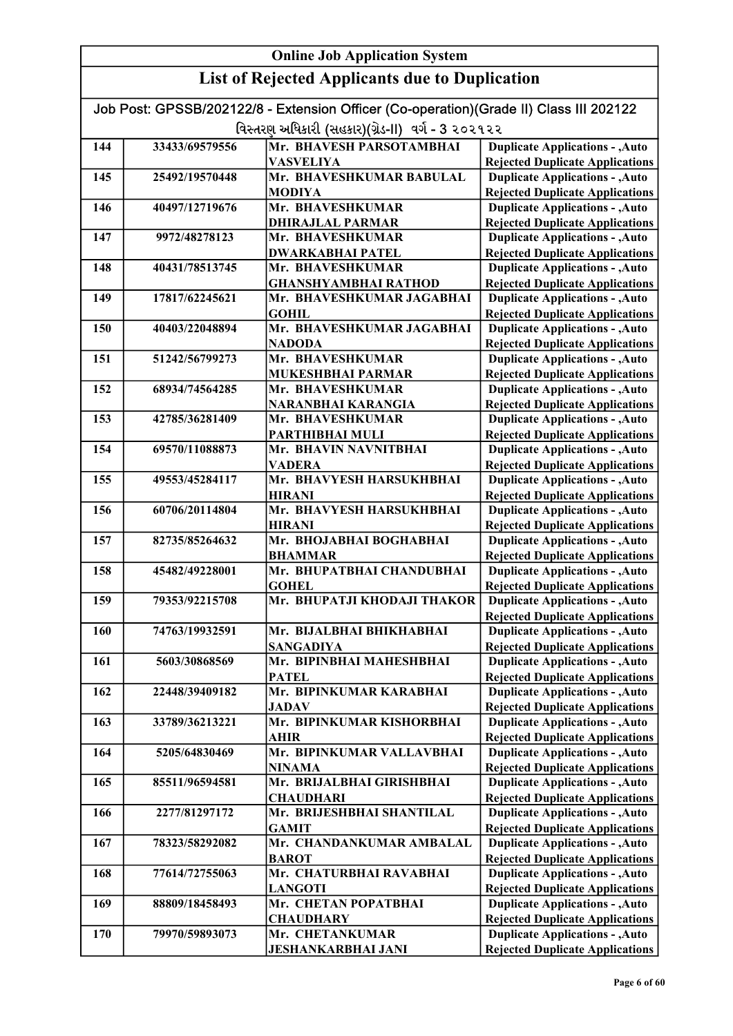| <b>Online Job Application System</b>                  |                |                                                                                                                                             |                                                                                  |
|-------------------------------------------------------|----------------|---------------------------------------------------------------------------------------------------------------------------------------------|----------------------------------------------------------------------------------|
| <b>List of Rejected Applicants due to Duplication</b> |                |                                                                                                                                             |                                                                                  |
|                                                       |                | Job Post: GPSSB/202122/8 - Extension Officer (Co-operation)(Grade II) Class III 202122<br>વિસ્તરણ અધિકારી (સહકાર)(ગ્રેડ-II) વર્ગ - 3 ૨૦૨૧૨૨ |                                                                                  |
| 144                                                   | 33433/69579556 | Mr. BHAVESH PARSOTAMBHAI                                                                                                                    | <b>Duplicate Applications - , Auto</b>                                           |
|                                                       |                | <b>VASVELIYA</b>                                                                                                                            | <b>Rejected Duplicate Applications</b>                                           |
| 145                                                   | 25492/19570448 | Mr. BHAVESHKUMAR BABULAL                                                                                                                    | <b>Duplicate Applications - , Auto</b>                                           |
|                                                       |                | <b>MODIYA</b>                                                                                                                               | <b>Rejected Duplicate Applications</b>                                           |
| 146                                                   | 40497/12719676 | Mr. BHAVESHKUMAR                                                                                                                            | <b>Duplicate Applications - , Auto</b>                                           |
|                                                       |                | <b>DHIRAJLAL PARMAR</b>                                                                                                                     | <b>Rejected Duplicate Applications</b>                                           |
| 147                                                   | 9972/48278123  | Mr. BHAVESHKUMAR                                                                                                                            | <b>Duplicate Applications - , Auto</b>                                           |
|                                                       |                | <b>DWARKABHAI PATEL</b>                                                                                                                     | <b>Rejected Duplicate Applications</b>                                           |
| 148                                                   | 40431/78513745 | Mr. BHAVESHKUMAR                                                                                                                            | <b>Duplicate Applications - , Auto</b>                                           |
|                                                       |                | <b>GHANSHYAMBHAI RATHOD</b>                                                                                                                 | <b>Rejected Duplicate Applications</b>                                           |
| 149                                                   | 17817/62245621 | Mr. BHAVESHKUMAR JAGABHAI                                                                                                                   | <b>Duplicate Applications - , Auto</b>                                           |
|                                                       |                | <b>GOHIL</b>                                                                                                                                | <b>Rejected Duplicate Applications</b>                                           |
| 150                                                   | 40403/22048894 | Mr. BHAVESHKUMAR JAGABHAI                                                                                                                   | <b>Duplicate Applications - , Auto</b>                                           |
|                                                       |                | <b>NADODA</b>                                                                                                                               | <b>Rejected Duplicate Applications</b>                                           |
| 151                                                   | 51242/56799273 | Mr. BHAVESHKUMAR                                                                                                                            | <b>Duplicate Applications - , Auto</b>                                           |
|                                                       |                | <b>MUKESHBHAI PARMAR</b>                                                                                                                    | <b>Rejected Duplicate Applications</b>                                           |
| 152                                                   | 68934/74564285 | Mr. BHAVESHKUMAR                                                                                                                            | <b>Duplicate Applications - , Auto</b>                                           |
| 153                                                   | 42785/36281409 | NARANBHAI KARANGIA<br>Mr. BHAVESHKUMAR                                                                                                      | <b>Rejected Duplicate Applications</b>                                           |
|                                                       |                | PARTHIBHAI MULI                                                                                                                             | <b>Duplicate Applications - , Auto</b>                                           |
| 154                                                   | 69570/11088873 | Mr. BHAVIN NAVNITBHAI                                                                                                                       | <b>Rejected Duplicate Applications</b><br><b>Duplicate Applications - , Auto</b> |
|                                                       |                | <b>VADERA</b>                                                                                                                               | <b>Rejected Duplicate Applications</b>                                           |
| 155                                                   | 49553/45284117 | Mr. BHAVYESH HARSUKHBHAI                                                                                                                    | <b>Duplicate Applications - , Auto</b>                                           |
|                                                       |                | <b>HIRANI</b>                                                                                                                               | <b>Rejected Duplicate Applications</b>                                           |
| 156                                                   | 60706/20114804 | Mr. BHAVYESH HARSUKHBHAI                                                                                                                    | <b>Duplicate Applications - , Auto</b>                                           |
|                                                       |                | <b>HIRANI</b>                                                                                                                               | <b>Rejected Duplicate Applications</b>                                           |
| 157                                                   | 82735/85264632 | Mr. BHOJABHAI BOGHABHAI                                                                                                                     | <b>Duplicate Applications - , Auto</b>                                           |
|                                                       |                | <b>BHAMMAR</b>                                                                                                                              | <b>Rejected Duplicate Applications</b>                                           |
| 158                                                   | 45482/49228001 | Mr. BHUPATBHAI CHANDUBHAI                                                                                                                   | <b>Duplicate Applications - , Auto</b>                                           |
|                                                       |                | <b>GOHEL</b>                                                                                                                                | <b>Rejected Duplicate Applications</b>                                           |
| 159                                                   | 79353/92215708 | Mr. BHUPATJI KHODAJI THAKOR                                                                                                                 | <b>Duplicate Applications - , Auto</b><br><b>Rejected Duplicate Applications</b> |
| 160                                                   | 74763/19932591 | Mr. BIJALBHAI BHIKHABHAI                                                                                                                    | <b>Duplicate Applications - , Auto</b>                                           |
|                                                       |                | <b>SANGADIYA</b>                                                                                                                            | <b>Rejected Duplicate Applications</b>                                           |
| 161                                                   | 5603/30868569  | Mr. BIPINBHAI MAHESHBHAI                                                                                                                    | <b>Duplicate Applications - , Auto</b>                                           |
|                                                       |                | <b>PATEL</b>                                                                                                                                | <b>Rejected Duplicate Applications</b>                                           |
| 162                                                   | 22448/39409182 | Mr. BIPINKUMAR KARABHAI                                                                                                                     | <b>Duplicate Applications - , Auto</b>                                           |
|                                                       |                | <b>JADAV</b>                                                                                                                                | <b>Rejected Duplicate Applications</b>                                           |
| 163                                                   | 33789/36213221 | Mr. BIPINKUMAR KISHORBHAI                                                                                                                   | <b>Duplicate Applications - , Auto</b>                                           |
|                                                       |                | <b>AHIR</b>                                                                                                                                 | <b>Rejected Duplicate Applications</b>                                           |
| 164                                                   | 5205/64830469  | Mr. BIPINKUMAR VALLAVBHAI                                                                                                                   | <b>Duplicate Applications - , Auto</b>                                           |
|                                                       |                | <b>NINAMA</b>                                                                                                                               | <b>Rejected Duplicate Applications</b>                                           |
| 165                                                   | 85511/96594581 | Mr. BRIJALBHAI GIRISHBHAI                                                                                                                   | <b>Duplicate Applications - , Auto</b>                                           |
|                                                       |                | <b>CHAUDHARI</b>                                                                                                                            | <b>Rejected Duplicate Applications</b>                                           |
| 166                                                   | 2277/81297172  | Mr. BRIJESHBHAI SHANTILAL                                                                                                                   | <b>Duplicate Applications - , Auto</b>                                           |
| 167                                                   | 78323/58292082 | <b>GAMIT</b><br>Mr. CHANDANKUMAR AMBALAL                                                                                                    | <b>Rejected Duplicate Applications</b><br><b>Duplicate Applications - , Auto</b> |
|                                                       |                | <b>BAROT</b>                                                                                                                                | <b>Rejected Duplicate Applications</b>                                           |
| 168                                                   | 77614/72755063 | Mr. CHATURBHAI RAVABHAI                                                                                                                     | <b>Duplicate Applications - , Auto</b>                                           |
|                                                       |                | <b>LANGOTI</b>                                                                                                                              | <b>Rejected Duplicate Applications</b>                                           |
| 169                                                   | 88809/18458493 | Mr. CHETAN POPATBHAI                                                                                                                        | <b>Duplicate Applications - , Auto</b>                                           |
|                                                       |                | <b>CHAUDHARY</b>                                                                                                                            | <b>Rejected Duplicate Applications</b>                                           |
| 170                                                   | 79970/59893073 | Mr. CHETANKUMAR                                                                                                                             | <b>Duplicate Applications - , Auto</b>                                           |
|                                                       |                | JESHANKARBHAI JANI                                                                                                                          | <b>Rejected Duplicate Applications</b>                                           |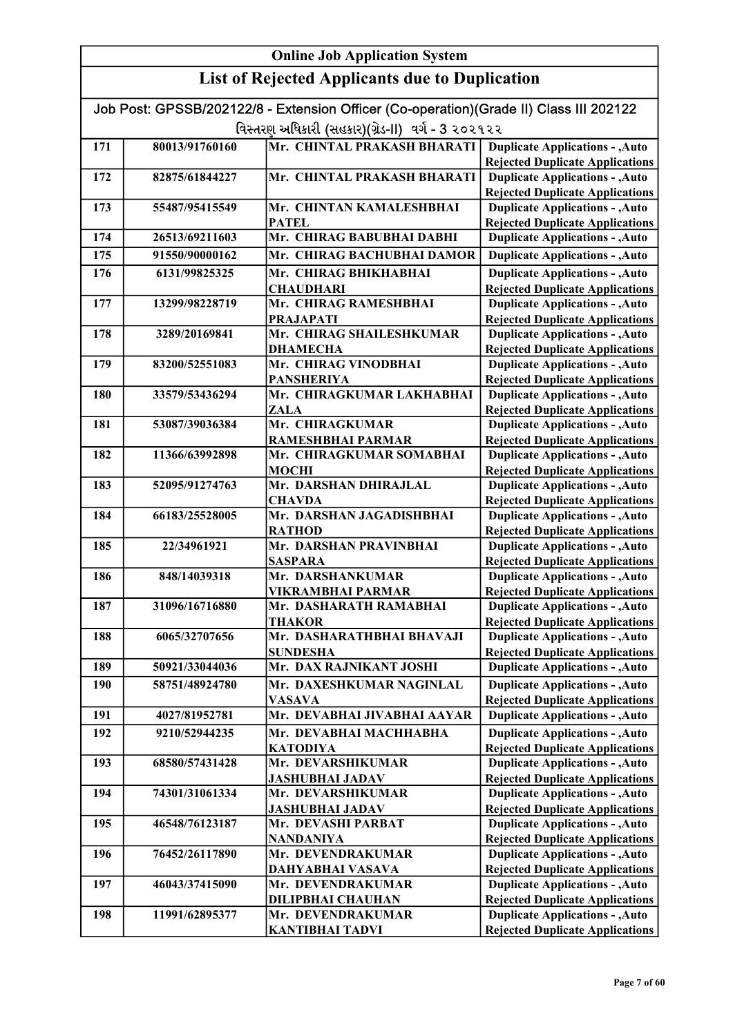| Job Post: GPSSB/202122/8 - Extension Officer (Co-operation)(Grade II) Class III 202122 |                                                   |                                           |                                                                                  |  |
|----------------------------------------------------------------------------------------|---------------------------------------------------|-------------------------------------------|----------------------------------------------------------------------------------|--|
|                                                                                        | વિસ્તરણ અધિકારી (સહકાર)(ગ્રેડ-II) વર્ગ - 3 ૨૦૨૧૨૨ |                                           |                                                                                  |  |
| 171                                                                                    | 80013/91760160                                    | Mr. CHINTAL PRAKASH BHARATI               | <b>Duplicate Applications - , Auto</b>                                           |  |
|                                                                                        |                                                   |                                           | <b>Rejected Duplicate Applications</b>                                           |  |
| 172                                                                                    | 82875/61844227                                    | Mr. CHINTAL PRAKASH BHARATI               | <b>Duplicate Applications - , Auto</b>                                           |  |
|                                                                                        |                                                   |                                           | <b>Rejected Duplicate Applications</b>                                           |  |
| 173                                                                                    | 55487/95415549                                    | Mr. CHINTAN KAMALESHBHAI                  | <b>Duplicate Applications - , Auto</b>                                           |  |
|                                                                                        |                                                   | <b>PATEL</b>                              | <b>Rejected Duplicate Applications</b>                                           |  |
| 174                                                                                    | 26513/69211603                                    | Mr. CHIRAG BABUBHAI DABHI                 | <b>Duplicate Applications - , Auto</b>                                           |  |
| 175                                                                                    | 91550/90000162                                    | Mr. CHIRAG BACHUBHAI DAMOR                | <b>Duplicate Applications - , Auto</b>                                           |  |
| 176                                                                                    | 6131/99825325                                     | Mr. CHIRAG BHIKHABHAI                     | <b>Duplicate Applications - , Auto</b>                                           |  |
|                                                                                        |                                                   | <b>CHAUDHARI</b><br>Mr. CHIRAG RAMESHBHAI | <b>Rejected Duplicate Applications</b>                                           |  |
| 177                                                                                    | 13299/98228719                                    | <b>PRAJAPATI</b>                          | <b>Duplicate Applications - , Auto</b>                                           |  |
| 178                                                                                    | 3289/20169841                                     | Mr. CHIRAG SHAILESHKUMAR                  | <b>Rejected Duplicate Applications</b><br><b>Duplicate Applications - , Auto</b> |  |
|                                                                                        |                                                   | <b>DHAMECHA</b>                           | <b>Rejected Duplicate Applications</b>                                           |  |
| 179                                                                                    | 83200/52551083                                    | Mr. CHIRAG VINODBHAI                      | <b>Duplicate Applications - , Auto</b>                                           |  |
|                                                                                        |                                                   | <b>PANSHERIYA</b>                         | <b>Rejected Duplicate Applications</b>                                           |  |
| <b>180</b>                                                                             | 33579/53436294                                    | Mr. CHIRAGKUMAR LAKHABHAI                 | <b>Duplicate Applications - , Auto</b>                                           |  |
|                                                                                        |                                                   | <b>ZALA</b>                               | <b>Rejected Duplicate Applications</b>                                           |  |
| 181                                                                                    | 53087/39036384                                    | Mr. CHIRAGKUMAR                           | <b>Duplicate Applications - , Auto</b>                                           |  |
|                                                                                        |                                                   | RAMESHBHAI PARMAR                         | <b>Rejected Duplicate Applications</b>                                           |  |
| 182                                                                                    | 11366/63992898                                    | Mr. CHIRAGKUMAR SOMABHAI                  | <b>Duplicate Applications - , Auto</b>                                           |  |
|                                                                                        |                                                   | <b>MOCHI</b>                              | <b>Rejected Duplicate Applications</b>                                           |  |
| 183                                                                                    | 52095/91274763                                    | Mr. DARSHAN DHIRAJLAL                     | <b>Duplicate Applications - , Auto</b>                                           |  |
|                                                                                        |                                                   | <b>CHAVDA</b>                             | <b>Rejected Duplicate Applications</b>                                           |  |
| 184                                                                                    | 66183/25528005                                    | Mr. DARSHAN JAGADISHBHAI                  | <b>Duplicate Applications - , Auto</b>                                           |  |
|                                                                                        |                                                   | <b>RATHOD</b>                             | <b>Rejected Duplicate Applications</b>                                           |  |
| 185                                                                                    | 22/34961921                                       | Mr. DARSHAN PRAVINBHAI                    | <b>Duplicate Applications - , Auto</b>                                           |  |
| 186                                                                                    | 848/14039318                                      | <b>SASPARA</b><br>Mr. DARSHANKUMAR        | <b>Rejected Duplicate Applications</b><br><b>Duplicate Applications - , Auto</b> |  |
|                                                                                        |                                                   | <b>VIKRAMBHAI PARMAR</b>                  | <b>Rejected Duplicate Applications</b>                                           |  |
| 187                                                                                    | 31096/16716880                                    | Mr. DASHARATH RAMABHAI                    | <b>Duplicate Applications - , Auto</b>                                           |  |
|                                                                                        |                                                   | <b>THAKOR</b>                             | <b>Rejected Duplicate Applications</b>                                           |  |
| 188                                                                                    | 6065/32707656                                     | Mr. DASHARATHBHAI BHAVAJI                 | <b>Duplicate Applications - , Auto</b>                                           |  |
|                                                                                        |                                                   | SUNDESHA                                  | <b>Rejected Duplicate Applications</b>                                           |  |
| 189                                                                                    | 50921/33044036                                    | Mr. DAX RAJNIKANT JOSHI                   | <b>Duplicate Applications - , Auto</b>                                           |  |
| 190                                                                                    | 58751/48924780                                    | Mr. DAXESHKUMAR NAGINLAL                  | <b>Duplicate Applications - , Auto</b>                                           |  |
|                                                                                        |                                                   | <b>VASAVA</b>                             | <b>Rejected Duplicate Applications</b>                                           |  |
| 191                                                                                    | 4027/81952781                                     | Mr. DEVABHAI JIVABHAI AAYAR               | <b>Duplicate Applications - , Auto</b>                                           |  |
| 192                                                                                    | 9210/52944235                                     | Mr. DEVABHAI MACHHABHA                    | <b>Duplicate Applications - , Auto</b>                                           |  |
|                                                                                        |                                                   | <b>KATODIYA</b>                           | <b>Rejected Duplicate Applications</b>                                           |  |
| 193                                                                                    | 68580/57431428                                    | Mr. DEVARSHIKUMAR                         | <b>Duplicate Applications - , Auto</b>                                           |  |
|                                                                                        |                                                   | <b>JASHUBHAI JADAV</b>                    | <b>Rejected Duplicate Applications</b>                                           |  |
| 194                                                                                    | 74301/31061334                                    | Mr. DEVARSHIKUMAR                         | <b>Duplicate Applications - , Auto</b>                                           |  |
|                                                                                        |                                                   | <b>JASHUBHAI JADAV</b>                    | <b>Rejected Duplicate Applications</b>                                           |  |
| 195                                                                                    | 46548/76123187                                    | Mr. DEVASHI PARBAT<br><b>NANDANIYA</b>    | <b>Duplicate Applications - , Auto</b><br><b>Rejected Duplicate Applications</b> |  |
| 196                                                                                    | 76452/26117890                                    | Mr. DEVENDRAKUMAR                         | <b>Duplicate Applications - , Auto</b>                                           |  |
|                                                                                        |                                                   | <b>DAHYABHAI VASAVA</b>                   | <b>Rejected Duplicate Applications</b>                                           |  |
| 197                                                                                    | 46043/37415090                                    | Mr. DEVENDRAKUMAR                         | <b>Duplicate Applications - , Auto</b>                                           |  |
|                                                                                        |                                                   | <b>DILIPBHAI CHAUHAN</b>                  | <b>Rejected Duplicate Applications</b>                                           |  |
| 198                                                                                    | 11991/62895377                                    | Mr. DEVENDRAKUMAR                         | <b>Duplicate Applications - , Auto</b>                                           |  |
|                                                                                        |                                                   | <b>KANTIBHAI TADVI</b>                    | <b>Rejected Duplicate Applications</b>                                           |  |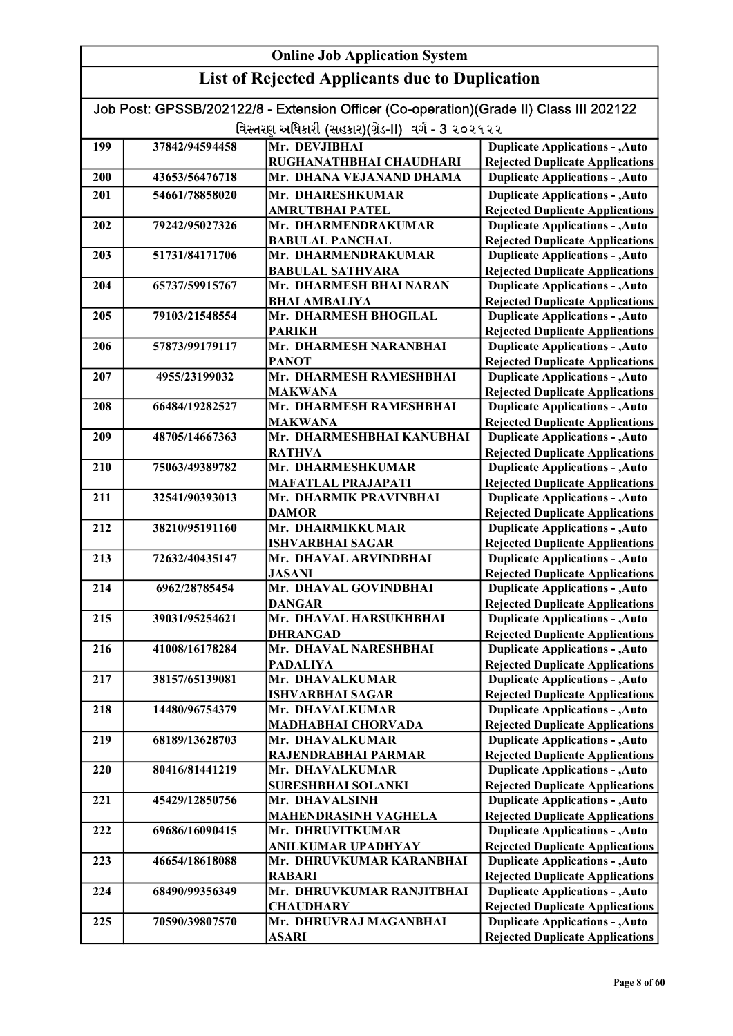|     | <b>Online Job Application System</b> |                                                                                        |                                                                                  |  |
|-----|--------------------------------------|----------------------------------------------------------------------------------------|----------------------------------------------------------------------------------|--|
|     |                                      | <b>List of Rejected Applicants due to Duplication</b>                                  |                                                                                  |  |
|     |                                      | Job Post: GPSSB/202122/8 - Extension Officer (Co-operation)(Grade II) Class III 202122 |                                                                                  |  |
|     |                                      | વિસ્તરણ અધિકારી (સહકાર)(ગ્રેડ-II) વર્ગ - 3 ૨૦૨૧૨૨                                      |                                                                                  |  |
| 199 | 37842/94594458                       | Mr. DEVJIBHAI                                                                          | <b>Duplicate Applications - , Auto</b>                                           |  |
|     |                                      | RUGHANATHBHAI CHAUDHARI                                                                | <b>Rejected Duplicate Applications</b>                                           |  |
| 200 | 43653/56476718                       | Mr. DHANA VEJANAND DHAMA                                                               | <b>Duplicate Applications - , Auto</b>                                           |  |
| 201 | 54661/78858020                       | Mr. DHARESHKUMAR                                                                       | <b>Duplicate Applications - , Auto</b>                                           |  |
|     |                                      | <b>AMRUTBHAI PATEL</b>                                                                 | <b>Rejected Duplicate Applications</b>                                           |  |
| 202 | 79242/95027326                       | Mr. DHARMENDRAKUMAR                                                                    | <b>Duplicate Applications - , Auto</b>                                           |  |
|     |                                      | <b>BABULAL PANCHAL</b>                                                                 | <b>Rejected Duplicate Applications</b>                                           |  |
| 203 | 51731/84171706                       | Mr. DHARMENDRAKUMAR                                                                    | <b>Duplicate Applications - , Auto</b>                                           |  |
|     |                                      | <b>BABULAL SATHVARA</b>                                                                | <b>Rejected Duplicate Applications</b>                                           |  |
| 204 | 65737/59915767                       | Mr. DHARMESH BHAI NARAN                                                                | <b>Duplicate Applications - , Auto</b>                                           |  |
|     |                                      | <b>BHAI AMBALIYA</b>                                                                   | <b>Rejected Duplicate Applications</b>                                           |  |
| 205 | 79103/21548554                       | Mr. DHARMESH BHOGILAL                                                                  | <b>Duplicate Applications - , Auto</b>                                           |  |
|     |                                      | <b>PARIKH</b>                                                                          | <b>Rejected Duplicate Applications</b>                                           |  |
| 206 | 57873/99179117                       | Mr. DHARMESH NARANBHAI                                                                 | <b>Duplicate Applications - , Auto</b>                                           |  |
|     |                                      | <b>PANOT</b>                                                                           | <b>Rejected Duplicate Applications</b>                                           |  |
| 207 | 4955/23199032                        | Mr. DHARMESH RAMESHBHAI                                                                | <b>Duplicate Applications - , Auto</b>                                           |  |
|     |                                      | <b>MAKWANA</b>                                                                         | <b>Rejected Duplicate Applications</b>                                           |  |
| 208 | 66484/19282527                       | Mr. DHARMESH RAMESHBHAI                                                                | <b>Duplicate Applications - , Auto</b>                                           |  |
| 209 | 48705/14667363                       | <b>MAKWANA</b><br>Mr. DHARMESHBHAI KANUBHAI                                            | <b>Rejected Duplicate Applications</b><br><b>Duplicate Applications - , Auto</b> |  |
|     |                                      | <b>RATHVA</b>                                                                          | <b>Rejected Duplicate Applications</b>                                           |  |
| 210 | 75063/49389782                       | Mr. DHARMESHKUMAR                                                                      | <b>Duplicate Applications - , Auto</b>                                           |  |
|     |                                      | <b>MAFATLAL PRAJAPATI</b>                                                              | <b>Rejected Duplicate Applications</b>                                           |  |
| 211 | 32541/90393013                       | Mr. DHARMIK PRAVINBHAI                                                                 | <b>Duplicate Applications - , Auto</b>                                           |  |
|     |                                      | <b>DAMOR</b>                                                                           | <b>Rejected Duplicate Applications</b>                                           |  |
| 212 | 38210/95191160                       | Mr. DHARMIKKUMAR                                                                       | <b>Duplicate Applications - , Auto</b>                                           |  |
|     |                                      | <b>ISHVARBHAI SAGAR</b>                                                                | <b>Rejected Duplicate Applications</b>                                           |  |
| 213 | 72632/40435147                       | Mr. DHAVAL ARVINDBHAI                                                                  | <b>Duplicate Applications - , Auto</b>                                           |  |
|     |                                      | <b>JASANI</b>                                                                          | <b>Rejected Duplicate Applications</b>                                           |  |
| 214 | 6962/28785454                        | Mr. DHAVAL GOVINDBHAI                                                                  | <b>Duplicate Applications - , Auto</b>                                           |  |
| 215 | 39031/95254621                       | <b>DANGAR</b><br>Mr. DHAVAL HARSUKHBHAI                                                | <b>Rejected Duplicate Applications</b>                                           |  |
|     |                                      | <b>DHRANGAD</b>                                                                        | <b>Duplicate Applications - , Auto</b><br><b>Rejected Duplicate Applications</b> |  |
| 216 | 41008/16178284                       | Mr. DHAVAL NARESHBHAI                                                                  | <b>Duplicate Applications - , Auto</b>                                           |  |
|     |                                      | <b>PADALIYA</b>                                                                        | <b>Rejected Duplicate Applications</b>                                           |  |
| 217 | 38157/65139081                       | Mr. DHAVALKUMAR                                                                        | <b>Duplicate Applications - , Auto</b>                                           |  |
|     |                                      | <b>ISHVARBHAI SAGAR</b>                                                                | <b>Rejected Duplicate Applications</b>                                           |  |
| 218 | 14480/96754379                       | Mr. DHAVALKUMAR                                                                        | <b>Duplicate Applications - , Auto</b>                                           |  |
|     |                                      | <b>MADHABHAI CHORVADA</b>                                                              | <b>Rejected Duplicate Applications</b>                                           |  |
| 219 | 68189/13628703                       | Mr. DHAVALKUMAR                                                                        | <b>Duplicate Applications - , Auto</b>                                           |  |
|     |                                      | RAJENDRABHAI PARMAR                                                                    | <b>Rejected Duplicate Applications</b>                                           |  |
| 220 | 80416/81441219                       | Mr. DHAVALKUMAR                                                                        | <b>Duplicate Applications - , Auto</b>                                           |  |
|     |                                      | <b>SURESHBHAI SOLANKI</b>                                                              | <b>Rejected Duplicate Applications</b>                                           |  |
| 221 | 45429/12850756                       | Mr. DHAVALSINH                                                                         | <b>Duplicate Applications - , Auto</b>                                           |  |
| 222 | 69686/16090415                       | <b>MAHENDRASINH VAGHELA</b><br>Mr. DHRUVITKUMAR                                        | <b>Rejected Duplicate Applications</b><br><b>Duplicate Applications - , Auto</b> |  |
|     |                                      | <b>ANILKUMAR UPADHYAY</b>                                                              | <b>Rejected Duplicate Applications</b>                                           |  |
| 223 | 46654/18618088                       | Mr. DHRUVKUMAR KARANBHAI                                                               | <b>Duplicate Applications - , Auto</b>                                           |  |
|     |                                      | <b>RABARI</b>                                                                          | <b>Rejected Duplicate Applications</b>                                           |  |
| 224 | 68490/99356349                       | Mr. DHRUVKUMAR RANJITBHAI                                                              | <b>Duplicate Applications - , Auto</b>                                           |  |
|     |                                      | <b>CHAUDHARY</b>                                                                       | <b>Rejected Duplicate Applications</b>                                           |  |
| 225 | 70590/39807570                       | Mr. DHRUVRAJ MAGANBHAI                                                                 | <b>Duplicate Applications - , Auto</b>                                           |  |
|     |                                      | <b>ASARI</b>                                                                           | <b>Rejected Duplicate Applications</b>                                           |  |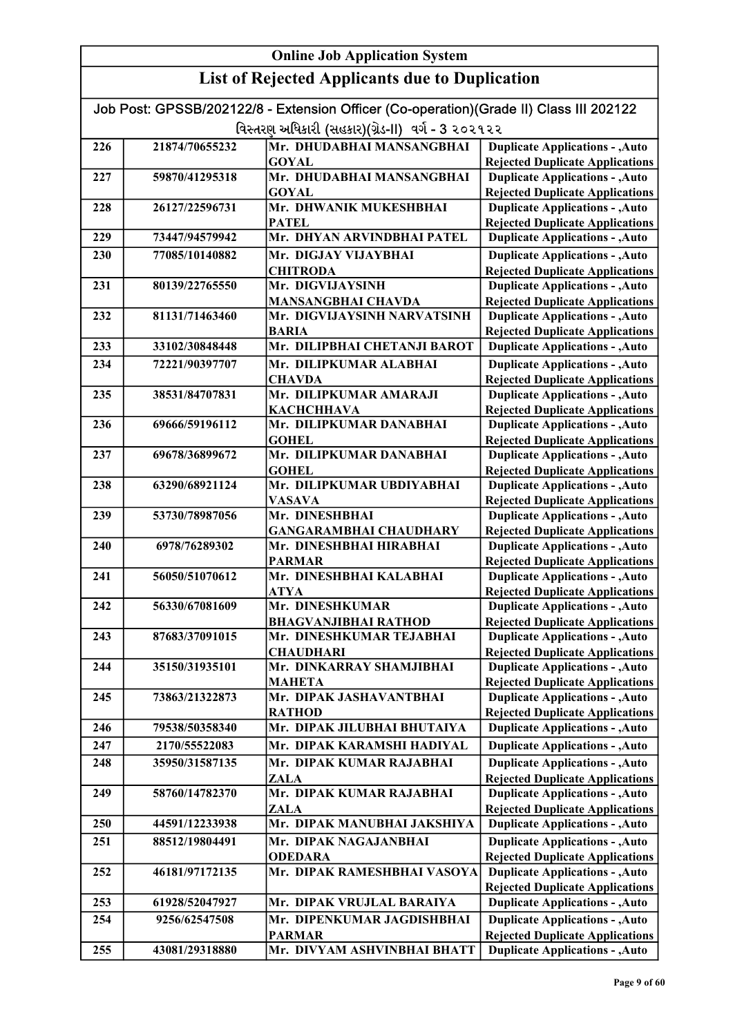| Job Post: GPSSB/202122/8 - Extension Officer (Co-operation)(Grade II) Class III 202122 |                                                    |                                              |                                                                                  |  |
|----------------------------------------------------------------------------------------|----------------------------------------------------|----------------------------------------------|----------------------------------------------------------------------------------|--|
|                                                                                        | વિસ્તરણ અધિકારી (સહકાર)(ગ્રેડ-II)  વર્ગ - 3 ૨૦૨૧૨૨ |                                              |                                                                                  |  |
| 226                                                                                    | 21874/70655232                                     | Mr. DHUDABHAI MANSANGBHAI                    | <b>Duplicate Applications - , Auto</b>                                           |  |
|                                                                                        |                                                    | <b>GOYAL</b>                                 | <b>Rejected Duplicate Applications</b>                                           |  |
| 227                                                                                    | 59870/41295318                                     | Mr. DHUDABHAI MANSANGBHAI                    | <b>Duplicate Applications - , Auto</b>                                           |  |
|                                                                                        |                                                    | <b>GOYAL</b>                                 | <b>Rejected Duplicate Applications</b>                                           |  |
| 228                                                                                    | 26127/22596731                                     | Mr. DHWANIK MUKESHBHAI                       | <b>Duplicate Applications - , Auto</b>                                           |  |
| 229                                                                                    | 73447/94579942                                     | <b>PATEL</b><br>Mr. DHYAN ARVINDBHAI PATEL   | <b>Rejected Duplicate Applications</b><br><b>Duplicate Applications - , Auto</b> |  |
| 230                                                                                    | 77085/10140882                                     | Mr. DIGJAY VIJAYBHAI                         | <b>Duplicate Applications - , Auto</b>                                           |  |
|                                                                                        |                                                    | <b>CHITRODA</b>                              | <b>Rejected Duplicate Applications</b>                                           |  |
| 231                                                                                    | 80139/22765550                                     | Mr. DIGVIJAYSINH                             | <b>Duplicate Applications - , Auto</b>                                           |  |
|                                                                                        |                                                    | <b>MANSANGBHAI CHAVDA</b>                    | <b>Rejected Duplicate Applications</b>                                           |  |
| 232                                                                                    | 81131/71463460                                     | Mr. DIGVIJAYSINH NARVATSINH                  | <b>Duplicate Applications - , Auto</b>                                           |  |
|                                                                                        |                                                    | <b>BARIA</b>                                 | <b>Rejected Duplicate Applications</b>                                           |  |
| 233                                                                                    | 33102/30848448                                     | Mr. DILIPBHAI CHETANJI BAROT                 | <b>Duplicate Applications - , Auto</b>                                           |  |
| 234                                                                                    | 72221/90397707                                     | Mr. DILIPKUMAR ALABHAI<br><b>CHAVDA</b>      | <b>Duplicate Applications - , Auto</b><br><b>Rejected Duplicate Applications</b> |  |
| 235                                                                                    | 38531/84707831                                     | Mr. DILIPKUMAR AMARAJI                       | <b>Duplicate Applications - , Auto</b>                                           |  |
|                                                                                        |                                                    | КАСНСННАУА                                   | <b>Rejected Duplicate Applications</b>                                           |  |
| 236                                                                                    | 69666/59196112                                     | Mr. DILIPKUMAR DANABHAI                      | <b>Duplicate Applications - , Auto</b>                                           |  |
|                                                                                        |                                                    | <b>GOHEL</b>                                 | <b>Rejected Duplicate Applications</b>                                           |  |
| 237                                                                                    | 69678/36899672                                     | Mr. DILIPKUMAR DANABHAI                      | <b>Duplicate Applications - , Auto</b>                                           |  |
|                                                                                        |                                                    | <b>GOHEL</b>                                 | <b>Rejected Duplicate Applications</b>                                           |  |
| 238                                                                                    | 63290/68921124                                     | Mr. DILIPKUMAR UBDIYABHAI                    | <b>Duplicate Applications - , Auto</b>                                           |  |
|                                                                                        |                                                    | <b>VASAVA</b><br>Mr. DINESHBHAI              | <b>Rejected Duplicate Applications</b>                                           |  |
| 239                                                                                    | 53730/78987056                                     | <b>GANGARAMBHAI CHAUDHARY</b>                | <b>Duplicate Applications - , Auto</b><br><b>Rejected Duplicate Applications</b> |  |
| 240                                                                                    | 6978/76289302                                      | Mr. DINESHBHAI HIRABHAI                      | <b>Duplicate Applications - , Auto</b>                                           |  |
|                                                                                        |                                                    | <b>PARMAR</b>                                | <b>Rejected Duplicate Applications</b>                                           |  |
| 241                                                                                    | 56050/51070612                                     | Mr. DINESHBHAI KALABHAI                      | <b>Duplicate Applications - , Auto</b>                                           |  |
|                                                                                        |                                                    | ATYA                                         | <b>Rejected Duplicate Applications</b>                                           |  |
| 242                                                                                    | 56330/67081609                                     | Mr. DINESHKUMAR                              | <b>Duplicate Applications - , Auto</b>                                           |  |
|                                                                                        |                                                    | <b>BHAGVANJIBHAI RATHOD</b>                  | <b>Rejected Duplicate Applications</b>                                           |  |
| 243                                                                                    | 87683/37091015                                     | Mr. DINESHKUMAR TEJABHAI<br><b>CHAUDHARI</b> | <b>Duplicate Applications - , Auto</b><br><b>Rejected Duplicate Applications</b> |  |
| 244                                                                                    | 35150/31935101                                     | Mr. DINKARRAY SHAMJIBHAI                     | <b>Duplicate Applications - , Auto</b>                                           |  |
|                                                                                        |                                                    | <b>MAHETA</b>                                | <b>Rejected Duplicate Applications</b>                                           |  |
| 245                                                                                    | 73863/21322873                                     | Mr. DIPAK JASHAVANTBHAI                      | <b>Duplicate Applications - , Auto</b>                                           |  |
|                                                                                        |                                                    | <b>RATHOD</b>                                | <b>Rejected Duplicate Applications</b>                                           |  |
| 246                                                                                    | 79538/50358340                                     | Mr. DIPAK JILUBHAI BHUTAIYA                  | <b>Duplicate Applications - , Auto</b>                                           |  |
| 247                                                                                    | 2170/55522083                                      | Mr. DIPAK KARAMSHI HADIYAL                   | <b>Duplicate Applications - , Auto</b>                                           |  |
| 248                                                                                    | 35950/31587135                                     | Mr. DIPAK KUMAR RAJABHAI                     | <b>Duplicate Applications - , Auto</b>                                           |  |
|                                                                                        |                                                    | ZALA                                         | <b>Rejected Duplicate Applications</b>                                           |  |
| 249                                                                                    | 58760/14782370                                     | Mr. DIPAK KUMAR RAJABHAI                     | <b>Duplicate Applications - , Auto</b>                                           |  |
| 250                                                                                    | 44591/12233938                                     | ZALA<br>Mr. DIPAK MANUBHAI JAKSHIYA          | <b>Rejected Duplicate Applications</b><br><b>Duplicate Applications - , Auto</b> |  |
| 251                                                                                    | 88512/19804491                                     | Mr. DIPAK NAGAJANBHAI                        | <b>Duplicate Applications - , Auto</b>                                           |  |
|                                                                                        |                                                    | <b>ODEDARA</b>                               | <b>Rejected Duplicate Applications</b>                                           |  |
| 252                                                                                    | 46181/97172135                                     | Mr. DIPAK RAMESHBHAI VASOYA                  | <b>Duplicate Applications - , Auto</b>                                           |  |
|                                                                                        |                                                    |                                              | <b>Rejected Duplicate Applications</b>                                           |  |
| 253                                                                                    | 61928/52047927                                     | Mr. DIPAK VRUJLAL BARAIYA                    | <b>Duplicate Applications - , Auto</b>                                           |  |
| 254                                                                                    | 9256/62547508                                      | Mr. DIPENKUMAR JAGDISHBHAI                   | <b>Duplicate Applications - , Auto</b>                                           |  |
|                                                                                        |                                                    | <b>PARMAR</b>                                | <b>Rejected Duplicate Applications</b>                                           |  |
| 255                                                                                    | 43081/29318880                                     | Mr. DIVYAM ASHVINBHAI BHATT                  | <b>Duplicate Applications - , Auto</b>                                           |  |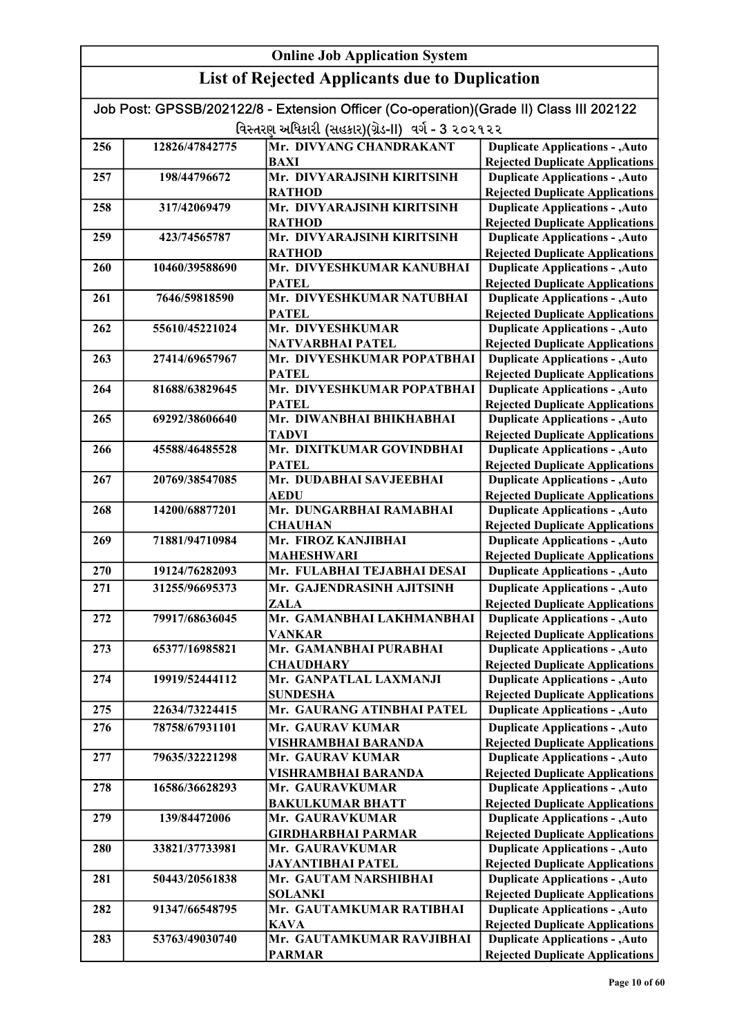| Job Post: GPSSB/202122/8 - Extension Officer (Co-operation)(Grade II) Class III 202122 |                |                                              |                                                                                  |
|----------------------------------------------------------------------------------------|----------------|----------------------------------------------|----------------------------------------------------------------------------------|
| વિસ્તરણ અધિકારી (સહકાર)(ગ્રેડ-II) વર્ગ - 3 ૨૦૨૧૨૨                                      |                |                                              |                                                                                  |
| 256                                                                                    | 12826/47842775 | Mr. DIVYANG CHANDRAKANT                      | <b>Duplicate Applications - , Auto</b>                                           |
|                                                                                        |                | <b>BAXI</b>                                  | <b>Rejected Duplicate Applications</b>                                           |
| 257                                                                                    | 198/44796672   | Mr. DIVYARAJSINH KIRITSINH                   | <b>Duplicate Applications - , Auto</b>                                           |
|                                                                                        |                | <b>RATHOD</b>                                | <b>Rejected Duplicate Applications</b>                                           |
| 258                                                                                    | 317/42069479   | Mr. DIVYARAJSINH KIRITSINH                   | <b>Duplicate Applications - , Auto</b>                                           |
|                                                                                        |                | <b>RATHOD</b>                                | <b>Rejected Duplicate Applications</b>                                           |
| 259                                                                                    | 423/74565787   | Mr. DIVYARAJSINH KIRITSINH                   | <b>Duplicate Applications - , Auto</b>                                           |
|                                                                                        |                | <b>RATHOD</b>                                | <b>Rejected Duplicate Applications</b>                                           |
| 260                                                                                    | 10460/39588690 | Mr. DIVYESHKUMAR KANUBHAI                    | <b>Duplicate Applications - , Auto</b>                                           |
|                                                                                        |                | <b>PATEL</b>                                 | <b>Rejected Duplicate Applications</b>                                           |
| 261                                                                                    | 7646/59818590  | Mr. DIVYESHKUMAR NATUBHAI                    | <b>Duplicate Applications - , Auto</b>                                           |
|                                                                                        |                | <b>PATEL</b>                                 | <b>Rejected Duplicate Applications</b>                                           |
| 262                                                                                    | 55610/45221024 | Mr. DIVYESHKUMAR                             | <b>Duplicate Applications - , Auto</b>                                           |
|                                                                                        |                | <b>NATVARBHAI PATEL</b>                      | <b>Rejected Duplicate Applications</b>                                           |
| 263                                                                                    | 27414/69657967 | Mr. DIVYESHKUMAR POPATBHAI                   | <b>Duplicate Applications - , Auto</b>                                           |
|                                                                                        |                | <b>PATEL</b>                                 | <b>Rejected Duplicate Applications</b>                                           |
| 264                                                                                    | 81688/63829645 | Mr. DIVYESHKUMAR POPATBHAI                   | <b>Duplicate Applications - , Auto</b>                                           |
|                                                                                        |                | <b>PATEL</b><br>Mr. DIWANBHAI BHIKHABHAI     | <b>Rejected Duplicate Applications</b>                                           |
| 265                                                                                    | 69292/38606640 | <b>TADVI</b>                                 | <b>Duplicate Applications - , Auto</b>                                           |
| 266                                                                                    | 45588/46485528 | Mr. DIXITKUMAR GOVINDBHAI                    | <b>Rejected Duplicate Applications</b><br><b>Duplicate Applications - , Auto</b> |
|                                                                                        |                | <b>PATEL</b>                                 | <b>Rejected Duplicate Applications</b>                                           |
| 267                                                                                    | 20769/38547085 | Mr. DUDABHAI SAVJEEBHAI                      | <b>Duplicate Applications - , Auto</b>                                           |
|                                                                                        |                | <b>AEDU</b>                                  | <b>Rejected Duplicate Applications</b>                                           |
| 268                                                                                    | 14200/68877201 | Mr. DUNGARBHAI RAMABHAI                      | <b>Duplicate Applications - , Auto</b>                                           |
|                                                                                        |                | <b>CHAUHAN</b>                               | <b>Rejected Duplicate Applications</b>                                           |
| 269                                                                                    | 71881/94710984 | Mr. FIROZ KANJIBHAI                          | <b>Duplicate Applications - , Auto</b>                                           |
|                                                                                        |                | <b>MAHESHWARI</b>                            | <b>Rejected Duplicate Applications</b>                                           |
| 270                                                                                    | 19124/76282093 | Mr. FULABHAI TEJABHAI DESAI                  | <b>Duplicate Applications - , Auto</b>                                           |
| 271                                                                                    | 31255/96695373 | Mr. GAJENDRASINH AJITSINH                    | <b>Duplicate Applications - , Auto</b>                                           |
|                                                                                        |                | <b>ZALA</b>                                  | <b>Rejected Duplicate Applications</b>                                           |
| 272                                                                                    | 79917/68636045 | Mr. GAMANBHAI LAKHMANBHAI                    | <b>Duplicate Applications - , Auto</b>                                           |
|                                                                                        |                | <b>VANKAR</b>                                | <b>Rejected Duplicate Applications</b>                                           |
| 273                                                                                    | 65377/16985821 | Mr. GAMANBHAI PURABHAI                       | <b>Duplicate Applications - , Auto</b>                                           |
|                                                                                        |                | <b>CHAUDHARY</b>                             | <b>Rejected Duplicate Applications</b>                                           |
| 274                                                                                    | 19919/52444112 | Mr. GANPATLAL LAXMANJI                       | <b>Duplicate Applications - , Auto</b>                                           |
|                                                                                        |                | <b>SUNDESHA</b>                              | <b>Rejected Duplicate Applications</b>                                           |
| 275                                                                                    | 22634/73224415 | Mr. GAURANG ATINBHAI PATEL                   | <b>Duplicate Applications - , Auto</b>                                           |
| 276                                                                                    | 78758/67931101 | Mr. GAURAV KUMAR                             | <b>Duplicate Applications - , Auto</b>                                           |
|                                                                                        |                | <b>VISHRAMBHAI BARANDA</b>                   | <b>Rejected Duplicate Applications</b>                                           |
| 277                                                                                    | 79635/32221298 | Mr. GAURAV KUMAR                             | <b>Duplicate Applications - , Auto</b>                                           |
|                                                                                        |                | VISHRAMBHAI BARANDA                          | <b>Rejected Duplicate Applications</b>                                           |
| 278                                                                                    | 16586/36628293 | Mr. GAURAVKUMAR                              | <b>Duplicate Applications - , Auto</b>                                           |
|                                                                                        |                | <b>BAKULKUMAR BHATT</b>                      | <b>Rejected Duplicate Applications</b>                                           |
| 279                                                                                    | 139/84472006   | Mr. GAURAVKUMAR                              | <b>Duplicate Applications - , Auto</b>                                           |
| 280                                                                                    | 33821/37733981 | <b>GIRDHARBHAI PARMAR</b><br>Mr. GAURAVKUMAR | <b>Rejected Duplicate Applications</b><br><b>Duplicate Applications - , Auto</b> |
|                                                                                        |                | <b>JAYANTIBHAI PATEL</b>                     | <b>Rejected Duplicate Applications</b>                                           |
| 281                                                                                    | 50443/20561838 | Mr. GAUTAM NARSHIBHAI                        | <b>Duplicate Applications - , Auto</b>                                           |
|                                                                                        |                | <b>SOLANKI</b>                               | <b>Rejected Duplicate Applications</b>                                           |
| 282                                                                                    | 91347/66548795 | Mr. GAUTAMKUMAR RATIBHAI                     | <b>Duplicate Applications - , Auto</b>                                           |
|                                                                                        |                | <b>KAVA</b>                                  | <b>Rejected Duplicate Applications</b>                                           |
| 283                                                                                    | 53763/49030740 | Mr. GAUTAMKUMAR RAVJIBHAI                    | <b>Duplicate Applications - , Auto</b>                                           |
|                                                                                        |                | <b>PARMAR</b>                                | <b>Rejected Duplicate Applications</b>                                           |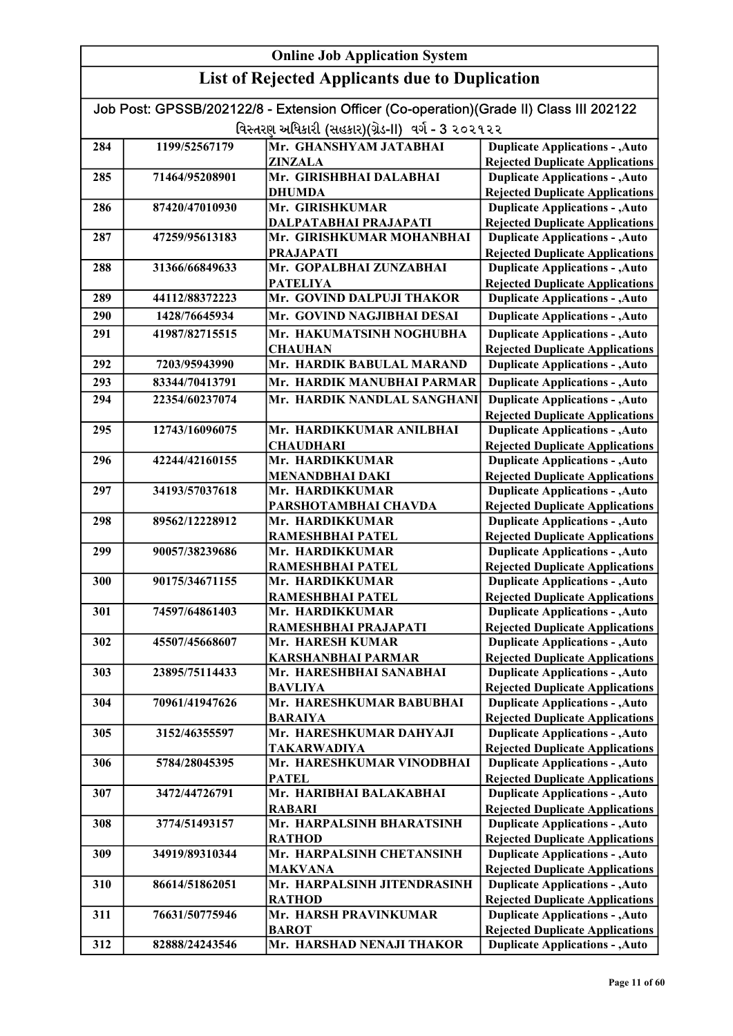| <b>Online Job Application System</b> |                |                                                                                                                                             |                                                                                  |
|--------------------------------------|----------------|---------------------------------------------------------------------------------------------------------------------------------------------|----------------------------------------------------------------------------------|
|                                      |                | <b>List of Rejected Applicants due to Duplication</b>                                                                                       |                                                                                  |
|                                      |                | Job Post: GPSSB/202122/8 - Extension Officer (Co-operation)(Grade II) Class III 202122<br>વિસ્તરણ અધિકારી (સહકાર)(ગ્રેડ-II) વર્ગ - 3 ૨૦૨૧૨૨ |                                                                                  |
| 284                                  | 1199/52567179  | Mr. GHANSHYAM JATABHAI                                                                                                                      | <b>Duplicate Applications - , Auto</b>                                           |
|                                      |                | <b>ZINZALA</b>                                                                                                                              | <b>Rejected Duplicate Applications</b>                                           |
| 285                                  | 71464/95208901 | Mr. GIRISHBHAI DALABHAI                                                                                                                     | <b>Duplicate Applications - , Auto</b>                                           |
|                                      |                | <b>DHUMDA</b>                                                                                                                               | <b>Rejected Duplicate Applications</b>                                           |
| 286                                  | 87420/47010930 | Mr. GIRISHKUMAR                                                                                                                             | <b>Duplicate Applications - , Auto</b>                                           |
|                                      |                | DALPATABHAI PRAJAPATI                                                                                                                       | <b>Rejected Duplicate Applications</b>                                           |
| 287                                  | 47259/95613183 | Mr. GIRISHKUMAR MOHANBHAI                                                                                                                   | <b>Duplicate Applications - , Auto</b>                                           |
|                                      |                | <b>PRAJAPATI</b>                                                                                                                            | <b>Rejected Duplicate Applications</b>                                           |
| 288                                  | 31366/66849633 | Mr. GOPALBHAI ZUNZABHAI                                                                                                                     | <b>Duplicate Applications - , Auto</b>                                           |
|                                      |                | <b>PATELIYA</b>                                                                                                                             | <b>Rejected Duplicate Applications</b>                                           |
| 289                                  | 44112/88372223 | Mr. GOVIND DALPUJI THAKOR                                                                                                                   | <b>Duplicate Applications - , Auto</b>                                           |
| 290                                  | 1428/76645934  | Mr. GOVIND NAGJIBHAI DESAI                                                                                                                  | <b>Duplicate Applications - , Auto</b>                                           |
| 291                                  | 41987/82715515 | Mr. HAKUMATSINH NOGHUBHA                                                                                                                    | <b>Duplicate Applications - , Auto</b>                                           |
|                                      |                | <b>CHAUHAN</b>                                                                                                                              | <b>Rejected Duplicate Applications</b>                                           |
| 292                                  | 7203/95943990  | Mr. HARDIK BABULAL MARAND                                                                                                                   | <b>Duplicate Applications - , Auto</b>                                           |
| 293                                  | 83344/70413791 | Mr. HARDIK MANUBHAI PARMAR                                                                                                                  | <b>Duplicate Applications - , Auto</b>                                           |
| 294                                  | 22354/60237074 | Mr. HARDIK NANDLAL SANGHANI                                                                                                                 | <b>Duplicate Applications - , Auto</b>                                           |
|                                      |                |                                                                                                                                             | <b>Rejected Duplicate Applications</b>                                           |
| 295                                  | 12743/16096075 | Mr. HARDIKKUMAR ANILBHAI                                                                                                                    | <b>Duplicate Applications - , Auto</b>                                           |
|                                      |                | <b>CHAUDHARI</b>                                                                                                                            | <b>Rejected Duplicate Applications</b>                                           |
| 296                                  | 42244/42160155 | Mr. HARDIKKUMAR                                                                                                                             | <b>Duplicate Applications - , Auto</b>                                           |
|                                      |                | <b>MENANDBHAI DAKI</b>                                                                                                                      | <b>Rejected Duplicate Applications</b>                                           |
| 297                                  | 34193/57037618 | Mr. HARDIKKUMAR                                                                                                                             | <b>Duplicate Applications - , Auto</b>                                           |
|                                      |                | PARSHOTAMBHAI CHAVDA                                                                                                                        | <b>Rejected Duplicate Applications</b>                                           |
| 298                                  | 89562/12228912 | Mr. HARDIKKUMAR                                                                                                                             | <b>Duplicate Applications - , Auto</b>                                           |
|                                      |                | RAMESHBHAI PATEL                                                                                                                            | <b>Rejected Duplicate Applications</b>                                           |
| 299                                  | 90057/38239686 | Mr. HARDIKKUMAR                                                                                                                             | <b>Duplicate Applications - , Auto</b>                                           |
|                                      |                | <b>RAMESHBHAI PATEL</b>                                                                                                                     | <b>Rejected Duplicate Applications</b>                                           |
| 300                                  | 90175/34671155 | Mr. HARDIKKUMAR                                                                                                                             | <b>Duplicate Applications - , Auto</b>                                           |
|                                      |                | RAMESHBHAI PATEL                                                                                                                            | <b>Rejected Duplicate Applications</b>                                           |
| 301                                  | 74597/64861403 | Mr. HARDIKKUMAR                                                                                                                             | <b>Duplicate Applications - , Auto</b>                                           |
|                                      |                | RAMESHBHAI PRAJAPATI                                                                                                                        | <b>Rejected Duplicate Applications</b>                                           |
| 302                                  | 45507/45668607 | Mr. HARESH KUMAR                                                                                                                            | <b>Duplicate Applications - , Auto</b>                                           |
| 303                                  | 23895/75114433 | <b>KARSHANBHAI PARMAR</b><br>Mr. HARESHBHAI SANABHAI                                                                                        | <b>Rejected Duplicate Applications</b>                                           |
|                                      |                | <b>BAVLIYA</b>                                                                                                                              | <b>Duplicate Applications - , Auto</b><br><b>Rejected Duplicate Applications</b> |
| 304                                  | 70961/41947626 | Mr. HARESHKUMAR BABUBHAI                                                                                                                    | <b>Duplicate Applications - , Auto</b>                                           |
|                                      |                | <b>BARAIYA</b>                                                                                                                              | <b>Rejected Duplicate Applications</b>                                           |
| 305                                  | 3152/46355597  | Mr. HARESHKUMAR DAHYAJI                                                                                                                     | <b>Duplicate Applications - , Auto</b>                                           |
|                                      |                | <b>TAKARWADIYA</b>                                                                                                                          | <b>Rejected Duplicate Applications</b>                                           |
| 306                                  | 5784/28045395  | Mr. HARESHKUMAR VINODBHAI                                                                                                                   | <b>Duplicate Applications - , Auto</b>                                           |
|                                      |                | <b>PATEL</b>                                                                                                                                | <b>Rejected Duplicate Applications</b>                                           |
| 307                                  | 3472/44726791  | Mr. HARIBHAI BALAKABHAI                                                                                                                     | <b>Duplicate Applications - , Auto</b>                                           |
|                                      |                | <b>RABARI</b>                                                                                                                               | <b>Rejected Duplicate Applications</b>                                           |
| 308                                  | 3774/51493157  | Mr. HARPALSINH BHARATSINH                                                                                                                   | <b>Duplicate Applications - , Auto</b>                                           |
|                                      |                | <b>RATHOD</b>                                                                                                                               | <b>Rejected Duplicate Applications</b>                                           |
| 309                                  | 34919/89310344 | Mr. HARPALSINH CHETANSINH                                                                                                                   | <b>Duplicate Applications - , Auto</b>                                           |
|                                      |                | <b>MAKVANA</b>                                                                                                                              | <b>Rejected Duplicate Applications</b>                                           |
| 310                                  | 86614/51862051 | Mr. HARPALSINH JITENDRASINH                                                                                                                 | <b>Duplicate Applications - , Auto</b>                                           |
|                                      |                | <b>RATHOD</b>                                                                                                                               | <b>Rejected Duplicate Applications</b>                                           |
| 311                                  | 76631/50775946 | Mr. HARSH PRAVINKUMAR                                                                                                                       | <b>Duplicate Applications - , Auto</b>                                           |
|                                      |                | <b>BAROT</b>                                                                                                                                | <b>Rejected Duplicate Applications</b>                                           |
| 312                                  | 82888/24243546 | Mr. HARSHAD NENAJI THAKOR                                                                                                                   | <b>Duplicate Applications - , Auto</b>                                           |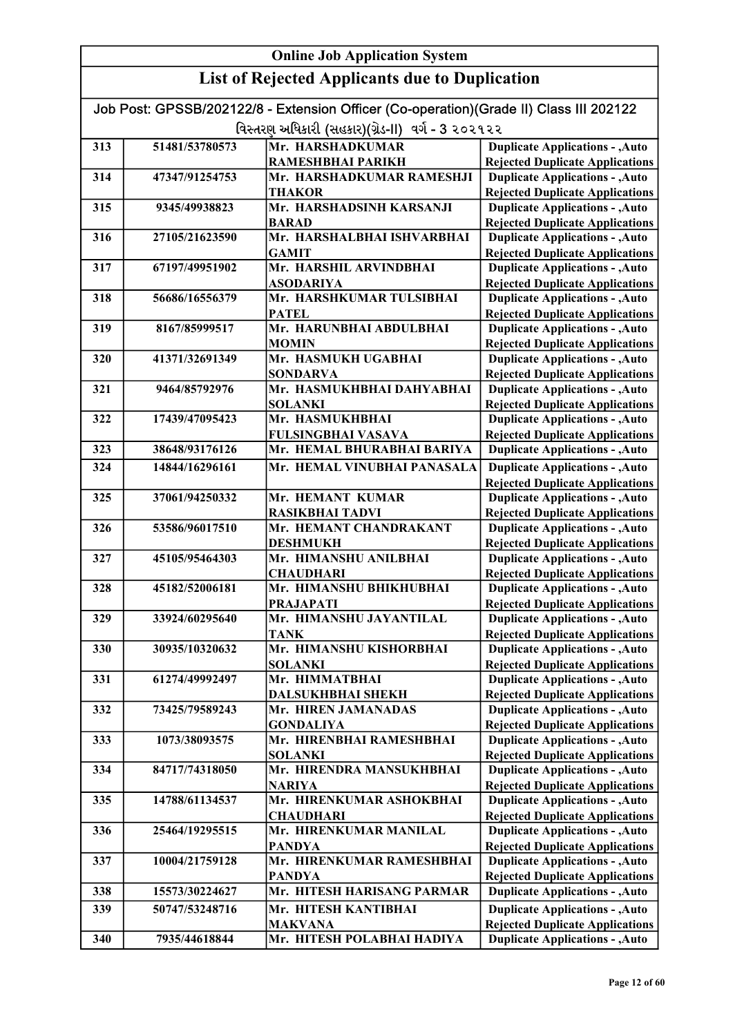#### Online Job Application System List of Rejected Applicants due to Duplication Job Post: GPSSB/202122/8 - Extension Officer (Co-operation)(Grade II) Class III 202122 વિસ્તરણ અધિકારી (સહકાર)(ગ્રેડ-II) વર્ગ - 3 ૨૦૨૧૨૨ 313 51481/53780573 Mr. HARSHADKUMAR RAMESHBHAI PARIKH 314 47347/91254753 Mr. HARSHADKUMAR RAMESHJI THAKOR 315 9345/49938823 Mr. HARSHADSINH KARSANJI BARAD 316 27105/21623590 Mr. HARSHALBHAI ISHVARBHAI GAMIT 317 67197/49951902 Mr. HARSHIL ARVINDBHAI ASODARIYA 318 56686/16556379 Mr. HARSHKUMAR TULSIBHAI PATEL 319 8167/85999517 Mr. HARUNBHAI ABDULBHAI MOMIN 320 41371/32691349 Mr. HASMUKH UGABHAI SONDARVA 321 9464/85792976 Mr. HASMUKHBHAI DAHYABHAI SOLANKI 322 17439/47095423 Mr. HASMUKHBHAI FULSINGBHAI VASAVA 323 38648/93176126 Mr. HEMAL BHURABHAI BARIYA 324 14844/16296161 Mr. HEMAL VINUBHAI PANASALA 325 37061/94250332 Mr. HEMANT KUMAR RASIKBHAI TADVI 326 53586/96017510 Mr. HEMANT CHANDRAKANT DESHMUKH 327 45105/95464303 Mr. HIMANSHU ANILBHAI **CHAUDHARI** 328 45182/52006181 Mr. HIMANSHU BHIKHUBHAI PRAJAPATI 329 33924/60295640 Mr. HIMANSHU JAYANTILAL TANK 330 30935/10320632 Mr. HIMANSHU KISHORBHAI SOLANKI 331 61274/49992497 Mr. HIMMATBHAI DALSUKHBHAI SHEKH 332 73425/79589243 Mr. HIREN JAMANADAS GONDALIYA 333 1073/38093575 Mr. HIRENBHAI RAMESHBHAI SOLANKI 334 84717/74318050 Mr. HIRENDRA MANSUKHBHAI NARIYA 335 14788/61134537 Mr. HIRENKUMAR ASHOKBHAI **CHAUDHARI** 336 25464/19295515 Mr. HIRENKUMAR MANILAL PANDYA 337 10004/21759128 Mr. HIRENKUMAR RAMESHBHAI PANDYA 338 15573/30224627 Mr. HITESH HARISANG PARMAR 339 50747/53248716 Mr. HITESH KANTIBHAI MAKVANA 340 7935/44618844 Mr. HITESH POLABHAI HADIYA Duplicate Applications - ,Auto Rejected Duplicate Applications Duplicate Applications - ,Auto Rejected Duplicate Applications Duplicate Applications - ,Auto Rejected Duplicate Applications Duplicate Applications - ,Auto Rejected Duplicate Applications Duplicate Applications - ,Auto Rejected Duplicate Applications Duplicate Applications - ,Auto Rejected Duplicate Applications Duplicate Applications - ,Auto Rejected Duplicate Applications Duplicate Applications - ,Auto Rejected Duplicate Applications Duplicate Applications - ,Auto Rejected Duplicate Applications Duplicate Applications - ,Auto Rejected Duplicate Applications Duplicate Applications - ,Auto **Duplicate Applications - ,Auto** Rejected Duplicate Applications Duplicate Applications - ,Auto Rejected Duplicate Applications Duplicate Applications - ,Auto Rejected Duplicate Applications Duplicate Applications - ,Auto Rejected Duplicate Applications Duplicate Applications - ,Auto Rejected Duplicate Applications Duplicate Applications - ,Auto Rejected Duplicate Applications Duplicate Applications - ,Auto Rejected Duplicate Applications Duplicate Applications - ,Auto Rejected Duplicate Applications Duplicate Applications - ,Auto **Duplicate Applications - ,Auto** Rejected Duplicate Applications Duplicate Applications - ,Auto Duplicate Applications - ,Auto Rejected Duplicate Applications Duplicate Applications - ,Auto Rejected Duplicate Applications Duplicate Applications - ,Auto Rejected Duplicate Applications Duplicate Applications - ,Auto Rejected Duplicate Applications Duplicate Applications - ,Auto Rejected Duplicate Applications Duplicate Applications - ,Auto Rejected Duplicate Applications

Rejected Duplicate Applications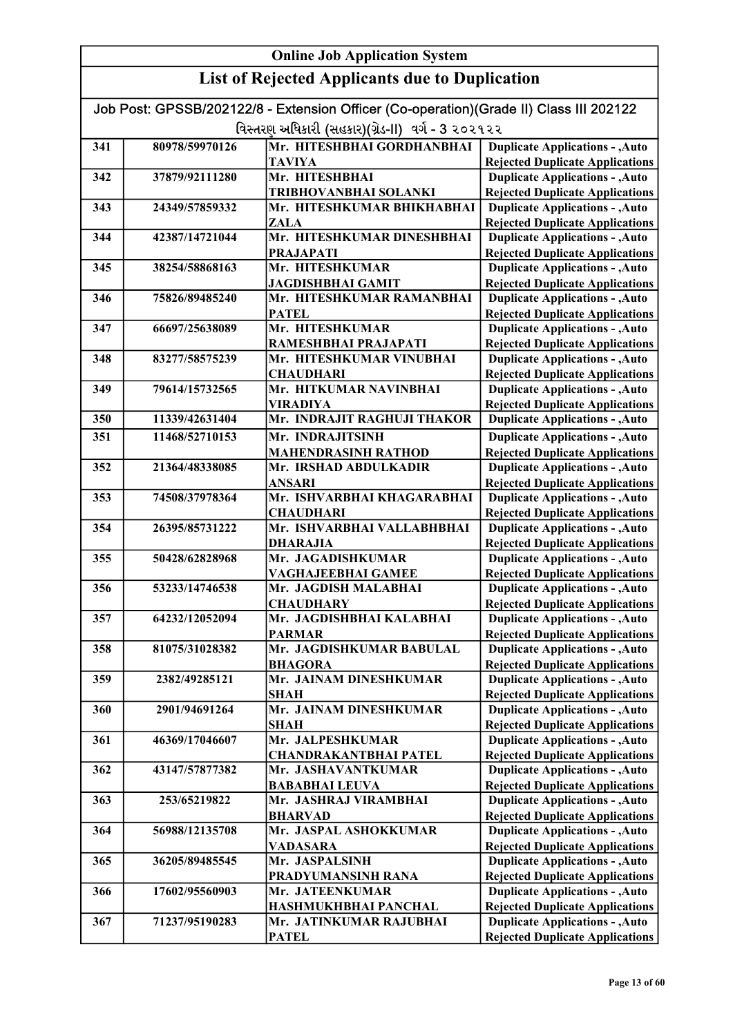#### Online Job Application System List of Rejected Applicants due to Duplication Job Post: GPSSB/202122/8 - Extension Officer (Co-operation)(Grade II) Class III 202122 વિસ્તરણ અધિકારી (સહકાર)(ગ્રેડ-II) વર્ગ - 3 ૨૦૨૧૨૨ 341 80978/59970126 Mr. HITESHBHAI GORDHANBHAI TAVIYA 342 37879/92111280 Mr. HITESHBHAI TRIBHOVANBHAI SOLANKI 343 24349/57859332 Mr. HITESHKUMAR BHIKHABHAI ZALA 344 42387/14721044 Mr. HITESHKUMAR DINESHBHAI PRAJAPATI 345 38254/58868163 Mr. HITESHKUMAR JAGDISHBHAI GAMIT 346 75826/89485240 Mr. HITESHKUMAR RAMANBHAI PATEL 347 66697/25638089 Mr. HITESHKUMAR RAMESHBHAI PRAJAPATI 348 83277/58575239 Mr. HITESHKUMAR VINUBHAI **CHAUDHARI** 349 79614/15732565 Mr. HITKUMAR NAVINBHAI VIRADIYA 350 11339/42631404 Mr. INDRAJIT RAGHUJI THAKOR 351 11468/52710153 Mr. INDRAJITSINH MAHENDRASINH RATHOD 352 21364/48338085 Mr. IRSHAD ABDULKADIR ANSARI 353 74508/37978364 Mr. ISHVARBHAI KHAGARABHAI **CHAUDHARI** 354 26395/85731222 Mr. ISHVARBHAI VALLABHBHAI DHARAJIA 355 | 50428/62828968 Mr. JAGADISHKUMAR VAGHAJEEBHAI GAMEE 356 53233/14746538 Mr. JAGDISH MALABHAI **CHAUDHARY** 357 64232/12052094 Mr. JAGDISHBHAI KALABHAI PARMAR 358 81075/31028382 Mr. JAGDISHKUMAR BABULAL BHAGORA 359 2382/49285121 Mr. JAINAM DINESHKUMAR SHAH 360 2901/94691264 Mr. JAINAM DINESHKUMAR **SHAH** 361 46369/17046607 Mr. JALPESHKUMAR CHANDRAKANTBHAI PATEL 362 43147/57877382 Mr. JASHAVANTKUMAR BABABHAI LEUVA 363 253/65219822 Mr. JASHRAJ VIRAMBHAI BHARVAD 364 56988/12135708 Mr. JASPAL ASHOKKUMAR VADASARA 365 36205/89485545 Mr. JASPALSINH PRADYUMANSINH RANA 366 17602/95560903 Mr. JATEENKUMAR HASHMUKHBHAI PANCHAL 367 71237/95190283 Mr. JATINKUMAR RAJUBHAI **PATEL** Duplicate Applications - ,Auto Rejected Duplicate Applications Duplicate Applications - ,Auto Rejected Duplicate Applications Duplicate Applications - ,Auto Rejected Duplicate Applications Duplicate Applications - ,Auto Rejected Duplicate Applications Duplicate Applications - ,Auto Rejected Duplicate Applications Duplicate Applications - ,Auto Rejected Duplicate Applications Duplicate Applications - ,Auto Rejected Duplicate Applications Duplicate Applications - ,Auto Rejected Duplicate Applications Duplicate Applications - ,Auto Rejected Duplicate Applications Duplicate Applications - ,Auto Rejected Duplicate Applications Duplicate Applications - ,Auto Rejected Duplicate Applications Duplicate Applications - ,Auto Rejected Duplicate Applications Duplicate Applications - ,Auto Rejected Duplicate Applications Duplicate Applications - ,Auto Rejected Duplicate Applications Duplicate Applications - ,Auto Rejected Duplicate Applications Duplicate Applications - ,Auto Rejected Duplicate Applications Duplicate Applications - ,Auto Rejected Duplicate Applications Duplicate Applications - ,Auto Rejected Duplicate Applications Duplicate Applications - ,Auto Rejected Duplicate Applications Duplicate Applications - ,Auto Rejected Duplicate Applications Duplicate Applications - ,Auto Rejected Duplicate Applications Duplicate Applications - ,Auto **Duplicate Applications - ,Auto** Rejected Duplicate Applications Duplicate Applications - ,Auto Rejected Duplicate Applications Duplicate Applications - ,Auto Rejected Duplicate Applications Duplicate Applications - ,Auto Rejected Duplicate Applications Duplicate Applications - ,Auto Rejected Duplicate Applications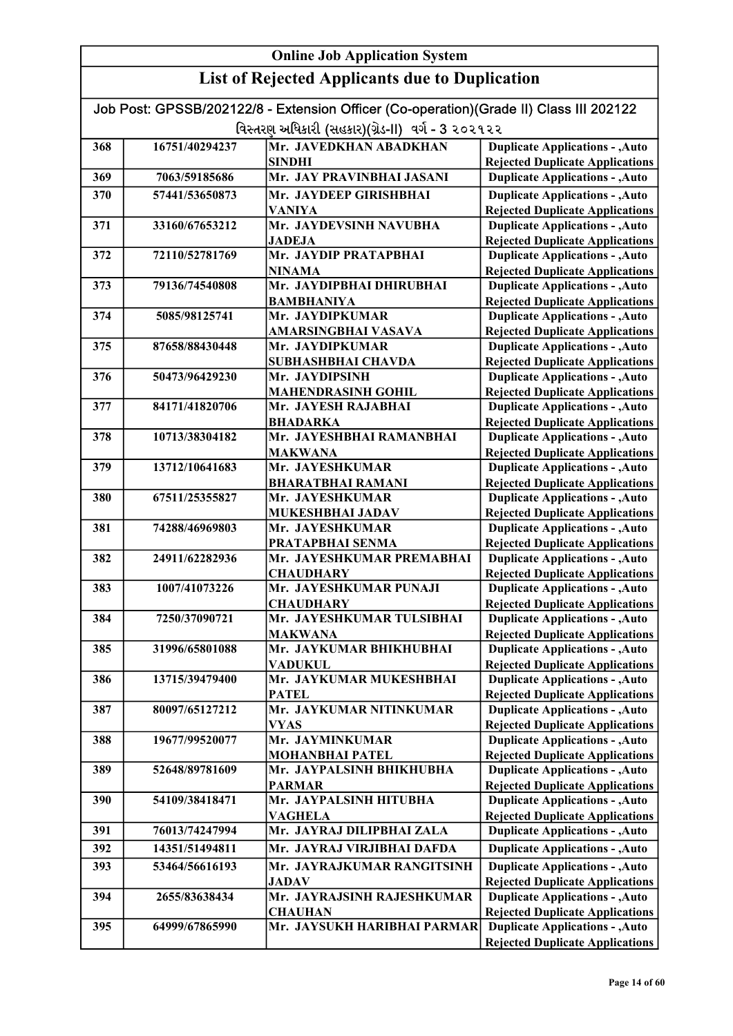| Job Post: GPSSB/202122/8 - Extension Officer (Co-operation)(Grade II) Class III 202122 |                |                                               |                                                                                  |
|----------------------------------------------------------------------------------------|----------------|-----------------------------------------------|----------------------------------------------------------------------------------|
| વિસ્તરણ અધિકારી (સહકાર)(ગ્રેડ-II) વર્ગ - 3 ૨૦૨૧૨૨                                      |                |                                               |                                                                                  |
| 368                                                                                    | 16751/40294237 | Mr. JAVEDKHAN ABADKHAN                        | <b>Duplicate Applications - , Auto</b>                                           |
|                                                                                        |                | <b>SINDHI</b>                                 | <b>Rejected Duplicate Applications</b>                                           |
| 369                                                                                    | 7063/59185686  | Mr. JAY PRAVINBHAI JASANI                     | <b>Duplicate Applications - , Auto</b>                                           |
| 370                                                                                    | 57441/53650873 | Mr. JAYDEEP GIRISHBHAI                        | <b>Duplicate Applications - , Auto</b>                                           |
|                                                                                        |                | <b>VANIYA</b>                                 | <b>Rejected Duplicate Applications</b>                                           |
| 371                                                                                    | 33160/67653212 | Mr. JAYDEVSINH NAVUBHA                        | <b>Duplicate Applications - , Auto</b>                                           |
|                                                                                        |                | <b>JADEJA</b>                                 | <b>Rejected Duplicate Applications</b>                                           |
| 372                                                                                    | 72110/52781769 | Mr. JAYDIP PRATAPBHAI<br><b>NINAMA</b>        | <b>Duplicate Applications - , Auto</b><br><b>Rejected Duplicate Applications</b> |
| 373                                                                                    | 79136/74540808 | Mr. JAYDIPBHAI DHIRUBHAI                      | <b>Duplicate Applications - , Auto</b>                                           |
|                                                                                        |                | <b>BAMBHANIYA</b>                             | <b>Rejected Duplicate Applications</b>                                           |
| 374                                                                                    | 5085/98125741  | Mr. JAYDIPKUMAR                               | <b>Duplicate Applications - , Auto</b>                                           |
|                                                                                        |                | AMARSINGBHAI VASAVA                           | <b>Rejected Duplicate Applications</b>                                           |
| 375                                                                                    | 87658/88430448 | Mr. JAYDIPKUMAR                               | <b>Duplicate Applications - , Auto</b>                                           |
|                                                                                        |                | <b>SUBHASHBHAI CHAVDA</b>                     | <b>Rejected Duplicate Applications</b>                                           |
| 376                                                                                    | 50473/96429230 | Mr. JAYDIPSINH                                | <b>Duplicate Applications - , Auto</b>                                           |
|                                                                                        |                | <b>MAHENDRASINH GOHIL</b>                     | <b>Rejected Duplicate Applications</b>                                           |
| 377                                                                                    | 84171/41820706 | Mr. JAYESH RAJABHAI                           | <b>Duplicate Applications - , Auto</b>                                           |
|                                                                                        |                | <b>BHADARKA</b>                               | <b>Rejected Duplicate Applications</b>                                           |
| 378                                                                                    | 10713/38304182 | Mr. JAYESHBHAI RAMANBHAI                      | <b>Duplicate Applications - , Auto</b>                                           |
| 379                                                                                    | 13712/10641683 | <b>MAKWANA</b><br>Mr. JAYESHKUMAR             | <b>Rejected Duplicate Applications</b>                                           |
|                                                                                        |                | <b>BHARATBHAI RAMANI</b>                      | <b>Duplicate Applications - , Auto</b><br><b>Rejected Duplicate Applications</b> |
| 380                                                                                    | 67511/25355827 | Mr. JAYESHKUMAR                               | <b>Duplicate Applications - , Auto</b>                                           |
|                                                                                        |                | MUKESHBHAI JADAV                              | <b>Rejected Duplicate Applications</b>                                           |
| 381                                                                                    | 74288/46969803 | Mr. JAYESHKUMAR                               | <b>Duplicate Applications - , Auto</b>                                           |
|                                                                                        |                | PRATAPBHAI SENMA                              | <b>Rejected Duplicate Applications</b>                                           |
| 382                                                                                    | 24911/62282936 | Mr. JAYESHKUMAR PREMABHAI                     | <b>Duplicate Applications - , Auto</b>                                           |
|                                                                                        |                | <b>CHAUDHARY</b>                              | <b>Rejected Duplicate Applications</b>                                           |
| 383                                                                                    | 1007/41073226  | Mr. JAYESHKUMAR PUNAJI                        | <b>Duplicate Applications - , Auto</b>                                           |
|                                                                                        |                | <b>CHAUDHARY</b>                              | <b>Rejected Duplicate Applications</b>                                           |
| 384                                                                                    | 7250/37090721  | Mr. JAYESHKUMAR TULSIBHAI                     | <b>Duplicate Applications - , Auto</b>                                           |
|                                                                                        |                | <b>MAKWANA</b>                                | <b>Rejected Duplicate Applications</b>                                           |
| 385                                                                                    | 31996/65801088 | Mr. JAYKUMAR BHIKHUBHAI                       | <b>Duplicate Applications - , Auto</b>                                           |
| 386                                                                                    | 13715/39479400 | <b>VADUKUL</b><br>Mr. JAYKUMAR MUKESHBHAI     | <b>Rejected Duplicate Applications</b><br><b>Duplicate Applications - , Auto</b> |
|                                                                                        |                | <b>PATEL</b>                                  | <b>Rejected Duplicate Applications</b>                                           |
| 387                                                                                    | 80097/65127212 | Mr. JAYKUMAR NITINKUMAR                       | <b>Duplicate Applications - , Auto</b>                                           |
|                                                                                        |                | <b>VYAS</b>                                   | <b>Rejected Duplicate Applications</b>                                           |
| 388                                                                                    | 19677/99520077 | Mr. JAYMINKUMAR                               | <b>Duplicate Applications - , Auto</b>                                           |
|                                                                                        |                | <b>MOHANBHAI PATEL</b>                        | <b>Rejected Duplicate Applications</b>                                           |
| 389                                                                                    | 52648/89781609 | Mr. JAYPALSINH BHIKHUBHA                      | <b>Duplicate Applications - , Auto</b>                                           |
|                                                                                        |                | <b>PARMAR</b>                                 | <b>Rejected Duplicate Applications</b>                                           |
| 390                                                                                    | 54109/38418471 | Mr. JAYPALSINH HITUBHA                        | <b>Duplicate Applications - , Auto</b>                                           |
|                                                                                        |                | <b>VAGHELA</b>                                | <b>Rejected Duplicate Applications</b>                                           |
| 391                                                                                    | 76013/74247994 | Mr. JAYRAJ DILIPBHAI ZALA                     | <b>Duplicate Applications - , Auto</b>                                           |
| 392                                                                                    | 14351/51494811 | Mr. JAYRAJ VIRJIBHAI DAFDA                    | <b>Duplicate Applications - , Auto</b>                                           |
| 393                                                                                    | 53464/56616193 | Mr. JAYRAJKUMAR RANGITSINH                    | <b>Duplicate Applications - , Auto</b>                                           |
|                                                                                        |                | <b>JADAV</b>                                  | <b>Rejected Duplicate Applications</b>                                           |
| 394                                                                                    | 2655/83638434  | Mr. JAYRAJSINH RAJESHKUMAR                    | <b>Duplicate Applications - , Auto</b>                                           |
| 395                                                                                    | 64999/67865990 | <b>CHAUHAN</b><br>Mr. JAYSUKH HARIBHAI PARMAR | <b>Rejected Duplicate Applications</b><br><b>Duplicate Applications - , Auto</b> |
|                                                                                        |                |                                               | <b>Rejected Duplicate Applications</b>                                           |
|                                                                                        |                |                                               |                                                                                  |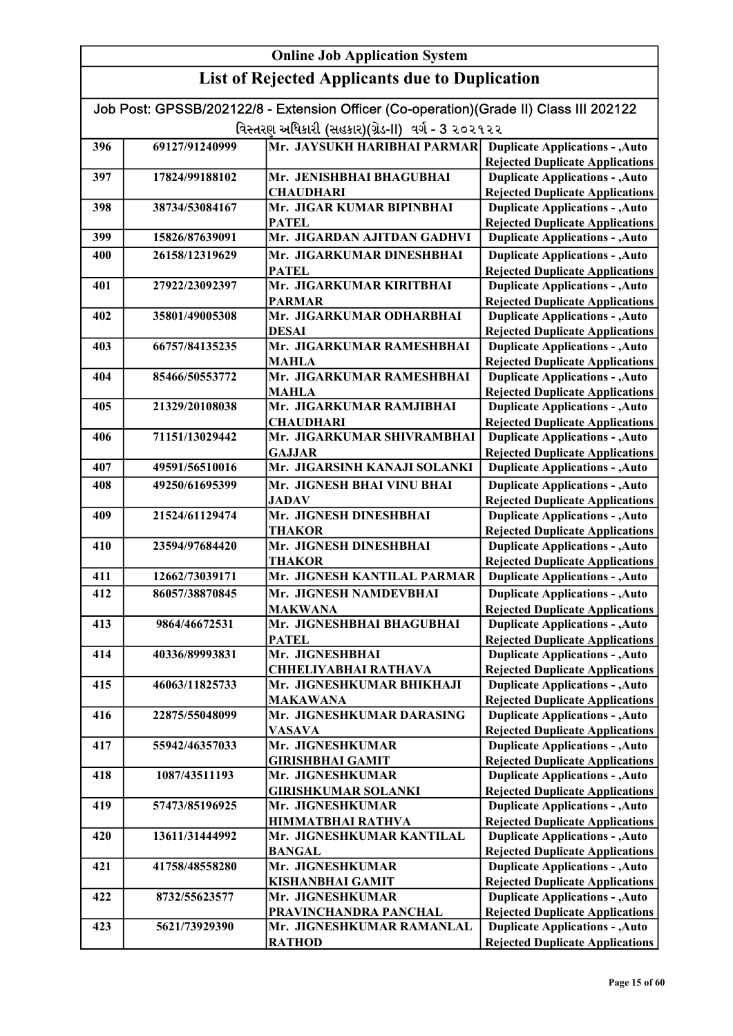| Job Post: GPSSB/202122/8 - Extension Officer (Co-operation)(Grade II) Class III 202122 |                |                                                             |                                                                                  |
|----------------------------------------------------------------------------------------|----------------|-------------------------------------------------------------|----------------------------------------------------------------------------------|
| વિસ્તરણ અધિકારી (સહકાર)(ગ્રેડ-II) વર્ગ - 3 ૨૦૨૧૨૨                                      |                |                                                             |                                                                                  |
| 396                                                                                    | 69127/91240999 | Mr. JAYSUKH HARIBHAI PARMAR Duplicate Applications - , Auto |                                                                                  |
|                                                                                        |                |                                                             | <b>Rejected Duplicate Applications</b>                                           |
| 397                                                                                    | 17824/99188102 | Mr. JENISHBHAI BHAGUBHAI                                    | <b>Duplicate Applications - , Auto</b>                                           |
|                                                                                        |                | <b>CHAUDHARI</b>                                            | <b>Rejected Duplicate Applications</b>                                           |
| 398                                                                                    | 38734/53084167 | Mr. JIGAR KUMAR BIPINBHAI                                   | <b>Duplicate Applications - , Auto</b>                                           |
|                                                                                        |                | <b>PATEL</b><br>Mr. JIGARDAN AJITDAN GADHVI                 | <b>Rejected Duplicate Applications</b>                                           |
| 399                                                                                    | 15826/87639091 |                                                             | <b>Duplicate Applications - , Auto</b>                                           |
| 400                                                                                    | 26158/12319629 | Mr. JIGARKUMAR DINESHBHAI<br><b>PATEL</b>                   | <b>Duplicate Applications - , Auto</b><br><b>Rejected Duplicate Applications</b> |
| 401                                                                                    | 27922/23092397 | Mr. JIGARKUMAR KIRITBHAI                                    | <b>Duplicate Applications - , Auto</b>                                           |
|                                                                                        |                | <b>PARMAR</b>                                               | <b>Rejected Duplicate Applications</b>                                           |
| 402                                                                                    | 35801/49005308 | Mr. JIGARKUMAR ODHARBHAI                                    | <b>Duplicate Applications - , Auto</b>                                           |
|                                                                                        |                | <b>DESAI</b>                                                | <b>Rejected Duplicate Applications</b>                                           |
| 403                                                                                    | 66757/84135235 | Mr. JIGARKUMAR RAMESHBHAI                                   | <b>Duplicate Applications - , Auto</b>                                           |
|                                                                                        |                | <b>MAHLA</b>                                                | <b>Rejected Duplicate Applications</b>                                           |
| 404                                                                                    | 85466/50553772 | Mr. JIGARKUMAR RAMESHBHAI                                   | <b>Duplicate Applications - , Auto</b>                                           |
|                                                                                        |                | <b>MAHLA</b>                                                | <b>Rejected Duplicate Applications</b>                                           |
| 405                                                                                    | 21329/20108038 | Mr. JIGARKUMAR RAMJIBHAI                                    | <b>Duplicate Applications - , Auto</b>                                           |
|                                                                                        |                | <b>CHAUDHARI</b>                                            | <b>Rejected Duplicate Applications</b>                                           |
| 406                                                                                    | 71151/13029442 | Mr. JIGARKUMAR SHIVRAMBHAI                                  | <b>Duplicate Applications - , Auto</b>                                           |
|                                                                                        |                | <b>GAJJAR</b>                                               | <b>Rejected Duplicate Applications</b>                                           |
| 407                                                                                    | 49591/56510016 | Mr. JIGARSINH KANAJI SOLANKI                                | <b>Duplicate Applications - , Auto</b>                                           |
| 408                                                                                    | 49250/61695399 | Mr. JIGNESH BHAI VINU BHAI                                  | <b>Duplicate Applications - , Auto</b>                                           |
|                                                                                        |                | <b>JADAV</b>                                                | <b>Rejected Duplicate Applications</b>                                           |
| 409                                                                                    | 21524/61129474 | Mr. JIGNESH DINESHBHAI                                      | <b>Duplicate Applications - , Auto</b>                                           |
|                                                                                        |                | <b>THAKOR</b><br>Mr. JIGNESH DINESHBHAI                     | <b>Rejected Duplicate Applications</b>                                           |
| 410                                                                                    | 23594/97684420 | <b>THAKOR</b>                                               | <b>Duplicate Applications - , Auto</b>                                           |
| 411                                                                                    | 12662/73039171 | Mr. JIGNESH KANTILAL PARMAR                                 | <b>Rejected Duplicate Applications</b><br><b>Duplicate Applications - , Auto</b> |
| 412                                                                                    | 86057/38870845 | Mr. JIGNESH NAMDEVBHAI                                      | <b>Duplicate Applications - , Auto</b>                                           |
|                                                                                        |                | <b>MAKWANA</b>                                              | <b>Rejected Duplicate Applications</b>                                           |
| 413                                                                                    | 9864/46672531  | Mr. JIGNESHBHAI BHAGUBHAI                                   | <b>Duplicate Applications - , Auto</b>                                           |
|                                                                                        |                | <b>PATEL</b>                                                | <b>Rejected Duplicate Applications</b>                                           |
| 414                                                                                    | 40336/89993831 | Mr. JIGNESHBHAI                                             | <b>Duplicate Applications - , Auto</b>                                           |
|                                                                                        |                | <b>CHHELIYABHAI RATHAVA</b>                                 | <b>Rejected Duplicate Applications</b>                                           |
| 415                                                                                    | 46063/11825733 | Mr. JIGNESHKUMAR BHIKHAJI                                   | <b>Duplicate Applications - , Auto</b>                                           |
|                                                                                        |                | <b>MAKAWANA</b>                                             | <b>Rejected Duplicate Applications</b>                                           |
| 416                                                                                    | 22875/55048099 | Mr. JIGNESHKUMAR DARASING                                   | <b>Duplicate Applications - , Auto</b>                                           |
|                                                                                        |                | <b>VASAVA</b>                                               | <b>Rejected Duplicate Applications</b>                                           |
| 417                                                                                    | 55942/46357033 | Mr. JIGNESHKUMAR                                            | <b>Duplicate Applications - , Auto</b>                                           |
|                                                                                        |                | <b>GIRISHBHAI GAMIT</b>                                     | <b>Rejected Duplicate Applications</b>                                           |
| 418                                                                                    | 1087/43511193  | Mr. JIGNESHKUMAR                                            | <b>Duplicate Applications - , Auto</b>                                           |
|                                                                                        |                | <b>GIRISHKUMAR SOLANKI</b>                                  | <b>Rejected Duplicate Applications</b>                                           |
| 419                                                                                    | 57473/85196925 | Mr. JIGNESHKUMAR                                            | <b>Duplicate Applications - , Auto</b>                                           |
|                                                                                        |                | HIMMATBHAI RATHVA                                           | <b>Rejected Duplicate Applications</b>                                           |
| 420                                                                                    | 13611/31444992 | Mr. JIGNESHKUMAR KANTILAL                                   | <b>Duplicate Applications - , Auto</b>                                           |
|                                                                                        |                | <b>BANGAL</b><br>Mr. JIGNESHKUMAR                           | <b>Rejected Duplicate Applications</b>                                           |
| 421                                                                                    | 41758/48558280 | <b>KISHANBHAI GAMIT</b>                                     | <b>Duplicate Applications - , Auto</b><br><b>Rejected Duplicate Applications</b> |
| 422                                                                                    | 8732/55623577  | Mr. JIGNESHKUMAR                                            | <b>Duplicate Applications - , Auto</b>                                           |
|                                                                                        |                | PRAVINCHANDRA PANCHAL                                       | <b>Rejected Duplicate Applications</b>                                           |
| 423                                                                                    | 5621/73929390  | Mr. JIGNESHKUMAR RAMANLAL                                   | <b>Duplicate Applications - , Auto</b>                                           |
|                                                                                        |                | <b>RATHOD</b>                                               | <b>Rejected Duplicate Applications</b>                                           |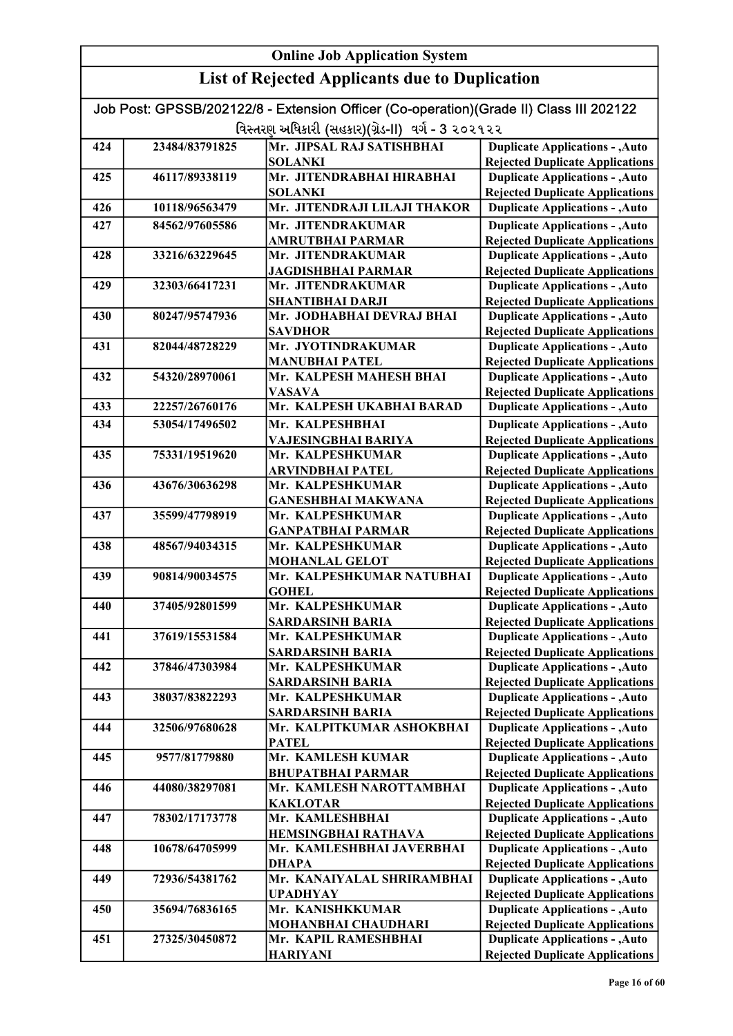| Job Post: GPSSB/202122/8 - Extension Officer (Co-operation)(Grade II) Class III 202122 |                |                                             |                                                                                  |
|----------------------------------------------------------------------------------------|----------------|---------------------------------------------|----------------------------------------------------------------------------------|
| વિસ્તરણ અધિકારી (સહકાર)(ગ્રેડ-II)  વર્ગ - 3 ૨૦૨૧૨૨                                     |                |                                             |                                                                                  |
| 424                                                                                    | 23484/83791825 | Mr. JIPSAL RAJ SATISHBHAI                   | <b>Duplicate Applications - , Auto</b>                                           |
|                                                                                        |                | <b>SOLANKI</b>                              | <b>Rejected Duplicate Applications</b>                                           |
| 425                                                                                    | 46117/89338119 | Mr. JITENDRABHAI HIRABHAI                   | <b>Duplicate Applications - , Auto</b>                                           |
|                                                                                        |                | <b>SOLANKI</b>                              | <b>Rejected Duplicate Applications</b>                                           |
| 426                                                                                    | 10118/96563479 | Mr. JITENDRAJI LILAJI THAKOR                | <b>Duplicate Applications - , Auto</b>                                           |
| 427                                                                                    | 84562/97605586 | Mr. JITENDRAKUMAR                           | <b>Duplicate Applications - , Auto</b>                                           |
|                                                                                        |                | <b>AMRUTBHAI PARMAR</b>                     | <b>Rejected Duplicate Applications</b>                                           |
| 428                                                                                    | 33216/63229645 | Mr. JITENDRAKUMAR                           | <b>Duplicate Applications - , Auto</b>                                           |
| 429                                                                                    | 32303/66417231 | JAGDISHBHAI PARMAR<br>Mr. JITENDRAKUMAR     | <b>Rejected Duplicate Applications</b><br><b>Duplicate Applications - , Auto</b> |
|                                                                                        |                | <b>SHANTIBHAI DARJI</b>                     | <b>Rejected Duplicate Applications</b>                                           |
| 430                                                                                    | 80247/95747936 | Mr. JODHABHAI DEVRAJ BHAI                   | <b>Duplicate Applications - , Auto</b>                                           |
|                                                                                        |                | <b>SAVDHOR</b>                              | <b>Rejected Duplicate Applications</b>                                           |
| 431                                                                                    | 82044/48728229 | Mr. JYOTINDRAKUMAR                          | <b>Duplicate Applications - , Auto</b>                                           |
|                                                                                        |                | <b>MANUBHAI PATEL</b>                       | <b>Rejected Duplicate Applications</b>                                           |
| 432                                                                                    | 54320/28970061 | Mr. KALPESH MAHESH BHAI                     | <b>Duplicate Applications - , Auto</b>                                           |
|                                                                                        |                | <b>VASAVA</b>                               | <b>Rejected Duplicate Applications</b>                                           |
| 433                                                                                    | 22257/26760176 | Mr. KALPESH UKABHAI BARAD                   | <b>Duplicate Applications - , Auto</b>                                           |
| 434                                                                                    | 53054/17496502 | Mr. KALPESHBHAI                             | <b>Duplicate Applications - , Auto</b>                                           |
|                                                                                        |                | VAJESINGBHAI BARIYA                         | <b>Rejected Duplicate Applications</b>                                           |
| 435                                                                                    | 75331/19519620 | Mr. KALPESHKUMAR                            | <b>Duplicate Applications - , Auto</b>                                           |
| 436                                                                                    |                | <b>ARVINDBHAI PATEL</b><br>Mr. KALPESHKUMAR | <b>Rejected Duplicate Applications</b>                                           |
|                                                                                        | 43676/30636298 | <b>GANESHBHAI MAKWANA</b>                   | <b>Duplicate Applications - , Auto</b><br><b>Rejected Duplicate Applications</b> |
| 437                                                                                    | 35599/47798919 | Mr. KALPESHKUMAR                            | <b>Duplicate Applications - , Auto</b>                                           |
|                                                                                        |                | <b>GANPATBHAI PARMAR</b>                    | <b>Rejected Duplicate Applications</b>                                           |
| 438                                                                                    | 48567/94034315 | Mr. KALPESHKUMAR                            | <b>Duplicate Applications - , Auto</b>                                           |
|                                                                                        |                | <b>MOHANLAL GELOT</b>                       | <b>Rejected Duplicate Applications</b>                                           |
| 439                                                                                    | 90814/90034575 | Mr. KALPESHKUMAR NATUBHAI                   | <b>Duplicate Applications - , Auto</b>                                           |
|                                                                                        |                | <b>GOHEL</b>                                | <b>Rejected Duplicate Applications</b>                                           |
| 440                                                                                    | 37405/92801599 | Mr. KALPESHKUMAR                            | <b>Duplicate Applications - , Auto</b>                                           |
|                                                                                        |                | <b>SARDARSINH BARIA</b>                     | <b>Rejected Duplicate Applications</b>                                           |
| 441                                                                                    | 37619/15531584 | Mr. KALPESHKUMAR                            | <b>Duplicate Applications - , Auto</b>                                           |
| 442                                                                                    | 37846/47303984 | <b>SARDARSINH BARIA</b><br>Mr. KALPESHKUMAR | <b>Rejected Duplicate Applications</b><br><b>Duplicate Applications - , Auto</b> |
|                                                                                        |                | <b>SARDARSINH BARIA</b>                     | <b>Rejected Duplicate Applications</b>                                           |
| 443                                                                                    | 38037/83822293 | Mr. KALPESHKUMAR                            | <b>Duplicate Applications - , Auto</b>                                           |
|                                                                                        |                | <b>SARDARSINH BARIA</b>                     | <b>Rejected Duplicate Applications</b>                                           |
| 444                                                                                    | 32506/97680628 | Mr. KALPITKUMAR ASHOKBHAI                   | <b>Duplicate Applications - , Auto</b>                                           |
|                                                                                        |                | <b>PATEL</b>                                | <b>Rejected Duplicate Applications</b>                                           |
| 445                                                                                    | 9577/81779880  | Mr. KAMLESH KUMAR                           | <b>Duplicate Applications - , Auto</b>                                           |
|                                                                                        |                | <b>BHUPATBHAI PARMAR</b>                    | <b>Rejected Duplicate Applications</b>                                           |
| 446                                                                                    | 44080/38297081 | Mr. KAMLESH NAROTTAMBHAI                    | <b>Duplicate Applications - , Auto</b>                                           |
|                                                                                        |                | <b>KAKLOTAR</b>                             | <b>Rejected Duplicate Applications</b>                                           |
| 447                                                                                    | 78302/17173778 | Mr. KAMLESHBHAI                             | <b>Duplicate Applications - , Auto</b>                                           |
|                                                                                        |                | <b>HEMSINGBHAI RATHAVA</b>                  | <b>Rejected Duplicate Applications</b>                                           |
| 448                                                                                    | 10678/64705999 | Mr. KAMLESHBHAI JAVERBHAI<br><b>DHAPA</b>   | <b>Duplicate Applications - , Auto</b><br><b>Rejected Duplicate Applications</b> |
| 449                                                                                    | 72936/54381762 | Mr. KANAIYALAL SHRIRAMBHAI                  | <b>Duplicate Applications - , Auto</b>                                           |
|                                                                                        |                | <b>UPADHYAY</b>                             | <b>Rejected Duplicate Applications</b>                                           |
| 450                                                                                    | 35694/76836165 | Mr. KANISHKKUMAR                            | <b>Duplicate Applications - , Auto</b>                                           |
|                                                                                        |                | MOHANBHAI CHAUDHARI                         | <b>Rejected Duplicate Applications</b>                                           |
| 451                                                                                    | 27325/30450872 | Mr. KAPIL RAMESHBHAI                        | <b>Duplicate Applications - , Auto</b>                                           |
|                                                                                        |                | <b>HARIYANI</b>                             | <b>Rejected Duplicate Applications</b>                                           |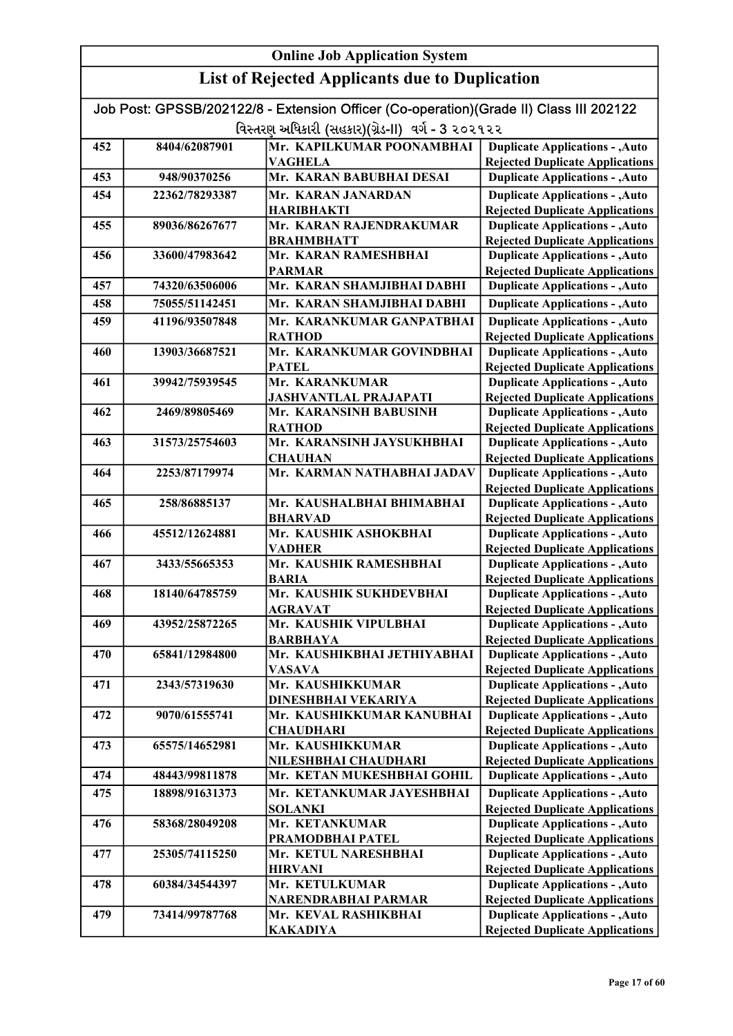| <b>Online Job Application System</b> |                |                                                                                        |                                                                                  |
|--------------------------------------|----------------|----------------------------------------------------------------------------------------|----------------------------------------------------------------------------------|
|                                      |                | <b>List of Rejected Applicants due to Duplication</b>                                  |                                                                                  |
|                                      |                | Job Post: GPSSB/202122/8 - Extension Officer (Co-operation)(Grade II) Class III 202122 |                                                                                  |
|                                      |                | વિસ્તરણ અધિકારી (સહકાર)(ગ્રેડ-II) વર્ગ - 3 ૨૦૨૧૨૨                                      |                                                                                  |
| 452                                  | 8404/62087901  | Mr. KAPILKUMAR POONAMBHAI                                                              | <b>Duplicate Applications - , Auto</b>                                           |
| 453                                  | 948/90370256   | <b>VAGHELA</b><br>Mr. KARAN BABUBHAI DESAI                                             | <b>Rejected Duplicate Applications</b><br><b>Duplicate Applications - , Auto</b> |
|                                      |                |                                                                                        |                                                                                  |
| 454                                  | 22362/78293387 | Mr. KARAN JANARDAN<br><b>HARIBHAKTI</b>                                                | <b>Duplicate Applications - , Auto</b><br><b>Rejected Duplicate Applications</b> |
| 455                                  | 89036/86267677 | Mr. KARAN RAJENDRAKUMAR                                                                | <b>Duplicate Applications - , Auto</b>                                           |
|                                      |                | <b>BRAHMBHATT</b>                                                                      | <b>Rejected Duplicate Applications</b>                                           |
| 456                                  | 33600/47983642 | Mr. KARAN RAMESHBHAI                                                                   | <b>Duplicate Applications - , Auto</b>                                           |
| 457                                  | 74320/63506006 | <b>PARMAR</b><br>Mr. KARAN SHAMJIBHAI DABHI                                            | <b>Rejected Duplicate Applications</b><br><b>Duplicate Applications - , Auto</b> |
| 458                                  | 75055/51142451 | Mr. KARAN SHAMJIBHAI DABHI                                                             |                                                                                  |
|                                      |                | Mr. KARANKUMAR GANPATBHAI                                                              | <b>Duplicate Applications - , Auto</b>                                           |
| 459                                  | 41196/93507848 | <b>RATHOD</b>                                                                          | <b>Duplicate Applications - , Auto</b><br><b>Rejected Duplicate Applications</b> |
| 460                                  | 13903/36687521 | Mr. KARANKUMAR GOVINDBHAI                                                              | <b>Duplicate Applications - , Auto</b>                                           |
|                                      |                | <b>PATEL</b>                                                                           | <b>Rejected Duplicate Applications</b>                                           |
| 461                                  | 39942/75939545 | Mr. KARANKUMAR                                                                         | <b>Duplicate Applications - , Auto</b>                                           |
|                                      |                | <b>JASHVANTLAL PRAJAPATI</b>                                                           | <b>Rejected Duplicate Applications</b>                                           |
| 462                                  | 2469/89805469  | Mr. KARANSINH BABUSINH                                                                 | <b>Duplicate Applications - , Auto</b>                                           |
|                                      |                | <b>RATHOD</b>                                                                          | <b>Rejected Duplicate Applications</b>                                           |
| 463                                  | 31573/25754603 | Mr. KARANSINH JAYSUKHBHAI                                                              | <b>Duplicate Applications - , Auto</b>                                           |
| 464                                  | 2253/87179974  | <b>CHAUHAN</b><br>Mr. KARMAN NATHABHAI JADAV                                           | <b>Rejected Duplicate Applications</b><br><b>Duplicate Applications - , Auto</b> |
|                                      |                |                                                                                        | <b>Rejected Duplicate Applications</b>                                           |
| 465                                  | 258/86885137   | Mr. KAUSHALBHAI BHIMABHAI                                                              | <b>Duplicate Applications - , Auto</b>                                           |
|                                      |                | <b>BHARVAD</b>                                                                         | <b>Rejected Duplicate Applications</b>                                           |
| 466                                  | 45512/12624881 | Mr. KAUSHIK ASHOKBHAI<br><b>VADHER</b>                                                 | <b>Duplicate Applications - , Auto</b><br><b>Rejected Duplicate Applications</b> |
| 467                                  | 3433/55665353  | Mr. KAUSHIK RAMESHBHAI                                                                 | <b>Duplicate Applications - , Auto</b>                                           |
|                                      |                | <b>BARIA</b>                                                                           | <b>Rejected Duplicate Applications</b>                                           |
| 468                                  | 18140/64785759 | Mr. KAUSHIK SUKHDEVBHAI                                                                | <b>Duplicate Applications - , Auto</b>                                           |
|                                      |                | <b>AGRAVAT</b>                                                                         | <b>Rejected Duplicate Applications</b>                                           |
| 469                                  | 43952/25872265 | Mr. KAUSHIK VIPULBHAI                                                                  | <b>Duplicate Applications - , Auto</b>                                           |
|                                      |                | <b>BARBHAYA</b>                                                                        | <b>Rejected Duplicate Applications</b>                                           |
| 470                                  | 65841/12984800 | Mr. KAUSHIKBHAI JETHIYABHAI<br>VASAVA                                                  | <b>Duplicate Applications - , Auto</b><br><b>Rejected Duplicate Applications</b> |
| 471                                  | 2343/57319630  | Mr. KAUSHIKKUMAR                                                                       | <b>Duplicate Applications - , Auto</b>                                           |
|                                      |                | <b>DINESHBHAI VEKARIYA</b>                                                             | <b>Rejected Duplicate Applications</b>                                           |
| 472                                  | 9070/61555741  | Mr. KAUSHIKKUMAR KANUBHAI                                                              | <b>Duplicate Applications - , Auto</b>                                           |
|                                      |                | <b>CHAUDHARI</b>                                                                       | <b>Rejected Duplicate Applications</b>                                           |
| 473                                  | 65575/14652981 | Mr. KAUSHIKKUMAR                                                                       | <b>Duplicate Applications - , Auto</b>                                           |
| 474                                  | 48443/99811878 | NILESHBHAI CHAUDHARI<br>Mr. KETAN MUKESHBHAI GOHIL                                     | <b>Rejected Duplicate Applications</b><br><b>Duplicate Applications - , Auto</b> |
| 475                                  | 18898/91631373 | Mr. KETANKUMAR JAYESHBHAI                                                              |                                                                                  |
|                                      |                | <b>SOLANKI</b>                                                                         | <b>Duplicate Applications - , Auto</b><br><b>Rejected Duplicate Applications</b> |
| 476                                  | 58368/28049208 | Mr. KETANKUMAR                                                                         | <b>Duplicate Applications - , Auto</b>                                           |
|                                      |                | PRAMODBHAI PATEL                                                                       | <b>Rejected Duplicate Applications</b>                                           |
| 477                                  | 25305/74115250 | Mr. KETUL NARESHBHAI                                                                   | <b>Duplicate Applications - , Auto</b>                                           |
|                                      |                | <b>HIRVANI</b>                                                                         | <b>Rejected Duplicate Applications</b>                                           |
| 478                                  | 60384/34544397 | Mr. KETULKUMAR<br>NARENDRABHAI PARMAR                                                  | <b>Duplicate Applications - , Auto</b><br><b>Rejected Duplicate Applications</b> |
| 479                                  | 73414/99787768 | Mr. KEVAL RASHIKBHAI                                                                   | <b>Duplicate Applications - , Auto</b>                                           |
|                                      |                | <b>KAKADIYA</b>                                                                        | <b>Rejected Duplicate Applications</b>                                           |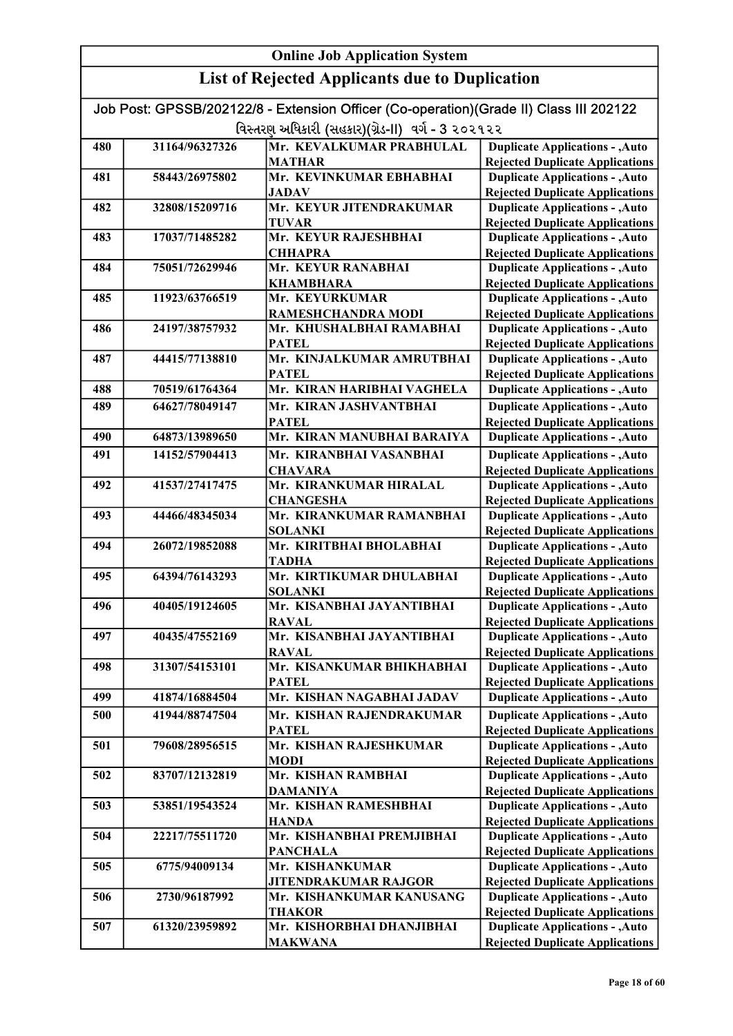| Job Post: GPSSB/202122/8 - Extension Officer (Co-operation)(Grade II) Class III 202122 |                                                   |                                                |                                                                                  |  |
|----------------------------------------------------------------------------------------|---------------------------------------------------|------------------------------------------------|----------------------------------------------------------------------------------|--|
|                                                                                        | વિસ્તરણ અધિકારી (સહકાર)(ગ્રેડ-II) વર્ગ - 3 ૨૦૨૧૨૨ |                                                |                                                                                  |  |
| 480                                                                                    | 31164/96327326                                    | Mr. KEVALKUMAR PRABHULAL                       | <b>Duplicate Applications - , Auto</b>                                           |  |
|                                                                                        |                                                   | <b>MATHAR</b>                                  | <b>Rejected Duplicate Applications</b>                                           |  |
| 481                                                                                    | 58443/26975802                                    | Mr. KEVINKUMAR EBHABHAI                        | <b>Duplicate Applications - , Auto</b>                                           |  |
|                                                                                        |                                                   | <b>JADAV</b>                                   | <b>Rejected Duplicate Applications</b>                                           |  |
| 482                                                                                    | 32808/15209716                                    | Mr. KEYUR JITENDRAKUMAR                        | <b>Duplicate Applications - , Auto</b>                                           |  |
|                                                                                        |                                                   | <b>TUVAR</b>                                   | <b>Rejected Duplicate Applications</b>                                           |  |
| 483                                                                                    | 17037/71485282                                    | Mr. KEYUR RAJESHBHAI                           | <b>Duplicate Applications - , Auto</b>                                           |  |
|                                                                                        |                                                   | <b>CHHAPRA</b>                                 | <b>Rejected Duplicate Applications</b>                                           |  |
| 484                                                                                    | 75051/72629946                                    | Mr. KEYUR RANABHAI                             | <b>Duplicate Applications - , Auto</b>                                           |  |
|                                                                                        |                                                   | <b>KHAMBHARA</b>                               | <b>Rejected Duplicate Applications</b>                                           |  |
| 485                                                                                    | 11923/63766519                                    | Mr. KEYURKUMAR                                 | <b>Duplicate Applications - , Auto</b>                                           |  |
| 486                                                                                    | 24197/38757932                                    | RAMESHCHANDRA MODI<br>Mr. KHUSHALBHAI RAMABHAI | <b>Rejected Duplicate Applications</b>                                           |  |
|                                                                                        |                                                   | <b>PATEL</b>                                   | <b>Duplicate Applications - , Auto</b><br><b>Rejected Duplicate Applications</b> |  |
| 487                                                                                    | 44415/77138810                                    | Mr. KINJALKUMAR AMRUTBHAI                      | <b>Duplicate Applications - , Auto</b>                                           |  |
|                                                                                        |                                                   | <b>PATEL</b>                                   | <b>Rejected Duplicate Applications</b>                                           |  |
| 488                                                                                    | 70519/61764364                                    | Mr. KIRAN HARIBHAI VAGHELA                     | <b>Duplicate Applications - , Auto</b>                                           |  |
| 489                                                                                    | 64627/78049147                                    | Mr. KIRAN JASHVANTBHAI                         | <b>Duplicate Applications - , Auto</b>                                           |  |
|                                                                                        |                                                   | <b>PATEL</b>                                   | <b>Rejected Duplicate Applications</b>                                           |  |
| 490                                                                                    | 64873/13989650                                    | Mr. KIRAN MANUBHAI BARAIYA                     | <b>Duplicate Applications - , Auto</b>                                           |  |
| 491                                                                                    | 14152/57904413                                    | Mr. KIRANBHAI VASANBHAI                        | <b>Duplicate Applications - , Auto</b>                                           |  |
|                                                                                        |                                                   | <b>CHAVARA</b>                                 | <b>Rejected Duplicate Applications</b>                                           |  |
| 492                                                                                    | 41537/27417475                                    | Mr. KIRANKUMAR HIRALAL                         | <b>Duplicate Applications - , Auto</b>                                           |  |
|                                                                                        |                                                   | <b>CHANGESHA</b>                               | <b>Rejected Duplicate Applications</b>                                           |  |
| 493                                                                                    | 44466/48345034                                    | Mr. KIRANKUMAR RAMANBHAI                       | <b>Duplicate Applications - , Auto</b>                                           |  |
|                                                                                        |                                                   | <b>SOLANKI</b>                                 | <b>Rejected Duplicate Applications</b>                                           |  |
| 494                                                                                    | 26072/19852088                                    | Mr. KIRITBHAI BHOLABHAI                        | <b>Duplicate Applications - , Auto</b>                                           |  |
|                                                                                        |                                                   | <b>TADHA</b>                                   | <b>Rejected Duplicate Applications</b>                                           |  |
| 495                                                                                    | 64394/76143293                                    | Mr. KIRTIKUMAR DHULABHAI                       | <b>Duplicate Applications - , Auto</b>                                           |  |
|                                                                                        |                                                   | <b>SOLANKI</b>                                 | <b>Rejected Duplicate Applications</b>                                           |  |
| 496                                                                                    | 40405/19124605                                    | Mr. KISANBHAI JAYANTIBHAI                      | <b>Duplicate Applications - , Auto</b>                                           |  |
|                                                                                        |                                                   | <b>RAVAL</b>                                   | <b>Rejected Duplicate Applications</b>                                           |  |
| 497                                                                                    | 40435/47552169                                    | Mr. KISANBHAI JAYANTIBHAI                      | <b>Duplicate Applications - , Auto</b>                                           |  |
|                                                                                        |                                                   | <b>RAVAL</b>                                   | <b>Rejected Duplicate Applications</b>                                           |  |
| 498                                                                                    | 31307/54153101                                    | Mr. KISANKUMAR BHIKHABHAI                      | <b>Duplicate Applications - , Auto</b>                                           |  |
|                                                                                        |                                                   | <b>PATEL</b><br>Mr. KISHAN NAGABHAI JADAV      | <b>Rejected Duplicate Applications</b>                                           |  |
| 499                                                                                    | 41874/16884504                                    |                                                | <b>Duplicate Applications - , Auto</b>                                           |  |
| 500                                                                                    | 41944/88747504                                    | Mr. KISHAN RAJENDRAKUMAR                       | <b>Duplicate Applications - , Auto</b>                                           |  |
| 501                                                                                    | 79608/28956515                                    | <b>PATEL</b><br>Mr. KISHAN RAJESHKUMAR         | <b>Rejected Duplicate Applications</b>                                           |  |
|                                                                                        |                                                   | <b>MODI</b>                                    | <b>Duplicate Applications - , Auto</b><br><b>Rejected Duplicate Applications</b> |  |
| 502                                                                                    | 83707/12132819                                    | Mr. KISHAN RAMBHAI                             | <b>Duplicate Applications - , Auto</b>                                           |  |
|                                                                                        |                                                   | <b>DAMANIYA</b>                                | <b>Rejected Duplicate Applications</b>                                           |  |
| 503                                                                                    | 53851/19543524                                    | Mr. KISHAN RAMESHBHAI                          | <b>Duplicate Applications - , Auto</b>                                           |  |
|                                                                                        |                                                   | <b>HANDA</b>                                   | <b>Rejected Duplicate Applications</b>                                           |  |
| 504                                                                                    | 22217/75511720                                    | Mr. KISHANBHAI PREMJIBHAI                      | <b>Duplicate Applications - , Auto</b>                                           |  |
|                                                                                        |                                                   | <b>PANCHALA</b>                                | <b>Rejected Duplicate Applications</b>                                           |  |
| 505                                                                                    | 6775/94009134                                     | Mr. KISHANKUMAR                                | <b>Duplicate Applications - , Auto</b>                                           |  |
|                                                                                        |                                                   | <b>JITENDRAKUMAR RAJGOR</b>                    | <b>Rejected Duplicate Applications</b>                                           |  |
| 506                                                                                    | 2730/96187992                                     | Mr. KISHANKUMAR KANUSANG                       | <b>Duplicate Applications - , Auto</b>                                           |  |
|                                                                                        |                                                   | <b>THAKOR</b>                                  | <b>Rejected Duplicate Applications</b>                                           |  |
| 507                                                                                    | 61320/23959892                                    | Mr. KISHORBHAI DHANJIBHAI                      | <b>Duplicate Applications - , Auto</b>                                           |  |
|                                                                                        |                                                   | <b>MAKWANA</b>                                 | <b>Rejected Duplicate Applications</b>                                           |  |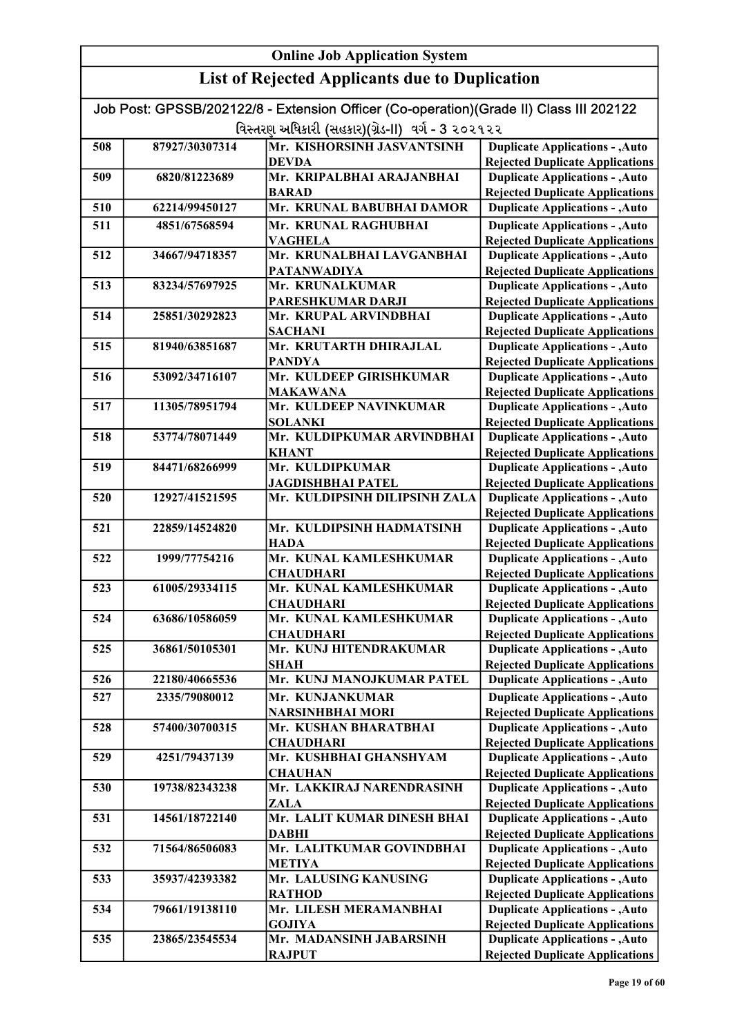| Job Post: GPSSB/202122/8 - Extension Officer (Co-operation)(Grade II) Class III 202122 |                |                                                   |                                                                                  |
|----------------------------------------------------------------------------------------|----------------|---------------------------------------------------|----------------------------------------------------------------------------------|
|                                                                                        |                | વિસ્તરણ અધિકારી (સહકાર)(ગ્રેડ-II) વર્ગ - 3 ૨૦૨૧૨૨ |                                                                                  |
| 508                                                                                    | 87927/30307314 | Mr. KISHORSINH JASVANTSINH                        | <b>Duplicate Applications - , Auto</b>                                           |
|                                                                                        |                | <b>DEVDA</b>                                      | <b>Rejected Duplicate Applications</b>                                           |
| 509                                                                                    | 6820/81223689  | Mr. KRIPALBHAI ARAJANBHAI                         | <b>Duplicate Applications - , Auto</b>                                           |
|                                                                                        |                | <b>BARAD</b>                                      | <b>Rejected Duplicate Applications</b>                                           |
| 510                                                                                    | 62214/99450127 | Mr. KRUNAL BABUBHAI DAMOR                         | <b>Duplicate Applications - , Auto</b>                                           |
| 511                                                                                    | 4851/67568594  | Mr. KRUNAL RAGHUBHAI                              | <b>Duplicate Applications - , Auto</b>                                           |
|                                                                                        |                | <b>VAGHELA</b>                                    | <b>Rejected Duplicate Applications</b>                                           |
| 512                                                                                    | 34667/94718357 | Mr. KRUNALBHAI LAVGANBHAI                         | <b>Duplicate Applications - , Auto</b>                                           |
|                                                                                        |                | <b>PATANWADIYA</b>                                | <b>Rejected Duplicate Applications</b>                                           |
| 513                                                                                    | 83234/57697925 | Mr. KRUNALKUMAR<br><b>PARESHKUMAR DARJI</b>       | <b>Duplicate Applications - , Auto</b><br><b>Rejected Duplicate Applications</b> |
| 514                                                                                    | 25851/30292823 | Mr. KRUPAL ARVINDBHAI                             | <b>Duplicate Applications - , Auto</b>                                           |
|                                                                                        |                | <b>SACHANI</b>                                    | <b>Rejected Duplicate Applications</b>                                           |
| 515                                                                                    | 81940/63851687 | Mr. KRUTARTH DHIRAJLAL                            | <b>Duplicate Applications - , Auto</b>                                           |
|                                                                                        |                | <b>PANDYA</b>                                     | <b>Rejected Duplicate Applications</b>                                           |
| 516                                                                                    | 53092/34716107 | Mr. KULDEEP GIRISHKUMAR                           | <b>Duplicate Applications - , Auto</b>                                           |
|                                                                                        |                | <b>MAKAWANA</b>                                   | <b>Rejected Duplicate Applications</b>                                           |
| 517                                                                                    | 11305/78951794 | Mr. KULDEEP NAVINKUMAR                            | <b>Duplicate Applications - , Auto</b>                                           |
|                                                                                        |                | <b>SOLANKI</b>                                    | <b>Rejected Duplicate Applications</b>                                           |
| 518                                                                                    | 53774/78071449 | Mr. KULDIPKUMAR ARVINDBHAI                        | <b>Duplicate Applications - , Auto</b>                                           |
|                                                                                        |                | <b>KHANT</b>                                      | <b>Rejected Duplicate Applications</b>                                           |
| 519                                                                                    | 84471/68266999 | Mr. KULDIPKUMAR                                   | <b>Duplicate Applications - , Auto</b>                                           |
|                                                                                        |                | <b>JAGDISHBHAI PATEL</b>                          | <b>Rejected Duplicate Applications</b>                                           |
| 520                                                                                    | 12927/41521595 | Mr. KULDIPSINH DILIPSINH ZALA                     | <b>Duplicate Applications - , Auto</b>                                           |
|                                                                                        |                |                                                   | <b>Rejected Duplicate Applications</b>                                           |
| 521                                                                                    | 22859/14524820 | Mr. KULDIPSINH HADMATSINH                         | <b>Duplicate Applications - , Auto</b>                                           |
| 522                                                                                    | 1999/77754216  | <b>HADA</b><br>Mr. KUNAL KAMLESHKUMAR             | <b>Rejected Duplicate Applications</b>                                           |
|                                                                                        |                | <b>CHAUDHARI</b>                                  | <b>Duplicate Applications - , Auto</b><br><b>Rejected Duplicate Applications</b> |
| 523                                                                                    | 61005/29334115 | Mr. KUNAL KAMLESHKUMAR                            | <b>Duplicate Applications - , Auto</b>                                           |
|                                                                                        |                | <b>CHAUDHARI</b>                                  | <b>Rejected Duplicate Applications</b>                                           |
| 524                                                                                    | 63686/10586059 | Mr. KUNAL KAMLESHKUMAR                            | <b>Duplicate Applications - , Auto</b>                                           |
|                                                                                        |                | CHAUDHARI                                         | <b>Rejected Duplicate Applications</b>                                           |
| 525                                                                                    | 36861/50105301 | Mr. KUNJ HITENDRAKUMAR                            | <b>Duplicate Applications - , Auto</b>                                           |
|                                                                                        |                | <b>SHAH</b>                                       | <b>Rejected Duplicate Applications</b>                                           |
| 526                                                                                    | 22180/40665536 | Mr. KUNJ MANOJKUMAR PATEL                         | <b>Duplicate Applications - , Auto</b>                                           |
| 527                                                                                    | 2335/79080012  | Mr. KUNJANKUMAR                                   | <b>Duplicate Applications - , Auto</b>                                           |
|                                                                                        |                | <b>NARSINHBHAI MORI</b>                           | <b>Rejected Duplicate Applications</b>                                           |
| 528                                                                                    | 57400/30700315 | Mr. KUSHAN BHARATBHAI                             | <b>Duplicate Applications - , Auto</b>                                           |
|                                                                                        |                | <b>CHAUDHARI</b>                                  | <b>Rejected Duplicate Applications</b>                                           |
| 529                                                                                    | 4251/79437139  | Mr. KUSHBHAI GHANSHYAM                            | <b>Duplicate Applications - , Auto</b>                                           |
|                                                                                        |                | <b>CHAUHAN</b>                                    | <b>Rejected Duplicate Applications</b>                                           |
| 530                                                                                    | 19738/82343238 | Mr. LAKKIRAJ NARENDRASINH                         | <b>Duplicate Applications - , Auto</b>                                           |
|                                                                                        |                | ZALA<br>Mr. LALIT KUMAR DINESH BHAI               | <b>Rejected Duplicate Applications</b>                                           |
| 531                                                                                    | 14561/18722140 | <b>DABHI</b>                                      | <b>Duplicate Applications - , Auto</b>                                           |
| 532                                                                                    | 71564/86506083 | Mr. LALITKUMAR GOVINDBHAI                         | <b>Rejected Duplicate Applications</b><br><b>Duplicate Applications - , Auto</b> |
|                                                                                        |                | <b>METIYA</b>                                     | <b>Rejected Duplicate Applications</b>                                           |
| 533                                                                                    | 35937/42393382 | Mr. LALUSING KANUSING                             | <b>Duplicate Applications - , Auto</b>                                           |
|                                                                                        |                | <b>RATHOD</b>                                     | <b>Rejected Duplicate Applications</b>                                           |
| 534                                                                                    | 79661/19138110 | Mr. LILESH MERAMANBHAI                            | <b>Duplicate Applications - , Auto</b>                                           |
|                                                                                        |                | <b>GOJIYA</b>                                     | <b>Rejected Duplicate Applications</b>                                           |
| 535                                                                                    | 23865/23545534 | Mr. MADANSINH JABARSINH                           | <b>Duplicate Applications - , Auto</b>                                           |
|                                                                                        |                | <b>RAJPUT</b>                                     | <b>Rejected Duplicate Applications</b>                                           |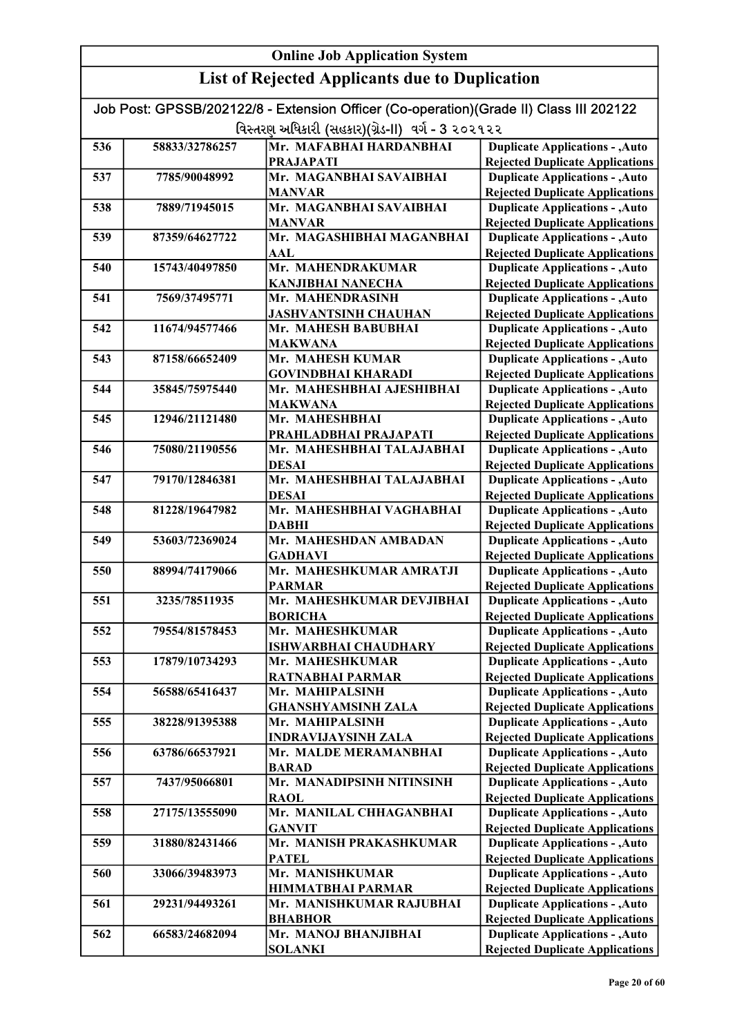### List of Rejected Applicants due to Duplication

| еля от кејсски террисания иле го в арисанон                                            |                |                                                   |                                        |
|----------------------------------------------------------------------------------------|----------------|---------------------------------------------------|----------------------------------------|
| Job Post: GPSSB/202122/8 - Extension Officer (Co-operation)(Grade II) Class III 202122 |                |                                                   |                                        |
|                                                                                        |                | વિસ્તરણ અધિકારી (સહકાર)(ગ્રેડ-II) વર્ગ - 3 ૨૦૨૧૨૨ |                                        |
| 536                                                                                    | 58833/32786257 | Mr. MAFABHAI HARDANBHAI                           | <b>Duplicate Applications - , Auto</b> |
|                                                                                        |                | <b>PRAJAPATI</b>                                  | <b>Rejected Duplicate Applications</b> |
| 537                                                                                    | 7785/90048992  | Mr. MAGANBHAI SAVAIBHAI                           | <b>Duplicate Applications - , Auto</b> |
|                                                                                        |                | <b>MANVAR</b>                                     | <b>Rejected Duplicate Applications</b> |
| 538                                                                                    | 7889/71945015  | Mr. MAGANBHAI SAVAIBHAI                           | <b>Duplicate Applications - , Auto</b> |
|                                                                                        |                | <b>MANVAR</b>                                     | <b>Rejected Duplicate Applications</b> |
| 539                                                                                    | 87359/64627722 | Mr. MAGASHIBHAI MAGANBHAI                         | <b>Duplicate Applications - , Auto</b> |
|                                                                                        |                | AAL                                               | <b>Rejected Duplicate Applications</b> |
| 540                                                                                    | 15743/40497850 | Mr. MAHENDRAKUMAR                                 | <b>Duplicate Applications - , Auto</b> |
|                                                                                        |                | <b>KANJIBHAI NANECHA</b>                          | <b>Rejected Duplicate Applications</b> |
| 541                                                                                    | 7569/37495771  | Mr. MAHENDRASINH                                  | <b>Duplicate Applications - , Auto</b> |
|                                                                                        |                | <b>JASHVANTSINH CHAUHAN</b>                       | <b>Rejected Duplicate Applications</b> |
| 542                                                                                    | 11674/94577466 | Mr. MAHESH BABUBHAI                               | <b>Duplicate Applications - , Auto</b> |
|                                                                                        |                | <b>MAKWANA</b>                                    | <b>Rejected Duplicate Applications</b> |
| 543                                                                                    | 87158/66652409 | Mr. MAHESH KUMAR                                  | <b>Duplicate Applications - , Auto</b> |
|                                                                                        |                | <b>GOVINDBHAI KHARADI</b>                         | <b>Rejected Duplicate Applications</b> |
| 544                                                                                    | 35845/75975440 | Mr. MAHESHBHAI AJESHIBHAI                         | <b>Duplicate Applications - , Auto</b> |
|                                                                                        |                | <b>MAKWANA</b>                                    | <b>Rejected Duplicate Applications</b> |
| 545                                                                                    | 12946/21121480 | Mr. MAHESHBHAI                                    | <b>Duplicate Applications - , Auto</b> |
|                                                                                        |                | PRAHLADBHAI PRAJAPATI                             | <b>Rejected Duplicate Applications</b> |
| 546                                                                                    | 75080/21190556 | Mr. MAHESHBHAI TALAJABHAI                         | <b>Duplicate Applications - , Auto</b> |
|                                                                                        |                | <b>DESAI</b>                                      | <b>Rejected Duplicate Applications</b> |
| 547                                                                                    | 79170/12846381 | Mr. MAHESHBHAI TALAJABHAI                         | <b>Duplicate Applications - , Auto</b> |
|                                                                                        |                | <b>DESAI</b>                                      | <b>Rejected Duplicate Applications</b> |
| 548                                                                                    | 81228/19647982 | Mr. MAHESHBHAI VAGHABHAI                          | <b>Duplicate Applications - , Auto</b> |
|                                                                                        |                | <b>DABHI</b>                                      | <b>Rejected Duplicate Applications</b> |
| 549                                                                                    | 53603/72369024 | Mr. MAHESHDAN AMBADAN                             | <b>Duplicate Applications - , Auto</b> |
|                                                                                        |                | <b>GADHAVI</b>                                    | <b>Rejected Duplicate Applications</b> |
| 550                                                                                    | 88994/74179066 | Mr. MAHESHKUMAR AMRATJI                           | <b>Duplicate Applications - , Auto</b> |
|                                                                                        |                | <b>PARMAR</b>                                     | <b>Rejected Duplicate Applications</b> |
| 551                                                                                    | 3235/78511935  | Mr. MAHESHKUMAR DEVJIBHAI                         | <b>Duplicate Applications - , Auto</b> |
|                                                                                        |                | <b>BORICHA</b>                                    | <b>Rejected Duplicate Applications</b> |
| 552                                                                                    | 79554/81578453 | Mr. MAHESHKUMAR                                   | <b>Duplicate Applications - , Auto</b> |
|                                                                                        |                | <b>ISHWARBHAI CHAUDHARY</b>                       | <b>Rejected Duplicate Applications</b> |
| 553                                                                                    | 17879/10734293 | Mr. MAHESHKUMAR                                   | <b>Duplicate Applications - , Auto</b> |
|                                                                                        |                | <b>RATNABHAI PARMAR</b>                           | <b>Rejected Duplicate Applications</b> |
| 554                                                                                    | 56588/65416437 | Mr. MAHIPALSINH                                   | <b>Duplicate Applications - , Auto</b> |
|                                                                                        |                | <b>GHANSHYAMSINH ZALA</b>                         | <b>Rejected Duplicate Applications</b> |
| 555                                                                                    | 38228/91395388 | Mr. MAHIPALSINH                                   | <b>Duplicate Applications - , Auto</b> |
|                                                                                        |                | <b>INDRAVIJAYSINH ZALA</b>                        | <b>Rejected Duplicate Applications</b> |
| 556                                                                                    | 63786/66537921 | Mr. MALDE MERAMANBHAI                             | <b>Duplicate Applications - , Auto</b> |
|                                                                                        |                | <b>BARAD</b>                                      | <b>Rejected Duplicate Applications</b> |
| 557                                                                                    | 7437/95066801  | Mr. MANADIPSINH NITINSINH                         | <b>Duplicate Applications - , Auto</b> |
|                                                                                        |                | <b>RAOL</b>                                       | <b>Rejected Duplicate Applications</b> |
| 558                                                                                    | 27175/13555090 | Mr. MANILAL CHHAGANBHAI                           | <b>Duplicate Applications - , Auto</b> |
|                                                                                        |                | <b>GANVIT</b>                                     | <b>Rejected Duplicate Applications</b> |
| 559                                                                                    | 31880/82431466 | Mr. MANISH PRAKASHKUMAR                           | <b>Duplicate Applications - , Auto</b> |
|                                                                                        |                | <b>PATEL</b>                                      | <b>Rejected Duplicate Applications</b> |
| 560                                                                                    | 33066/39483973 | Mr. MANISHKUMAR                                   | <b>Duplicate Applications - , Auto</b> |
|                                                                                        |                | <b>HIMMATBHAI PARMAR</b>                          | <b>Rejected Duplicate Applications</b> |
| 561                                                                                    | 29231/94493261 | Mr. MANISHKUMAR RAJUBHAI                          | <b>Duplicate Applications - , Auto</b> |
|                                                                                        |                | <b>BHABHOR</b>                                    | <b>Rejected Duplicate Applications</b> |

562 66583/24682094 Mr. MANOJ BHANJIBHAI

**SOLANKI** 

Duplicate Applications - ,Auto Rejected Duplicate Applications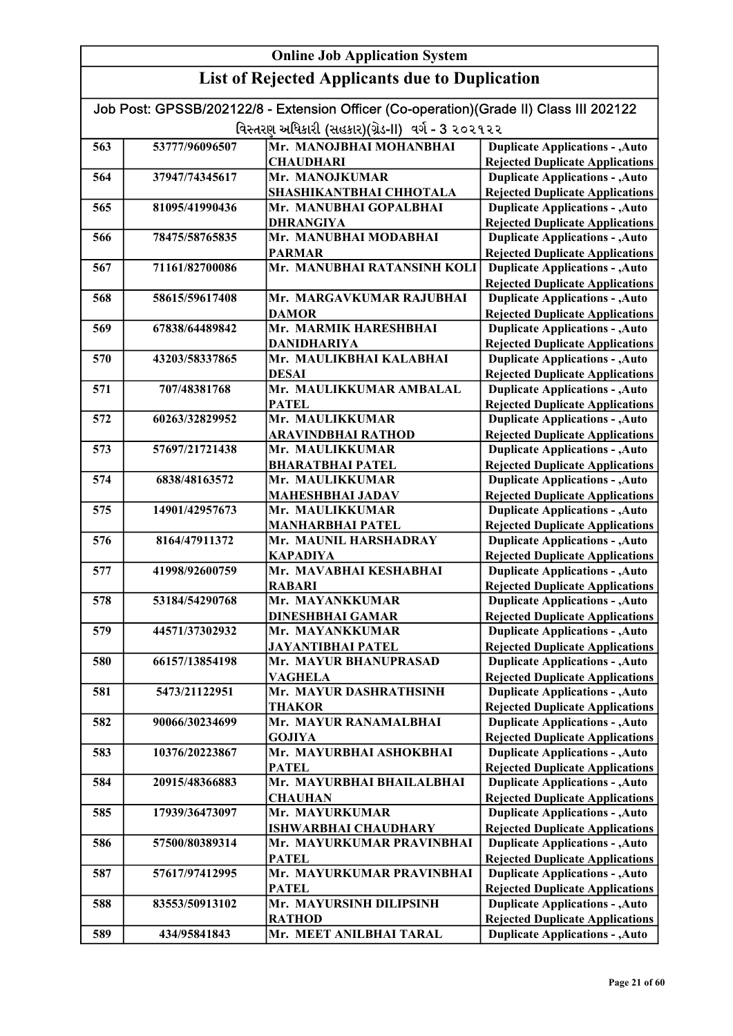#### Online Job Application System List of Rejected Applicants due to Duplication Job Post: GPSSB/202122/8 - Extension Officer (Co-operation)(Grade II) Class III 202122 વિસ્તરણ અધિકારી (સહકાર)(ગ્રેડ-II) વર્ગ - 3 ૨૦૨૧૨૨ 563 53777/96096507 Mr. MANOJBHAI MOHANBHAI **CHAUDHARI** 564 37947/74345617 Mr. MANOJKUMAR SHASHIKANTBHAI CHHOTALA 565 81095/41990436 Mr. MANUBHAI GOPALBHAI DHRANGIYA 566 78475/58765835 Mr. MANUBHAI MODABHAI PARMAR 567 71161/82700086 Mr. MANUBHAI RATANSINH KOLI 568 58615/59617408 Mr. MARGAVKUMAR RAJUBHAI DAMOR 569 67838/64489842 Mr. MARMIK HARESHBHAI DANIDHARIYA 570 43203/58337865 Mr. MAULIKBHAI KALABHAI DESAI 571 707/48381768 Mr. MAULIKKUMAR AMBALAL **PATEL** 572 60263/32829952 Mr. MAULIKKUMAR ARAVINDBHAI RATHOD 573 57697/21721438 Mr. MAULIKKUMAR BHARATBHAI PATEL 574 6838/48163572 Mr. MAULIKKUMAR MAHESHBHAI JADAV 575 14901/42957673 Mr. MAULIKKUMAR MANHARBHAI PATEL 576 8164/47911372 Mr. MAUNIL HARSHADRAY KAPADIYA 577 41998/92600759 Mr. MAVABHAI KESHABHAI RABARI 578 53184/54290768 Mr. MAYANKKUMAR DINESHBHAI GAMAR 579 44571/37302932 Mr. MAYANKKUMAR JAYANTIBHAI PATEL 580 66157/13854198 Mr. MAYUR BHANUPRASAD VAGHELA 581 5473/21122951 Mr. MAYUR DASHRATHSINH THAKOR 582 90066/30234699 Mr. MAYUR RANAMALBHAI GOJIYA 583 10376/20223867 Mr. MAYURBHAI ASHOKBHAI PATEL 584 20915/48366883 Mr. MAYURBHAI BHAILALBHAI **CHAUHAN** 585 17939/36473097 Mr. MAYURKUMAR ISHWARBHAI CHAUDHARY 586 57500/80389314 Mr. MAYURKUMAR PRAVINBHAI **PATEL** 587 57617/97412995 Mr. MAYURKUMAR PRAVINBHAI **PATEL** 588 83553/50913102 Mr. MAYURSINH DILIPSINH RATHOD 589 434/95841843 Mr. MEET ANILBHAI TARAL Duplicate Applications - ,Auto Rejected Duplicate Applications Duplicate Applications - ,Auto Rejected Duplicate Applications Duplicate Applications - ,Auto Rejected Duplicate Applications Duplicate Applications - ,Auto Rejected Duplicate Applications Duplicate Applications - ,Auto Rejected Duplicate Applications Duplicate Applications - ,Auto Rejected Duplicate Applications Duplicate Applications - ,Auto Rejected Duplicate Applications Duplicate Applications - ,Auto Rejected Duplicate Applications Duplicate Applications - ,Auto Rejected Duplicate Applications Duplicate Applications - ,Auto Rejected Duplicate Applications Duplicate Applications - ,Auto Rejected Duplicate Applications Duplicate Applications - ,Auto Rejected Duplicate Applications Duplicate Applications - ,Auto Rejected Duplicate Applications Duplicate Applications - ,Auto Rejected Duplicate Applications Duplicate Applications - ,Auto Rejected Duplicate Applications Duplicate Applications - ,Auto Rejected Duplicate Applications Duplicate Applications - ,Auto Rejected Duplicate Applications Duplicate Applications - ,Auto Rejected Duplicate Applications Duplicate Applications - ,Auto Rejected Duplicate Applications Duplicate Applications - ,Auto Rejected Duplicate Applications Duplicate Applications - ,Auto Duplicate Applications - ,Auto Rejected Duplicate Applications Duplicate Applications - ,Auto Rejected Duplicate Applications Duplicate Applications - ,Auto Rejected Duplicate Applications Duplicate Applications - ,Auto Rejected Duplicate Applications Duplicate Applications - ,Auto Rejected Duplicate Applications Duplicate Applications - ,Auto Rejected Duplicate Applications

Rejected Duplicate Applications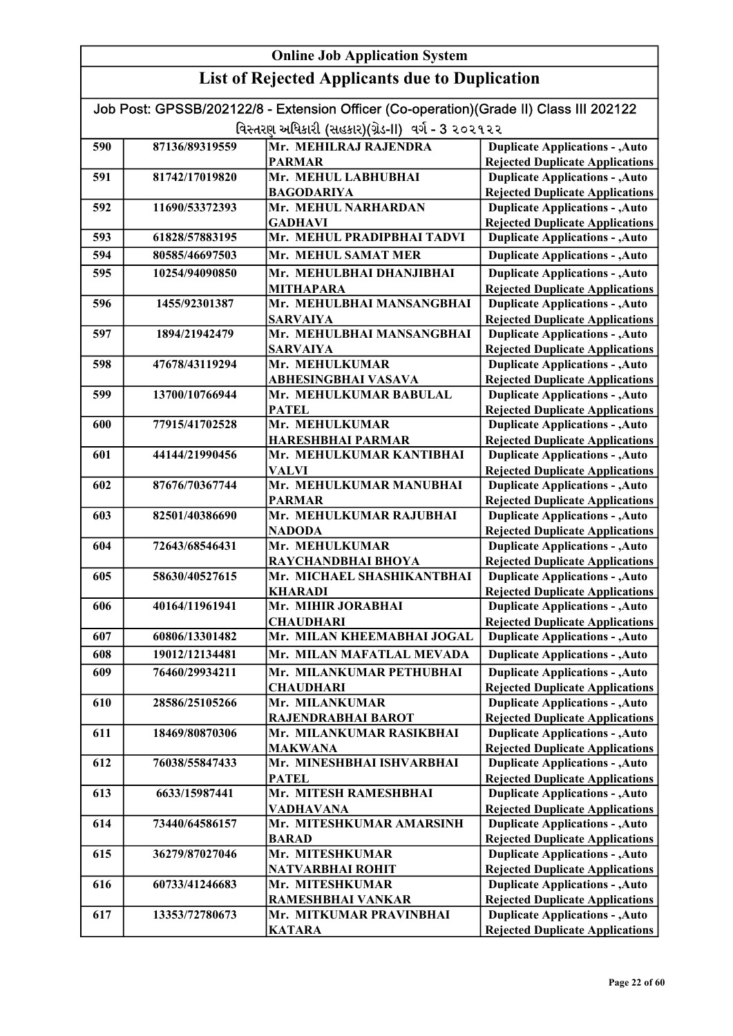#### Online Job Application System List of Rejected Applicants due to Duplication Job Post: GPSSB/202122/8 - Extension Officer (Co-operation)(Grade II) Class III 202122 વિસ્તરણ અધિકારી (સહકાર)(ગ્રેડ-II) વર્ગ - 3 ૨૦૨૧૨૨ 590 87136/89319559 Mr. MEHILRAJ RAJENDRA PARMAR 591 81742/17019820 Mr. MEHUL LABHUBHAI BAGODARIYA 592 11690/53372393 Mr. MEHUL NARHARDAN GADHAVI 593 61828/57883195 Mr. MEHUL PRADIPBHAI TADVI 594 80585/46697503 Mr. MEHUL SAMAT MER 595 10254/94090850 Mr. MEHULBHAI DHANJIBHAI MITHAPARA 596 1455/92301387 Mr. MEHULBHAI MANSANGBHAI SARVAIYA 597 1894/21942479 Mr. MEHULBHAI MANSANGBHAI SARVAIYA 598 47678/43119294 Mr. MEHULKUMAR ABHESINGBHAI VASAVA 599 13700/10766944 Mr. MEHULKUMAR BABULAL PATEL 600 77915/41702528 Mr. MEHULKUMAR HARESHBHAI PARMAR 601 44144/21990456 Mr. MEHULKUMAR KANTIBHAI VALVI 602 87676/70367744 Mr. MEHULKUMAR MANUBHAI PARMAR 603 82501/40386690 Mr. MEHULKUMAR RAJUBHAI NADODA 604 72643/68546431 Mr. MEHULKUMAR RAYCHANDBHAI BHOYA 605 58630/40527615 Mr. MICHAEL SHASHIKANTBHAI KHARADI 606 40164/11961941 Mr. MIHIR JORABHAI **CHAUDHARI** 607 60806/13301482 Mr. MILAN KHEEMABHAI JOGAL 608 19012/12134481 Mr. MILAN MAFATLAL MEVADA 609 76460/29934211 Mr. MILANKUMAR PETHUBHAI **CHAUDHARI** 610 28586/25105266 Mr. MILANKUMAR RAJENDRABHAI BAROT 611 18469/80870306 Mr. MILANKUMAR RASIKBHAI MAKWANA 612 76038/55847433 Mr. MINESHBHAI ISHVARBHAI PATEL 613 6633/15987441 Mr. MITESH RAMESHBHAI VADHAVANA 614 73440/64586157 Mr. MITESHKUMAR AMARSINH BARAD 615 36279/87027046 Mr. MITESHKUMAR NATVARBHAI ROHIT 616 60733/41246683 Mr. MITESHKUMAR RAMESHBHAI VANKAR **Duplicate Applications - , Auto** Rejected Duplicate Applications Duplicate Applications - ,Auto Rejected Duplicate Applications Duplicate Applications - ,Auto Rejected Duplicate Applications Duplicate Applications - ,Auto Rejected Duplicate Applications Duplicate Applications - ,Auto Rejected Duplicate Applications Duplicate Applications - ,Auto Rejected Duplicate Applications Duplicate Applications - ,Auto Rejected Duplicate Applications Duplicate Applications - ,Auto Rejected Duplicate Applications Duplicate Applications - ,Auto Rejected Duplicate Applications Duplicate Applications - ,Auto **Duplicate Applications - ,Auto** Duplicate Applications - ,Auto Rejected Duplicate Applications Duplicate Applications - ,Auto Rejected Duplicate Applications Duplicate Applications - ,Auto Rejected Duplicate Applications Duplicate Applications - ,Auto Rejected Duplicate Applications Duplicate Applications - ,Auto **Duplicate Applications - ,Auto Duplicate Applications - ,Auto** Rejected Duplicate Applications Duplicate Applications - ,Auto Rejected Duplicate Applications Duplicate Applications - ,Auto Rejected Duplicate Applications Duplicate Applications - ,Auto Rejected Duplicate Applications Duplicate Applications - ,Auto Rejected Duplicate Applications Duplicate Applications - ,Auto Rejected Duplicate Applications Duplicate Applications - ,Auto Rejected Duplicate Applications Duplicate Applications - ,Auto Rejected Duplicate Applications Duplicate Applications - ,Auto Rejected Duplicate Applications Duplicate Applications - ,Auto Rejected Duplicate Applications

617 13353/72780673 Mr. MITKUMAR PRAVINBHAI

KATARA

Duplicate Applications - ,Auto Rejected Duplicate Applications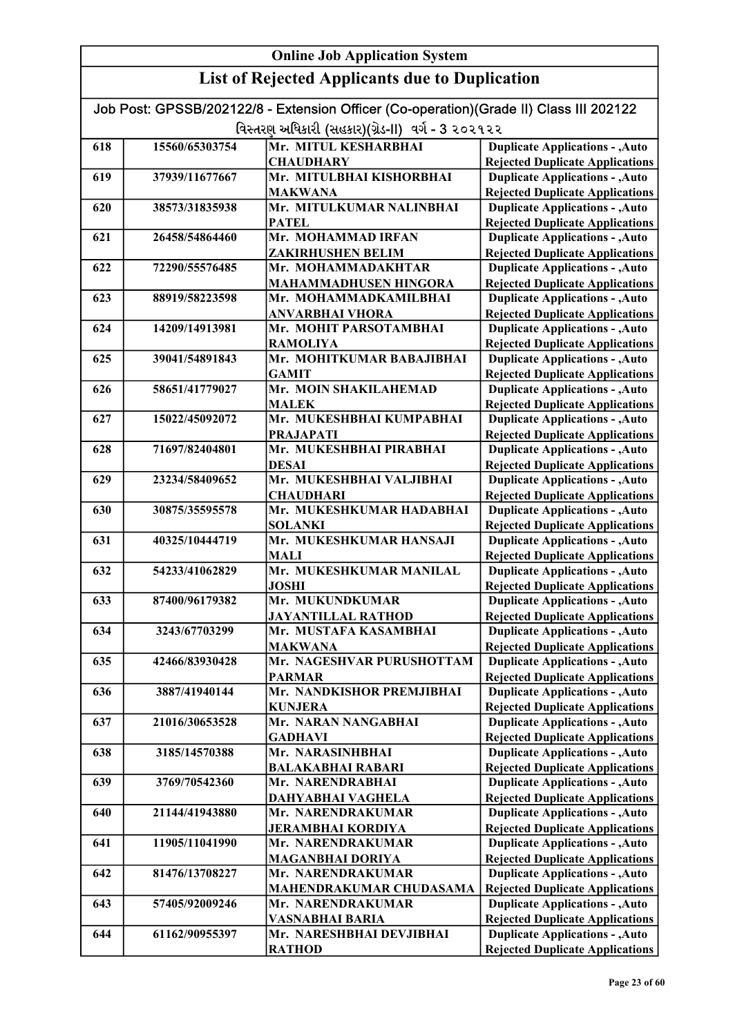|     |                | Job Post: GPSSB/202122/8 - Extension Officer (Co-operation)(Grade II) Class III 202122 |                                                                                  |
|-----|----------------|----------------------------------------------------------------------------------------|----------------------------------------------------------------------------------|
|     |                | વિસ્તરણ અધિકારી (સહકાર)(ગ્રેડ-II)  વર્ગ - 3 ૨૦૨૧૨૨                                     |                                                                                  |
| 618 | 15560/65303754 | Mr. MITUL KESHARBHAI                                                                   | <b>Duplicate Applications - , Auto</b>                                           |
|     |                | <b>CHAUDHARY</b>                                                                       | <b>Rejected Duplicate Applications</b>                                           |
| 619 | 37939/11677667 | Mr. MITULBHAI KISHORBHAI                                                               | <b>Duplicate Applications - , Auto</b>                                           |
|     |                | <b>MAKWANA</b>                                                                         | <b>Rejected Duplicate Applications</b>                                           |
| 620 | 38573/31835938 | Mr. MITULKUMAR NALINBHAI                                                               | <b>Duplicate Applications - , Auto</b>                                           |
|     |                | <b>PATEL</b>                                                                           | <b>Rejected Duplicate Applications</b>                                           |
| 621 | 26458/54864460 | Mr. MOHAMMAD IRFAN                                                                     | <b>Duplicate Applications - , Auto</b>                                           |
|     |                | <b>ZAKIRHUSHEN BELIM</b>                                                               | <b>Rejected Duplicate Applications</b>                                           |
| 622 | 72290/55576485 | Mr. MOHAMMADAKHTAR                                                                     | <b>Duplicate Applications - , Auto</b>                                           |
|     |                | MAHAMMADHUSEN HINGORA                                                                  | <b>Rejected Duplicate Applications</b>                                           |
| 623 | 88919/58223598 | Mr. MOHAMMADKAMILBHAI                                                                  | <b>Duplicate Applications - , Auto</b>                                           |
|     |                | <b>ANVARBHAI VHORA</b>                                                                 | <b>Rejected Duplicate Applications</b>                                           |
| 624 | 14209/14913981 | Mr. MOHIT PARSOTAMBHAI                                                                 | <b>Duplicate Applications - , Auto</b>                                           |
|     |                | <b>RAMOLIYA</b>                                                                        | <b>Rejected Duplicate Applications</b>                                           |
| 625 | 39041/54891843 | Mr. MOHITKUMAR BABAJIBHAI                                                              | <b>Duplicate Applications - , Auto</b>                                           |
|     |                | <b>GAMIT</b>                                                                           | <b>Rejected Duplicate Applications</b>                                           |
| 626 | 58651/41779027 | Mr. MOIN SHAKILAHEMAD                                                                  | <b>Duplicate Applications - , Auto</b>                                           |
|     |                | <b>MALEK</b>                                                                           | <b>Rejected Duplicate Applications</b>                                           |
| 627 | 15022/45092072 | Mr. MUKESHBHAI KUMPABHAI                                                               | <b>Duplicate Applications - , Auto</b>                                           |
|     |                | <b>PRAJAPATI</b>                                                                       | <b>Rejected Duplicate Applications</b>                                           |
| 628 | 71697/82404801 | Mr. MUKESHBHAI PIRABHAI                                                                | <b>Duplicate Applications - , Auto</b>                                           |
|     |                | <b>DESAI</b>                                                                           | <b>Rejected Duplicate Applications</b>                                           |
| 629 | 23234/58409652 | Mr. MUKESHBHAI VALJIBHAI                                                               | <b>Duplicate Applications - , Auto</b>                                           |
|     |                | <b>CHAUDHARI</b>                                                                       | <b>Rejected Duplicate Applications</b>                                           |
| 630 | 30875/35595578 | Mr. MUKESHKUMAR HADABHAI                                                               | <b>Duplicate Applications - , Auto</b>                                           |
|     |                | <b>SOLANKI</b>                                                                         | <b>Rejected Duplicate Applications</b>                                           |
| 631 | 40325/10444719 | Mr. MUKESHKUMAR HANSAJI                                                                | <b>Duplicate Applications - , Auto</b>                                           |
| 632 | 54233/41062829 | MALI<br>Mr. MUKESHKUMAR MANILAL                                                        | <b>Rejected Duplicate Applications</b><br><b>Duplicate Applications - , Auto</b> |
|     |                | <b>JOSHI</b>                                                                           | <b>Rejected Duplicate Applications</b>                                           |
| 633 | 87400/96179382 | Mr. MUKUNDKUMAR                                                                        | <b>Duplicate Applications - , Auto</b>                                           |
|     |                | <b>JAYANTILLAL RATHOD</b>                                                              | <b>Rejected Duplicate Applications</b>                                           |
| 634 | 3243/67703299  | Mr. MUSTAFA KASAMBHAI                                                                  | <b>Duplicate Applications - , Auto</b>                                           |
|     |                | <b>MAKWANA</b>                                                                         | <b>Rejected Duplicate Applications</b>                                           |
| 635 | 42466/83930428 | Mr. NAGESHVAR PURUSHOTTAM                                                              | <b>Duplicate Applications - , Auto</b>                                           |
|     |                | <b>PARMAR</b>                                                                          | <b>Rejected Duplicate Applications</b>                                           |
| 636 | 3887/41940144  | Mr. NANDKISHOR PREMJIBHAI                                                              | <b>Duplicate Applications - , Auto</b>                                           |
|     |                | <b>KUNJERA</b>                                                                         | <b>Rejected Duplicate Applications</b>                                           |
| 637 | 21016/30653528 | Mr. NARAN NANGABHAI                                                                    | <b>Duplicate Applications - , Auto</b>                                           |
|     |                | <b>GADHAVI</b>                                                                         | <b>Rejected Duplicate Applications</b>                                           |
| 638 | 3185/14570388  | Mr. NARASINHBHAI                                                                       | <b>Duplicate Applications - , Auto</b>                                           |
|     |                | <b>BALAKABHAI RABARI</b>                                                               | <b>Rejected Duplicate Applications</b>                                           |
| 639 | 3769/70542360  | Mr. NARENDRABHAI                                                                       | <b>Duplicate Applications - , Auto</b>                                           |
|     |                | DAHYABHAI VAGHELA                                                                      | <b>Rejected Duplicate Applications</b>                                           |
| 640 | 21144/41943880 | Mr. NARENDRAKUMAR                                                                      | <b>Duplicate Applications - , Auto</b>                                           |
|     |                | <b>JERAMBHAI KORDIYA</b>                                                               | <b>Rejected Duplicate Applications</b>                                           |
| 641 | 11905/11041990 | Mr. NARENDRAKUMAR                                                                      | <b>Duplicate Applications - , Auto</b>                                           |
|     |                | <b>MAGANBHAI DORIYA</b>                                                                | <b>Rejected Duplicate Applications</b>                                           |
| 642 | 81476/13708227 | Mr. NARENDRAKUMAR                                                                      | <b>Duplicate Applications - , Auto</b>                                           |
|     |                | MAHENDRAKUMAR CHUDASAMA                                                                | <b>Rejected Duplicate Applications</b>                                           |
| 643 | 57405/92009246 | Mr. NARENDRAKUMAR                                                                      | <b>Duplicate Applications - , Auto</b>                                           |
|     |                | <b>VASNABHAI BARIA</b>                                                                 | <b>Rejected Duplicate Applications</b>                                           |
| 644 | 61162/90955397 | Mr. NARESHBHAI DEVJIBHAI                                                               | <b>Duplicate Applications - , Auto</b>                                           |
|     |                | <b>RATHOD</b>                                                                          | <b>Rejected Duplicate Applications</b>                                           |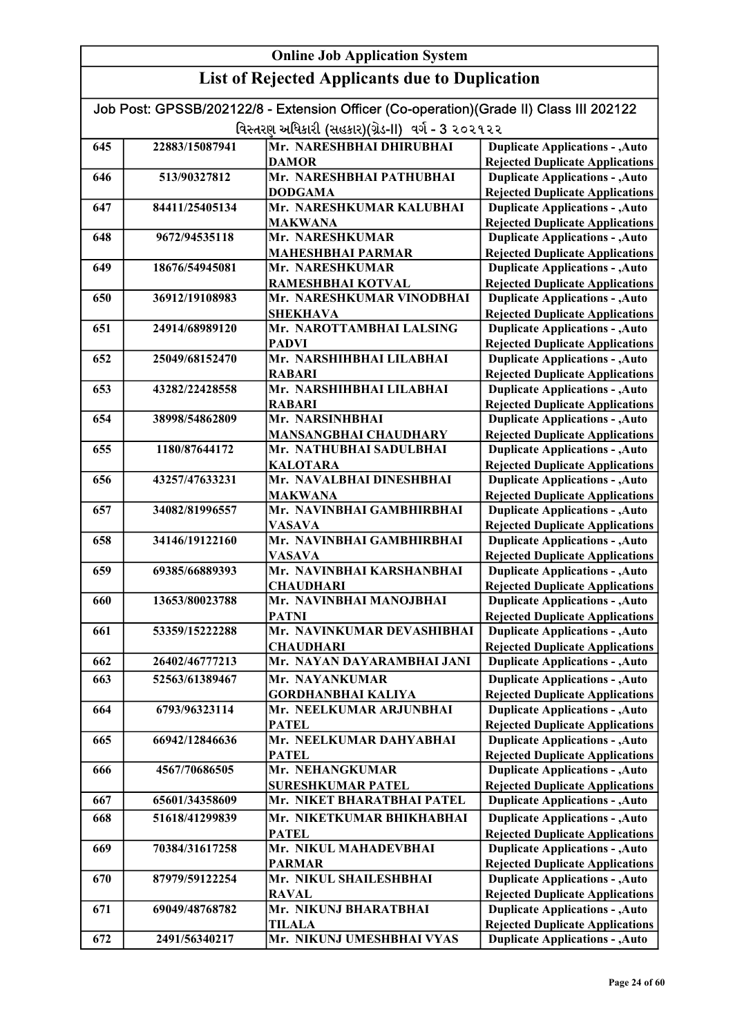#### Online Job Application System List of Rejected Applicants due to Duplication Job Post: GPSSB/202122/8 - Extension Officer (Co-operation)(Grade II) Class III 202122 વિસ્તરણ અધિકારી (સહકાર)(ગ્રેડ-II) વર્ગ - 3 ૨૦૨૧૨૨ 645 22883/15087941 Mr. NARESHBHAI DHIRUBHAI DAMOR 646 513/90327812 Mr. NARESHBHAI PATHUBHAI DODGAMA 647 84411/25405134 Mr. NARESHKUMAR KALUBHAI MAKWANA 648 9672/94535118 Mr. NARESHKUMAR MAHESHBHAI PARMAR 649 18676/54945081 Mr. NARESHKUMAR RAMESHBHAI KOTVAL 650 36912/19108983 Mr. NARESHKUMAR VINODBHAI SHEKHAVA 651 24914/68989120 Mr. NAROTTAMBHAI LALSING PADVI 652 25049/68152470 Mr. NARSHIHBHAI LILABHAI RABARI 653 43282/22428558 Mr. NARSHIHBHAI LILABHAI RABARI 654 38998/54862809 Mr. NARSINHBHAI MANSANGBHAI CHAUDHARY 655 1180/87644172 Mr. NATHUBHAI SADULBHAI KALOTARA 656 43257/47633231 Mr. NAVALBHAI DINESHBHAI MAKWANA 657 34082/81996557 Mr. NAVINBHAI GAMBHIRBHAI VASAVA 658 34146/19122160 Mr. NAVINBHAI GAMBHIRBHAI VASAVA 659 69385/66889393 Mr. NAVINBHAI KARSHANBHAI **CHAUDHARI** 660 13653/80023788 Mr. NAVINBHAI MANOJBHAI PATNI 661 53359/15222288 Mr. NAVINKUMAR DEVASHIBHAI **CHAUDHARI** 662 26402/46777213 Mr. NAYAN DAYARAMBHAI JANI 663 52563/61389467 Mr. NAYANKUMAR GORDHANBHAI KALIYA 664 6793/96323114 Mr. NEELKUMAR ARJUNBHAI PATEL 665 66942/12846636 Mr. NEELKUMAR DAHYABHAI PATEL 666 4567/70686505 Mr. NEHANGKUMAR SURESHKUMAR PATEL 667 65601/34358609 Mr. NIKET BHARATBHAI PATEL 668 51618/41299839 Mr. NIKETKUMAR BHIKHABHAI **PATEL** 669 70384/31617258 Mr. NIKUL MAHADEVBHAI PARMAR 670 87979/59122254 Mr. NIKUL SHAILESHBHAI RAVAL 671 69049/48768782 Mr. NIKUNJ BHARATBHAI Duplicate Applications - ,Auto Rejected Duplicate Applications Duplicate Applications - ,Auto Rejected Duplicate Applications Duplicate Applications - ,Auto Rejected Duplicate Applications Duplicate Applications - ,Auto Rejected Duplicate Applications Duplicate Applications - ,Auto Rejected Duplicate Applications Duplicate Applications - ,Auto Rejected Duplicate Applications Duplicate Applications - ,Auto Rejected Duplicate Applications Duplicate Applications - ,Auto Rejected Duplicate Applications Duplicate Applications - ,Auto Rejected Duplicate Applications Duplicate Applications - ,Auto Rejected Duplicate Applications Duplicate Applications - ,Auto **Duplicate Applications - ,Auto** Rejected Duplicate Applications Duplicate Applications - ,Auto Rejected Duplicate Applications Duplicate Applications - ,Auto Rejected Duplicate Applications Duplicate Applications - ,Auto Duplicate Applications - ,Auto Rejected Duplicate Applications Duplicate Applications - ,Auto **Duplicate Applications - ,Auto** Rejected Duplicate Applications Duplicate Applications - ,Auto Rejected Duplicate Applications Duplicate Applications - ,Auto Rejected Duplicate Applications Duplicate Applications - ,Auto Rejected Duplicate Applications Duplicate Applications - ,Auto Rejected Duplicate Applications Duplicate Applications - ,Auto Rejected Duplicate Applications Duplicate Applications - ,Auto Rejected Duplicate Applications Duplicate Applications - ,Auto Rejected Duplicate Applications Duplicate Applications - ,Auto Rejected Duplicate Applications Duplicate Applications - ,Auto Rejected Duplicate Applications

TILALA 672 2491/56340217 Mr. NIKUNJ UMESHBHAI VYAS Rejected Duplicate Applications Duplicate Applications - ,Auto Rejected Duplicate Applications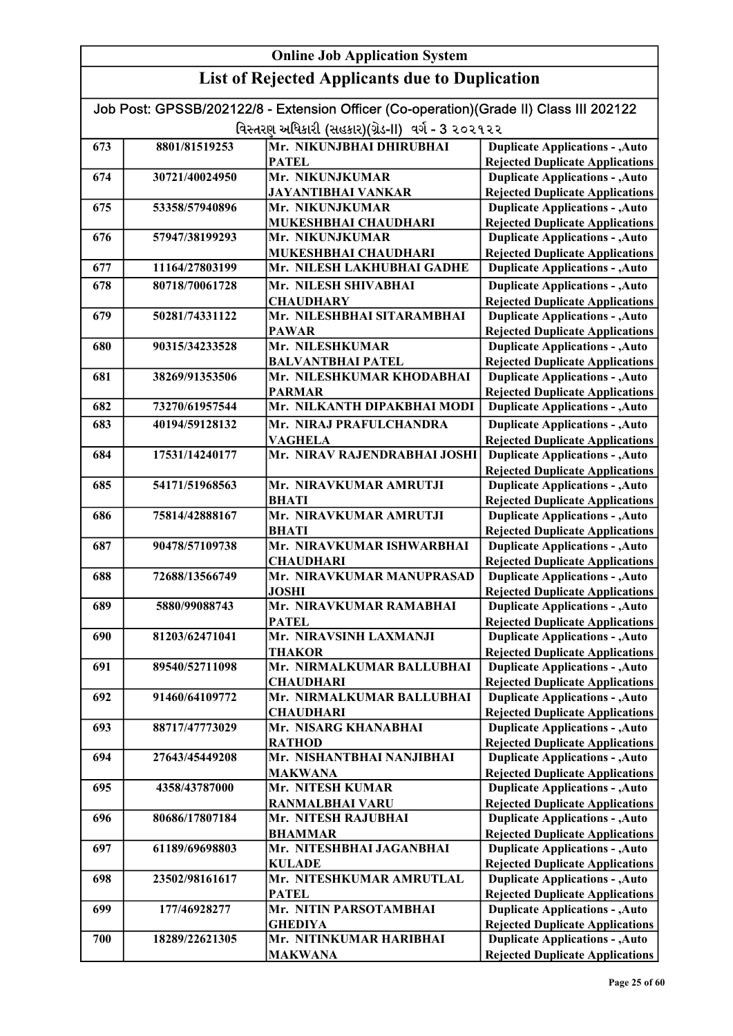| <b>Online Job Application System</b> |                |                                                                                        |                                                                                  |
|--------------------------------------|----------------|----------------------------------------------------------------------------------------|----------------------------------------------------------------------------------|
|                                      |                | <b>List of Rejected Applicants due to Duplication</b>                                  |                                                                                  |
|                                      |                | Job Post: GPSSB/202122/8 - Extension Officer (Co-operation)(Grade II) Class III 202122 |                                                                                  |
|                                      |                | વિસ્તરણ અધિકારી (સહકાર)(ગ્રેડ-II) વર્ગ - 3 ૨૦૨૧૨૨                                      |                                                                                  |
| 673                                  | 8801/81519253  | Mr. NIKUNJBHAI DHIRUBHAI                                                               | <b>Duplicate Applications - , Auto</b>                                           |
|                                      |                | <b>PATEL</b>                                                                           | <b>Rejected Duplicate Applications</b>                                           |
| 674                                  | 30721/40024950 | Mr. NIKUNJKUMAR                                                                        | <b>Duplicate Applications - , Auto</b>                                           |
|                                      |                | <b>JAYANTIBHAI VANKAR</b>                                                              | <b>Rejected Duplicate Applications</b>                                           |
| 675                                  | 53358/57940896 | Mr. NIKUNJKUMAR<br>MUKESHBHAI CHAUDHARI                                                | <b>Duplicate Applications - , Auto</b><br><b>Rejected Duplicate Applications</b> |
| 676                                  | 57947/38199293 | Mr. NIKUNJKUMAR                                                                        | <b>Duplicate Applications - , Auto</b>                                           |
|                                      |                | MUKESHBHAI CHAUDHARI                                                                   | <b>Rejected Duplicate Applications</b>                                           |
| 677                                  | 11164/27803199 | Mr. NILESH LAKHUBHAI GADHE                                                             | <b>Duplicate Applications - , Auto</b>                                           |
| 678                                  | 80718/70061728 | Mr. NILESH SHIVABHAI                                                                   | <b>Duplicate Applications - , Auto</b>                                           |
|                                      |                | <b>CHAUDHARY</b>                                                                       | <b>Rejected Duplicate Applications</b>                                           |
| 679                                  | 50281/74331122 | Mr. NILESHBHAI SITARAMBHAI                                                             | <b>Duplicate Applications - , Auto</b>                                           |
|                                      |                | <b>PAWAR</b>                                                                           | <b>Rejected Duplicate Applications</b>                                           |
| 680                                  | 90315/34233528 | Mr. NILESHKUMAR                                                                        | <b>Duplicate Applications - , Auto</b>                                           |
|                                      |                | <b>BALVANTBHAI PATEL</b>                                                               | <b>Rejected Duplicate Applications</b>                                           |
| 681                                  | 38269/91353506 | Mr. NILESHKUMAR KHODABHAI                                                              | <b>Duplicate Applications - , Auto</b>                                           |
|                                      |                | <b>PARMAR</b>                                                                          | <b>Rejected Duplicate Applications</b>                                           |
| 682                                  | 73270/61957544 | Mr. NILKANTH DIPAKBHAI MODI                                                            | <b>Duplicate Applications - , Auto</b>                                           |
| 683                                  | 40194/59128132 | Mr. NIRAJ PRAFULCHANDRA                                                                | <b>Duplicate Applications - , Auto</b>                                           |
|                                      |                | <b>VAGHELA</b>                                                                         | <b>Rejected Duplicate Applications</b>                                           |
| 684                                  | 17531/14240177 | Mr. NIRAV RAJENDRABHAI JOSHI                                                           | <b>Duplicate Applications - , Auto</b>                                           |
|                                      |                |                                                                                        | <b>Rejected Duplicate Applications</b>                                           |
| 685                                  | 54171/51968563 | Mr. NIRAVKUMAR AMRUTJI                                                                 | <b>Duplicate Applications - , Auto</b>                                           |
|                                      |                | <b>BHATI</b>                                                                           | <b>Rejected Duplicate Applications</b>                                           |
| 686                                  | 75814/42888167 | Mr. NIRAVKUMAR AMRUTJI<br><b>BHATI</b>                                                 | <b>Duplicate Applications - , Auto</b><br><b>Rejected Duplicate Applications</b> |
| 687                                  | 90478/57109738 | Mr. NIRAVKUMAR ISHWARBHAI                                                              | <b>Duplicate Applications - , Auto</b>                                           |
|                                      |                | <b>CHAUDHARI</b>                                                                       | <b>Rejected Duplicate Applications</b>                                           |
| 688                                  | 72688/13566749 | Mr. NIRAVKUMAR MANUPRASAD                                                              | <b>Duplicate Applications - , Auto</b>                                           |
|                                      |                | <b>JOSHI</b>                                                                           | <b>Rejected Duplicate Applications</b>                                           |
| 689                                  | 5880/99088743  | Mr. NIRAVKUMAR RAMABHAI                                                                | <b>Duplicate Applications - , Auto</b>                                           |
|                                      |                | <b>PATEL</b>                                                                           | <b>Rejected Duplicate Applications</b>                                           |
| 690                                  | 81203/62471041 | Mr. NIRAVSINH LAXMANJI                                                                 | <b>Duplicate Applications - , Auto</b>                                           |
|                                      |                | <b>THAKOR</b>                                                                          | <b>Rejected Duplicate Applications</b>                                           |
| 691                                  | 89540/52711098 | Mr. NIRMALKUMAR BALLUBHAI<br><b>CHAUDHARI</b>                                          | <b>Duplicate Applications - , Auto</b>                                           |
| 692                                  | 91460/64109772 | Mr. NIRMALKUMAR BALLUBHAI                                                              | <b>Rejected Duplicate Applications</b><br><b>Duplicate Applications - , Auto</b> |
|                                      |                | <b>CHAUDHARI</b>                                                                       | <b>Rejected Duplicate Applications</b>                                           |
| 693                                  | 88717/47773029 | Mr. NISARG KHANABHAI                                                                   | <b>Duplicate Applications - , Auto</b>                                           |
|                                      |                | <b>RATHOD</b>                                                                          | <b>Rejected Duplicate Applications</b>                                           |
| 694                                  | 27643/45449208 | Mr. NISHANTBHAI NANJIBHAI                                                              | <b>Duplicate Applications - , Auto</b>                                           |
|                                      |                | <b>MAKWANA</b>                                                                         | <b>Rejected Duplicate Applications</b>                                           |
| 695                                  | 4358/43787000  | Mr. NITESH KUMAR                                                                       | <b>Duplicate Applications - , Auto</b>                                           |
|                                      |                | <b>RANMALBHAI VARU</b>                                                                 | <b>Rejected Duplicate Applications</b>                                           |
| 696                                  | 80686/17807184 | Mr. NITESH RAJUBHAI                                                                    | <b>Duplicate Applications - , Auto</b>                                           |
|                                      |                | <b>BHAMMAR</b>                                                                         | <b>Rejected Duplicate Applications</b>                                           |
| 697                                  | 61189/69698803 | Mr. NITESHBHAI JAGANBHAI                                                               | <b>Duplicate Applications - , Auto</b>                                           |
| 698                                  | 23502/98161617 | <b>KULADE</b><br>Mr. NITESHKUMAR AMRUTLAL                                              | <b>Rejected Duplicate Applications</b><br><b>Duplicate Applications - , Auto</b> |
|                                      |                | <b>PATEL</b>                                                                           | <b>Rejected Duplicate Applications</b>                                           |
| 699                                  | 177/46928277   | Mr. NITIN PARSOTAMBHAI                                                                 | <b>Duplicate Applications - , Auto</b>                                           |
|                                      |                | <b>GHEDIYA</b>                                                                         | <b>Rejected Duplicate Applications</b>                                           |
| 700                                  | 18289/22621305 | Mr. NITINKUMAR HARIBHAI                                                                | <b>Duplicate Applications - , Auto</b>                                           |
|                                      |                | <b>MAKWANA</b>                                                                         | <b>Rejected Duplicate Applications</b>                                           |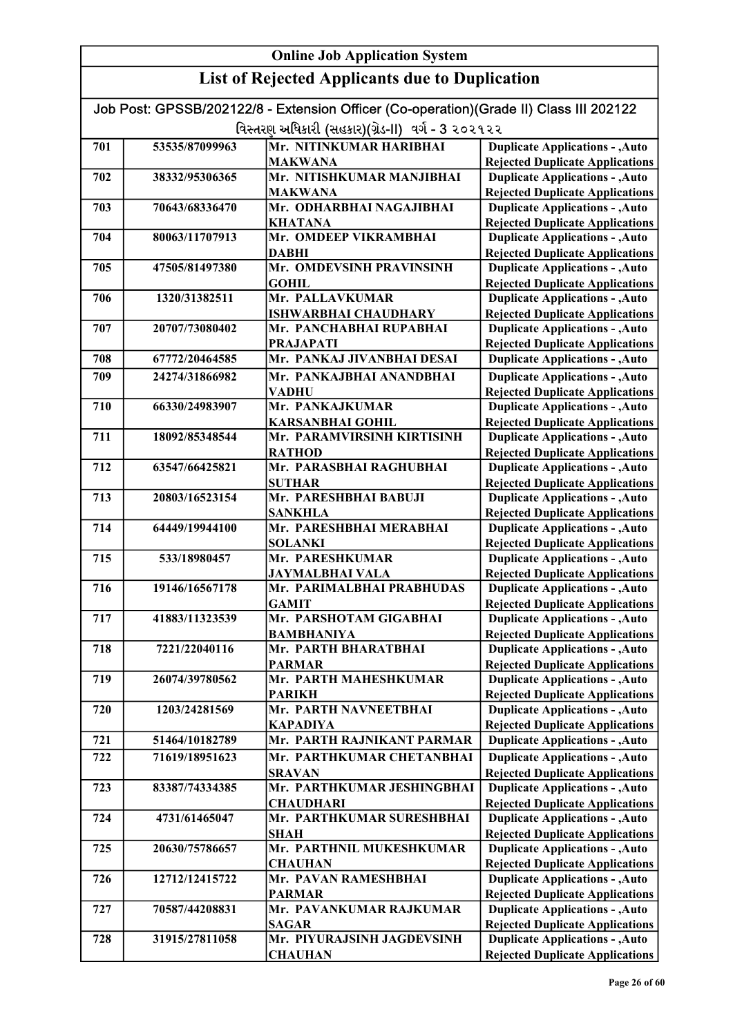| Job Post: GPSSB/202122/8 - Extension Officer (Co-operation)(Grade II) Class III 202122 |                |                                                |                                                                                  |
|----------------------------------------------------------------------------------------|----------------|------------------------------------------------|----------------------------------------------------------------------------------|
| વિસ્તરણ અધિકારી (સહકાર)(ગ્રેડ-II) વર્ગ - 3 ૨૦૨૧૨૨                                      |                |                                                |                                                                                  |
| 701                                                                                    | 53535/87099963 | Mr. NITINKUMAR HARIBHAI                        | <b>Duplicate Applications - , Auto</b>                                           |
|                                                                                        |                | <b>MAKWANA</b>                                 | <b>Rejected Duplicate Applications</b>                                           |
| 702                                                                                    | 38332/95306365 | Mr. NITISHKUMAR MANJIBHAI                      | <b>Duplicate Applications - , Auto</b>                                           |
|                                                                                        |                | <b>MAKWANA</b>                                 | <b>Rejected Duplicate Applications</b>                                           |
| 703                                                                                    | 70643/68336470 | Mr. ODHARBHAI NAGAJIBHAI                       | <b>Duplicate Applications - , Auto</b>                                           |
|                                                                                        |                | <b>KHATANA</b>                                 | <b>Rejected Duplicate Applications</b>                                           |
| 704                                                                                    | 80063/11707913 | Mr. OMDEEP VIKRAMBHAI                          | <b>Duplicate Applications - , Auto</b>                                           |
|                                                                                        |                | <b>DABHI</b>                                   | <b>Rejected Duplicate Applications</b>                                           |
| 705                                                                                    | 47505/81497380 | Mr. OMDEVSINH PRAVINSINH                       | <b>Duplicate Applications - , Auto</b>                                           |
|                                                                                        |                | <b>GOHIL</b>                                   | <b>Rejected Duplicate Applications</b>                                           |
| 706                                                                                    | 1320/31382511  | Mr. PALLAVKUMAR                                | <b>Duplicate Applications - , Auto</b>                                           |
|                                                                                        |                | <b>ISHWARBHAI CHAUDHARY</b>                    | <b>Rejected Duplicate Applications</b>                                           |
| 707                                                                                    | 20707/73080402 | Mr. PANCHABHAI RUPABHAI                        | <b>Duplicate Applications - , Auto</b>                                           |
| 708                                                                                    | 67772/20464585 | <b>PRAJAPATI</b><br>Mr. PANKAJ JIVANBHAI DESAI | <b>Rejected Duplicate Applications</b><br><b>Duplicate Applications - , Auto</b> |
|                                                                                        |                |                                                |                                                                                  |
| 709                                                                                    | 24274/31866982 | Mr. PANKAJBHAI ANANDBHAI                       | <b>Duplicate Applications - , Auto</b>                                           |
| 710                                                                                    | 66330/24983907 | <b>VADHU</b><br>Mr. PANKAJKUMAR                | <b>Rejected Duplicate Applications</b><br><b>Duplicate Applications - , Auto</b> |
|                                                                                        |                | <b>KARSANBHAI GOHIL</b>                        | <b>Rejected Duplicate Applications</b>                                           |
| 711                                                                                    | 18092/85348544 | Mr. PARAMVIRSINH KIRTISINH                     | <b>Duplicate Applications - , Auto</b>                                           |
|                                                                                        |                | <b>RATHOD</b>                                  | <b>Rejected Duplicate Applications</b>                                           |
| 712                                                                                    | 63547/66425821 | Mr. PARASBHAI RAGHUBHAI                        | <b>Duplicate Applications - , Auto</b>                                           |
|                                                                                        |                | <b>SUTHAR</b>                                  | <b>Rejected Duplicate Applications</b>                                           |
| 713                                                                                    | 20803/16523154 | Mr. PARESHBHAI BABUJI                          | <b>Duplicate Applications - , Auto</b>                                           |
|                                                                                        |                | <b>SANKHLA</b>                                 | <b>Rejected Duplicate Applications</b>                                           |
| 714                                                                                    | 64449/19944100 | Mr. PARESHBHAI MERABHAI                        | <b>Duplicate Applications - , Auto</b>                                           |
|                                                                                        |                | <b>SOLANKI</b>                                 | <b>Rejected Duplicate Applications</b>                                           |
| 715                                                                                    | 533/18980457   | Mr. PARESHKUMAR                                | <b>Duplicate Applications - , Auto</b>                                           |
|                                                                                        |                | <b>JAYMALBHAI VALA</b>                         | <b>Rejected Duplicate Applications</b>                                           |
| 716                                                                                    | 19146/16567178 | Mr. PARIMALBHAI PRABHUDAS                      | <b>Duplicate Applications - , Auto</b>                                           |
|                                                                                        |                | <b>GAMIT</b>                                   | <b>Rejected Duplicate Applications</b><br><b>Duplicate Applications - , Auto</b> |
| 717                                                                                    | 41883/11323539 | Mr. PARSHOTAM GIGABHAI<br><b>BAMBHANIYA</b>    | <b>Rejected Duplicate Applications</b>                                           |
| 718                                                                                    | 7221/22040116  | Mr. PARTH BHARATBHAI                           | <b>Duplicate Applications - , Auto</b>                                           |
|                                                                                        |                | <b>PARMAR</b>                                  | <b>Rejected Duplicate Applications</b>                                           |
| 719                                                                                    | 26074/39780562 | Mr. PARTH MAHESHKUMAR                          | <b>Duplicate Applications - , Auto</b>                                           |
|                                                                                        |                | <b>PARIKH</b>                                  | <b>Rejected Duplicate Applications</b>                                           |
| 720                                                                                    | 1203/24281569  | Mr. PARTH NAVNEETBHAI                          | <b>Duplicate Applications - , Auto</b>                                           |
|                                                                                        |                | <b>KAPADIYA</b>                                | <b>Rejected Duplicate Applications</b>                                           |
| 721                                                                                    | 51464/10182789 | Mr. PARTH RAJNIKANT PARMAR                     | <b>Duplicate Applications - , Auto</b>                                           |
| 722                                                                                    | 71619/18951623 | Mr. PARTHKUMAR CHETANBHAI                      | <b>Duplicate Applications - , Auto</b>                                           |
|                                                                                        |                | <b>SRAVAN</b>                                  | <b>Rejected Duplicate Applications</b>                                           |
| 723                                                                                    | 83387/74334385 | Mr. PARTHKUMAR JESHINGBHAI                     | <b>Duplicate Applications - , Auto</b>                                           |
|                                                                                        |                | <b>CHAUDHARI</b>                               | <b>Rejected Duplicate Applications</b>                                           |
| 724                                                                                    | 4731/61465047  | Mr. PARTHKUMAR SURESHBHAI                      | <b>Duplicate Applications - , Auto</b>                                           |
|                                                                                        |                | <b>SHAH</b>                                    | <b>Rejected Duplicate Applications</b>                                           |
| 725                                                                                    | 20630/75786657 | Mr. PARTHNIL MUKESHKUMAR                       | <b>Duplicate Applications - , Auto</b>                                           |
|                                                                                        |                | <b>CHAUHAN</b>                                 | <b>Rejected Duplicate Applications</b>                                           |
| 726                                                                                    | 12712/12415722 | Mr. PAVAN RAMESHBHAI                           | <b>Duplicate Applications - , Auto</b>                                           |
| 727                                                                                    | 70587/44208831 | <b>PARMAR</b><br>Mr. PAVANKUMAR RAJKUMAR       | <b>Rejected Duplicate Applications</b><br><b>Duplicate Applications - , Auto</b> |
|                                                                                        |                | <b>SAGAR</b>                                   | <b>Rejected Duplicate Applications</b>                                           |
| 728                                                                                    | 31915/27811058 | Mr. PIYURAJSINH JAGDEVSINH                     | <b>Duplicate Applications - , Auto</b>                                           |
|                                                                                        |                | <b>CHAUHAN</b>                                 | <b>Rejected Duplicate Applications</b>                                           |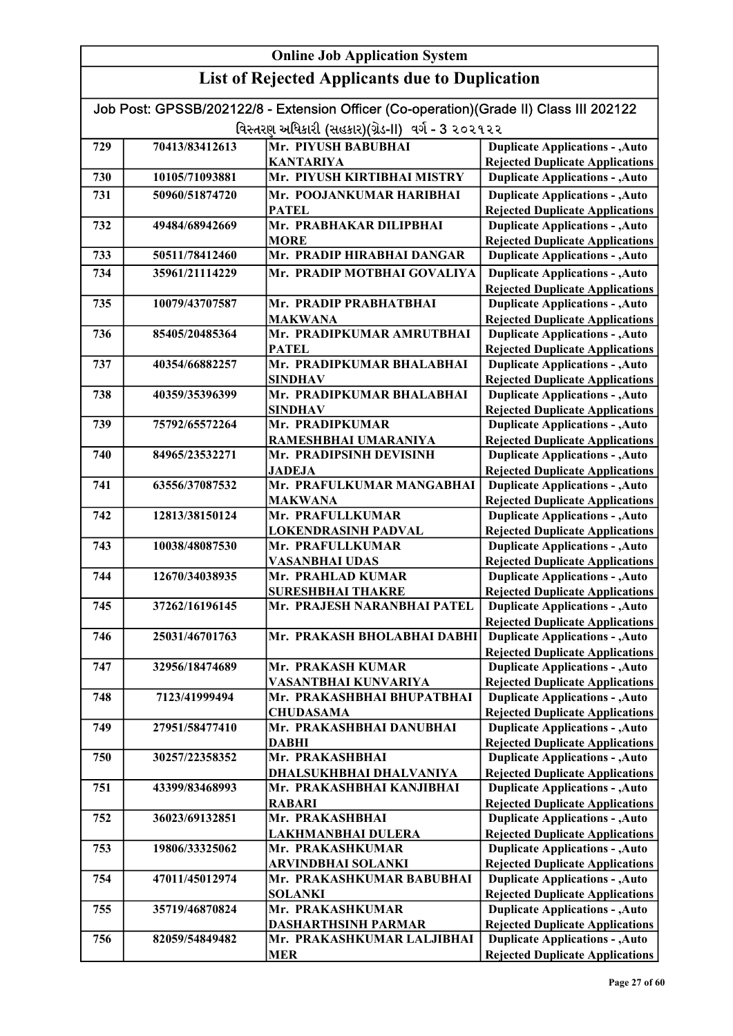#### Online Job Application System List of Rejected Applicants due to Duplication Job Post: GPSSB/202122/8 - Extension Officer (Co-operation)(Grade II) Class III 202122 વિસ્તરણ અધિકારી (સહકાર)(ગ્રેડ-II) વર્ગ - 3 ૨૦૨૧૨૨ 729 70413/83412613 Mr. PIYUSH BABUBHAI KANTARIYA 730 10105/71093881 Mr. PIYUSH KIRTIBHAI MISTRY 731 50960/51874720 Mr. POOJANKUMAR HARIBHAI PATEL 732 49484/68942669 Mr. PRABHAKAR DILIPBHAI **MORE** 733 50511/78412460 Mr. PRADIP HIRABHAI DANGAR 734 35961/21114229 Mr. PRADIP MOTBHAI GOVALIYA 735 10079/43707587 Mr. PRADIP PRABHATBHAI MAKWANA 736 85405/20485364 Mr. PRADIPKUMAR AMRUTBHAI **PATEL** 737 40354/66882257 Mr. PRADIPKUMAR BHALABHAI SINDHAV 738 40359/35396399 Mr. PRADIPKUMAR BHALABHAI SINDHAV 739 75792/65572264 Mr. PRADIPKUMAR RAMESHBHAI UMARANIYA 740 84965/23532271 Mr. PRADIPSINH DEVISINH JADEJA 741 63556/37087532 Mr. PRAFULKUMAR MANGABHAI MAKWANA 742 12813/38150124 Mr. PRAFULLKUMAR LOKENDRASINH PADVAL 743 10038/48087530 Mr. PRAFULLKUMAR VASANBHAI UDAS 744 12670/34038935 Mr. PRAHLAD KUMAR SURESHBHAI THAKRE 745 37262/16196145 Mr. PRAJESH NARANBHAI PATEL 746 25031/46701763 Mr. PRAKASH BHOLABHAI DABHI 747 32956/18474689 Mr. PRAKASH KUMAR VASANTBHAI KUNVARIYA 748 7123/41999494 Mr. PRAKASHBHAI BHUPATBHAI **CHUDASAMA** 749 27951/58477410 Mr. PRAKASHBHAI DANUBHAI DABHI 750 30257/22358352 Mr. PRAKASHBHAI DHALSUKHBHAI DHALVANIYA 751 43399/83468993 Mr. PRAKASHBHAI KANJIBHAI RABARI 752 36023/69132851 Mr. PRAKASHBHAI LAKHMANBHAI DULERA 753 19806/33325062 Mr. PRAKASHKUMAR ARVINDBHAI SOLANKI 754 47011/45012974 Mr. PRAKASHKUMAR BABUBHAI SOLANKI 755 35719/46870824 Mr. PRAKASHKUMAR DASHARTHSINH PARMAR 756 82059/54849482 Mr. PRAKASHKUMAR LALJIBHAI Duplicate Applications - ,Auto Rejected Duplicate Applications Duplicate Applications - ,Auto Rejected Duplicate Applications Duplicate Applications - ,Auto Rejected Duplicate Applications Duplicate Applications - ,Auto Rejected Duplicate Applications Duplicate Applications - ,Auto Rejected Duplicate Applications Duplicate Applications - ,Auto Rejected Duplicate Applications Duplicate Applications - ,Auto **Duplicate Applications - ,Auto** Rejected Duplicate Applications Duplicate Applications - ,Auto Rejected Duplicate Applications Duplicate Applications - ,Auto Rejected Duplicate Applications Duplicate Applications - ,Auto Rejected Duplicate Applications Duplicate Applications - ,Auto Rejected Duplicate Applications Duplicate Applications - ,Auto Rejected Duplicate Applications Duplicate Applications - ,Auto **Duplicate Applications - ,Auto** Rejected Duplicate Applications Duplicate Applications - ,Auto Rejected Duplicate Applications Duplicate Applications - ,Auto Rejected Duplicate Applications Duplicate Applications - ,Auto Rejected Duplicate Applications Duplicate Applications - ,Auto Rejected Duplicate Applications Duplicate Applications - ,Auto Rejected Duplicate Applications Duplicate Applications - ,Auto Rejected Duplicate Applications Duplicate Applications - ,Auto Duplicate Applications - ,Auto Rejected Duplicate Applications Duplicate Applications - ,Auto Rejected Duplicate Applications Duplicate Applications - ,Auto Rejected Duplicate Applications Duplicate Applications - ,Auto Rejected Duplicate Applications Duplicate Applications - ,Auto Rejected Duplicate Applications Duplicate Applications - ,Auto Rejected Duplicate Applications

MER

Rejected Duplicate Applications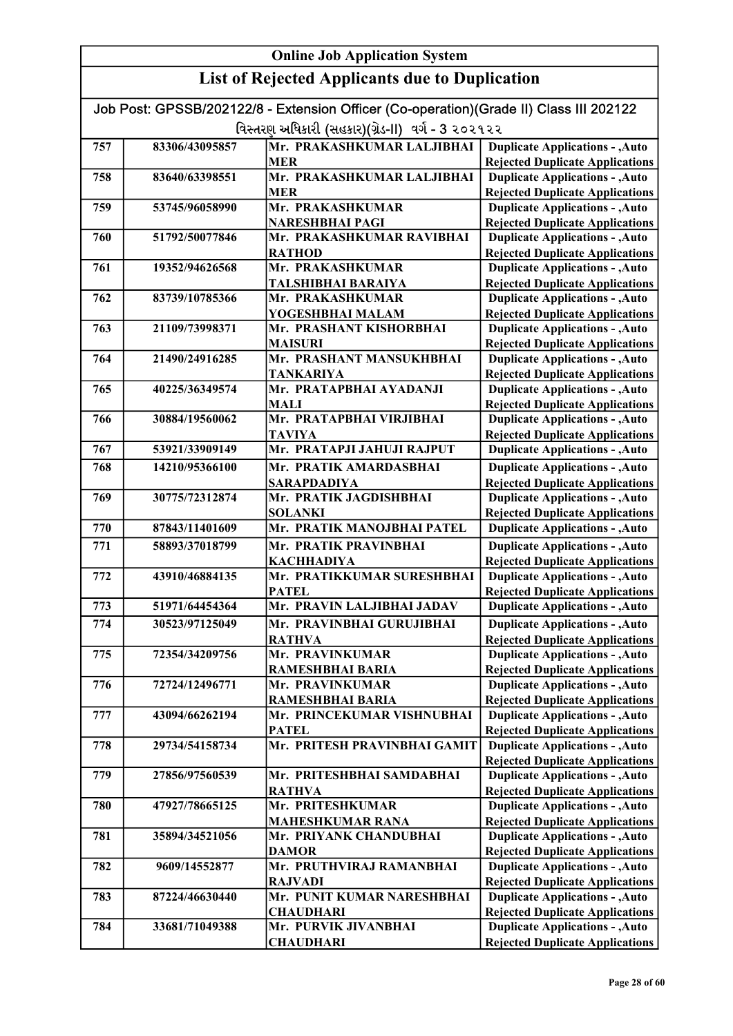| Job Post: GPSSB/202122/8 - Extension Officer (Co-operation)(Grade II) Class III 202122 |                |                                                   |                                                                                  |
|----------------------------------------------------------------------------------------|----------------|---------------------------------------------------|----------------------------------------------------------------------------------|
| વિસ્તરણ અધિકારી (સહકાર)(ગ્રેડ-II) વર્ગ - 3 ૨૦૨૧૨૨                                      |                |                                                   |                                                                                  |
| 757                                                                                    | 83306/43095857 | Mr. PRAKASHKUMAR LALJIBHAI                        | <b>Duplicate Applications - , Auto</b>                                           |
|                                                                                        |                | <b>MER</b>                                        | <b>Rejected Duplicate Applications</b>                                           |
| 758                                                                                    | 83640/63398551 | Mr. PRAKASHKUMAR LALJIBHAI                        | <b>Duplicate Applications - , Auto</b>                                           |
|                                                                                        |                | <b>MER</b>                                        | <b>Rejected Duplicate Applications</b>                                           |
| 759                                                                                    | 53745/96058990 | Mr. PRAKASHKUMAR                                  | <b>Duplicate Applications - , Auto</b>                                           |
|                                                                                        |                | <b>NARESHBHAI PAGI</b>                            | <b>Rejected Duplicate Applications</b>                                           |
| 760                                                                                    | 51792/50077846 | Mr. PRAKASHKUMAR RAVIBHAI                         | <b>Duplicate Applications - , Auto</b>                                           |
|                                                                                        |                | <b>RATHOD</b>                                     | <b>Rejected Duplicate Applications</b>                                           |
| 761                                                                                    | 19352/94626568 | Mr. PRAKASHKUMAR                                  | <b>Duplicate Applications - , Auto</b>                                           |
|                                                                                        |                | TALSHIBHAI BARAIYA                                | <b>Rejected Duplicate Applications</b>                                           |
| 762                                                                                    | 83739/10785366 | Mr. PRAKASHKUMAR                                  | <b>Duplicate Applications - , Auto</b>                                           |
|                                                                                        |                | YOGESHBHAI MALAM                                  | <b>Rejected Duplicate Applications</b>                                           |
| 763                                                                                    | 21109/73998371 | Mr. PRASHANT KISHORBHAI                           | <b>Duplicate Applications - , Auto</b>                                           |
|                                                                                        | 21490/24916285 | <b>MAISURI</b>                                    | <b>Rejected Duplicate Applications</b>                                           |
| 764                                                                                    |                | Mr. PRASHANT MANSUKHBHAI                          | <b>Duplicate Applications - , Auto</b><br><b>Rejected Duplicate Applications</b> |
| 765                                                                                    | 40225/36349574 | TANKARIYA<br>Mr. PRATAPBHAI AYADANJI              | <b>Duplicate Applications - , Auto</b>                                           |
|                                                                                        |                | <b>MALI</b>                                       | <b>Rejected Duplicate Applications</b>                                           |
| 766                                                                                    | 30884/19560062 | Mr. PRATAPBHAI VIRJIBHAI                          | <b>Duplicate Applications - , Auto</b>                                           |
|                                                                                        |                | <b>TAVIYA</b>                                     | <b>Rejected Duplicate Applications</b>                                           |
| 767                                                                                    | 53921/33909149 | Mr. PRATAPJI JAHUJI RAJPUT                        | <b>Duplicate Applications - , Auto</b>                                           |
| 768                                                                                    | 14210/95366100 | Mr. PRATIK AMARDASBHAI                            | <b>Duplicate Applications - , Auto</b>                                           |
|                                                                                        |                | <b>SARAPDADIYA</b>                                | <b>Rejected Duplicate Applications</b>                                           |
| 769                                                                                    | 30775/72312874 | Mr. PRATIK JAGDISHBHAI                            | <b>Duplicate Applications - , Auto</b>                                           |
|                                                                                        |                | <b>SOLANKI</b>                                    | <b>Rejected Duplicate Applications</b>                                           |
| 770                                                                                    | 87843/11401609 | Mr. PRATIK MANOJBHAI PATEL                        | <b>Duplicate Applications - , Auto</b>                                           |
| 771                                                                                    | 58893/37018799 | Mr. PRATIK PRAVINBHAI                             | <b>Duplicate Applications - , Auto</b>                                           |
|                                                                                        |                | <b>KACHHADIYA</b>                                 | <b>Rejected Duplicate Applications</b>                                           |
| 772                                                                                    | 43910/46884135 | Mr. PRATIKKUMAR SURESHBHAI                        | <b>Duplicate Applications - , Auto</b>                                           |
|                                                                                        |                | <b>PATEL</b>                                      | <b>Rejected Duplicate Applications</b>                                           |
| 773                                                                                    | 51971/64454364 | Mr. PRAVIN LALJIBHAI JADAV                        | <b>Duplicate Applications - , Auto</b>                                           |
| 774                                                                                    | 30523/97125049 | Mr. PRAVINBHAI GURUJIBHAI                         | <b>Duplicate Applications - , Auto</b>                                           |
|                                                                                        |                | <b>RATHVA</b>                                     | <b>Rejected Duplicate Applications</b>                                           |
| 775                                                                                    | 72354/34209756 | Mr. PRAVINKUMAR                                   | <b>Duplicate Applications - , Auto</b>                                           |
|                                                                                        |                | <b>RAMESHBHAI BARIA</b>                           | <b>Rejected Duplicate Applications</b>                                           |
| 776                                                                                    | 72724/12496771 | Mr. PRAVINKUMAR                                   | <b>Duplicate Applications - , Auto</b>                                           |
|                                                                                        |                | <b>RAMESHBHAI BARIA</b>                           | <b>Rejected Duplicate Applications</b>                                           |
| 777                                                                                    | 43094/66262194 | Mr. PRINCEKUMAR VISHNUBHAI                        | <b>Duplicate Applications - , Auto</b>                                           |
|                                                                                        |                | <b>PATEL</b>                                      | <b>Rejected Duplicate Applications</b>                                           |
| 778                                                                                    | 29734/54158734 | Mr. PRITESH PRAVINBHAI GAMIT                      | <b>Duplicate Applications - , Auto</b>                                           |
|                                                                                        |                |                                                   | <b>Rejected Duplicate Applications</b>                                           |
| 779                                                                                    | 27856/97560539 | Mr. PRITESHBHAI SAMDABHAI                         | <b>Duplicate Applications - , Auto</b>                                           |
|                                                                                        |                | <b>RATHVA</b>                                     | <b>Rejected Duplicate Applications</b>                                           |
| 780                                                                                    | 47927/78665125 | Mr. PRITESHKUMAR                                  | <b>Duplicate Applications - , Auto</b>                                           |
| 781                                                                                    | 35894/34521056 | <b>MAHESHKUMAR RANA</b><br>Mr. PRIYANK CHANDUBHAI | <b>Rejected Duplicate Applications</b><br><b>Duplicate Applications - , Auto</b> |
|                                                                                        |                | <b>DAMOR</b>                                      | <b>Rejected Duplicate Applications</b>                                           |
| 782                                                                                    | 9609/14552877  | Mr. PRUTHVIRAJ RAMANBHAI                          | <b>Duplicate Applications - , Auto</b>                                           |
|                                                                                        |                | <b>RAJVADI</b>                                    | <b>Rejected Duplicate Applications</b>                                           |
| 783                                                                                    | 87224/46630440 | Mr. PUNIT KUMAR NARESHBHAI                        | <b>Duplicate Applications - , Auto</b>                                           |
|                                                                                        |                | <b>CHAUDHARI</b>                                  | <b>Rejected Duplicate Applications</b>                                           |
| 784                                                                                    | 33681/71049388 | Mr. PURVIK JIVANBHAI                              | <b>Duplicate Applications - , Auto</b>                                           |
|                                                                                        |                | <b>CHAUDHARI</b>                                  | <b>Rejected Duplicate Applications</b>                                           |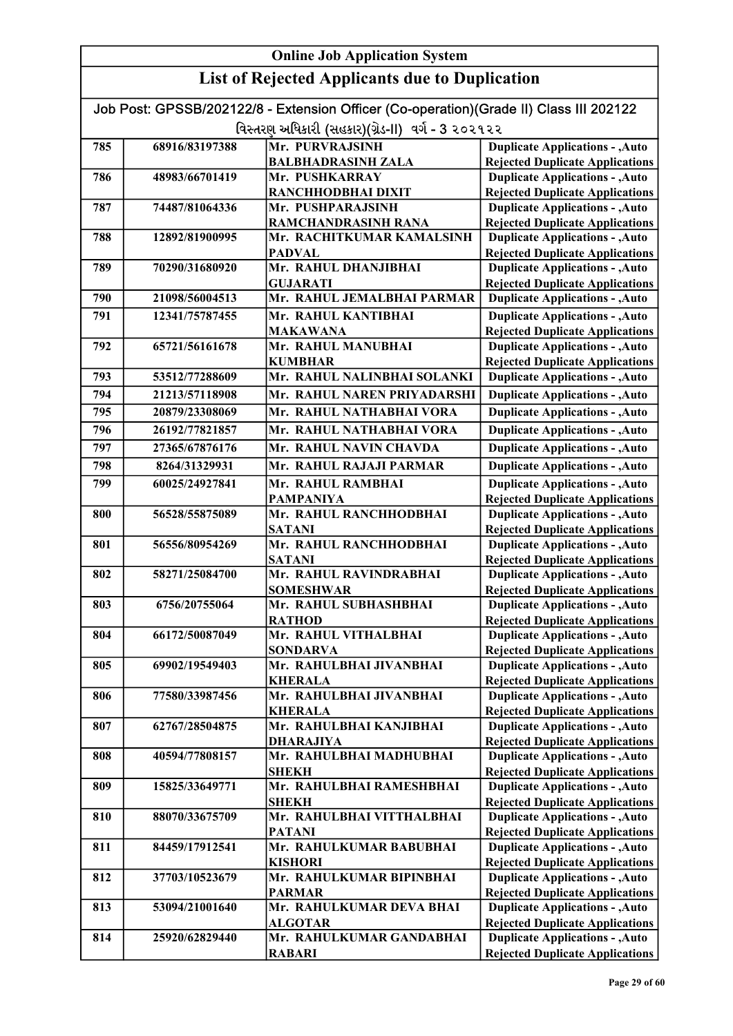| <b>Online Job Application System</b> |                |                                                                                                                                             |                                                                                  |
|--------------------------------------|----------------|---------------------------------------------------------------------------------------------------------------------------------------------|----------------------------------------------------------------------------------|
|                                      |                | <b>List of Rejected Applicants due to Duplication</b>                                                                                       |                                                                                  |
|                                      |                | Job Post: GPSSB/202122/8 - Extension Officer (Co-operation)(Grade II) Class III 202122<br>વિસ્તરણ અધિકારી (સહકાર)(ગ્રેડ-II) વર્ગ - 3 ૨૦૨૧૨૨ |                                                                                  |
| 785                                  | 68916/83197388 | Mr. PURVRAJSINH                                                                                                                             | <b>Duplicate Applications - , Auto</b>                                           |
|                                      |                | <b>BALBHADRASINH ZALA</b>                                                                                                                   | <b>Rejected Duplicate Applications</b>                                           |
| 786                                  | 48983/66701419 | Mr. PUSHKARRAY                                                                                                                              | <b>Duplicate Applications - , Auto</b>                                           |
|                                      |                | RANCHHODBHAI DIXIT                                                                                                                          | <b>Rejected Duplicate Applications</b>                                           |
| 787                                  | 74487/81064336 | Mr. PUSHPARAJSINH                                                                                                                           | <b>Duplicate Applications - , Auto</b>                                           |
|                                      |                | <b>RAMCHANDRASINH RANA</b>                                                                                                                  | <b>Rejected Duplicate Applications</b>                                           |
| 788                                  | 12892/81900995 | Mr. RACHITKUMAR KAMALSINH                                                                                                                   | <b>Duplicate Applications - , Auto</b>                                           |
|                                      |                | <b>PADVAL</b>                                                                                                                               | <b>Rejected Duplicate Applications</b>                                           |
| 789                                  | 70290/31680920 | Mr. RAHUL DHANJIBHAI                                                                                                                        | <b>Duplicate Applications - , Auto</b>                                           |
|                                      |                | <b>GUJARATI</b>                                                                                                                             | <b>Rejected Duplicate Applications</b>                                           |
| 790                                  | 21098/56004513 | Mr. RAHUL JEMALBHAI PARMAR                                                                                                                  | <b>Duplicate Applications - , Auto</b>                                           |
| 791                                  | 12341/75787455 | Mr. RAHUL KANTIBHAI                                                                                                                         | <b>Duplicate Applications - , Auto</b>                                           |
|                                      |                | <b>MAKAWANA</b>                                                                                                                             | <b>Rejected Duplicate Applications</b>                                           |
| 792                                  | 65721/56161678 | Mr. RAHUL MANUBHAI                                                                                                                          | <b>Duplicate Applications - , Auto</b>                                           |
|                                      |                | <b>KUMBHAR</b>                                                                                                                              | <b>Rejected Duplicate Applications</b>                                           |
| 793                                  | 53512/77288609 | Mr. RAHUL NALINBHAI SOLANKI                                                                                                                 | <b>Duplicate Applications - , Auto</b>                                           |
| 794                                  | 21213/57118908 | Mr. RAHUL NAREN PRIYADARSHI                                                                                                                 | <b>Duplicate Applications - , Auto</b>                                           |
| 795                                  | 20879/23308069 | Mr. RAHUL NATHABHAI VORA                                                                                                                    | <b>Duplicate Applications - , Auto</b>                                           |
| 796                                  | 26192/77821857 | Mr. RAHUL NATHABHAI VORA                                                                                                                    | <b>Duplicate Applications - , Auto</b>                                           |
|                                      |                |                                                                                                                                             |                                                                                  |
| 797                                  | 27365/67876176 | Mr. RAHUL NAVIN CHAVDA                                                                                                                      | <b>Duplicate Applications - , Auto</b>                                           |
| 798                                  | 8264/31329931  | Mr. RAHUL RAJAJI PARMAR                                                                                                                     | <b>Duplicate Applications - , Auto</b>                                           |
| 799                                  | 60025/24927841 | Mr. RAHUL RAMBHAI                                                                                                                           | <b>Duplicate Applications - , Auto</b>                                           |
| 800                                  | 56528/55875089 | <b>PAMPANIYA</b><br>Mr. RAHUL RANCHHODBHAI                                                                                                  | <b>Rejected Duplicate Applications</b><br><b>Duplicate Applications - , Auto</b> |
|                                      |                | <b>SATANI</b>                                                                                                                               | <b>Rejected Duplicate Applications</b>                                           |
| 801                                  | 56556/80954269 | Mr. RAHUL RANCHHODBHAI                                                                                                                      | <b>Duplicate Applications - , Auto</b>                                           |
|                                      |                | <b>SATANI</b>                                                                                                                               | <b>Rejected Duplicate Applications</b>                                           |
| 802                                  | 58271/25084700 | Mr. RAHUL RAVINDRABHAI                                                                                                                      | <b>Duplicate Applications - , Auto</b>                                           |
|                                      |                | <b>SOMESHWAR</b>                                                                                                                            | <b>Rejected Duplicate Applications</b>                                           |
| 803                                  | 6756/20755064  | Mr. RAHUL SUBHASHBHAI                                                                                                                       | <b>Duplicate Applications - , Auto</b>                                           |
|                                      |                | <b>RATHOD</b>                                                                                                                               | <b>Rejected Duplicate Applications</b>                                           |
| 804                                  | 66172/50087049 | Mr. RAHUL VITHALBHAI                                                                                                                        | <b>Duplicate Applications - , Auto</b>                                           |
|                                      |                | <b>SONDARVA</b>                                                                                                                             | <b>Rejected Duplicate Applications</b>                                           |
| 805                                  | 69902/19549403 | Mr. RAHULBHAI JIVANBHAI<br><b>KHERALA</b>                                                                                                   | <b>Duplicate Applications - , Auto</b>                                           |
| 806                                  | 77580/33987456 | Mr. RAHULBHAI JIVANBHAI                                                                                                                     | <b>Rejected Duplicate Applications</b><br><b>Duplicate Applications - , Auto</b> |
|                                      |                | <b>KHERALA</b>                                                                                                                              | <b>Rejected Duplicate Applications</b>                                           |
| 807                                  | 62767/28504875 | Mr. RAHULBHAI KANJIBHAI                                                                                                                     | <b>Duplicate Applications - , Auto</b>                                           |
|                                      |                | <b>DHARAJIYA</b>                                                                                                                            | <b>Rejected Duplicate Applications</b>                                           |
| 808                                  | 40594/77808157 | Mr. RAHULBHAI MADHUBHAI                                                                                                                     | <b>Duplicate Applications - , Auto</b>                                           |
|                                      |                | <b>SHEKH</b>                                                                                                                                | <b>Rejected Duplicate Applications</b>                                           |
| 809                                  | 15825/33649771 | Mr. RAHULBHAI RAMESHBHAI                                                                                                                    | <b>Duplicate Applications - , Auto</b>                                           |
|                                      |                | <b>SHEKH</b>                                                                                                                                | <b>Rejected Duplicate Applications</b>                                           |
| 810                                  | 88070/33675709 | Mr. RAHULBHAI VITTHALBHAI                                                                                                                   | <b>Duplicate Applications - , Auto</b>                                           |
|                                      |                | <b>PATANI</b>                                                                                                                               | <b>Rejected Duplicate Applications</b>                                           |
| 811                                  | 84459/17912541 | Mr. RAHULKUMAR BABUBHAI                                                                                                                     | <b>Duplicate Applications - , Auto</b>                                           |
|                                      |                | <b>KISHORI</b>                                                                                                                              | <b>Rejected Duplicate Applications</b>                                           |
| 812                                  | 37703/10523679 | Mr. RAHULKUMAR BIPINBHAI                                                                                                                    | <b>Duplicate Applications - , Auto</b>                                           |
| 813                                  | 53094/21001640 | <b>PARMAR</b><br>Mr. RAHULKUMAR DEVA BHAI                                                                                                   | <b>Rejected Duplicate Applications</b><br><b>Duplicate Applications - , Auto</b> |
|                                      |                | <b>ALGOTAR</b>                                                                                                                              | <b>Rejected Duplicate Applications</b>                                           |
| 814                                  | 25920/62829440 | Mr. RAHULKUMAR GANDABHAI                                                                                                                    | <b>Duplicate Applications - , Auto</b>                                           |
|                                      |                | <b>RABARI</b>                                                                                                                               | <b>Rejected Duplicate Applications</b>                                           |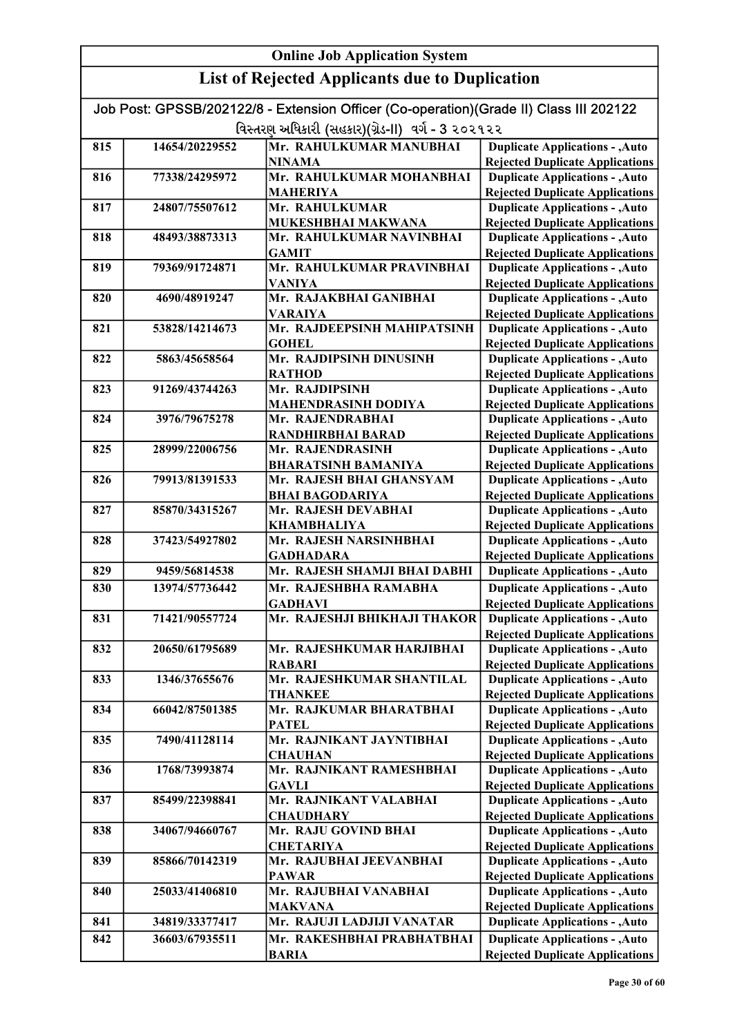#### Online Job Application System List of Rejected Applicants due to Duplication Job Post: GPSSB/202122/8 - Extension Officer (Co-operation)(Grade II) Class III 202122 વિસ્તરણ અધિકારી (સહકાર)(ગ્રેડ-II) વર્ગ - 3 ૨૦૨૧૨૨ 815 14654/20229552 Mr. RAHULKUMAR MANUBHAI NINAMA 816 77338/24295972 Mr. RAHULKUMAR MOHANBHAI MAHERIYA 817 24807/75507612 Mr. RAHULKUMAR MUKESHBHAI MAKWANA 818 48493/38873313 Mr. RAHULKUMAR NAVINBHAI GAMIT 819 79369/91724871 Mr. RAHULKUMAR PRAVINBHAI VANIYA 820 | 4690/48919247 | Mr. RAJAKBHAI GANIBHAI VARAIYA 821 53828/14214673 Mr. RAJDEEPSINH MAHIPATSINH **GOHEL** 822 5863/45658564 Mr. RAJDIPSINH DINUSINH **RATHOD** 823 91269/43744263 Mr. RAJDIPSINH MAHENDRASINH DODIYA 824 3976/79675278 Mr. RAJENDRABHAI RANDHIRBHAI BARAD 825 28999/22006756 Mr. RAJENDRASINH BHARATSINH BAMANIYA 826 79913/81391533 Mr. RAJESH BHAI GHANSYAM BHAI BAGODARIYA 827 85870/34315267 Mr. RAJESH DEVABHAI KHAMBHALIYA 828 | 37423/54927802 | Mr. RAJESH NARSINHBHAI GADHADARA 829 9459/56814538 Mr. RAJESH SHAMJI BHAI DABHI 830 13974/57736442 Mr. RAJESHBHA RAMABHA GADHAVI 831 71421/90557724 Mr. RAJESHJI BHIKHAJI THAKOR 832 20650/61795689 Mr. RAJESHKUMAR HARJIBHAI RABARI 833 1346/37655676 Mr. RAJESHKUMAR SHANTILAL THANKEE 834 66042/87501385 Mr. RAJKUMAR BHARATBHAI PATEL 835 7490/41128114 Mr. RAJNIKANT JAYNTIBHAI **CHAUHAN** 836 1768/73993874 Mr. RAJNIKANT RAMESHBHAI **GAVLI** 837 85499/22398841 Mr. RAJNIKANT VALABHAI **CHAUDHARY** 838 34067/94660767 Mr. RAJU GOVIND BHAI **CHETARIYA** 839 85866/70142319 Mr. RAJUBHAI JEEVANBHAI PAWAR 840 25033/41406810 Mr. RAJUBHAI VANABHAI MAKVANA 841 34819/33377417 Mr. RAJUJI LADJIJI VANATAR 842 36603/67935511 Mr. RAKESHBHAI PRABHATBHAI BARIA Duplicate Applications - ,Auto Rejected Duplicate Applications Duplicate Applications - ,Auto Rejected Duplicate Applications Duplicate Applications - ,Auto **Duplicate Applications - ,Auto** Rejected Duplicate Applications Duplicate Applications - ,Auto Rejected Duplicate Applications Duplicate Applications - ,Auto Rejected Duplicate Applications Duplicate Applications - ,Auto Rejected Duplicate Applications Duplicate Applications - ,Auto Rejected Duplicate Applications Duplicate Applications - ,Auto Rejected Duplicate Applications Duplicate Applications - ,Auto Rejected Duplicate Applications Duplicate Applications - ,Auto Rejected Duplicate Applications Duplicate Applications - ,Auto Rejected Duplicate Applications Duplicate Applications - ,Auto Rejected Duplicate Applications Duplicate Applications - ,Auto Rejected Duplicate Applications Duplicate Applications - ,Auto Rejected Duplicate Applications Duplicate Applications - ,Auto Rejected Duplicate Applications Duplicate Applications - ,Auto Rejected Duplicate Applications Duplicate Applications - ,Auto Rejected Duplicate Applications Duplicate Applications - ,Auto Rejected Duplicate Applications Duplicate Applications - ,Auto Rejected Duplicate Applications Duplicate Applications - ,Auto **Duplicate Applications - ,Auto** Rejected Duplicate Applications Duplicate Applications - ,Auto Rejected Duplicate Applications Duplicate Applications - ,Auto Rejected Duplicate Applications Duplicate Applications - ,Auto Rejected Duplicate Applications Duplicate Applications - ,Auto Rejected Duplicate Applications Duplicate Applications - ,Auto Rejected Duplicate Applications Duplicate Applications - ,Auto Rejected Duplicate Applications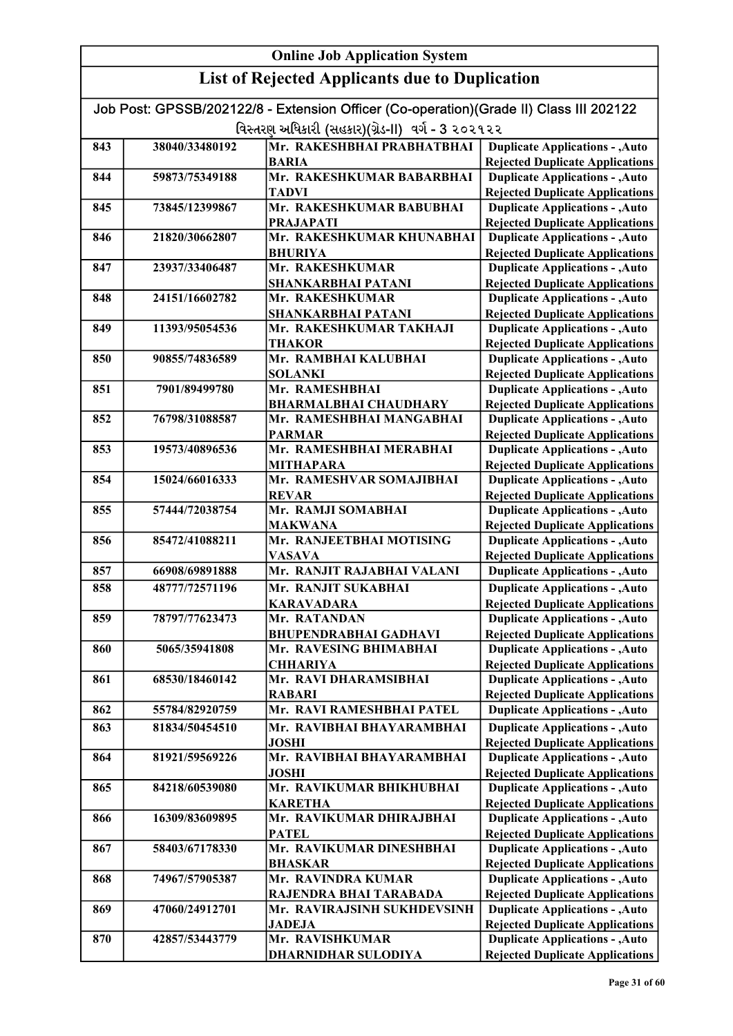#### Online Job Application System List of Rejected Applicants due to Duplication Job Post: GPSSB/202122/8 - Extension Officer (Co-operation)(Grade II) Class III 202122 વિસ્તરણ અધિકારી (સહકાર)(ગ્રેડ-II) વર્ગ - 3 ૨૦૨૧૨૨ 843 38040/33480192 Mr. RAKESHBHAI PRABHATBHAI BARIA 844 59873/75349188 Mr. RAKESHKUMAR BABARBHAI TADVI 845 73845/12399867 Mr. RAKESHKUMAR BABUBHAI PRAJAPATI 846 21820/30662807 Mr. RAKESHKUMAR KHUNABHAI BHURIYA 847 23937/33406487 Mr. RAKESHKUMAR SHANKARBHAI PATANI 848 24151/16602782 Mr. RAKESHKUMAR SHANKARBHAI PATANI 849 | 11393/95054536 | Mr. RAKESHKUMAR TAKHAJI **THAKOR** 850 90855/74836589 Mr. RAMBHAI KALUBHAI SOLANKI 851 7901/89499780 Mr. RAMESHBHAI BHARMALBHAI CHAUDHARY 852 76798/31088587 Mr. RAMESHBHAI MANGABHAI PARMAR 853 | 19573/40896536 | Mr. RAMESHBHAI MERABHAI MITHAPARA 854 15024/66016333 Mr. RAMESHVAR SOMAJIBHAI REVAR 855 57444/72038754 Mr. RAMJI SOMABHAI MAKWANA 856 85472/41088211 Mr. RANJEETBHAI MOTISING VASAVA 857 | 66908/69891888 | Mr. RANJIT RAJABHAI VALANI 858 48777/72571196 Mr. RANJIT SUKABHAI KARAVADARA 859 78797/77623473 Mr. RATANDAN BHUPENDRABHAI GADHAVI 860 5065/35941808 Mr. RAVESING BHIMABHAI **CHHARIYA** 861 68530/18460142 Mr. RAVI DHARAMSIBHAI RABARI 862 55784/82920759 Mr. RAVI RAMESHBHAI PATEL 863 81834/50454510 Mr. RAVIBHAI BHAYARAMBHAI JOSHI 864 81921/59569226 Mr. RAVIBHAI BHAYARAMBHAI JOSHI 865 84218/60539080 Mr. RAVIKUMAR BHIKHUBHAI KARETHA 866 16309/83609895 Mr. RAVIKUMAR DHIRAJBHAI **PATEL** 867 58403/67178330 Mr. RAVIKUMAR DINESHBHAI BHASKAR 868 74967/57905387 Mr. RAVINDRA KUMAR RAJENDRA BHAI TARABADA 869 47060/24912701 Mr. RAVIRAJSINH SUKHDEVSINH JADEJA 870 42857/53443779 Mr. RAVISHKUMAR DHARNIDHAR SULODIYA Duplicate Applications - ,Auto Rejected Duplicate Applications Duplicate Applications - ,Auto Rejected Duplicate Applications Duplicate Applications - ,Auto Rejected Duplicate Applications Duplicate Applications - ,Auto Rejected Duplicate Applications Duplicate Applications - ,Auto Rejected Duplicate Applications Duplicate Applications - ,Auto Rejected Duplicate Applications Duplicate Applications - ,Auto Rejected Duplicate Applications Duplicate Applications - ,Auto Rejected Duplicate Applications Duplicate Applications - ,Auto Rejected Duplicate Applications Duplicate Applications - ,Auto Rejected Duplicate Applications Duplicate Applications - ,Auto Rejected Duplicate Applications Duplicate Applications - ,Auto Rejected Duplicate Applications Duplicate Applications - ,Auto Rejected Duplicate Applications Duplicate Applications - ,Auto Rejected Duplicate Applications Duplicate Applications - ,Auto Rejected Duplicate Applications Duplicate Applications - ,Auto Rejected Duplicate Applications Duplicate Applications - ,Auto Rejected Duplicate Applications Duplicate Applications - ,Auto Rejected Duplicate Applications Duplicate Applications - ,Auto Rejected Duplicate Applications Duplicate Applications - ,Auto **Duplicate Applications - ,Auto** Rejected Duplicate Applications Duplicate Applications - ,Auto Rejected Duplicate Applications Duplicate Applications - ,Auto Rejected Duplicate Applications Duplicate Applications - ,Auto Rejected Duplicate Applications Duplicate Applications - ,Auto Rejected Duplicate Applications Duplicate Applications - ,Auto Rejected Duplicate Applications Duplicate Applications - ,Auto **Duplicate Applications - ,Auto** Rejected Duplicate Applications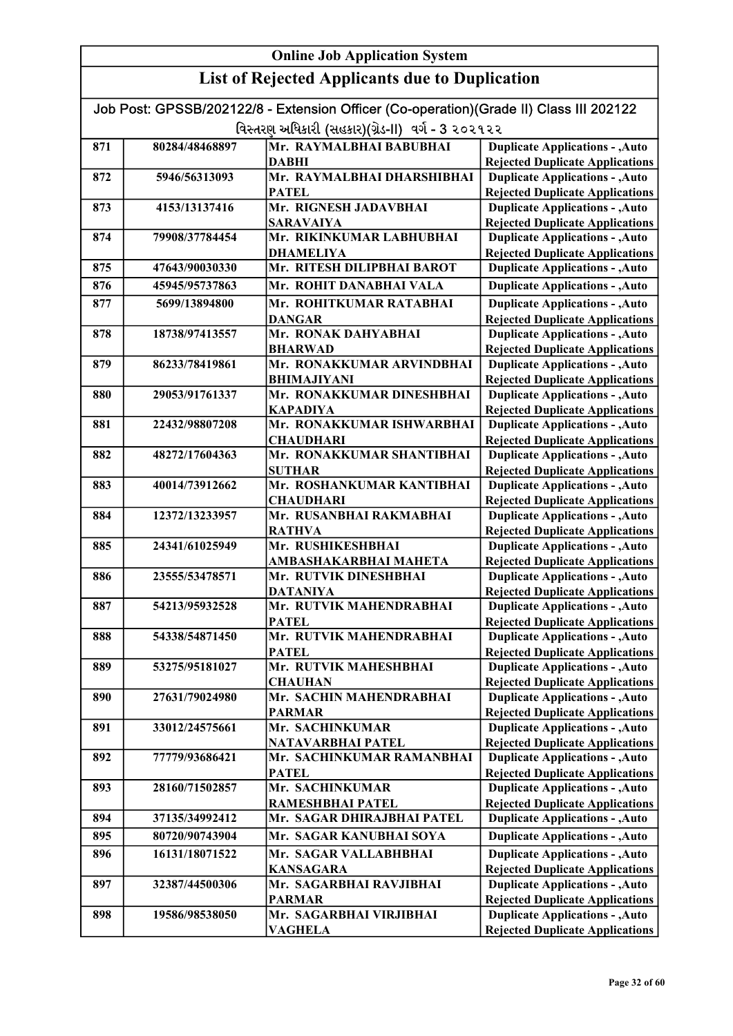| Job Post: GPSSB/202122/8 - Extension Officer (Co-operation)(Grade II) Class III 202122 |                |                                                |                                                                                  |
|----------------------------------------------------------------------------------------|----------------|------------------------------------------------|----------------------------------------------------------------------------------|
| વિસ્તરણ અધિકારી (સહકાર)(ગ્રેડ-II) વર્ગ - 3 ૨૦૨૧૨૨                                      |                |                                                |                                                                                  |
| 871                                                                                    | 80284/48468897 | Mr. RAYMALBHAI BABUBHAI                        | <b>Duplicate Applications - , Auto</b>                                           |
|                                                                                        |                | <b>DABHI</b>                                   | <b>Rejected Duplicate Applications</b>                                           |
| 872                                                                                    | 5946/56313093  | Mr. RAYMALBHAI DHARSHIBHAI                     | <b>Duplicate Applications - , Auto</b>                                           |
|                                                                                        |                | <b>PATEL</b>                                   | <b>Rejected Duplicate Applications</b>                                           |
| 873                                                                                    | 4153/13137416  | Mr. RIGNESH JADAVBHAI                          | <b>Duplicate Applications - , Auto</b>                                           |
|                                                                                        |                | <b>SARAVAIYA</b>                               | <b>Rejected Duplicate Applications</b>                                           |
| 874                                                                                    | 79908/37784454 | Mr. RIKINKUMAR LABHUBHAI                       | <b>Duplicate Applications - , Auto</b>                                           |
|                                                                                        |                | <b>DHAMELIYA</b>                               | <b>Rejected Duplicate Applications</b>                                           |
| 875                                                                                    | 47643/90030330 | Mr. RITESH DILIPBHAI BAROT                     | <b>Duplicate Applications - , Auto</b>                                           |
| 876                                                                                    | 45945/95737863 | Mr. ROHIT DANABHAI VALA                        | <b>Duplicate Applications - , Auto</b>                                           |
| 877                                                                                    | 5699/13894800  | Mr. ROHITKUMAR RATABHAI                        | <b>Duplicate Applications - , Auto</b>                                           |
|                                                                                        |                | <b>DANGAR</b>                                  | <b>Rejected Duplicate Applications</b>                                           |
| 878                                                                                    | 18738/97413557 | Mr. RONAK DAHYABHAI                            | <b>Duplicate Applications - , Auto</b>                                           |
|                                                                                        |                | <b>BHARWAD</b>                                 | <b>Rejected Duplicate Applications</b>                                           |
| 879                                                                                    | 86233/78419861 | Mr. RONAKKUMAR ARVINDBHAI                      | <b>Duplicate Applications - , Auto</b>                                           |
|                                                                                        |                | <b>BHIMAJIYANI</b>                             | <b>Rejected Duplicate Applications</b>                                           |
| 880                                                                                    | 29053/91761337 | Mr. RONAKKUMAR DINESHBHAI                      | <b>Duplicate Applications - , Auto</b>                                           |
|                                                                                        |                | <b>KAPADIYA</b>                                | <b>Rejected Duplicate Applications</b>                                           |
| 881                                                                                    | 22432/98807208 | Mr. RONAKKUMAR ISHWARBHAI                      | <b>Duplicate Applications - , Auto</b>                                           |
|                                                                                        |                | <b>CHAUDHARI</b>                               | <b>Rejected Duplicate Applications</b>                                           |
| 882                                                                                    | 48272/17604363 | Mr. RONAKKUMAR SHANTIBHAI                      | <b>Duplicate Applications - , Auto</b>                                           |
|                                                                                        |                | <b>SUTHAR</b>                                  | <b>Rejected Duplicate Applications</b>                                           |
| 883                                                                                    | 40014/73912662 | Mr. ROSHANKUMAR KANTIBHAI                      | <b>Duplicate Applications - , Auto</b>                                           |
|                                                                                        |                | <b>CHAUDHARI</b>                               | <b>Rejected Duplicate Applications</b>                                           |
| 884                                                                                    | 12372/13233957 | Mr. RUSANBHAI RAKMABHAI                        | <b>Duplicate Applications - , Auto</b>                                           |
|                                                                                        |                | <b>RATHVA</b><br>Mr. RUSHIKESHBHAI             | <b>Rejected Duplicate Applications</b>                                           |
| 885                                                                                    | 24341/61025949 |                                                | <b>Duplicate Applications - , Auto</b>                                           |
| 886                                                                                    | 23555/53478571 | AMBASHAKARBHAI MAHETA<br>Mr. RUTVIK DINESHBHAI | <b>Rejected Duplicate Applications</b><br><b>Duplicate Applications - , Auto</b> |
|                                                                                        |                | <b>DATANIYA</b>                                | <b>Rejected Duplicate Applications</b>                                           |
| 887                                                                                    | 54213/95932528 | Mr. RUTVIK MAHENDRABHAI                        | <b>Duplicate Applications - , Auto</b>                                           |
|                                                                                        |                | <b>PATEL</b>                                   | <b>Rejected Duplicate Applications</b>                                           |
| 888                                                                                    | 54338/54871450 | Mr. RUTVIK MAHENDRABHAI                        | <b>Duplicate Applications - , Auto</b>                                           |
|                                                                                        |                | PATEL                                          | <b>Rejected Duplicate Applications</b>                                           |
| 889                                                                                    | 53275/95181027 | Mr. RUTVIK MAHESHBHAI                          | <b>Duplicate Applications - , Auto</b>                                           |
|                                                                                        |                | <b>CHAUHAN</b>                                 | <b>Rejected Duplicate Applications</b>                                           |
| 890                                                                                    | 27631/79024980 | Mr. SACHIN MAHENDRABHAI                        | <b>Duplicate Applications - , Auto</b>                                           |
|                                                                                        |                | <b>PARMAR</b>                                  | <b>Rejected Duplicate Applications</b>                                           |
| 891                                                                                    | 33012/24575661 | Mr. SACHINKUMAR                                | <b>Duplicate Applications - , Auto</b>                                           |
|                                                                                        |                | <b>NATAVARBHAI PATEL</b>                       | <b>Rejected Duplicate Applications</b>                                           |
| 892                                                                                    | 77779/93686421 | Mr. SACHINKUMAR RAMANBHAI                      | <b>Duplicate Applications - , Auto</b>                                           |
|                                                                                        |                | <b>PATEL</b>                                   | <b>Rejected Duplicate Applications</b>                                           |
| 893                                                                                    | 28160/71502857 | Mr. SACHINKUMAR                                | <b>Duplicate Applications - , Auto</b>                                           |
|                                                                                        |                | RAMESHBHAI PATEL                               | <b>Rejected Duplicate Applications</b>                                           |
| 894                                                                                    | 37135/34992412 | Mr. SAGAR DHIRAJBHAI PATEL                     | <b>Duplicate Applications - , Auto</b>                                           |
| 895                                                                                    | 80720/90743904 | Mr. SAGAR KANUBHAI SOYA                        | <b>Duplicate Applications - , Auto</b>                                           |
| 896                                                                                    | 16131/18071522 | Mr. SAGAR VALLABHBHAI                          | <b>Duplicate Applications - , Auto</b>                                           |
|                                                                                        |                | <b>KANSAGARA</b>                               | <b>Rejected Duplicate Applications</b>                                           |
| 897                                                                                    | 32387/44500306 | Mr. SAGARBHAI RAVJIBHAI                        | <b>Duplicate Applications - , Auto</b>                                           |
|                                                                                        |                | <b>PARMAR</b>                                  | <b>Rejected Duplicate Applications</b>                                           |
| 898                                                                                    | 19586/98538050 | Mr. SAGARBHAI VIRJIBHAI                        | <b>Duplicate Applications - , Auto</b>                                           |
|                                                                                        |                | VAGHELA                                        | <b>Rejected Duplicate Applications</b>                                           |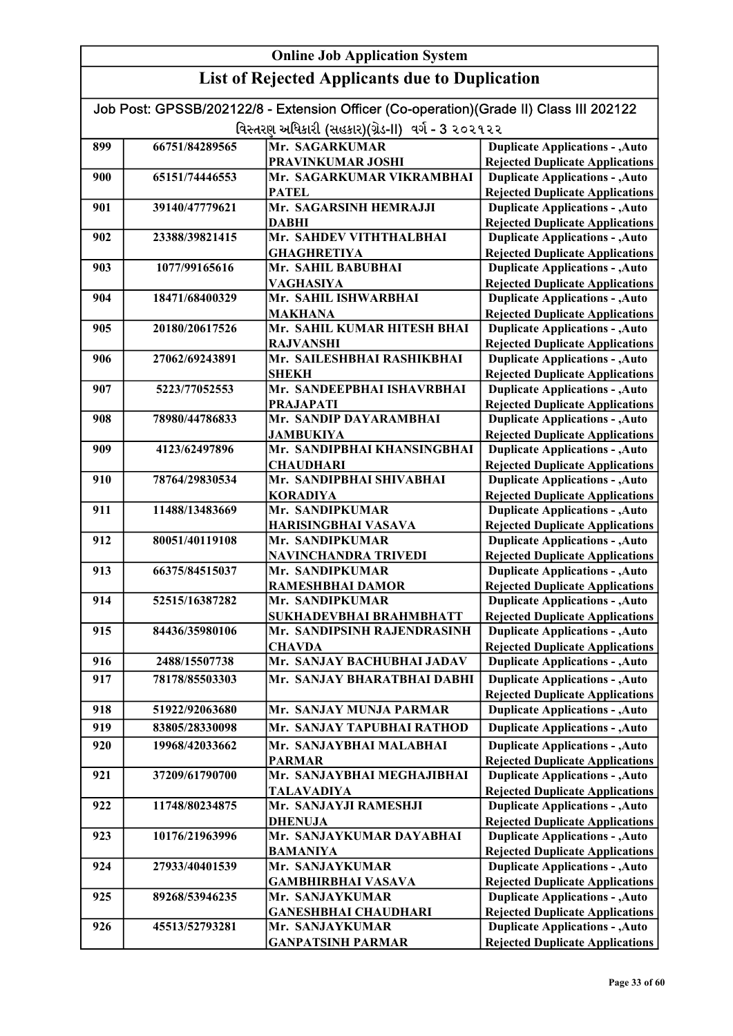| Job Post: GPSSB/202122/8 - Extension Officer (Co-operation)(Grade II) Class III 202122<br>વિસ્તરણ અધિકારી (સહકાર)(ગ્રેડ-II) વર્ગ - 3 ૨૦૨૧૨૨ |                |                                |                                        |
|---------------------------------------------------------------------------------------------------------------------------------------------|----------------|--------------------------------|----------------------------------------|
| 899                                                                                                                                         | 66751/84289565 | Mr. SAGARKUMAR                 | <b>Duplicate Applications - , Auto</b> |
|                                                                                                                                             |                | <b>PRAVINKUMAR JOSHI</b>       | <b>Rejected Duplicate Applications</b> |
| 900                                                                                                                                         | 65151/74446553 | Mr. SAGARKUMAR VIKRAMBHAI      |                                        |
|                                                                                                                                             |                |                                | <b>Duplicate Applications - , Auto</b> |
|                                                                                                                                             |                | <b>PATEL</b>                   | <b>Rejected Duplicate Applications</b> |
| 901                                                                                                                                         | 39140/47779621 | Mr. SAGARSINH HEMRAJJI         | <b>Duplicate Applications - , Auto</b> |
|                                                                                                                                             |                | <b>DABHI</b>                   | <b>Rejected Duplicate Applications</b> |
| 902                                                                                                                                         | 23388/39821415 | Mr. SAHDEV VITHTHALBHAI        | <b>Duplicate Applications - , Auto</b> |
|                                                                                                                                             |                | <b>GHAGHRETIYA</b>             | <b>Rejected Duplicate Applications</b> |
| 903                                                                                                                                         | 1077/99165616  | Mr. SAHIL BABUBHAI             | <b>Duplicate Applications - , Auto</b> |
|                                                                                                                                             |                | <b>VAGHASIYA</b>               | <b>Rejected Duplicate Applications</b> |
| 904                                                                                                                                         | 18471/68400329 | Mr. SAHIL ISHWARBHAI           | <b>Duplicate Applications - , Auto</b> |
|                                                                                                                                             |                | <b>MAKHANA</b>                 | <b>Rejected Duplicate Applications</b> |
| 905                                                                                                                                         | 20180/20617526 | Mr. SAHIL KUMAR HITESH BHAI    | <b>Duplicate Applications - , Auto</b> |
|                                                                                                                                             |                | <b>RAJVANSHI</b>               | <b>Rejected Duplicate Applications</b> |
| 906                                                                                                                                         | 27062/69243891 | Mr. SAILESHBHAI RASHIKBHAI     | <b>Duplicate Applications - , Auto</b> |
|                                                                                                                                             |                | <b>SHEKH</b>                   | <b>Rejected Duplicate Applications</b> |
| 907                                                                                                                                         | 5223/77052553  | Mr. SANDEEPBHAI ISHAVRBHAI     | <b>Duplicate Applications - , Auto</b> |
|                                                                                                                                             |                | <b>PRAJAPATI</b>               | <b>Rejected Duplicate Applications</b> |
| 908                                                                                                                                         | 78980/44786833 | Mr. SANDIP DAYARAMBHAI         | <b>Duplicate Applications - , Auto</b> |
|                                                                                                                                             |                | <b>JAMBUKIYA</b>               | <b>Rejected Duplicate Applications</b> |
| 909                                                                                                                                         | 4123/62497896  | Mr. SANDIPBHAI KHANSINGBHAI    | <b>Duplicate Applications - , Auto</b> |
|                                                                                                                                             |                | <b>CHAUDHARI</b>               |                                        |
|                                                                                                                                             |                |                                | <b>Rejected Duplicate Applications</b> |
| 910                                                                                                                                         | 78764/29830534 | Mr. SANDIPBHAI SHIVABHAI       | <b>Duplicate Applications - , Auto</b> |
|                                                                                                                                             |                | <b>KORADIYA</b>                | <b>Rejected Duplicate Applications</b> |
| 911                                                                                                                                         | 11488/13483669 | Mr. SANDIPKUMAR                | <b>Duplicate Applications - , Auto</b> |
|                                                                                                                                             |                | HARISINGBHAI VASAVA            | <b>Rejected Duplicate Applications</b> |
| 912                                                                                                                                         | 80051/40119108 | Mr. SANDIPKUMAR                | <b>Duplicate Applications - , Auto</b> |
|                                                                                                                                             |                | NAVINCHANDRA TRIVEDI           | <b>Rejected Duplicate Applications</b> |
| 913                                                                                                                                         | 66375/84515037 | Mr. SANDIPKUMAR                | <b>Duplicate Applications - , Auto</b> |
|                                                                                                                                             |                | <b>RAMESHBHAI DAMOR</b>        | <b>Rejected Duplicate Applications</b> |
| 914                                                                                                                                         | 52515/16387282 | Mr. SANDIPKUMAR                | <b>Duplicate Applications - , Auto</b> |
|                                                                                                                                             |                | <b>SUKHADEVBHAI BRAHMBHATT</b> | <b>Rejected Duplicate Applications</b> |
| 915                                                                                                                                         | 84436/35980106 | Mr. SANDIPSINH RAJENDRASINH    | <b>Duplicate Applications - , Auto</b> |
|                                                                                                                                             |                | <b>CHAVDA</b>                  | <b>Rejected Duplicate Applications</b> |
| 916                                                                                                                                         | 2488/15507738  | Mr. SANJAY BACHUBHAI JADAV     | <b>Duplicate Applications - , Auto</b> |
| 917                                                                                                                                         | 78178/85503303 | Mr. SANJAY BHARATBHAI DABHI    | <b>Duplicate Applications - , Auto</b> |
|                                                                                                                                             |                |                                | <b>Rejected Duplicate Applications</b> |
| 918                                                                                                                                         | 51922/92063680 | Mr. SANJAY MUNJA PARMAR        | <b>Duplicate Applications - , Auto</b> |
|                                                                                                                                             |                |                                |                                        |
| 919                                                                                                                                         | 83805/28330098 | Mr. SANJAY TAPUBHAI RATHOD     | <b>Duplicate Applications - , Auto</b> |
| 920                                                                                                                                         | 19968/42033662 | Mr. SANJAYBHAI MALABHAI        | <b>Duplicate Applications - , Auto</b> |
|                                                                                                                                             |                | <b>PARMAR</b>                  | <b>Rejected Duplicate Applications</b> |
| 921                                                                                                                                         | 37209/61790700 | Mr. SANJAYBHAI MEGHAJIBHAI     | <b>Duplicate Applications - , Auto</b> |
|                                                                                                                                             |                | <b>TALAVADIYA</b>              | <b>Rejected Duplicate Applications</b> |
| 922                                                                                                                                         | 11748/80234875 | Mr. SANJAYJI RAMESHJI          | <b>Duplicate Applications - , Auto</b> |
|                                                                                                                                             |                | <b>DHENUJA</b>                 | <b>Rejected Duplicate Applications</b> |
| 923                                                                                                                                         | 10176/21963996 | Mr. SANJAYKUMAR DAYABHAI       | <b>Duplicate Applications - , Auto</b> |
|                                                                                                                                             |                | <b>BAMANIYA</b>                | <b>Rejected Duplicate Applications</b> |
| 924                                                                                                                                         | 27933/40401539 | Mr. SANJAYKUMAR                | <b>Duplicate Applications - , Auto</b> |
|                                                                                                                                             |                | <b>GAMBHIRBHAI VASAVA</b>      | <b>Rejected Duplicate Applications</b> |
| 925                                                                                                                                         | 89268/53946235 | Mr. SANJAYKUMAR                | <b>Duplicate Applications - , Auto</b> |
|                                                                                                                                             |                |                                |                                        |
|                                                                                                                                             |                | <b>GANESHBHAI CHAUDHARI</b>    | <b>Rejected Duplicate Applications</b> |
| 926                                                                                                                                         | 45513/52793281 | Mr. SANJAYKUMAR                | <b>Duplicate Applications - , Auto</b> |
|                                                                                                                                             |                | <b>GANPATSINH PARMAR</b>       | <b>Rejected Duplicate Applications</b> |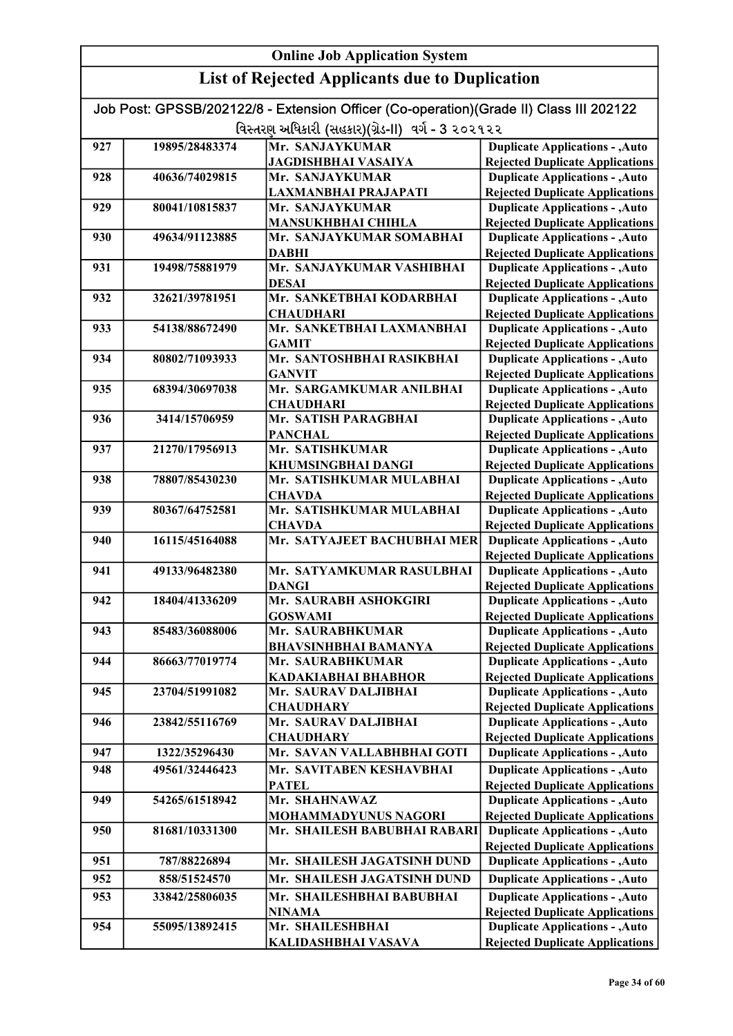| <b>Online Job Application System</b> |                                                       |                                                                                                                                             |                                                                                  |
|--------------------------------------|-------------------------------------------------------|---------------------------------------------------------------------------------------------------------------------------------------------|----------------------------------------------------------------------------------|
|                                      | <b>List of Rejected Applicants due to Duplication</b> |                                                                                                                                             |                                                                                  |
|                                      |                                                       | Job Post: GPSSB/202122/8 - Extension Officer (Co-operation)(Grade II) Class III 202122<br>વિસ્તરણ અધિકારી (સહકાર)(ગ્રેડ-II) વર્ગ - 3 ૨૦૨૧૨૨ |                                                                                  |
|                                      |                                                       | Mr. SANJAYKUMAR                                                                                                                             |                                                                                  |
| 927                                  | 19895/28483374                                        |                                                                                                                                             | <b>Duplicate Applications - , Auto</b>                                           |
| 928                                  | 40636/74029815                                        | <b>JAGDISHBHAI VASAIYA</b><br>Mr. SANJAYKUMAR                                                                                               | <b>Rejected Duplicate Applications</b><br><b>Duplicate Applications - , Auto</b> |
|                                      |                                                       | LAXMANBHAI PRAJAPATI                                                                                                                        | <b>Rejected Duplicate Applications</b>                                           |
| 929                                  | 80041/10815837                                        | Mr. SANJAYKUMAR                                                                                                                             | <b>Duplicate Applications - , Auto</b>                                           |
|                                      |                                                       | <b>MANSUKHBHAI CHIHLA</b>                                                                                                                   | <b>Rejected Duplicate Applications</b>                                           |
| 930                                  | 49634/91123885                                        | Mr. SANJAYKUMAR SOMABHAI<br><b>DABHI</b>                                                                                                    | <b>Duplicate Applications - , Auto</b>                                           |
| 931                                  | 19498/75881979                                        | Mr. SANJAYKUMAR VASHIBHAI                                                                                                                   | <b>Rejected Duplicate Applications</b><br><b>Duplicate Applications - , Auto</b> |
|                                      |                                                       | <b>DESAI</b>                                                                                                                                | <b>Rejected Duplicate Applications</b>                                           |
| 932                                  | 32621/39781951                                        | Mr. SANKETBHAI KODARBHAI                                                                                                                    | <b>Duplicate Applications - , Auto</b>                                           |
|                                      |                                                       | <b>CHAUDHARI</b>                                                                                                                            | <b>Rejected Duplicate Applications</b>                                           |
| 933                                  | 54138/88672490                                        | Mr. SANKETBHAI LAXMANBHAI                                                                                                                   | <b>Duplicate Applications - , Auto</b>                                           |
|                                      |                                                       | <b>GAMIT</b>                                                                                                                                | <b>Rejected Duplicate Applications</b>                                           |
| 934                                  | 80802/71093933                                        | Mr. SANTOSHBHAI RASIKBHAI                                                                                                                   | <b>Duplicate Applications - , Auto</b>                                           |
|                                      |                                                       | <b>GANVIT</b>                                                                                                                               | <b>Rejected Duplicate Applications</b>                                           |
| 935                                  | 68394/30697038                                        | Mr. SARGAMKUMAR ANILBHAI                                                                                                                    | <b>Duplicate Applications - , Auto</b>                                           |
|                                      |                                                       | <b>CHAUDHARI</b>                                                                                                                            | <b>Rejected Duplicate Applications</b>                                           |
| 936                                  | 3414/15706959                                         | Mr. SATISH PARAGBHAI                                                                                                                        | <b>Duplicate Applications - , Auto</b>                                           |
|                                      |                                                       | <b>PANCHAL</b>                                                                                                                              | <b>Rejected Duplicate Applications</b>                                           |
| 937                                  | 21270/17956913                                        | Mr. SATISHKUMAR                                                                                                                             | <b>Duplicate Applications - , Auto</b>                                           |
| 938                                  | 78807/85430230                                        | <b>KHUMSINGBHAI DANGI</b><br>Mr. SATISHKUMAR MULABHAI                                                                                       | <b>Rejected Duplicate Applications</b><br><b>Duplicate Applications - , Auto</b> |
|                                      |                                                       | <b>CHAVDA</b>                                                                                                                               | <b>Rejected Duplicate Applications</b>                                           |
| 939                                  | 80367/64752581                                        | Mr. SATISHKUMAR MULABHAI<br><b>CHAVDA</b>                                                                                                   | <b>Duplicate Applications - , Auto</b><br><b>Rejected Duplicate Applications</b> |
| 940                                  | 16115/45164088                                        | Mr. SATYAJEET BACHUBHAI MER                                                                                                                 | <b>Duplicate Applications - , Auto</b><br><b>Rejected Duplicate Applications</b> |
| 941                                  | 49133/96482380                                        | Mr. SATYAMKUMAR RASULBHAI                                                                                                                   | <b>Duplicate Applications - , Auto</b>                                           |
|                                      |                                                       | <b>DANGI</b>                                                                                                                                | <b>Rejected Duplicate Applications</b>                                           |
| 942                                  | 18404/41336209                                        | Mr. SAURABH ASHOKGIRI                                                                                                                       | <b>Duplicate Applications - , Auto</b>                                           |
|                                      |                                                       | <b>GOSWAMI</b>                                                                                                                              | <b>Rejected Duplicate Applications</b>                                           |
| 943                                  | 85483/36088006                                        | Mr. SAURABHKUMAR                                                                                                                            | <b>Duplicate Applications - , Auto</b>                                           |
|                                      |                                                       | <b>BHAVSINHBHAI BAMANYA</b>                                                                                                                 | <b>Rejected Duplicate Applications</b>                                           |
| 944                                  | 86663/77019774                                        | Mr. SAURABHKUMAR<br><b>KADAKIABHAI BHABHOR</b>                                                                                              | <b>Duplicate Applications - , Auto</b>                                           |
| 945                                  | 23704/51991082                                        | Mr. SAURAV DALJIBHAI                                                                                                                        | <b>Rejected Duplicate Applications</b><br><b>Duplicate Applications - , Auto</b> |
|                                      |                                                       | <b>CHAUDHARY</b>                                                                                                                            | <b>Rejected Duplicate Applications</b>                                           |
| 946                                  | 23842/55116769                                        | Mr. SAURAV DALJIBHAI                                                                                                                        | <b>Duplicate Applications - , Auto</b>                                           |
|                                      |                                                       | <b>CHAUDHARY</b>                                                                                                                            | <b>Rejected Duplicate Applications</b>                                           |
| 947                                  | 1322/35296430                                         | Mr. SAVAN VALLABHBHAI GOTI                                                                                                                  | <b>Duplicate Applications - , Auto</b>                                           |
| 948                                  | 49561/32446423                                        | Mr. SAVITABEN KESHAVBHAI                                                                                                                    | <b>Duplicate Applications - , Auto</b>                                           |
|                                      |                                                       | <b>PATEL</b>                                                                                                                                | <b>Rejected Duplicate Applications</b>                                           |
| 949                                  | 54265/61518942                                        | Mr. SHAHNAWAZ                                                                                                                               | <b>Duplicate Applications - , Auto</b>                                           |
|                                      |                                                       | MOHAMMADYUNUS NAGORI                                                                                                                        | <b>Rejected Duplicate Applications</b>                                           |
| 950                                  | 81681/10331300                                        | Mr. SHAILESH BABUBHAI RABARI                                                                                                                | <b>Duplicate Applications - , Auto</b><br><b>Rejected Duplicate Applications</b> |
| 951                                  | 787/88226894                                          | Mr. SHAILESH JAGATSINH DUND                                                                                                                 | <b>Duplicate Applications - , Auto</b>                                           |
| 952                                  | 858/51524570                                          | Mr. SHAILESH JAGATSINH DUND                                                                                                                 | <b>Duplicate Applications - , Auto</b>                                           |
| 953                                  | 33842/25806035                                        | Mr. SHAILESHBHAI BABUBHAI                                                                                                                   | <b>Duplicate Applications - , Auto</b>                                           |
|                                      |                                                       | <b>NINAMA</b>                                                                                                                               | <b>Rejected Duplicate Applications</b>                                           |
| 954                                  | 55095/13892415                                        | Mr. SHAILESHBHAI                                                                                                                            | <b>Duplicate Applications - , Auto</b>                                           |
|                                      |                                                       | KALIDASHBHAI VASAVA                                                                                                                         | <b>Rejected Duplicate Applications</b>                                           |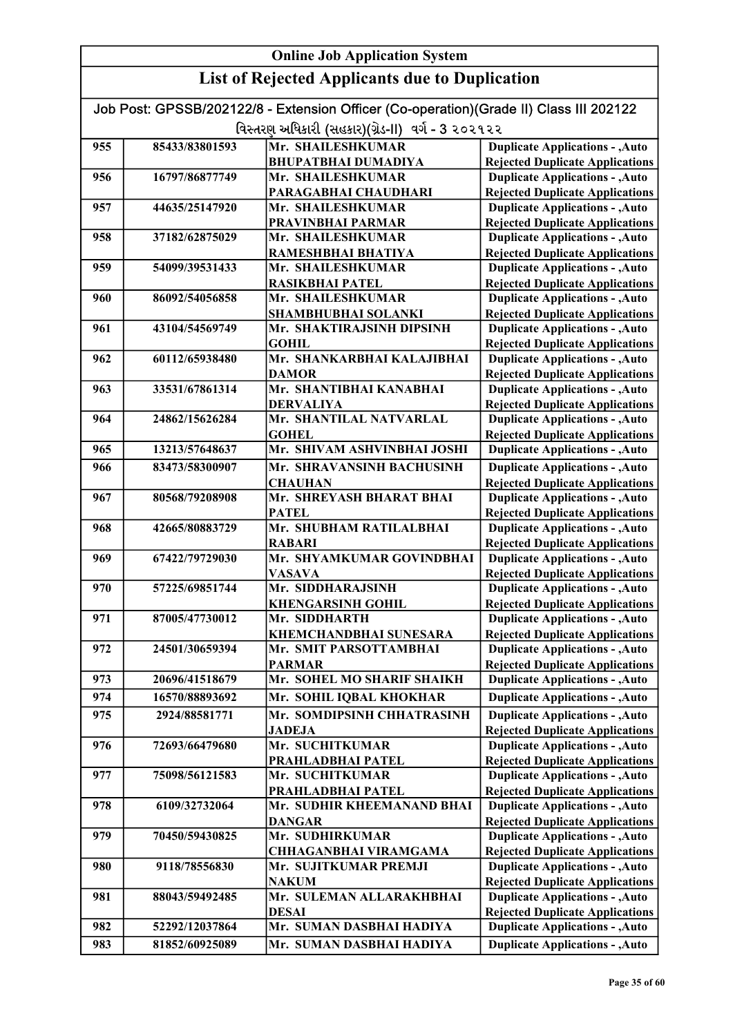|     | <b>Online Job Application System</b>                  |                                                                                        |                                                                                  |
|-----|-------------------------------------------------------|----------------------------------------------------------------------------------------|----------------------------------------------------------------------------------|
|     | <b>List of Rejected Applicants due to Duplication</b> |                                                                                        |                                                                                  |
|     |                                                       | Job Post: GPSSB/202122/8 - Extension Officer (Co-operation)(Grade II) Class III 202122 |                                                                                  |
|     |                                                       | વિસ્તરણ અધિકારી (સહકાર)(ગ્રેડ-II) વર્ગ - 3 ૨૦૨૧૨૨                                      |                                                                                  |
| 955 | 85433/83801593                                        | Mr. SHAILESHKUMAR                                                                      | <b>Duplicate Applications - , Auto</b>                                           |
|     |                                                       | <b>BHUPATBHAI DUMADIYA</b>                                                             | <b>Rejected Duplicate Applications</b>                                           |
| 956 | 16797/86877749                                        | Mr. SHAILESHKUMAR                                                                      | <b>Duplicate Applications - , Auto</b>                                           |
|     |                                                       | PARAGABHAI CHAUDHARI                                                                   | <b>Rejected Duplicate Applications</b>                                           |
| 957 | 44635/25147920                                        | Mr. SHAILESHKUMAR                                                                      | <b>Duplicate Applications - , Auto</b>                                           |
|     |                                                       | PRAVINBHAI PARMAR                                                                      | <b>Rejected Duplicate Applications</b>                                           |
| 958 | 37182/62875029                                        | Mr. SHAILESHKUMAR                                                                      | <b>Duplicate Applications - , Auto</b>                                           |
|     |                                                       | RAMESHBHAI BHATIYA                                                                     | <b>Rejected Duplicate Applications</b>                                           |
| 959 | 54099/39531433                                        | Mr. SHAILESHKUMAR                                                                      | <b>Duplicate Applications - , Auto</b>                                           |
|     |                                                       | <b>RASIKBHAI PATEL</b>                                                                 | <b>Rejected Duplicate Applications</b>                                           |
| 960 | 86092/54056858                                        | Mr. SHAILESHKUMAR                                                                      | <b>Duplicate Applications - , Auto</b>                                           |
|     |                                                       | <b>SHAMBHUBHAI SOLANKI</b>                                                             | <b>Rejected Duplicate Applications</b>                                           |
| 961 | 43104/54569749                                        | Mr. SHAKTIRAJSINH DIPSINH                                                              | <b>Duplicate Applications - , Auto</b>                                           |
|     |                                                       | <b>GOHIL</b>                                                                           | <b>Rejected Duplicate Applications</b>                                           |
| 962 | 60112/65938480                                        | Mr. SHANKARBHAI KALAJIBHAI                                                             | <b>Duplicate Applications - , Auto</b>                                           |
| 963 | 33531/67861314                                        | <b>DAMOR</b><br>Mr. SHANTIBHAI KANABHAI                                                | <b>Rejected Duplicate Applications</b><br><b>Duplicate Applications - , Auto</b> |
|     |                                                       | <b>DERVALIYA</b>                                                                       | <b>Rejected Duplicate Applications</b>                                           |
| 964 | 24862/15626284                                        | Mr. SHANTILAL NATVARLAL                                                                | <b>Duplicate Applications - , Auto</b>                                           |
|     |                                                       | <b>GOHEL</b>                                                                           | <b>Rejected Duplicate Applications</b>                                           |
| 965 | 13213/57648637                                        | Mr. SHIVAM ASHVINBHAI JOSHI                                                            | <b>Duplicate Applications - , Auto</b>                                           |
| 966 | 83473/58300907                                        | Mr. SHRAVANSINH BACHUSINH                                                              | <b>Duplicate Applications - , Auto</b>                                           |
|     |                                                       | <b>CHAUHAN</b>                                                                         | <b>Rejected Duplicate Applications</b>                                           |
| 967 | 80568/79208908                                        | Mr. SHREYASH BHARAT BHAI                                                               | <b>Duplicate Applications - , Auto</b>                                           |
|     |                                                       | <b>PATEL</b>                                                                           | <b>Rejected Duplicate Applications</b>                                           |
| 968 | 42665/80883729                                        | Mr. SHUBHAM RATILALBHAI                                                                | <b>Duplicate Applications - , Auto</b>                                           |
|     |                                                       | <b>RABARI</b>                                                                          | <b>Rejected Duplicate Applications</b>                                           |
| 969 | 67422/79729030                                        | Mr. SHYAMKUMAR GOVINDBHAI                                                              | <b>Duplicate Applications - , Auto</b>                                           |
|     |                                                       | <b>VASAVA</b>                                                                          | <b>Rejected Duplicate Applications</b>                                           |
| 970 | 57225/69851744                                        | Mr. SIDDHARAJSINH                                                                      | <b>Duplicate Applications - , Auto</b>                                           |
|     |                                                       | <b>KHENGARSINH GOHIL</b>                                                               | <b>Rejected Duplicate Applications</b>                                           |
| 971 | 87005/47730012                                        | Mr. SIDDHARTH                                                                          | <b>Duplicate Applications - , Auto</b>                                           |
|     |                                                       | <b>KHEMCHANDBHAI SUNESARA</b>                                                          | <b>Rejected Duplicate Applications</b>                                           |
| 972 | 24501/30659394                                        | Mr. SMIT PARSOTTAMBHAI                                                                 | <b>Duplicate Applications - , Auto</b>                                           |
|     |                                                       | <b>PARMAR</b>                                                                          | <b>Rejected Duplicate Applications</b>                                           |
| 973 | 20696/41518679                                        | Mr. SOHEL MO SHARIF SHAIKH                                                             | <b>Duplicate Applications - , Auto</b>                                           |
| 974 | 16570/88893692                                        | Mr. SOHIL IQBAL KHOKHAR                                                                | <b>Duplicate Applications - , Auto</b>                                           |
| 975 | 2924/88581771                                         | Mr. SOMDIPSINH CHHATRASINH                                                             | <b>Duplicate Applications - , Auto</b>                                           |
|     |                                                       | <b>JADEJA</b>                                                                          | <b>Rejected Duplicate Applications</b>                                           |
| 976 | 72693/66479680                                        | Mr. SUCHITKUMAR                                                                        | <b>Duplicate Applications - , Auto</b>                                           |
|     |                                                       | PRAHLADBHAI PATEL                                                                      | <b>Rejected Duplicate Applications</b>                                           |
| 977 | 75098/56121583                                        | Mr. SUCHITKUMAR                                                                        | <b>Duplicate Applications - , Auto</b>                                           |
|     |                                                       | PRAHLADBHAI PATEL                                                                      | <b>Rejected Duplicate Applications</b>                                           |
| 978 | 6109/32732064                                         | Mr. SUDHIR KHEEMANAND BHAI                                                             | <b>Duplicate Applications - , Auto</b>                                           |
|     |                                                       | <b>DANGAR</b>                                                                          | <b>Rejected Duplicate Applications</b>                                           |
| 979 | 70450/59430825                                        | Mr. SUDHIRKUMAR                                                                        | <b>Duplicate Applications - , Auto</b>                                           |
| 980 | 9118/78556830                                         | CHHAGANBHAI VIRAMGAMA<br>Mr. SUJITKUMAR PREMJI                                         | <b>Rejected Duplicate Applications</b><br><b>Duplicate Applications - , Auto</b> |
|     |                                                       | <b>NAKUM</b>                                                                           | <b>Rejected Duplicate Applications</b>                                           |
| 981 | 88043/59492485                                        | Mr. SULEMAN ALLARAKHBHAI                                                               | <b>Duplicate Applications - , Auto</b>                                           |
|     |                                                       | <b>DESAI</b>                                                                           | <b>Rejected Duplicate Applications</b>                                           |
| 982 | 52292/12037864                                        | Mr. SUMAN DASBHAI HADIYA                                                               | <b>Duplicate Applications - , Auto</b>                                           |
| 983 | 81852/60925089                                        | Mr. SUMAN DASBHAI HADIYA                                                               | <b>Duplicate Applications - , Auto</b>                                           |
|     |                                                       |                                                                                        |                                                                                  |

Rejected Duplicate Applications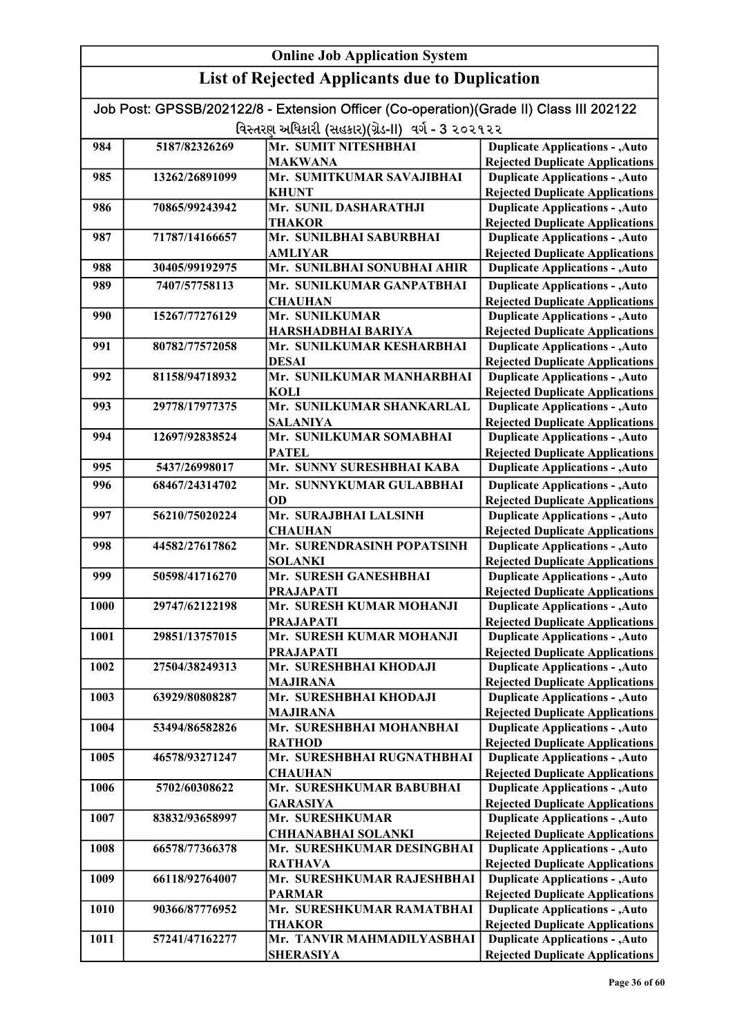| Job Post: GPSSB/202122/8 - Extension Officer (Co-operation) (Grade II) Class III 202122 |
|-----------------------------------------------------------------------------------------|
| વિસ્તરણ અધિકારી (સહકાર)(ગ્રેડ-II)  વર્ગ - 3 ૨૦૨૧૨૨                                      |

|      |                | $1.35$ and $1.35$ and $1.35$ and $1.35$ and $1.35$ and $1.35$ and $1.35$ and $1.35$ and $1.35$ and $1.35$ and $1.35$ and $1.35$ and $1.35$ and $1.35$ and $1.35$ and $1.35$ and $1.35$ and $1.35$ and $1.35$ and $1.35$ and |                                                                                  |
|------|----------------|-----------------------------------------------------------------------------------------------------------------------------------------------------------------------------------------------------------------------------|----------------------------------------------------------------------------------|
| 984  | 5187/82326269  | Mr. SUMIT NITESHBHAI                                                                                                                                                                                                        | <b>Duplicate Applications - , Auto</b>                                           |
|      |                | <b>MAKWANA</b>                                                                                                                                                                                                              | <b>Rejected Duplicate Applications</b>                                           |
| 985  | 13262/26891099 | Mr. SUMITKUMAR SAVAJIBHAI                                                                                                                                                                                                   | <b>Duplicate Applications - , Auto</b>                                           |
|      |                | <b>KHUNT</b>                                                                                                                                                                                                                | <b>Rejected Duplicate Applications</b>                                           |
| 986  | 70865/99243942 | Mr. SUNIL DASHARATHJI                                                                                                                                                                                                       | <b>Duplicate Applications - , Auto</b>                                           |
|      |                | <b>THAKOR</b>                                                                                                                                                                                                               | <b>Rejected Duplicate Applications</b>                                           |
| 987  | 71787/14166657 | Mr. SUNILBHAI SABURBHAI                                                                                                                                                                                                     | <b>Duplicate Applications - , Auto</b>                                           |
|      |                | <b>AMLIYAR</b>                                                                                                                                                                                                              | <b>Rejected Duplicate Applications</b>                                           |
| 988  | 30405/99192975 | Mr. SUNILBHAI SONUBHAI AHIR                                                                                                                                                                                                 | <b>Duplicate Applications - , Auto</b>                                           |
| 989  | 7407/57758113  | Mr. SUNILKUMAR GANPATBHAI                                                                                                                                                                                                   | <b>Duplicate Applications - , Auto</b>                                           |
|      |                | <b>CHAUHAN</b>                                                                                                                                                                                                              | <b>Rejected Duplicate Applications</b>                                           |
| 990  | 15267/77276129 | Mr. SUNILKUMAR                                                                                                                                                                                                              | <b>Duplicate Applications - , Auto</b>                                           |
|      |                | HARSHADBHAI BARIYA                                                                                                                                                                                                          | <b>Rejected Duplicate Applications</b>                                           |
| 991  | 80782/77572058 | Mr. SUNILKUMAR KESHARBHAI                                                                                                                                                                                                   | <b>Duplicate Applications - , Auto</b>                                           |
|      |                | <b>DESAI</b>                                                                                                                                                                                                                | <b>Rejected Duplicate Applications</b>                                           |
| 992  | 81158/94718932 | Mr. SUNILKUMAR MANHARBHAI                                                                                                                                                                                                   | <b>Duplicate Applications - , Auto</b>                                           |
|      |                | <b>KOLI</b>                                                                                                                                                                                                                 | <b>Rejected Duplicate Applications</b>                                           |
| 993  | 29778/17977375 | Mr. SUNILKUMAR SHANKARLAL                                                                                                                                                                                                   | <b>Duplicate Applications - , Auto</b>                                           |
|      |                | <b>SALANIYA</b>                                                                                                                                                                                                             | <b>Rejected Duplicate Applications</b>                                           |
| 994  | 12697/92838524 | Mr. SUNILKUMAR SOMABHAI                                                                                                                                                                                                     | <b>Duplicate Applications - , Auto</b>                                           |
|      |                | <b>PATEL</b><br>Mr. SUNNY SURESHBHAI KABA                                                                                                                                                                                   | <b>Rejected Duplicate Applications</b>                                           |
| 995  | 5437/26998017  |                                                                                                                                                                                                                             | <b>Duplicate Applications - , Auto</b>                                           |
| 996  | 68467/24314702 | Mr. SUNNYKUMAR GULABBHAI                                                                                                                                                                                                    | <b>Duplicate Applications - , Auto</b>                                           |
|      |                | OD                                                                                                                                                                                                                          | <b>Rejected Duplicate Applications</b>                                           |
| 997  | 56210/75020224 | Mr. SURAJBHAI LALSINH                                                                                                                                                                                                       | <b>Duplicate Applications - , Auto</b>                                           |
| 998  | 44582/27617862 | <b>CHAUHAN</b><br>Mr. SURENDRASINH POPATSINH                                                                                                                                                                                | <b>Rejected Duplicate Applications</b>                                           |
|      |                | <b>SOLANKI</b>                                                                                                                                                                                                              | <b>Duplicate Applications - , Auto</b><br><b>Rejected Duplicate Applications</b> |
| 999  | 50598/41716270 | Mr. SURESH GANESHBHAI                                                                                                                                                                                                       | <b>Duplicate Applications - , Auto</b>                                           |
|      |                | <b>PRAJAPATI</b>                                                                                                                                                                                                            | <b>Rejected Duplicate Applications</b>                                           |
| 1000 | 29747/62122198 | Mr. SURESH KUMAR MOHANJI                                                                                                                                                                                                    | <b>Duplicate Applications - , Auto</b>                                           |
|      |                | <b>PRAJAPATI</b>                                                                                                                                                                                                            | <b>Rejected Duplicate Applications</b>                                           |
| 1001 | 29851/13757015 | Mr. SURESH KUMAR MOHANJI                                                                                                                                                                                                    | <b>Duplicate Applications - , Auto</b>                                           |
|      |                | <b>PRAJAPATI</b>                                                                                                                                                                                                            | <b>Rejected Duplicate Applications</b>                                           |
| 1002 | 27504/38249313 | Mr. SURESHBHAI KHODAJI                                                                                                                                                                                                      | <b>Duplicate Applications - , Auto</b>                                           |
|      |                | <b>MAJIRANA</b>                                                                                                                                                                                                             | <b>Rejected Duplicate Applications</b>                                           |
| 1003 | 63929/80808287 | Mr. SURESHBHAI KHODAJI                                                                                                                                                                                                      | <b>Duplicate Applications - , Auto</b>                                           |
|      |                | <b>MAJIRANA</b>                                                                                                                                                                                                             | <b>Rejected Duplicate Applications</b>                                           |
| 1004 | 53494/86582826 | Mr. SURESHBHAI MOHANBHAI                                                                                                                                                                                                    | <b>Duplicate Applications - , Auto</b>                                           |
|      |                | <b>RATHOD</b>                                                                                                                                                                                                               | <b>Rejected Duplicate Applications</b>                                           |
| 1005 | 46578/93271247 | Mr. SURESHBHAI RUGNATHBHAI                                                                                                                                                                                                  | <b>Duplicate Applications - , Auto</b>                                           |
|      |                | <b>CHAUHAN</b>                                                                                                                                                                                                              | <b>Rejected Duplicate Applications</b>                                           |
| 1006 | 5702/60308622  | Mr. SURESHKUMAR BABUBHAI                                                                                                                                                                                                    | <b>Duplicate Applications - , Auto</b>                                           |
|      |                | <b>GARASIYA</b>                                                                                                                                                                                                             | <b>Rejected Duplicate Applications</b>                                           |
| 1007 | 83832/93658997 | Mr. SURESHKUMAR                                                                                                                                                                                                             | <b>Duplicate Applications - , Auto</b>                                           |
|      |                | <b>CHHANABHAI SOLANKI</b>                                                                                                                                                                                                   | <b>Rejected Duplicate Applications</b>                                           |
| 1008 | 66578/77366378 | Mr. SURESHKUMAR DESINGBHAI                                                                                                                                                                                                  | <b>Duplicate Applications - , Auto</b>                                           |
|      |                | <b>RATHAVA</b>                                                                                                                                                                                                              | <b>Rejected Duplicate Applications</b>                                           |
| 1009 | 66118/92764007 | Mr. SURESHKUMAR RAJESHBHAI                                                                                                                                                                                                  | <b>Duplicate Applications - , Auto</b>                                           |
|      |                | <b>PARMAR</b>                                                                                                                                                                                                               | <b>Rejected Duplicate Applications</b>                                           |
| 1010 | 90366/87776952 | Mr. SURESHKUMAR RAMATBHAI                                                                                                                                                                                                   | <b>Duplicate Applications - , Auto</b>                                           |
|      |                | <b>THAKOR</b><br>Mr. TANVIR MAHMADILYASBHAI                                                                                                                                                                                 | <b>Rejected Duplicate Applications</b>                                           |
| 1011 | 57241/47162277 |                                                                                                                                                                                                                             | <b>Duplicate Applications - , Auto</b>                                           |
|      |                | <b>SHERASIYA</b>                                                                                                                                                                                                            | <b>Rejected Duplicate Applications</b>                                           |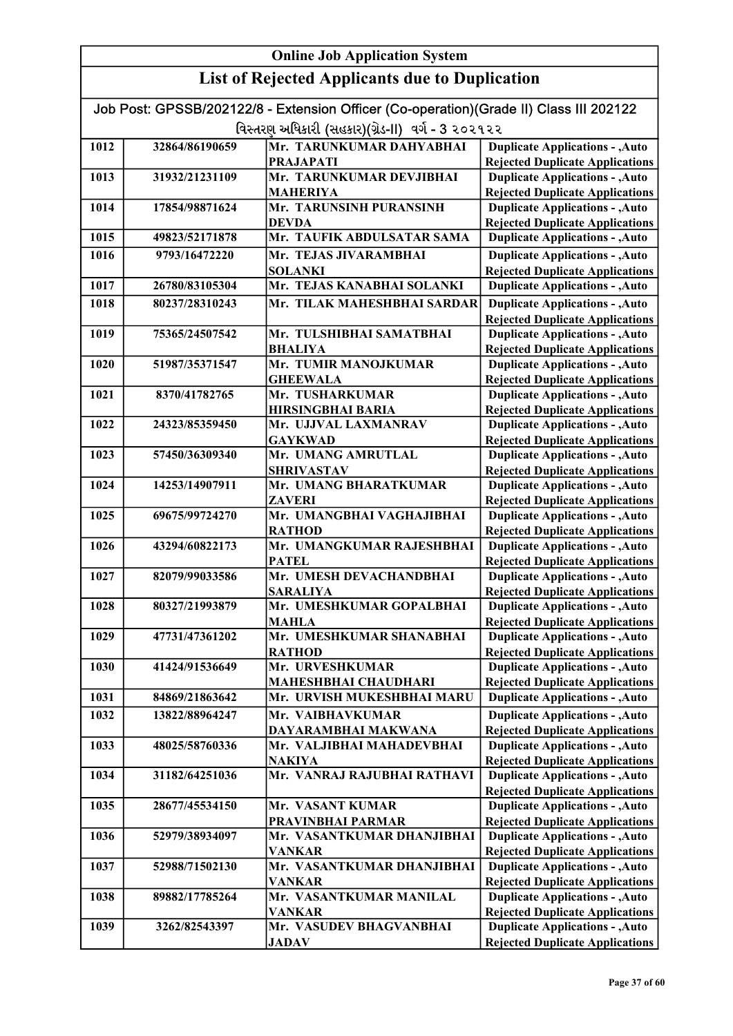|      |                                                   | Job Post: GPSSB/202122/8 - Extension Officer (Co-operation)(Grade II) Class III 202122 |                                                                                  |
|------|---------------------------------------------------|----------------------------------------------------------------------------------------|----------------------------------------------------------------------------------|
|      | વિસ્તરણ અધિકારી (સહકાર)(ગ્રેડ-II) વર્ગ - 3 ૨૦૨૧૨૨ |                                                                                        |                                                                                  |
| 1012 | 32864/86190659                                    | Mr. TARUNKUMAR DAHYABHAI                                                               | <b>Duplicate Applications - , Auto</b>                                           |
|      |                                                   | <b>PRAJAPATI</b>                                                                       | <b>Rejected Duplicate Applications</b>                                           |
| 1013 | 31932/21231109                                    | Mr. TARUNKUMAR DEVJIBHAI                                                               | <b>Duplicate Applications - , Auto</b>                                           |
|      |                                                   | <b>MAHERIYA</b>                                                                        | <b>Rejected Duplicate Applications</b>                                           |
| 1014 | 17854/98871624                                    | Mr. TARUNSINH PURANSINH                                                                | <b>Duplicate Applications - , Auto</b>                                           |
| 1015 | 49823/52171878                                    | <b>DEVDA</b><br>Mr. TAUFIK ABDULSATAR SAMA                                             | <b>Rejected Duplicate Applications</b>                                           |
|      |                                                   |                                                                                        | <b>Duplicate Applications - , Auto</b>                                           |
| 1016 | 9793/16472220                                     | Mr. TEJAS JIVARAMBHAI<br><b>SOLANKI</b>                                                | <b>Duplicate Applications - , Auto</b><br><b>Rejected Duplicate Applications</b> |
| 1017 | 26780/83105304                                    | Mr. TEJAS KANABHAI SOLANKI                                                             | <b>Duplicate Applications - , Auto</b>                                           |
| 1018 | 80237/28310243                                    | Mr. TILAK MAHESHBHAI SARDAR                                                            | <b>Duplicate Applications - , Auto</b>                                           |
|      |                                                   |                                                                                        | <b>Rejected Duplicate Applications</b>                                           |
| 1019 | 75365/24507542                                    | Mr. TULSHIBHAI SAMATBHAI                                                               | <b>Duplicate Applications - , Auto</b>                                           |
|      |                                                   | <b>BHALIYA</b>                                                                         | <b>Rejected Duplicate Applications</b>                                           |
| 1020 | 51987/35371547                                    | Mr. TUMIR MANOJKUMAR                                                                   | <b>Duplicate Applications - , Auto</b>                                           |
|      |                                                   | <b>GHEEWALA</b>                                                                        | <b>Rejected Duplicate Applications</b>                                           |
| 1021 | 8370/41782765                                     | Mr. TUSHARKUMAR                                                                        | <b>Duplicate Applications - , Auto</b>                                           |
|      |                                                   | <b>HIRSINGBHAI BARIA</b>                                                               | <b>Rejected Duplicate Applications</b>                                           |
| 1022 | 24323/85359450                                    | Mr. UJJVAL LAXMANRAV                                                                   | <b>Duplicate Applications - , Auto</b>                                           |
| 1023 | 57450/36309340                                    | <b>GAYKWAD</b><br>Mr. UMANG AMRUTLAL                                                   | <b>Rejected Duplicate Applications</b><br><b>Duplicate Applications - , Auto</b> |
|      |                                                   | <b>SHRIVASTAV</b>                                                                      | <b>Rejected Duplicate Applications</b>                                           |
| 1024 | 14253/14907911                                    | Mr. UMANG BHARATKUMAR                                                                  | <b>Duplicate Applications - , Auto</b>                                           |
|      |                                                   | <b>ZAVERI</b>                                                                          | <b>Rejected Duplicate Applications</b>                                           |
| 1025 | 69675/99724270                                    | Mr. UMANGBHAI VAGHAJIBHAI                                                              | <b>Duplicate Applications - , Auto</b>                                           |
|      |                                                   | <b>RATHOD</b>                                                                          | <b>Rejected Duplicate Applications</b>                                           |
| 1026 | 43294/60822173                                    | Mr. UMANGKUMAR RAJESHBHAI                                                              | <b>Duplicate Applications - , Auto</b>                                           |
|      |                                                   | <b>PATEL</b>                                                                           | <b>Rejected Duplicate Applications</b>                                           |
| 1027 | 82079/99033586                                    | Mr. UMESH DEVACHANDBHAI                                                                | <b>Duplicate Applications - , Auto</b>                                           |
|      |                                                   | <b>SARALIYA</b>                                                                        | <b>Rejected Duplicate Applications</b>                                           |
| 1028 | 80327/21993879                                    | Mr. UMESHKUMAR GOPALBHAI<br><b>MAHLA</b>                                               | <b>Duplicate Applications - , Auto</b><br><b>Rejected Duplicate Applications</b> |
| 1029 | 47731/47361202                                    | Mr. UMESHKUMAR SHANABHAI                                                               | <b>Duplicate Applications - , Auto</b>                                           |
|      |                                                   | <b>RATHOD</b>                                                                          | <b>Rejected Duplicate Applications</b>                                           |
| 1030 | 41424/91536649                                    | Mr. URVESHKUMAR                                                                        | <b>Duplicate Applications - , Auto</b>                                           |
|      |                                                   | <b>MAHESHBHAI CHAUDHARI</b>                                                            | <b>Rejected Duplicate Applications</b>                                           |
| 1031 | 84869/21863642                                    | Mr. URVISH MUKESHBHAI MARU                                                             | <b>Duplicate Applications - , Auto</b>                                           |
| 1032 | 13822/88964247                                    | Mr. VAIBHAVKUMAR                                                                       | <b>Duplicate Applications - , Auto</b>                                           |
|      |                                                   | DAYARAMBHAI MAKWANA                                                                    | <b>Rejected Duplicate Applications</b>                                           |
| 1033 | 48025/58760336                                    | Mr. VALJIBHAI MAHADEVBHAI                                                              | <b>Duplicate Applications - , Auto</b>                                           |
|      |                                                   | <b>NAKIYA</b>                                                                          | <b>Rejected Duplicate Applications</b>                                           |
| 1034 | 31182/64251036                                    | Mr. VANRAJ RAJUBHAI RATHAVI                                                            | <b>Duplicate Applications - , Auto</b>                                           |
| 1035 | 28677/45534150                                    | Mr. VASANT KUMAR                                                                       | <b>Rejected Duplicate Applications</b><br><b>Duplicate Applications - , Auto</b> |
|      |                                                   | PRAVINBHAI PARMAR                                                                      | <b>Rejected Duplicate Applications</b>                                           |
| 1036 | 52979/38934097                                    | Mr. VASANTKUMAR DHANJIBHAI                                                             | <b>Duplicate Applications - , Auto</b>                                           |
|      |                                                   | <b>VANKAR</b>                                                                          | <b>Rejected Duplicate Applications</b>                                           |
| 1037 | 52988/71502130                                    | Mr. VASANTKUMAR DHANJIBHAI                                                             | <b>Duplicate Applications - , Auto</b>                                           |
|      |                                                   | <b>VANKAR</b>                                                                          | <b>Rejected Duplicate Applications</b>                                           |
| 1038 | 89882/17785264                                    | Mr. VASANTKUMAR MANILAL                                                                | <b>Duplicate Applications - , Auto</b>                                           |
|      |                                                   | <b>VANKAR</b>                                                                          | <b>Rejected Duplicate Applications</b>                                           |
| 1039 | 3262/82543397                                     | Mr. VASUDEV BHAGVANBHAI                                                                | <b>Duplicate Applications - , Auto</b>                                           |
|      |                                                   | <b>JADAV</b>                                                                           | <b>Rejected Duplicate Applications</b>                                           |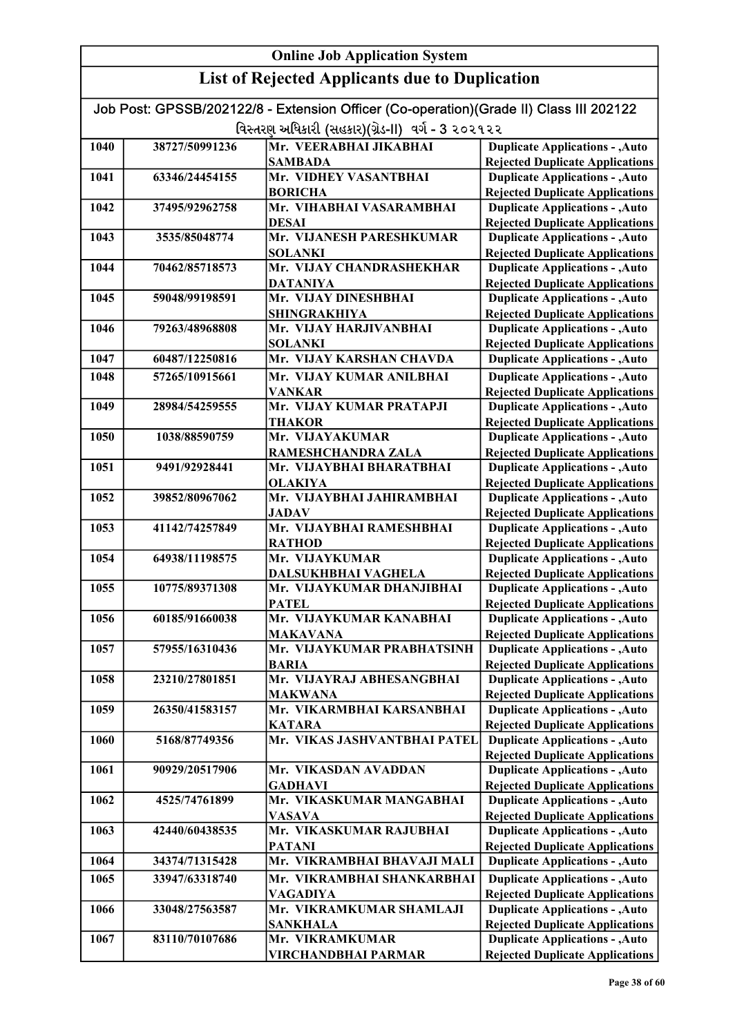| Job Post: GPSSB/202122/8 - Extension Officer (Co-operation)(Grade II) Class III 202122 |                                                   |                                                         |                                                                                  |
|----------------------------------------------------------------------------------------|---------------------------------------------------|---------------------------------------------------------|----------------------------------------------------------------------------------|
|                                                                                        | વિસ્તરણ અધિકારી (સહકાર)(ગ્રેડ-II) વર્ગ - 3 ૨૦૨૧૨૨ |                                                         |                                                                                  |
| 1040                                                                                   | 38727/50991236                                    | Mr. VEERABHAI JIKABHAI                                  | <b>Duplicate Applications - , Auto</b>                                           |
|                                                                                        |                                                   | <b>SAMBADA</b>                                          | <b>Rejected Duplicate Applications</b>                                           |
| 1041                                                                                   | 63346/24454155                                    | Mr. VIDHEY VASANTBHAI                                   | <b>Duplicate Applications - , Auto</b>                                           |
|                                                                                        |                                                   | <b>BORICHA</b>                                          | <b>Rejected Duplicate Applications</b>                                           |
| 1042                                                                                   | 37495/92962758                                    | Mr. VIHABHAI VASARAMBHAI                                | <b>Duplicate Applications - , Auto</b>                                           |
|                                                                                        |                                                   | <b>DESAI</b>                                            | <b>Rejected Duplicate Applications</b>                                           |
| 1043                                                                                   | 3535/85048774                                     | Mr. VIJANESH PARESHKUMAR                                | <b>Duplicate Applications - , Auto</b>                                           |
|                                                                                        |                                                   | <b>SOLANKI</b>                                          | <b>Rejected Duplicate Applications</b>                                           |
| 1044                                                                                   | 70462/85718573                                    | Mr. VIJAY CHANDRASHEKHAR                                | <b>Duplicate Applications - , Auto</b>                                           |
|                                                                                        |                                                   | <b>DATANIYA</b>                                         | <b>Rejected Duplicate Applications</b>                                           |
| 1045                                                                                   | 59048/99198591                                    | Mr. VIJAY DINESHBHAI                                    | <b>Duplicate Applications - , Auto</b>                                           |
| 1046                                                                                   | 79263/48968808                                    | <b>SHINGRAKHIYA</b><br>Mr. VIJAY HARJIVANBHAI           | <b>Rejected Duplicate Applications</b><br><b>Duplicate Applications - , Auto</b> |
|                                                                                        |                                                   | <b>SOLANKI</b>                                          | <b>Rejected Duplicate Applications</b>                                           |
| 1047                                                                                   | 60487/12250816                                    | Mr. VIJAY KARSHAN CHAVDA                                | <b>Duplicate Applications - , Auto</b>                                           |
| 1048                                                                                   | 57265/10915661                                    | Mr. VIJAY KUMAR ANILBHAI                                |                                                                                  |
|                                                                                        |                                                   | <b>VANKAR</b>                                           | <b>Duplicate Applications - , Auto</b><br><b>Rejected Duplicate Applications</b> |
| 1049                                                                                   | 28984/54259555                                    | Mr. VIJAY KUMAR PRATAPJI                                | <b>Duplicate Applications - , Auto</b>                                           |
|                                                                                        |                                                   | <b>THAKOR</b>                                           | <b>Rejected Duplicate Applications</b>                                           |
| 1050                                                                                   | 1038/88590759                                     | Mr. VIJAYAKUMAR                                         | <b>Duplicate Applications - , Auto</b>                                           |
|                                                                                        |                                                   | RAMESHCHANDRA ZALA                                      | <b>Rejected Duplicate Applications</b>                                           |
| 1051                                                                                   | 9491/92928441                                     | Mr. VIJAYBHAI BHARATBHAI                                | <b>Duplicate Applications - , Auto</b>                                           |
|                                                                                        |                                                   | <b>OLAKIYA</b>                                          | <b>Rejected Duplicate Applications</b>                                           |
| 1052                                                                                   | 39852/80967062                                    | Mr. VIJAYBHAI JAHIRAMBHAI                               | <b>Duplicate Applications - , Auto</b>                                           |
|                                                                                        |                                                   | <b>JADAV</b>                                            | <b>Rejected Duplicate Applications</b>                                           |
| 1053                                                                                   | 41142/74257849                                    | Mr. VIJAYBHAI RAMESHBHAI                                | <b>Duplicate Applications - , Auto</b>                                           |
|                                                                                        |                                                   | <b>RATHOD</b>                                           | <b>Rejected Duplicate Applications</b>                                           |
| 1054                                                                                   | 64938/11198575                                    | Mr. VIJAYKUMAR                                          | <b>Duplicate Applications - , Auto</b>                                           |
| 1055                                                                                   | 10775/89371308                                    | <b>DALSUKHBHAI VAGHELA</b><br>Mr. VIJAYKUMAR DHANJIBHAI | <b>Rejected Duplicate Applications</b><br><b>Duplicate Applications - , Auto</b> |
|                                                                                        |                                                   | <b>PATEL</b>                                            | <b>Rejected Duplicate Applications</b>                                           |
| 1056                                                                                   | 60185/91660038                                    | Mr. VIJAYKUMAR KANABHAI                                 | <b>Duplicate Applications - , Auto</b>                                           |
|                                                                                        |                                                   | MAKAVANA                                                | <b>Rejected Duplicate Applications</b>                                           |
| 1057                                                                                   | 57955/16310436                                    | Mr. VIJAYKUMAR PRABHATSINH                              | <b>Duplicate Applications - , Auto</b>                                           |
|                                                                                        |                                                   | BARIA                                                   | <b>Rejected Duplicate Applications</b>                                           |
| 1058                                                                                   | 23210/27801851                                    | Mr. VIJAYRAJ ABHESANGBHAI                               | <b>Duplicate Applications - , Auto</b>                                           |
|                                                                                        |                                                   | <b>MAKWANA</b>                                          | <b>Rejected Duplicate Applications</b>                                           |
| 1059                                                                                   | 26350/41583157                                    | Mr. VIKARMBHAI KARSANBHAI                               | <b>Duplicate Applications - , Auto</b>                                           |
|                                                                                        |                                                   | <b>KATARA</b>                                           | <b>Rejected Duplicate Applications</b>                                           |
| 1060                                                                                   | 5168/87749356                                     | Mr. VIKAS JASHVANTBHAI PATEL                            | <b>Duplicate Applications - , Auto</b>                                           |
|                                                                                        |                                                   |                                                         | <b>Rejected Duplicate Applications</b>                                           |
| 1061                                                                                   | 90929/20517906                                    | Mr. VIKASDAN AVADDAN                                    | <b>Duplicate Applications - , Auto</b>                                           |
| 1062                                                                                   | 4525/74761899                                     | <b>GADHAVI</b><br>Mr. VIKASKUMAR MANGABHAI              | <b>Rejected Duplicate Applications</b><br><b>Duplicate Applications - , Auto</b> |
|                                                                                        |                                                   | <b>VASAVA</b>                                           | <b>Rejected Duplicate Applications</b>                                           |
| 1063                                                                                   | 42440/60438535                                    | Mr. VIKASKUMAR RAJUBHAI                                 | <b>Duplicate Applications - , Auto</b>                                           |
|                                                                                        |                                                   | <b>PATANI</b>                                           | <b>Rejected Duplicate Applications</b>                                           |
| 1064                                                                                   | 34374/71315428                                    | Mr. VIKRAMBHAI BHAVAJI MALI                             | <b>Duplicate Applications - , Auto</b>                                           |
| 1065                                                                                   | 33947/63318740                                    | Mr. VIKRAMBHAI SHANKARBHAI                              | <b>Duplicate Applications - , Auto</b>                                           |
|                                                                                        |                                                   | <b>VAGADIYA</b>                                         | <b>Rejected Duplicate Applications</b>                                           |
| 1066                                                                                   | 33048/27563587                                    | Mr. VIKRAMKUMAR SHAMLAJI                                | <b>Duplicate Applications - , Auto</b>                                           |
|                                                                                        |                                                   | <b>SANKHALA</b>                                         | <b>Rejected Duplicate Applications</b>                                           |
| 1067                                                                                   | 83110/70107686                                    | Mr. VIKRAMKUMAR                                         | <b>Duplicate Applications - , Auto</b>                                           |
|                                                                                        |                                                   | VIRCHANDBHAI PARMAR                                     | <b>Rejected Duplicate Applications</b>                                           |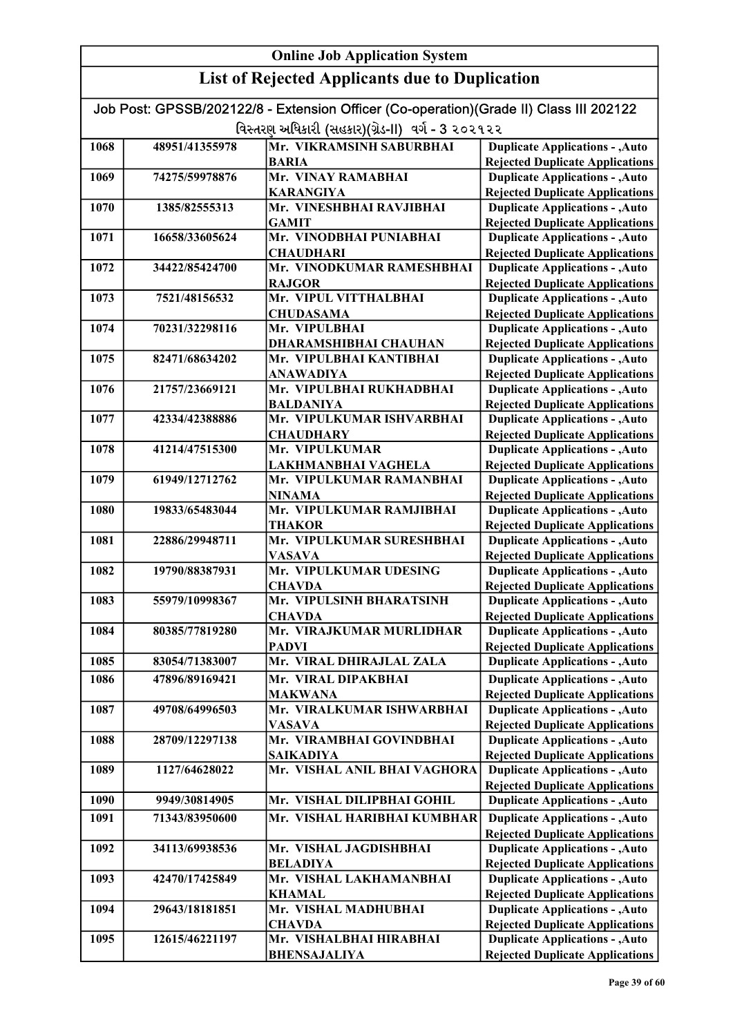|      | Job Post: GPSSB/202122/8 - Extension Officer (Co-operation)(Grade II) Class III 202122 |                                                   |                                                                                  |
|------|----------------------------------------------------------------------------------------|---------------------------------------------------|----------------------------------------------------------------------------------|
|      |                                                                                        | વિસ્તરણ અધિકારી (સહકાર)(ગ્રેડ-II) વર્ગ - 3 ૨૦૨૧૨૨ |                                                                                  |
| 1068 | 48951/41355978                                                                         | Mr. VIKRAMSINH SABURBHAI                          | <b>Duplicate Applications - , Auto</b>                                           |
|      |                                                                                        | <b>BARIA</b>                                      | <b>Rejected Duplicate Applications</b>                                           |
| 1069 | 74275/59978876                                                                         | Mr. VINAY RAMABHAI                                | <b>Duplicate Applications - , Auto</b>                                           |
|      |                                                                                        | <b>KARANGIYA</b>                                  | <b>Rejected Duplicate Applications</b>                                           |
| 1070 | 1385/82555313                                                                          | Mr. VINESHBHAI RAVJIBHAI                          | <b>Duplicate Applications - , Auto</b>                                           |
|      |                                                                                        | <b>GAMIT</b>                                      | <b>Rejected Duplicate Applications</b>                                           |
| 1071 | 16658/33605624                                                                         | Mr. VINODBHAI PUNIABHAI                           | <b>Duplicate Applications - , Auto</b>                                           |
|      |                                                                                        | <b>CHAUDHARI</b>                                  | <b>Rejected Duplicate Applications</b>                                           |
| 1072 | 34422/85424700                                                                         | Mr. VINODKUMAR RAMESHBHAI                         | <b>Duplicate Applications - , Auto</b>                                           |
| 1073 | 7521/48156532                                                                          | <b>RAJGOR</b><br>Mr. VIPUL VITTHALBHAI            | <b>Rejected Duplicate Applications</b><br><b>Duplicate Applications - , Auto</b> |
|      |                                                                                        | <b>CHUDASAMA</b>                                  | <b>Rejected Duplicate Applications</b>                                           |
| 1074 | 70231/32298116                                                                         | Mr. VIPULBHAI                                     | <b>Duplicate Applications - , Auto</b>                                           |
|      |                                                                                        | DHARAMSHIBHAI CHAUHAN                             | <b>Rejected Duplicate Applications</b>                                           |
| 1075 | 82471/68634202                                                                         | Mr. VIPULBHAI KANTIBHAI                           | <b>Duplicate Applications - , Auto</b>                                           |
|      |                                                                                        | <b>ANAWADIYA</b>                                  | <b>Rejected Duplicate Applications</b>                                           |
| 1076 | 21757/23669121                                                                         | Mr. VIPULBHAI RUKHADBHAI                          | <b>Duplicate Applications - , Auto</b>                                           |
|      |                                                                                        | <b>BALDANIYA</b>                                  | <b>Rejected Duplicate Applications</b>                                           |
| 1077 | 42334/42388886                                                                         | Mr. VIPULKUMAR ISHVARBHAI                         | <b>Duplicate Applications - , Auto</b>                                           |
|      |                                                                                        | <b>CHAUDHARY</b>                                  | <b>Rejected Duplicate Applications</b>                                           |
| 1078 | 41214/47515300                                                                         | Mr. VIPULKUMAR                                    | <b>Duplicate Applications - , Auto</b>                                           |
|      |                                                                                        | LAKHMANBHAI VAGHELA                               | <b>Rejected Duplicate Applications</b>                                           |
| 1079 | 61949/12712762                                                                         | Mr. VIPULKUMAR RAMANBHAI                          | <b>Duplicate Applications - , Auto</b>                                           |
|      |                                                                                        | <b>NINAMA</b>                                     | <b>Rejected Duplicate Applications</b>                                           |
| 1080 | 19833/65483044                                                                         | Mr. VIPULKUMAR RAMJIBHAI                          | <b>Duplicate Applications - , Auto</b>                                           |
|      |                                                                                        | <b>THAKOR</b>                                     | <b>Rejected Duplicate Applications</b>                                           |
| 1081 | 22886/29948711                                                                         | Mr. VIPULKUMAR SURESHBHAI                         | <b>Duplicate Applications - , Auto</b>                                           |
|      |                                                                                        | <b>VASAVA</b>                                     | <b>Rejected Duplicate Applications</b>                                           |
| 1082 | 19790/88387931                                                                         | Mr. VIPULKUMAR UDESING                            | <b>Duplicate Applications - , Auto</b>                                           |
| 1083 |                                                                                        | <b>CHAVDA</b><br>Mr. VIPULSINH BHARATSINH         | <b>Rejected Duplicate Applications</b><br><b>Duplicate Applications - , Auto</b> |
|      | 55979/10998367                                                                         | <b>CHAVDA</b>                                     | <b>Rejected Duplicate Applications</b>                                           |
| 1084 | 80385/77819280                                                                         | Mr. VIRAJKUMAR MURLIDHAR                          | <b>Duplicate Applications - , Auto</b>                                           |
|      |                                                                                        | <b>PADVI</b>                                      | <b>Rejected Duplicate Applications</b>                                           |
| 1085 | 83054/71383007                                                                         | Mr. VIRAL DHIRAJLAL ZALA                          | <b>Duplicate Applications - , Auto</b>                                           |
| 1086 | 47896/89169421                                                                         | Mr. VIRAL DIPAKBHAI                               | <b>Duplicate Applications - , Auto</b>                                           |
|      |                                                                                        | <b>MAKWANA</b>                                    | <b>Rejected Duplicate Applications</b>                                           |
| 1087 | 49708/64996503                                                                         | Mr. VIRALKUMAR ISHWARBHAI                         | <b>Duplicate Applications - , Auto</b>                                           |
|      |                                                                                        | <b>VASAVA</b>                                     | <b>Rejected Duplicate Applications</b>                                           |
| 1088 | 28709/12297138                                                                         | Mr. VIRAMBHAI GOVINDBHAI                          | <b>Duplicate Applications - , Auto</b>                                           |
|      |                                                                                        | <b>SAIKADIYA</b>                                  | <b>Rejected Duplicate Applications</b>                                           |
| 1089 | 1127/64628022                                                                          | Mr. VISHAL ANIL BHAI VAGHORA                      | <b>Duplicate Applications - , Auto</b>                                           |
|      |                                                                                        |                                                   | <b>Rejected Duplicate Applications</b>                                           |
| 1090 | 9949/30814905                                                                          | Mr. VISHAL DILIPBHAI GOHIL                        | <b>Duplicate Applications - , Auto</b>                                           |
| 1091 | 71343/83950600                                                                         | Mr. VISHAL HARIBHAI KUMBHAR                       | <b>Duplicate Applications - , Auto</b>                                           |
|      |                                                                                        |                                                   | <b>Rejected Duplicate Applications</b>                                           |
| 1092 | 34113/69938536                                                                         | Mr. VISHAL JAGDISHBHAI                            | <b>Duplicate Applications - , Auto</b>                                           |
|      |                                                                                        | <b>BELADIYA</b>                                   | <b>Rejected Duplicate Applications</b>                                           |
| 1093 | 42470/17425849                                                                         | Mr. VISHAL LAKHAMANBHAI                           | <b>Duplicate Applications - , Auto</b>                                           |
|      |                                                                                        | <b>KHAMAL</b>                                     | <b>Rejected Duplicate Applications</b>                                           |
| 1094 | 29643/18181851                                                                         | Mr. VISHAL MADHUBHAI                              | <b>Duplicate Applications - , Auto</b>                                           |
|      |                                                                                        | <b>CHAVDA</b>                                     | <b>Rejected Duplicate Applications</b>                                           |
| 1095 | 12615/46221197                                                                         | Mr. VISHALBHAI HIRABHAI                           | <b>Duplicate Applications - , Auto</b>                                           |
|      |                                                                                        | <b>BHENSAJALIYA</b>                               | <b>Rejected Duplicate Applications</b>                                           |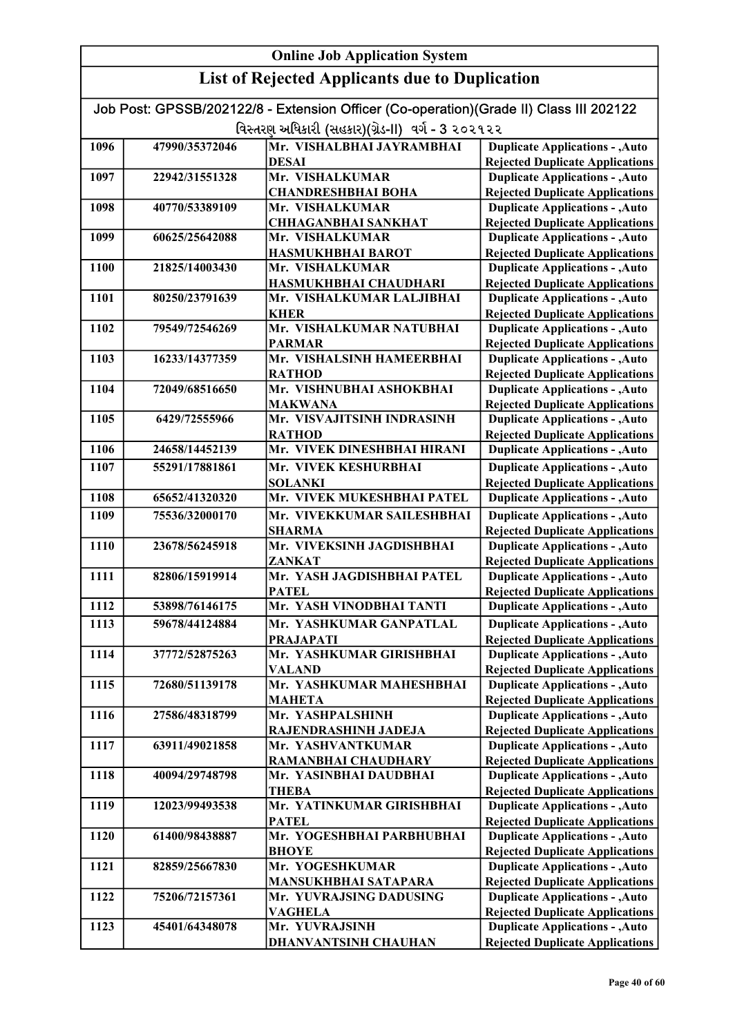| <b>Online Job Application System</b> |                                                       |                                                                                        |                                                                                  |  |
|--------------------------------------|-------------------------------------------------------|----------------------------------------------------------------------------------------|----------------------------------------------------------------------------------|--|
|                                      | <b>List of Rejected Applicants due to Duplication</b> |                                                                                        |                                                                                  |  |
|                                      |                                                       | Job Post: GPSSB/202122/8 - Extension Officer (Co-operation)(Grade II) Class III 202122 |                                                                                  |  |
|                                      |                                                       | વિસ્તરણ અધિકારી (સહકાર)(ગ્રેડ-II) વર્ગ - 3 ૨૦૨૧૨૨                                      |                                                                                  |  |
| 1096                                 | 47990/35372046                                        | Mr. VISHALBHAI JAYRAMBHAI                                                              | <b>Duplicate Applications - , Auto</b>                                           |  |
|                                      |                                                       | <b>DESAI</b>                                                                           | <b>Rejected Duplicate Applications</b>                                           |  |
| 1097                                 | 22942/31551328                                        | Mr. VISHALKUMAR                                                                        | <b>Duplicate Applications - , Auto</b>                                           |  |
|                                      |                                                       | <b>CHANDRESHBHAI BOHA</b>                                                              | <b>Rejected Duplicate Applications</b>                                           |  |
| 1098                                 | 40770/53389109                                        | Mr. VISHALKUMAR                                                                        | <b>Duplicate Applications - , Auto</b>                                           |  |
|                                      |                                                       | <b>CHHAGANBHAI SANKHAT</b>                                                             | <b>Rejected Duplicate Applications</b>                                           |  |
| 1099                                 | 60625/25642088                                        | Mr. VISHALKUMAR                                                                        | <b>Duplicate Applications - , Auto</b>                                           |  |
|                                      |                                                       | HASMUKHBHAI BAROT                                                                      | <b>Rejected Duplicate Applications</b>                                           |  |
| 1100                                 | 21825/14003430                                        | Mr. VISHALKUMAR                                                                        | <b>Duplicate Applications - , Auto</b>                                           |  |
|                                      |                                                       | HASMUKHBHAI CHAUDHARI                                                                  | <b>Rejected Duplicate Applications</b>                                           |  |
| 1101                                 | 80250/23791639                                        | Mr. VISHALKUMAR LALJIBHAI                                                              | <b>Duplicate Applications - , Auto</b>                                           |  |
|                                      |                                                       | <b>KHER</b>                                                                            | <b>Rejected Duplicate Applications</b>                                           |  |
| 1102                                 | 79549/72546269                                        | Mr. VISHALKUMAR NATUBHAI                                                               | <b>Duplicate Applications - , Auto</b>                                           |  |
|                                      |                                                       | <b>PARMAR</b>                                                                          | <b>Rejected Duplicate Applications</b>                                           |  |
| 1103                                 | 16233/14377359                                        | Mr. VISHALSINH HAMEERBHAI                                                              | <b>Duplicate Applications - , Auto</b>                                           |  |
|                                      |                                                       | <b>RATHOD</b>                                                                          | <b>Rejected Duplicate Applications</b>                                           |  |
| 1104                                 | 72049/68516650                                        | Mr. VISHNUBHAI ASHOKBHAI                                                               | <b>Duplicate Applications - , Auto</b>                                           |  |
|                                      |                                                       | <b>MAKWANA</b>                                                                         | <b>Rejected Duplicate Applications</b>                                           |  |
| 1105                                 | 6429/72555966                                         | Mr. VISVAJITSINH INDRASINH                                                             | <b>Duplicate Applications - , Auto</b>                                           |  |
|                                      |                                                       | <b>RATHOD</b>                                                                          | <b>Rejected Duplicate Applications</b>                                           |  |
| 1106                                 | 24658/14452139                                        | Mr. VIVEK DINESHBHAI HIRANI                                                            | <b>Duplicate Applications - , Auto</b>                                           |  |
| 1107                                 | 55291/17881861                                        | Mr. VIVEK KESHURBHAI                                                                   | <b>Duplicate Applications - , Auto</b>                                           |  |
|                                      |                                                       | <b>SOLANKI</b>                                                                         | <b>Rejected Duplicate Applications</b>                                           |  |
| 1108                                 | 65652/41320320                                        | Mr. VIVEK MUKESHBHAI PATEL                                                             | <b>Duplicate Applications - , Auto</b>                                           |  |
| 1109                                 | 75536/32000170                                        | Mr. VIVEKKUMAR SAILESHBHAI                                                             | <b>Duplicate Applications - , Auto</b>                                           |  |
| 1110                                 | 23678/56245918                                        | <b>SHARMA</b><br>Mr. VIVEKSINH JAGDISHBHAI                                             | <b>Rejected Duplicate Applications</b><br><b>Duplicate Applications - , Auto</b> |  |
|                                      |                                                       | <b>ZANKAT</b>                                                                          | <b>Rejected Duplicate Applications</b>                                           |  |
| 1111                                 | 82806/15919914                                        | Mr. YASH JAGDISHBHAI PATEL                                                             | <b>Duplicate Applications - , Auto</b>                                           |  |
|                                      |                                                       | <b>PATEL</b>                                                                           | <b>Rejected Duplicate Applications</b>                                           |  |
| 1112                                 | 53898/76146175                                        | Mr. YASH VINODBHAI TANTI                                                               | <b>Duplicate Applications - , Auto</b>                                           |  |
| 1113                                 | 59678/44124884                                        | Mr. YASHKUMAR GANPATLAL                                                                | <b>Duplicate Applications - , Auto</b>                                           |  |
|                                      |                                                       | <b>PRAJAPATI</b>                                                                       | <b>Rejected Duplicate Applications</b>                                           |  |
| 1114                                 | 37772/52875263                                        | Mr. YASHKUMAR GIRISHBHAI                                                               | <b>Duplicate Applications - , Auto</b>                                           |  |
|                                      |                                                       | <b>VALAND</b>                                                                          | <b>Rejected Duplicate Applications</b>                                           |  |
| 1115                                 | 72680/51139178                                        | Mr. YASHKUMAR MAHESHBHAI                                                               | <b>Duplicate Applications - , Auto</b>                                           |  |
|                                      |                                                       | <b>MAHETA</b>                                                                          | <b>Rejected Duplicate Applications</b>                                           |  |
| 1116                                 | 27586/48318799                                        | Mr. YASHPALSHINH                                                                       | <b>Duplicate Applications - , Auto</b>                                           |  |
|                                      |                                                       | RAJENDRASHINH JADEJA                                                                   | <b>Rejected Duplicate Applications</b>                                           |  |
| 1117                                 | 63911/49021858                                        | Mr. YASHVANTKUMAR                                                                      | <b>Duplicate Applications - , Auto</b>                                           |  |
| 1118                                 | 40094/29748798                                        | RAMANBHAI CHAUDHARY<br>Mr. YASINBHAI DAUDBHAI                                          | <b>Rejected Duplicate Applications</b><br><b>Duplicate Applications - , Auto</b> |  |
|                                      |                                                       | <b>THEBA</b>                                                                           | <b>Rejected Duplicate Applications</b>                                           |  |
| 1119                                 | 12023/99493538                                        | Mr. YATINKUMAR GIRISHBHAI                                                              | <b>Duplicate Applications - , Auto</b>                                           |  |
|                                      |                                                       | <b>PATEL</b>                                                                           | <b>Rejected Duplicate Applications</b>                                           |  |
| 1120                                 | 61400/98438887                                        | Mr. YOGESHBHAI PARBHUBHAI                                                              | <b>Duplicate Applications - , Auto</b>                                           |  |
|                                      |                                                       | <b>BHOYE</b>                                                                           | <b>Rejected Duplicate Applications</b>                                           |  |
| 1121                                 | 82859/25667830                                        | Mr. YOGESHKUMAR                                                                        | <b>Duplicate Applications - , Auto</b>                                           |  |
|                                      |                                                       | MANSUKHBHAI SATAPARA                                                                   | <b>Rejected Duplicate Applications</b>                                           |  |
| 1122                                 | 75206/72157361                                        | Mr. YUVRAJSING DADUSING                                                                | <b>Duplicate Applications - , Auto</b>                                           |  |
|                                      |                                                       | <b>VAGHELA</b>                                                                         | <b>Rejected Duplicate Applications</b>                                           |  |
| 1123                                 | 45401/64348078                                        | Mr. YUVRAJSINH                                                                         | <b>Duplicate Applications - , Auto</b>                                           |  |
|                                      |                                                       | <b>DHANVANTSINH CHAUHAN</b>                                                            | <b>Rejected Duplicate Applications</b>                                           |  |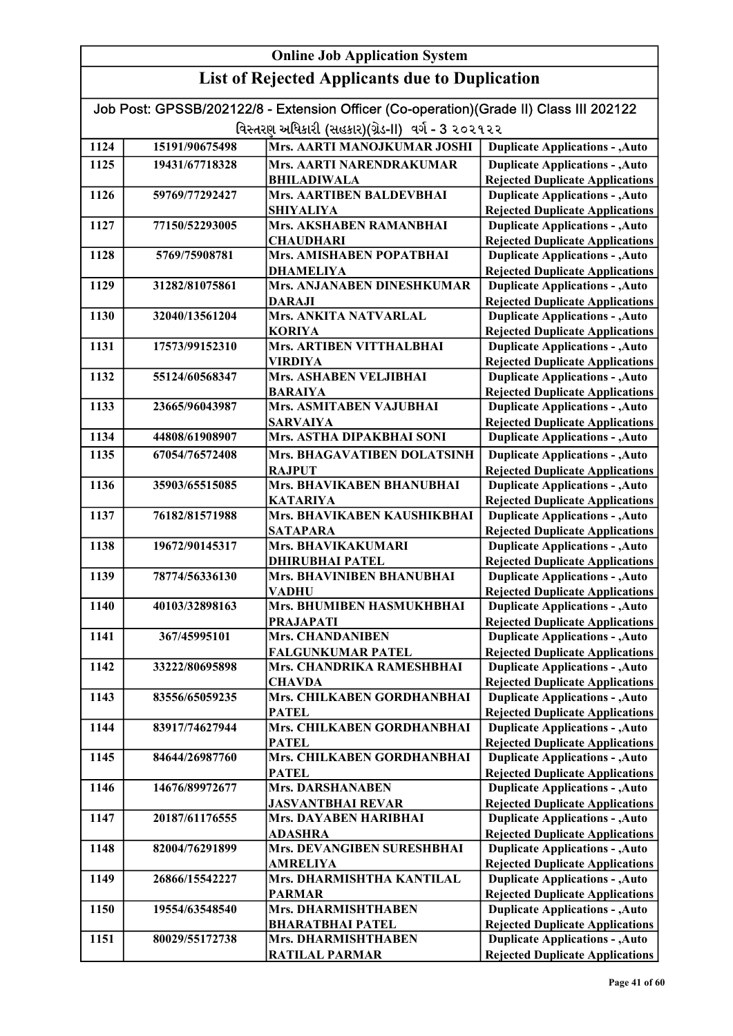| <b>List of Rejected Applicants due to Duplication</b><br>Job Post: GPSSB/202122/8 - Extension Officer (Co-operation)(Grade II) Class III 202122<br>વિસ્તરણ અધિકારી (સહકાર)(ગ્રેડ-II) વર્ગ - 3 ૨૦૨૧૨૨<br>Mrs. AARTI MANOJKUMAR JOSHI<br>1124<br><b>Duplicate Applications - , Auto</b><br>15191/90675498<br>1125<br><b>Duplicate Applications - , Auto</b><br>19431/67718328<br><b>Mrs. AARTI NARENDRAKUMAR</b><br><b>Rejected Duplicate Applications</b><br><b>BHILADIWALA</b><br><b>Mrs. AARTIBEN BALDEVBHAI</b><br>1126<br>59769/77292427<br><b>Duplicate Applications - , Auto</b><br><b>Rejected Duplicate Applications</b><br><b>SHIYALIYA</b><br>Mrs. AKSHABEN RAMANBHAI<br>1127<br>77150/52293005<br><b>Duplicate Applications - , Auto</b><br><b>CHAUDHARI</b><br><b>Rejected Duplicate Applications</b><br>Mrs. AMISHABEN POPATBHAI<br>1128<br><b>Duplicate Applications - , Auto</b><br>5769/75908781<br><b>DHAMELIYA</b><br><b>Rejected Duplicate Applications</b><br>Mrs. ANJANABEN DINESHKUMAR<br>1129<br>31282/81075861<br><b>Duplicate Applications - , Auto</b><br><b>DARAJI</b><br><b>Rejected Duplicate Applications</b><br>1130<br>Mrs. ANKITA NATVARLAL<br>32040/13561204<br><b>Duplicate Applications - , Auto</b><br><b>Rejected Duplicate Applications</b><br><b>KORIYA</b><br>Mrs. ARTIBEN VITTHALBHAI<br>1131<br><b>Duplicate Applications - , Auto</b><br>17573/99152310<br><b>Rejected Duplicate Applications</b><br><b>VIRDIYA</b><br>Mrs. ASHABEN VELJIBHAI<br><b>Duplicate Applications - , Auto</b><br>1132<br>55124/60568347<br><b>Rejected Duplicate Applications</b><br><b>BARAIYA</b><br>Mrs. ASMITABEN VAJUBHAI<br><b>Duplicate Applications - , Auto</b><br>1133<br>23665/96043987<br><b>Rejected Duplicate Applications</b><br><b>SARVAIYA</b><br>Mrs. ASTHA DIPAKBHAI SONI<br>1134<br><b>Duplicate Applications - , Auto</b><br>44808/61908907<br>Mrs. BHAGAVATIBEN DOLATSINH<br><b>Duplicate Applications - , Auto</b><br>1135<br>67054/76572408<br><b>Rejected Duplicate Applications</b><br><b>RAJPUT</b><br>1136<br>Mrs. BHAVIKABEN BHANUBHAI<br><b>Duplicate Applications - , Auto</b><br>35903/65515085<br><b>Rejected Duplicate Applications</b><br><b>KATARIYA</b><br>Mrs. BHAVIKABEN KAUSHIKBHAI<br><b>Duplicate Applications - , Auto</b><br>1137<br>76182/81571988<br><b>Rejected Duplicate Applications</b><br><b>SATAPARA</b><br>1138<br>Mrs. BHAVIKAKUMARI<br><b>Duplicate Applications - , Auto</b><br>19672/90145317<br><b>Rejected Duplicate Applications</b><br><b>DHIRUBHAI PATEL</b><br>Mrs. BHAVINIBEN BHANUBHAI<br><b>Duplicate Applications - , Auto</b><br>1139<br>78774/56336130<br><b>VADHU</b><br><b>Rejected Duplicate Applications</b><br>1140<br>40103/32898163<br>Mrs. BHUMIBEN HASMUKHBHAI<br><b>Duplicate Applications - , Auto</b><br><b>PRAJAPATI</b><br><b>Rejected Duplicate Applications</b><br><b>Duplicate Applications - , Auto</b><br>1141<br>367/45995101<br><b>Mrs. CHANDANIBEN</b><br><b>Rejected Duplicate Applications</b><br><b>FALGUNKUMAR PATEL</b><br>Mrs. CHANDRIKA RAMESHBHAI<br><b>Duplicate Applications - , Auto</b><br>1142<br>33222/80695898<br><b>Rejected Duplicate Applications</b><br><b>CHAVDA</b><br>Mrs. CHILKABEN GORDHANBHAI<br><b>Duplicate Applications - , Auto</b><br>1143<br>83556/65059235<br><b>Rejected Duplicate Applications</b><br><b>PATEL</b><br>Mrs. CHILKABEN GORDHANBHAI<br><b>Duplicate Applications - , Auto</b><br>1144<br>83917/74627944<br><b>PATEL</b><br><b>Rejected Duplicate Applications</b><br>Mrs. CHILKABEN GORDHANBHAI<br><b>Duplicate Applications - , Auto</b><br>1145<br>84644/26987760<br><b>PATEL</b><br><b>Rejected Duplicate Applications</b><br><b>Mrs. DARSHANABEN</b><br>1146<br><b>Duplicate Applications - , Auto</b><br>14676/89972677<br><b>Rejected Duplicate Applications</b><br><b>JASVANTBHAI REVAR</b><br><b>Duplicate Applications - , Auto</b><br>1147<br>20187/61176555<br>Mrs. DAYABEN HARIBHAI<br><b>Rejected Duplicate Applications</b><br><b>ADASHRA</b><br><b>Duplicate Applications - , Auto</b><br>1148<br>82004/76291899<br>Mrs. DEVANGIBEN SURESHBHAI<br><b>Rejected Duplicate Applications</b><br><b>AMRELIYA</b><br>Mrs. DHARMISHTHA KANTILAL<br><b>Duplicate Applications - , Auto</b><br>1149<br>26866/15542227<br><b>Rejected Duplicate Applications</b><br><b>PARMAR</b><br><b>Duplicate Applications - , Auto</b><br>1150<br>19554/63548540<br>Mrs. DHARMISHTHABEN | <b>Online Job Application System</b> |  |  |  |
|--------------------------------------------------------------------------------------------------------------------------------------------------------------------------------------------------------------------------------------------------------------------------------------------------------------------------------------------------------------------------------------------------------------------------------------------------------------------------------------------------------------------------------------------------------------------------------------------------------------------------------------------------------------------------------------------------------------------------------------------------------------------------------------------------------------------------------------------------------------------------------------------------------------------------------------------------------------------------------------------------------------------------------------------------------------------------------------------------------------------------------------------------------------------------------------------------------------------------------------------------------------------------------------------------------------------------------------------------------------------------------------------------------------------------------------------------------------------------------------------------------------------------------------------------------------------------------------------------------------------------------------------------------------------------------------------------------------------------------------------------------------------------------------------------------------------------------------------------------------------------------------------------------------------------------------------------------------------------------------------------------------------------------------------------------------------------------------------------------------------------------------------------------------------------------------------------------------------------------------------------------------------------------------------------------------------------------------------------------------------------------------------------------------------------------------------------------------------------------------------------------------------------------------------------------------------------------------------------------------------------------------------------------------------------------------------------------------------------------------------------------------------------------------------------------------------------------------------------------------------------------------------------------------------------------------------------------------------------------------------------------------------------------------------------------------------------------------------------------------------------------------------------------------------------------------------------------------------------------------------------------------------------------------------------------------------------------------------------------------------------------------------------------------------------------------------------------------------------------------------------------------------------------------------------------------------------------------------------------------------------------------------------------------------------------------------------------------------------------------------------------------------------------------------------------------------------------------------------------------------------------------------------------------------------------------------------------------------------------------------------------------------------------------------------------------------------------------------------------------------------------------------------------------------------------------------------------------------------------------------------------------------------------------------------------------------------------------------------------------------------------------------------------------------------------------------------|--------------------------------------|--|--|--|
|                                                                                                                                                                                                                                                                                                                                                                                                                                                                                                                                                                                                                                                                                                                                                                                                                                                                                                                                                                                                                                                                                                                                                                                                                                                                                                                                                                                                                                                                                                                                                                                                                                                                                                                                                                                                                                                                                                                                                                                                                                                                                                                                                                                                                                                                                                                                                                                                                                                                                                                                                                                                                                                                                                                                                                                                                                                                                                                                                                                                                                                                                                                                                                                                                                                                                                                                                                                                                                                                                                                                                                                                                                                                                                                                                                                                                                                                                                                                                                                                                                                                                                                                                                                                                                                                                                                                                                                                                                                  |                                      |  |  |  |
|                                                                                                                                                                                                                                                                                                                                                                                                                                                                                                                                                                                                                                                                                                                                                                                                                                                                                                                                                                                                                                                                                                                                                                                                                                                                                                                                                                                                                                                                                                                                                                                                                                                                                                                                                                                                                                                                                                                                                                                                                                                                                                                                                                                                                                                                                                                                                                                                                                                                                                                                                                                                                                                                                                                                                                                                                                                                                                                                                                                                                                                                                                                                                                                                                                                                                                                                                                                                                                                                                                                                                                                                                                                                                                                                                                                                                                                                                                                                                                                                                                                                                                                                                                                                                                                                                                                                                                                                                                                  |                                      |  |  |  |
|                                                                                                                                                                                                                                                                                                                                                                                                                                                                                                                                                                                                                                                                                                                                                                                                                                                                                                                                                                                                                                                                                                                                                                                                                                                                                                                                                                                                                                                                                                                                                                                                                                                                                                                                                                                                                                                                                                                                                                                                                                                                                                                                                                                                                                                                                                                                                                                                                                                                                                                                                                                                                                                                                                                                                                                                                                                                                                                                                                                                                                                                                                                                                                                                                                                                                                                                                                                                                                                                                                                                                                                                                                                                                                                                                                                                                                                                                                                                                                                                                                                                                                                                                                                                                                                                                                                                                                                                                                                  |                                      |  |  |  |
|                                                                                                                                                                                                                                                                                                                                                                                                                                                                                                                                                                                                                                                                                                                                                                                                                                                                                                                                                                                                                                                                                                                                                                                                                                                                                                                                                                                                                                                                                                                                                                                                                                                                                                                                                                                                                                                                                                                                                                                                                                                                                                                                                                                                                                                                                                                                                                                                                                                                                                                                                                                                                                                                                                                                                                                                                                                                                                                                                                                                                                                                                                                                                                                                                                                                                                                                                                                                                                                                                                                                                                                                                                                                                                                                                                                                                                                                                                                                                                                                                                                                                                                                                                                                                                                                                                                                                                                                                                                  |                                      |  |  |  |
|                                                                                                                                                                                                                                                                                                                                                                                                                                                                                                                                                                                                                                                                                                                                                                                                                                                                                                                                                                                                                                                                                                                                                                                                                                                                                                                                                                                                                                                                                                                                                                                                                                                                                                                                                                                                                                                                                                                                                                                                                                                                                                                                                                                                                                                                                                                                                                                                                                                                                                                                                                                                                                                                                                                                                                                                                                                                                                                                                                                                                                                                                                                                                                                                                                                                                                                                                                                                                                                                                                                                                                                                                                                                                                                                                                                                                                                                                                                                                                                                                                                                                                                                                                                                                                                                                                                                                                                                                                                  |                                      |  |  |  |
|                                                                                                                                                                                                                                                                                                                                                                                                                                                                                                                                                                                                                                                                                                                                                                                                                                                                                                                                                                                                                                                                                                                                                                                                                                                                                                                                                                                                                                                                                                                                                                                                                                                                                                                                                                                                                                                                                                                                                                                                                                                                                                                                                                                                                                                                                                                                                                                                                                                                                                                                                                                                                                                                                                                                                                                                                                                                                                                                                                                                                                                                                                                                                                                                                                                                                                                                                                                                                                                                                                                                                                                                                                                                                                                                                                                                                                                                                                                                                                                                                                                                                                                                                                                                                                                                                                                                                                                                                                                  |                                      |  |  |  |
|                                                                                                                                                                                                                                                                                                                                                                                                                                                                                                                                                                                                                                                                                                                                                                                                                                                                                                                                                                                                                                                                                                                                                                                                                                                                                                                                                                                                                                                                                                                                                                                                                                                                                                                                                                                                                                                                                                                                                                                                                                                                                                                                                                                                                                                                                                                                                                                                                                                                                                                                                                                                                                                                                                                                                                                                                                                                                                                                                                                                                                                                                                                                                                                                                                                                                                                                                                                                                                                                                                                                                                                                                                                                                                                                                                                                                                                                                                                                                                                                                                                                                                                                                                                                                                                                                                                                                                                                                                                  |                                      |  |  |  |
|                                                                                                                                                                                                                                                                                                                                                                                                                                                                                                                                                                                                                                                                                                                                                                                                                                                                                                                                                                                                                                                                                                                                                                                                                                                                                                                                                                                                                                                                                                                                                                                                                                                                                                                                                                                                                                                                                                                                                                                                                                                                                                                                                                                                                                                                                                                                                                                                                                                                                                                                                                                                                                                                                                                                                                                                                                                                                                                                                                                                                                                                                                                                                                                                                                                                                                                                                                                                                                                                                                                                                                                                                                                                                                                                                                                                                                                                                                                                                                                                                                                                                                                                                                                                                                                                                                                                                                                                                                                  |                                      |  |  |  |
|                                                                                                                                                                                                                                                                                                                                                                                                                                                                                                                                                                                                                                                                                                                                                                                                                                                                                                                                                                                                                                                                                                                                                                                                                                                                                                                                                                                                                                                                                                                                                                                                                                                                                                                                                                                                                                                                                                                                                                                                                                                                                                                                                                                                                                                                                                                                                                                                                                                                                                                                                                                                                                                                                                                                                                                                                                                                                                                                                                                                                                                                                                                                                                                                                                                                                                                                                                                                                                                                                                                                                                                                                                                                                                                                                                                                                                                                                                                                                                                                                                                                                                                                                                                                                                                                                                                                                                                                                                                  |                                      |  |  |  |
|                                                                                                                                                                                                                                                                                                                                                                                                                                                                                                                                                                                                                                                                                                                                                                                                                                                                                                                                                                                                                                                                                                                                                                                                                                                                                                                                                                                                                                                                                                                                                                                                                                                                                                                                                                                                                                                                                                                                                                                                                                                                                                                                                                                                                                                                                                                                                                                                                                                                                                                                                                                                                                                                                                                                                                                                                                                                                                                                                                                                                                                                                                                                                                                                                                                                                                                                                                                                                                                                                                                                                                                                                                                                                                                                                                                                                                                                                                                                                                                                                                                                                                                                                                                                                                                                                                                                                                                                                                                  |                                      |  |  |  |
|                                                                                                                                                                                                                                                                                                                                                                                                                                                                                                                                                                                                                                                                                                                                                                                                                                                                                                                                                                                                                                                                                                                                                                                                                                                                                                                                                                                                                                                                                                                                                                                                                                                                                                                                                                                                                                                                                                                                                                                                                                                                                                                                                                                                                                                                                                                                                                                                                                                                                                                                                                                                                                                                                                                                                                                                                                                                                                                                                                                                                                                                                                                                                                                                                                                                                                                                                                                                                                                                                                                                                                                                                                                                                                                                                                                                                                                                                                                                                                                                                                                                                                                                                                                                                                                                                                                                                                                                                                                  |                                      |  |  |  |
|                                                                                                                                                                                                                                                                                                                                                                                                                                                                                                                                                                                                                                                                                                                                                                                                                                                                                                                                                                                                                                                                                                                                                                                                                                                                                                                                                                                                                                                                                                                                                                                                                                                                                                                                                                                                                                                                                                                                                                                                                                                                                                                                                                                                                                                                                                                                                                                                                                                                                                                                                                                                                                                                                                                                                                                                                                                                                                                                                                                                                                                                                                                                                                                                                                                                                                                                                                                                                                                                                                                                                                                                                                                                                                                                                                                                                                                                                                                                                                                                                                                                                                                                                                                                                                                                                                                                                                                                                                                  |                                      |  |  |  |
|                                                                                                                                                                                                                                                                                                                                                                                                                                                                                                                                                                                                                                                                                                                                                                                                                                                                                                                                                                                                                                                                                                                                                                                                                                                                                                                                                                                                                                                                                                                                                                                                                                                                                                                                                                                                                                                                                                                                                                                                                                                                                                                                                                                                                                                                                                                                                                                                                                                                                                                                                                                                                                                                                                                                                                                                                                                                                                                                                                                                                                                                                                                                                                                                                                                                                                                                                                                                                                                                                                                                                                                                                                                                                                                                                                                                                                                                                                                                                                                                                                                                                                                                                                                                                                                                                                                                                                                                                                                  |                                      |  |  |  |
|                                                                                                                                                                                                                                                                                                                                                                                                                                                                                                                                                                                                                                                                                                                                                                                                                                                                                                                                                                                                                                                                                                                                                                                                                                                                                                                                                                                                                                                                                                                                                                                                                                                                                                                                                                                                                                                                                                                                                                                                                                                                                                                                                                                                                                                                                                                                                                                                                                                                                                                                                                                                                                                                                                                                                                                                                                                                                                                                                                                                                                                                                                                                                                                                                                                                                                                                                                                                                                                                                                                                                                                                                                                                                                                                                                                                                                                                                                                                                                                                                                                                                                                                                                                                                                                                                                                                                                                                                                                  |                                      |  |  |  |
|                                                                                                                                                                                                                                                                                                                                                                                                                                                                                                                                                                                                                                                                                                                                                                                                                                                                                                                                                                                                                                                                                                                                                                                                                                                                                                                                                                                                                                                                                                                                                                                                                                                                                                                                                                                                                                                                                                                                                                                                                                                                                                                                                                                                                                                                                                                                                                                                                                                                                                                                                                                                                                                                                                                                                                                                                                                                                                                                                                                                                                                                                                                                                                                                                                                                                                                                                                                                                                                                                                                                                                                                                                                                                                                                                                                                                                                                                                                                                                                                                                                                                                                                                                                                                                                                                                                                                                                                                                                  |                                      |  |  |  |
|                                                                                                                                                                                                                                                                                                                                                                                                                                                                                                                                                                                                                                                                                                                                                                                                                                                                                                                                                                                                                                                                                                                                                                                                                                                                                                                                                                                                                                                                                                                                                                                                                                                                                                                                                                                                                                                                                                                                                                                                                                                                                                                                                                                                                                                                                                                                                                                                                                                                                                                                                                                                                                                                                                                                                                                                                                                                                                                                                                                                                                                                                                                                                                                                                                                                                                                                                                                                                                                                                                                                                                                                                                                                                                                                                                                                                                                                                                                                                                                                                                                                                                                                                                                                                                                                                                                                                                                                                                                  |                                      |  |  |  |
|                                                                                                                                                                                                                                                                                                                                                                                                                                                                                                                                                                                                                                                                                                                                                                                                                                                                                                                                                                                                                                                                                                                                                                                                                                                                                                                                                                                                                                                                                                                                                                                                                                                                                                                                                                                                                                                                                                                                                                                                                                                                                                                                                                                                                                                                                                                                                                                                                                                                                                                                                                                                                                                                                                                                                                                                                                                                                                                                                                                                                                                                                                                                                                                                                                                                                                                                                                                                                                                                                                                                                                                                                                                                                                                                                                                                                                                                                                                                                                                                                                                                                                                                                                                                                                                                                                                                                                                                                                                  |                                      |  |  |  |
|                                                                                                                                                                                                                                                                                                                                                                                                                                                                                                                                                                                                                                                                                                                                                                                                                                                                                                                                                                                                                                                                                                                                                                                                                                                                                                                                                                                                                                                                                                                                                                                                                                                                                                                                                                                                                                                                                                                                                                                                                                                                                                                                                                                                                                                                                                                                                                                                                                                                                                                                                                                                                                                                                                                                                                                                                                                                                                                                                                                                                                                                                                                                                                                                                                                                                                                                                                                                                                                                                                                                                                                                                                                                                                                                                                                                                                                                                                                                                                                                                                                                                                                                                                                                                                                                                                                                                                                                                                                  |                                      |  |  |  |
|                                                                                                                                                                                                                                                                                                                                                                                                                                                                                                                                                                                                                                                                                                                                                                                                                                                                                                                                                                                                                                                                                                                                                                                                                                                                                                                                                                                                                                                                                                                                                                                                                                                                                                                                                                                                                                                                                                                                                                                                                                                                                                                                                                                                                                                                                                                                                                                                                                                                                                                                                                                                                                                                                                                                                                                                                                                                                                                                                                                                                                                                                                                                                                                                                                                                                                                                                                                                                                                                                                                                                                                                                                                                                                                                                                                                                                                                                                                                                                                                                                                                                                                                                                                                                                                                                                                                                                                                                                                  |                                      |  |  |  |
|                                                                                                                                                                                                                                                                                                                                                                                                                                                                                                                                                                                                                                                                                                                                                                                                                                                                                                                                                                                                                                                                                                                                                                                                                                                                                                                                                                                                                                                                                                                                                                                                                                                                                                                                                                                                                                                                                                                                                                                                                                                                                                                                                                                                                                                                                                                                                                                                                                                                                                                                                                                                                                                                                                                                                                                                                                                                                                                                                                                                                                                                                                                                                                                                                                                                                                                                                                                                                                                                                                                                                                                                                                                                                                                                                                                                                                                                                                                                                                                                                                                                                                                                                                                                                                                                                                                                                                                                                                                  |                                      |  |  |  |
|                                                                                                                                                                                                                                                                                                                                                                                                                                                                                                                                                                                                                                                                                                                                                                                                                                                                                                                                                                                                                                                                                                                                                                                                                                                                                                                                                                                                                                                                                                                                                                                                                                                                                                                                                                                                                                                                                                                                                                                                                                                                                                                                                                                                                                                                                                                                                                                                                                                                                                                                                                                                                                                                                                                                                                                                                                                                                                                                                                                                                                                                                                                                                                                                                                                                                                                                                                                                                                                                                                                                                                                                                                                                                                                                                                                                                                                                                                                                                                                                                                                                                                                                                                                                                                                                                                                                                                                                                                                  |                                      |  |  |  |
|                                                                                                                                                                                                                                                                                                                                                                                                                                                                                                                                                                                                                                                                                                                                                                                                                                                                                                                                                                                                                                                                                                                                                                                                                                                                                                                                                                                                                                                                                                                                                                                                                                                                                                                                                                                                                                                                                                                                                                                                                                                                                                                                                                                                                                                                                                                                                                                                                                                                                                                                                                                                                                                                                                                                                                                                                                                                                                                                                                                                                                                                                                                                                                                                                                                                                                                                                                                                                                                                                                                                                                                                                                                                                                                                                                                                                                                                                                                                                                                                                                                                                                                                                                                                                                                                                                                                                                                                                                                  |                                      |  |  |  |
|                                                                                                                                                                                                                                                                                                                                                                                                                                                                                                                                                                                                                                                                                                                                                                                                                                                                                                                                                                                                                                                                                                                                                                                                                                                                                                                                                                                                                                                                                                                                                                                                                                                                                                                                                                                                                                                                                                                                                                                                                                                                                                                                                                                                                                                                                                                                                                                                                                                                                                                                                                                                                                                                                                                                                                                                                                                                                                                                                                                                                                                                                                                                                                                                                                                                                                                                                                                                                                                                                                                                                                                                                                                                                                                                                                                                                                                                                                                                                                                                                                                                                                                                                                                                                                                                                                                                                                                                                                                  |                                      |  |  |  |
|                                                                                                                                                                                                                                                                                                                                                                                                                                                                                                                                                                                                                                                                                                                                                                                                                                                                                                                                                                                                                                                                                                                                                                                                                                                                                                                                                                                                                                                                                                                                                                                                                                                                                                                                                                                                                                                                                                                                                                                                                                                                                                                                                                                                                                                                                                                                                                                                                                                                                                                                                                                                                                                                                                                                                                                                                                                                                                                                                                                                                                                                                                                                                                                                                                                                                                                                                                                                                                                                                                                                                                                                                                                                                                                                                                                                                                                                                                                                                                                                                                                                                                                                                                                                                                                                                                                                                                                                                                                  |                                      |  |  |  |
|                                                                                                                                                                                                                                                                                                                                                                                                                                                                                                                                                                                                                                                                                                                                                                                                                                                                                                                                                                                                                                                                                                                                                                                                                                                                                                                                                                                                                                                                                                                                                                                                                                                                                                                                                                                                                                                                                                                                                                                                                                                                                                                                                                                                                                                                                                                                                                                                                                                                                                                                                                                                                                                                                                                                                                                                                                                                                                                                                                                                                                                                                                                                                                                                                                                                                                                                                                                                                                                                                                                                                                                                                                                                                                                                                                                                                                                                                                                                                                                                                                                                                                                                                                                                                                                                                                                                                                                                                                                  |                                      |  |  |  |
|                                                                                                                                                                                                                                                                                                                                                                                                                                                                                                                                                                                                                                                                                                                                                                                                                                                                                                                                                                                                                                                                                                                                                                                                                                                                                                                                                                                                                                                                                                                                                                                                                                                                                                                                                                                                                                                                                                                                                                                                                                                                                                                                                                                                                                                                                                                                                                                                                                                                                                                                                                                                                                                                                                                                                                                                                                                                                                                                                                                                                                                                                                                                                                                                                                                                                                                                                                                                                                                                                                                                                                                                                                                                                                                                                                                                                                                                                                                                                                                                                                                                                                                                                                                                                                                                                                                                                                                                                                                  |                                      |  |  |  |
|                                                                                                                                                                                                                                                                                                                                                                                                                                                                                                                                                                                                                                                                                                                                                                                                                                                                                                                                                                                                                                                                                                                                                                                                                                                                                                                                                                                                                                                                                                                                                                                                                                                                                                                                                                                                                                                                                                                                                                                                                                                                                                                                                                                                                                                                                                                                                                                                                                                                                                                                                                                                                                                                                                                                                                                                                                                                                                                                                                                                                                                                                                                                                                                                                                                                                                                                                                                                                                                                                                                                                                                                                                                                                                                                                                                                                                                                                                                                                                                                                                                                                                                                                                                                                                                                                                                                                                                                                                                  |                                      |  |  |  |
|                                                                                                                                                                                                                                                                                                                                                                                                                                                                                                                                                                                                                                                                                                                                                                                                                                                                                                                                                                                                                                                                                                                                                                                                                                                                                                                                                                                                                                                                                                                                                                                                                                                                                                                                                                                                                                                                                                                                                                                                                                                                                                                                                                                                                                                                                                                                                                                                                                                                                                                                                                                                                                                                                                                                                                                                                                                                                                                                                                                                                                                                                                                                                                                                                                                                                                                                                                                                                                                                                                                                                                                                                                                                                                                                                                                                                                                                                                                                                                                                                                                                                                                                                                                                                                                                                                                                                                                                                                                  |                                      |  |  |  |
|                                                                                                                                                                                                                                                                                                                                                                                                                                                                                                                                                                                                                                                                                                                                                                                                                                                                                                                                                                                                                                                                                                                                                                                                                                                                                                                                                                                                                                                                                                                                                                                                                                                                                                                                                                                                                                                                                                                                                                                                                                                                                                                                                                                                                                                                                                                                                                                                                                                                                                                                                                                                                                                                                                                                                                                                                                                                                                                                                                                                                                                                                                                                                                                                                                                                                                                                                                                                                                                                                                                                                                                                                                                                                                                                                                                                                                                                                                                                                                                                                                                                                                                                                                                                                                                                                                                                                                                                                                                  |                                      |  |  |  |
|                                                                                                                                                                                                                                                                                                                                                                                                                                                                                                                                                                                                                                                                                                                                                                                                                                                                                                                                                                                                                                                                                                                                                                                                                                                                                                                                                                                                                                                                                                                                                                                                                                                                                                                                                                                                                                                                                                                                                                                                                                                                                                                                                                                                                                                                                                                                                                                                                                                                                                                                                                                                                                                                                                                                                                                                                                                                                                                                                                                                                                                                                                                                                                                                                                                                                                                                                                                                                                                                                                                                                                                                                                                                                                                                                                                                                                                                                                                                                                                                                                                                                                                                                                                                                                                                                                                                                                                                                                                  |                                      |  |  |  |
|                                                                                                                                                                                                                                                                                                                                                                                                                                                                                                                                                                                                                                                                                                                                                                                                                                                                                                                                                                                                                                                                                                                                                                                                                                                                                                                                                                                                                                                                                                                                                                                                                                                                                                                                                                                                                                                                                                                                                                                                                                                                                                                                                                                                                                                                                                                                                                                                                                                                                                                                                                                                                                                                                                                                                                                                                                                                                                                                                                                                                                                                                                                                                                                                                                                                                                                                                                                                                                                                                                                                                                                                                                                                                                                                                                                                                                                                                                                                                                                                                                                                                                                                                                                                                                                                                                                                                                                                                                                  |                                      |  |  |  |
|                                                                                                                                                                                                                                                                                                                                                                                                                                                                                                                                                                                                                                                                                                                                                                                                                                                                                                                                                                                                                                                                                                                                                                                                                                                                                                                                                                                                                                                                                                                                                                                                                                                                                                                                                                                                                                                                                                                                                                                                                                                                                                                                                                                                                                                                                                                                                                                                                                                                                                                                                                                                                                                                                                                                                                                                                                                                                                                                                                                                                                                                                                                                                                                                                                                                                                                                                                                                                                                                                                                                                                                                                                                                                                                                                                                                                                                                                                                                                                                                                                                                                                                                                                                                                                                                                                                                                                                                                                                  |                                      |  |  |  |
|                                                                                                                                                                                                                                                                                                                                                                                                                                                                                                                                                                                                                                                                                                                                                                                                                                                                                                                                                                                                                                                                                                                                                                                                                                                                                                                                                                                                                                                                                                                                                                                                                                                                                                                                                                                                                                                                                                                                                                                                                                                                                                                                                                                                                                                                                                                                                                                                                                                                                                                                                                                                                                                                                                                                                                                                                                                                                                                                                                                                                                                                                                                                                                                                                                                                                                                                                                                                                                                                                                                                                                                                                                                                                                                                                                                                                                                                                                                                                                                                                                                                                                                                                                                                                                                                                                                                                                                                                                                  |                                      |  |  |  |
|                                                                                                                                                                                                                                                                                                                                                                                                                                                                                                                                                                                                                                                                                                                                                                                                                                                                                                                                                                                                                                                                                                                                                                                                                                                                                                                                                                                                                                                                                                                                                                                                                                                                                                                                                                                                                                                                                                                                                                                                                                                                                                                                                                                                                                                                                                                                                                                                                                                                                                                                                                                                                                                                                                                                                                                                                                                                                                                                                                                                                                                                                                                                                                                                                                                                                                                                                                                                                                                                                                                                                                                                                                                                                                                                                                                                                                                                                                                                                                                                                                                                                                                                                                                                                                                                                                                                                                                                                                                  |                                      |  |  |  |
|                                                                                                                                                                                                                                                                                                                                                                                                                                                                                                                                                                                                                                                                                                                                                                                                                                                                                                                                                                                                                                                                                                                                                                                                                                                                                                                                                                                                                                                                                                                                                                                                                                                                                                                                                                                                                                                                                                                                                                                                                                                                                                                                                                                                                                                                                                                                                                                                                                                                                                                                                                                                                                                                                                                                                                                                                                                                                                                                                                                                                                                                                                                                                                                                                                                                                                                                                                                                                                                                                                                                                                                                                                                                                                                                                                                                                                                                                                                                                                                                                                                                                                                                                                                                                                                                                                                                                                                                                                                  |                                      |  |  |  |
|                                                                                                                                                                                                                                                                                                                                                                                                                                                                                                                                                                                                                                                                                                                                                                                                                                                                                                                                                                                                                                                                                                                                                                                                                                                                                                                                                                                                                                                                                                                                                                                                                                                                                                                                                                                                                                                                                                                                                                                                                                                                                                                                                                                                                                                                                                                                                                                                                                                                                                                                                                                                                                                                                                                                                                                                                                                                                                                                                                                                                                                                                                                                                                                                                                                                                                                                                                                                                                                                                                                                                                                                                                                                                                                                                                                                                                                                                                                                                                                                                                                                                                                                                                                                                                                                                                                                                                                                                                                  |                                      |  |  |  |
|                                                                                                                                                                                                                                                                                                                                                                                                                                                                                                                                                                                                                                                                                                                                                                                                                                                                                                                                                                                                                                                                                                                                                                                                                                                                                                                                                                                                                                                                                                                                                                                                                                                                                                                                                                                                                                                                                                                                                                                                                                                                                                                                                                                                                                                                                                                                                                                                                                                                                                                                                                                                                                                                                                                                                                                                                                                                                                                                                                                                                                                                                                                                                                                                                                                                                                                                                                                                                                                                                                                                                                                                                                                                                                                                                                                                                                                                                                                                                                                                                                                                                                                                                                                                                                                                                                                                                                                                                                                  |                                      |  |  |  |
|                                                                                                                                                                                                                                                                                                                                                                                                                                                                                                                                                                                                                                                                                                                                                                                                                                                                                                                                                                                                                                                                                                                                                                                                                                                                                                                                                                                                                                                                                                                                                                                                                                                                                                                                                                                                                                                                                                                                                                                                                                                                                                                                                                                                                                                                                                                                                                                                                                                                                                                                                                                                                                                                                                                                                                                                                                                                                                                                                                                                                                                                                                                                                                                                                                                                                                                                                                                                                                                                                                                                                                                                                                                                                                                                                                                                                                                                                                                                                                                                                                                                                                                                                                                                                                                                                                                                                                                                                                                  |                                      |  |  |  |
|                                                                                                                                                                                                                                                                                                                                                                                                                                                                                                                                                                                                                                                                                                                                                                                                                                                                                                                                                                                                                                                                                                                                                                                                                                                                                                                                                                                                                                                                                                                                                                                                                                                                                                                                                                                                                                                                                                                                                                                                                                                                                                                                                                                                                                                                                                                                                                                                                                                                                                                                                                                                                                                                                                                                                                                                                                                                                                                                                                                                                                                                                                                                                                                                                                                                                                                                                                                                                                                                                                                                                                                                                                                                                                                                                                                                                                                                                                                                                                                                                                                                                                                                                                                                                                                                                                                                                                                                                                                  |                                      |  |  |  |
|                                                                                                                                                                                                                                                                                                                                                                                                                                                                                                                                                                                                                                                                                                                                                                                                                                                                                                                                                                                                                                                                                                                                                                                                                                                                                                                                                                                                                                                                                                                                                                                                                                                                                                                                                                                                                                                                                                                                                                                                                                                                                                                                                                                                                                                                                                                                                                                                                                                                                                                                                                                                                                                                                                                                                                                                                                                                                                                                                                                                                                                                                                                                                                                                                                                                                                                                                                                                                                                                                                                                                                                                                                                                                                                                                                                                                                                                                                                                                                                                                                                                                                                                                                                                                                                                                                                                                                                                                                                  |                                      |  |  |  |
|                                                                                                                                                                                                                                                                                                                                                                                                                                                                                                                                                                                                                                                                                                                                                                                                                                                                                                                                                                                                                                                                                                                                                                                                                                                                                                                                                                                                                                                                                                                                                                                                                                                                                                                                                                                                                                                                                                                                                                                                                                                                                                                                                                                                                                                                                                                                                                                                                                                                                                                                                                                                                                                                                                                                                                                                                                                                                                                                                                                                                                                                                                                                                                                                                                                                                                                                                                                                                                                                                                                                                                                                                                                                                                                                                                                                                                                                                                                                                                                                                                                                                                                                                                                                                                                                                                                                                                                                                                                  |                                      |  |  |  |
|                                                                                                                                                                                                                                                                                                                                                                                                                                                                                                                                                                                                                                                                                                                                                                                                                                                                                                                                                                                                                                                                                                                                                                                                                                                                                                                                                                                                                                                                                                                                                                                                                                                                                                                                                                                                                                                                                                                                                                                                                                                                                                                                                                                                                                                                                                                                                                                                                                                                                                                                                                                                                                                                                                                                                                                                                                                                                                                                                                                                                                                                                                                                                                                                                                                                                                                                                                                                                                                                                                                                                                                                                                                                                                                                                                                                                                                                                                                                                                                                                                                                                                                                                                                                                                                                                                                                                                                                                                                  |                                      |  |  |  |
|                                                                                                                                                                                                                                                                                                                                                                                                                                                                                                                                                                                                                                                                                                                                                                                                                                                                                                                                                                                                                                                                                                                                                                                                                                                                                                                                                                                                                                                                                                                                                                                                                                                                                                                                                                                                                                                                                                                                                                                                                                                                                                                                                                                                                                                                                                                                                                                                                                                                                                                                                                                                                                                                                                                                                                                                                                                                                                                                                                                                                                                                                                                                                                                                                                                                                                                                                                                                                                                                                                                                                                                                                                                                                                                                                                                                                                                                                                                                                                                                                                                                                                                                                                                                                                                                                                                                                                                                                                                  |                                      |  |  |  |
|                                                                                                                                                                                                                                                                                                                                                                                                                                                                                                                                                                                                                                                                                                                                                                                                                                                                                                                                                                                                                                                                                                                                                                                                                                                                                                                                                                                                                                                                                                                                                                                                                                                                                                                                                                                                                                                                                                                                                                                                                                                                                                                                                                                                                                                                                                                                                                                                                                                                                                                                                                                                                                                                                                                                                                                                                                                                                                                                                                                                                                                                                                                                                                                                                                                                                                                                                                                                                                                                                                                                                                                                                                                                                                                                                                                                                                                                                                                                                                                                                                                                                                                                                                                                                                                                                                                                                                                                                                                  |                                      |  |  |  |
|                                                                                                                                                                                                                                                                                                                                                                                                                                                                                                                                                                                                                                                                                                                                                                                                                                                                                                                                                                                                                                                                                                                                                                                                                                                                                                                                                                                                                                                                                                                                                                                                                                                                                                                                                                                                                                                                                                                                                                                                                                                                                                                                                                                                                                                                                                                                                                                                                                                                                                                                                                                                                                                                                                                                                                                                                                                                                                                                                                                                                                                                                                                                                                                                                                                                                                                                                                                                                                                                                                                                                                                                                                                                                                                                                                                                                                                                                                                                                                                                                                                                                                                                                                                                                                                                                                                                                                                                                                                  |                                      |  |  |  |
|                                                                                                                                                                                                                                                                                                                                                                                                                                                                                                                                                                                                                                                                                                                                                                                                                                                                                                                                                                                                                                                                                                                                                                                                                                                                                                                                                                                                                                                                                                                                                                                                                                                                                                                                                                                                                                                                                                                                                                                                                                                                                                                                                                                                                                                                                                                                                                                                                                                                                                                                                                                                                                                                                                                                                                                                                                                                                                                                                                                                                                                                                                                                                                                                                                                                                                                                                                                                                                                                                                                                                                                                                                                                                                                                                                                                                                                                                                                                                                                                                                                                                                                                                                                                                                                                                                                                                                                                                                                  |                                      |  |  |  |
|                                                                                                                                                                                                                                                                                                                                                                                                                                                                                                                                                                                                                                                                                                                                                                                                                                                                                                                                                                                                                                                                                                                                                                                                                                                                                                                                                                                                                                                                                                                                                                                                                                                                                                                                                                                                                                                                                                                                                                                                                                                                                                                                                                                                                                                                                                                                                                                                                                                                                                                                                                                                                                                                                                                                                                                                                                                                                                                                                                                                                                                                                                                                                                                                                                                                                                                                                                                                                                                                                                                                                                                                                                                                                                                                                                                                                                                                                                                                                                                                                                                                                                                                                                                                                                                                                                                                                                                                                                                  |                                      |  |  |  |
|                                                                                                                                                                                                                                                                                                                                                                                                                                                                                                                                                                                                                                                                                                                                                                                                                                                                                                                                                                                                                                                                                                                                                                                                                                                                                                                                                                                                                                                                                                                                                                                                                                                                                                                                                                                                                                                                                                                                                                                                                                                                                                                                                                                                                                                                                                                                                                                                                                                                                                                                                                                                                                                                                                                                                                                                                                                                                                                                                                                                                                                                                                                                                                                                                                                                                                                                                                                                                                                                                                                                                                                                                                                                                                                                                                                                                                                                                                                                                                                                                                                                                                                                                                                                                                                                                                                                                                                                                                                  |                                      |  |  |  |
|                                                                                                                                                                                                                                                                                                                                                                                                                                                                                                                                                                                                                                                                                                                                                                                                                                                                                                                                                                                                                                                                                                                                                                                                                                                                                                                                                                                                                                                                                                                                                                                                                                                                                                                                                                                                                                                                                                                                                                                                                                                                                                                                                                                                                                                                                                                                                                                                                                                                                                                                                                                                                                                                                                                                                                                                                                                                                                                                                                                                                                                                                                                                                                                                                                                                                                                                                                                                                                                                                                                                                                                                                                                                                                                                                                                                                                                                                                                                                                                                                                                                                                                                                                                                                                                                                                                                                                                                                                                  |                                      |  |  |  |
| <b>BHARATBHAI PATEL</b><br><b>Rejected Duplicate Applications</b><br><b>Duplicate Applications - , Auto</b><br>1151<br>80029/55172738<br>Mrs. DHARMISHTHABEN                                                                                                                                                                                                                                                                                                                                                                                                                                                                                                                                                                                                                                                                                                                                                                                                                                                                                                                                                                                                                                                                                                                                                                                                                                                                                                                                                                                                                                                                                                                                                                                                                                                                                                                                                                                                                                                                                                                                                                                                                                                                                                                                                                                                                                                                                                                                                                                                                                                                                                                                                                                                                                                                                                                                                                                                                                                                                                                                                                                                                                                                                                                                                                                                                                                                                                                                                                                                                                                                                                                                                                                                                                                                                                                                                                                                                                                                                                                                                                                                                                                                                                                                                                                                                                                                                     |                                      |  |  |  |
| <b>Rejected Duplicate Applications</b><br><b>RATILAL PARMAR</b>                                                                                                                                                                                                                                                                                                                                                                                                                                                                                                                                                                                                                                                                                                                                                                                                                                                                                                                                                                                                                                                                                                                                                                                                                                                                                                                                                                                                                                                                                                                                                                                                                                                                                                                                                                                                                                                                                                                                                                                                                                                                                                                                                                                                                                                                                                                                                                                                                                                                                                                                                                                                                                                                                                                                                                                                                                                                                                                                                                                                                                                                                                                                                                                                                                                                                                                                                                                                                                                                                                                                                                                                                                                                                                                                                                                                                                                                                                                                                                                                                                                                                                                                                                                                                                                                                                                                                                                  |                                      |  |  |  |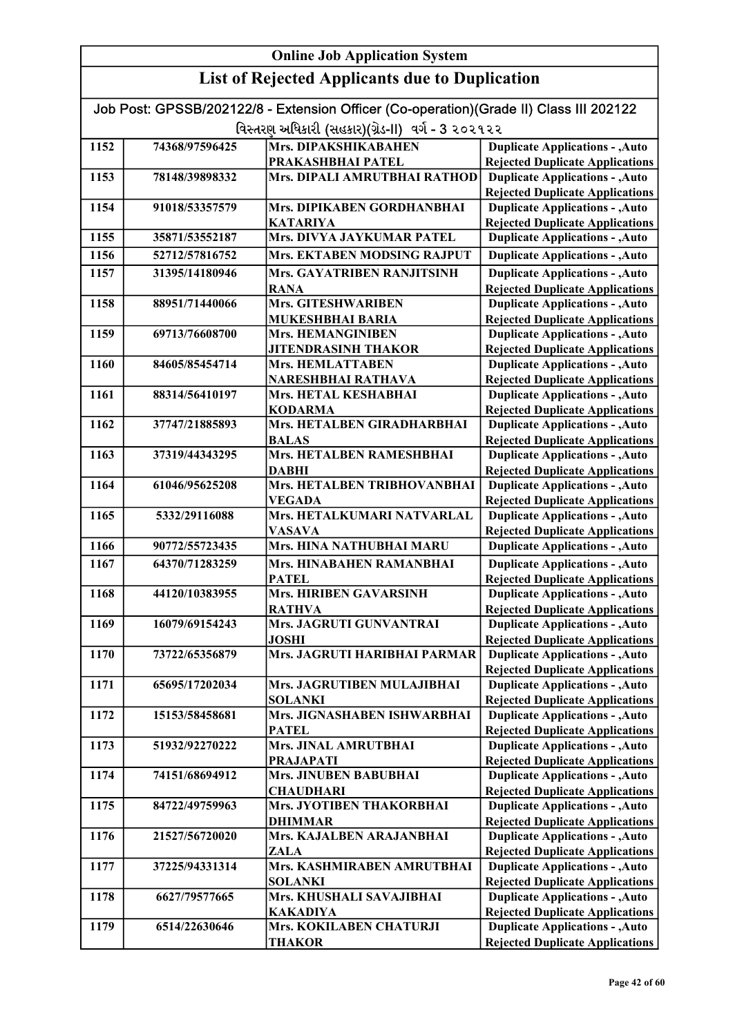|                                                       | <b>Online Job Application System</b> |                                                                                        |                                                                                  |
|-------------------------------------------------------|--------------------------------------|----------------------------------------------------------------------------------------|----------------------------------------------------------------------------------|
| <b>List of Rejected Applicants due to Duplication</b> |                                      |                                                                                        |                                                                                  |
|                                                       |                                      | Job Post: GPSSB/202122/8 - Extension Officer (Co-operation)(Grade II) Class III 202122 |                                                                                  |
|                                                       |                                      | વિસ્તરણ અધિકારી (સહકાર)(ગ્રેડ-II) વર્ગ - 3 ૨૦૨૧૨૨                                      |                                                                                  |
| 1152                                                  | 74368/97596425                       | Mrs. DIPAKSHIKABAHEN                                                                   | <b>Duplicate Applications - , Auto</b>                                           |
|                                                       |                                      | PRAKASHBHAI PATEL                                                                      | <b>Rejected Duplicate Applications</b>                                           |
| 1153                                                  | 78148/39898332                       | Mrs. DIPALI AMRUTBHAI RATHOD                                                           | <b>Duplicate Applications - , Auto</b>                                           |
|                                                       |                                      |                                                                                        | <b>Rejected Duplicate Applications</b>                                           |
| 1154                                                  | 91018/53357579                       | Mrs. DIPIKABEN GORDHANBHAI<br><b>KATARIYA</b>                                          | <b>Duplicate Applications - , Auto</b><br><b>Rejected Duplicate Applications</b> |
| 1155                                                  | 35871/53552187                       | Mrs. DIVYA JAYKUMAR PATEL                                                              | <b>Duplicate Applications - , Auto</b>                                           |
| 1156                                                  | 52712/57816752                       | Mrs. EKTABEN MODSING RAJPUT                                                            | <b>Duplicate Applications - , Auto</b>                                           |
| 1157                                                  | 31395/14180946                       | Mrs. GAYATRIBEN RANJITSINH                                                             | <b>Duplicate Applications - , Auto</b>                                           |
|                                                       |                                      | <b>RANA</b>                                                                            | <b>Rejected Duplicate Applications</b>                                           |
| 1158                                                  | 88951/71440066                       | <b>Mrs. GITESHWARIBEN</b>                                                              | <b>Duplicate Applications - , Auto</b>                                           |
|                                                       |                                      | <b>MUKESHBHAI BARIA</b>                                                                | <b>Rejected Duplicate Applications</b>                                           |
| 1159                                                  | 69713/76608700                       | <b>Mrs. HEMANGINIBEN</b>                                                               | <b>Duplicate Applications - , Auto</b>                                           |
|                                                       |                                      | <b>JITENDRASINH THAKOR</b>                                                             | <b>Rejected Duplicate Applications</b>                                           |
| 1160                                                  | 84605/85454714                       | Mrs. HEMLATTABEN                                                                       | <b>Duplicate Applications - , Auto</b>                                           |
|                                                       |                                      | NARESHBHAI RATHAVA                                                                     | <b>Rejected Duplicate Applications</b>                                           |
| 1161                                                  | 88314/56410197                       | Mrs. HETAL KESHABHAI                                                                   | <b>Duplicate Applications - , Auto</b>                                           |
| 1162                                                  | 37747/21885893                       | <b>KODARMA</b><br>Mrs. HETALBEN GIRADHARBHAI                                           | <b>Rejected Duplicate Applications</b><br><b>Duplicate Applications - , Auto</b> |
|                                                       |                                      | <b>BALAS</b>                                                                           | <b>Rejected Duplicate Applications</b>                                           |
| 1163                                                  | 37319/44343295                       | Mrs. HETALBEN RAMESHBHAI                                                               | <b>Duplicate Applications - , Auto</b>                                           |
|                                                       |                                      | <b>DABHI</b>                                                                           | <b>Rejected Duplicate Applications</b>                                           |
| 1164                                                  | 61046/95625208                       | Mrs. HETALBEN TRIBHOVANBHAI                                                            | <b>Duplicate Applications - , Auto</b>                                           |
|                                                       |                                      | <b>VEGADA</b>                                                                          | <b>Rejected Duplicate Applications</b>                                           |
| 1165                                                  | 5332/29116088                        | Mrs. HETALKUMARI NATVARLAL                                                             | <b>Duplicate Applications - , Auto</b>                                           |
|                                                       |                                      | <b>VASAVA</b>                                                                          | <b>Rejected Duplicate Applications</b>                                           |
| 1166                                                  | 90772/55723435                       | Mrs. HINA NATHUBHAI MARU                                                               | <b>Duplicate Applications - , Auto</b>                                           |
| 1167                                                  | 64370/71283259                       | Mrs. HINABAHEN RAMANBHAI<br><b>PATEL</b>                                               | <b>Duplicate Applications - , Auto</b><br><b>Rejected Duplicate Applications</b> |
| 1168                                                  | 44120/10383955                       | Mrs. HIRIBEN GAVARSINH                                                                 | <b>Duplicate Applications - , Auto</b>                                           |
|                                                       |                                      | <b>RATHVA</b>                                                                          | <b>Rejected Duplicate Applications</b>                                           |
| 1169                                                  | 16079/69154243                       | Mrs. JAGRUTI GUNVANTRAI                                                                | <b>Duplicate Applications - , Auto</b>                                           |
|                                                       |                                      | JOSHI                                                                                  | <b>Rejected Duplicate Applications</b>                                           |
| 1170                                                  | 73722/65356879                       | Mrs. JAGRUTI HARIBHAI PARMAR                                                           | <b>Duplicate Applications - , Auto</b>                                           |
|                                                       |                                      |                                                                                        | <b>Rejected Duplicate Applications</b>                                           |
| 1171                                                  | 65695/17202034                       | Mrs. JAGRUTIBEN MULAJIBHAI<br><b>SOLANKI</b>                                           | <b>Duplicate Applications - , Auto</b><br><b>Rejected Duplicate Applications</b> |
| 1172                                                  | 15153/58458681                       | Mrs. JIGNASHABEN ISHWARBHAI                                                            | <b>Duplicate Applications - , Auto</b>                                           |
|                                                       |                                      | <b>PATEL</b>                                                                           | <b>Rejected Duplicate Applications</b>                                           |
| 1173                                                  | 51932/92270222                       | Mrs. JINAL AMRUTBHAI                                                                   | <b>Duplicate Applications - , Auto</b>                                           |
|                                                       |                                      | <b>PRAJAPATI</b>                                                                       | <b>Rejected Duplicate Applications</b>                                           |
| 1174                                                  | 74151/68694912                       | Mrs. JINUBEN BABUBHAI                                                                  | <b>Duplicate Applications - , Auto</b>                                           |
|                                                       |                                      | <b>CHAUDHARI</b>                                                                       | <b>Rejected Duplicate Applications</b>                                           |
| 1175                                                  | 84722/49759963                       | Mrs. JYOTIBEN THAKORBHAI                                                               | <b>Duplicate Applications - , Auto</b>                                           |
| 1176                                                  | 21527/56720020                       | <b>DHIMMAR</b><br>Mrs. KAJALBEN ARAJANBHAI                                             | <b>Rejected Duplicate Applications</b><br><b>Duplicate Applications - , Auto</b> |
|                                                       |                                      | ZALA                                                                                   | <b>Rejected Duplicate Applications</b>                                           |
| 1177                                                  | 37225/94331314                       | Mrs. KASHMIRABEN AMRUTBHAI                                                             | <b>Duplicate Applications - , Auto</b>                                           |
|                                                       |                                      | <b>SOLANKI</b>                                                                         | <b>Rejected Duplicate Applications</b>                                           |
| 1178                                                  | 6627/79577665                        | Mrs. KHUSHALI SAVAJIBHAI                                                               | <b>Duplicate Applications - , Auto</b>                                           |
|                                                       |                                      | <b>KAKADIYA</b>                                                                        | <b>Rejected Duplicate Applications</b>                                           |
| 1179                                                  | 6514/22630646                        | Mrs. KOKILABEN CHATURJI                                                                | <b>Duplicate Applications - , Auto</b>                                           |
|                                                       |                                      | <b>THAKOR</b>                                                                          | <b>Rejected Duplicate Applications</b>                                           |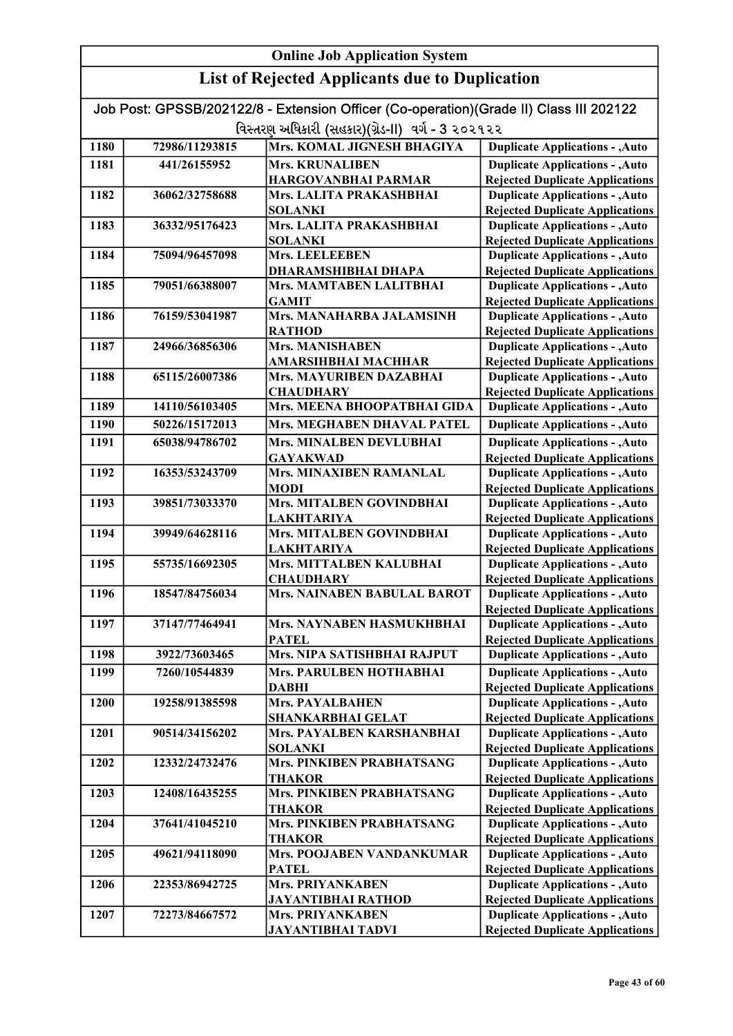| <b>Online Job Application System</b>                  |                |                                                                                        |                                                                                  |
|-------------------------------------------------------|----------------|----------------------------------------------------------------------------------------|----------------------------------------------------------------------------------|
| <b>List of Rejected Applicants due to Duplication</b> |                |                                                                                        |                                                                                  |
|                                                       |                | Job Post: GPSSB/202122/8 - Extension Officer (Co-operation)(Grade II) Class III 202122 |                                                                                  |
|                                                       |                | વિસ્તરણ અધિકારી (સહકાર)(ગ્રેડ-II) વર્ગ - 3 ૨૦૨૧૨૨                                      |                                                                                  |
| 1180                                                  | 72986/11293815 | Mrs. KOMAL JIGNESH BHAGIYA                                                             | <b>Duplicate Applications - , Auto</b>                                           |
| 1181                                                  | 441/26155952   | <b>Mrs. KRUNALIBEN</b>                                                                 | <b>Duplicate Applications - , Auto</b>                                           |
|                                                       |                | <b>HARGOVANBHAI PARMAR</b>                                                             | <b>Rejected Duplicate Applications</b>                                           |
| 1182                                                  | 36062/32758688 | Mrs. LALITA PRAKASHBHAI                                                                | <b>Duplicate Applications - , Auto</b>                                           |
|                                                       |                | <b>SOLANKI</b>                                                                         | <b>Rejected Duplicate Applications</b>                                           |
| 1183                                                  | 36332/95176423 | Mrs. LALITA PRAKASHBHAI                                                                | <b>Duplicate Applications - , Auto</b>                                           |
|                                                       |                | <b>SOLANKI</b>                                                                         | <b>Rejected Duplicate Applications</b>                                           |
| 1184                                                  | 75094/96457098 | Mrs. LEELEEBEN                                                                         | <b>Duplicate Applications - , Auto</b>                                           |
| 1185                                                  |                | <b>DHARAMSHIBHAI DHAPA</b><br>Mrs. MAMTABEN LALITBHAI                                  | <b>Rejected Duplicate Applications</b><br><b>Duplicate Applications - , Auto</b> |
|                                                       | 79051/66388007 | <b>GAMIT</b>                                                                           | <b>Rejected Duplicate Applications</b>                                           |
| 1186                                                  | 76159/53041987 | Mrs. MANAHARBA JALAMSINH                                                               | <b>Duplicate Applications - , Auto</b>                                           |
|                                                       |                | <b>RATHOD</b>                                                                          | <b>Rejected Duplicate Applications</b>                                           |
| 1187                                                  | 24966/36856306 | <b>Mrs. MANISHABEN</b>                                                                 | <b>Duplicate Applications - , Auto</b>                                           |
|                                                       |                | <b>AMARSIHBHAI MACHHAR</b>                                                             | <b>Rejected Duplicate Applications</b>                                           |
| 1188                                                  | 65115/26007386 | Mrs. MAYURIBEN DAZABHAI                                                                | <b>Duplicate Applications - , Auto</b>                                           |
|                                                       |                | <b>CHAUDHARY</b>                                                                       | <b>Rejected Duplicate Applications</b>                                           |
| 1189                                                  | 14110/56103405 | Mrs. MEENA BHOOPATBHAI GIDA                                                            | <b>Duplicate Applications - , Auto</b>                                           |
| 1190                                                  | 50226/15172013 | Mrs. MEGHABEN DHAVAL PATEL                                                             | <b>Duplicate Applications - , Auto</b>                                           |
| 1191                                                  | 65038/94786702 | Mrs. MINALBEN DEVLUBHAI                                                                | <b>Duplicate Applications - , Auto</b>                                           |
|                                                       |                | <b>GAYAKWAD</b>                                                                        | <b>Rejected Duplicate Applications</b>                                           |
| 1192                                                  | 16353/53243709 | Mrs. MINAXIBEN RAMANLAL                                                                | <b>Duplicate Applications - , Auto</b>                                           |
|                                                       |                | <b>MODI</b>                                                                            | <b>Rejected Duplicate Applications</b>                                           |
| 1193                                                  | 39851/73033370 | Mrs. MITALBEN GOVINDBHAI<br><b>LAKHTARIYA</b>                                          | <b>Duplicate Applications - , Auto</b><br><b>Rejected Duplicate Applications</b> |
| 1194                                                  | 39949/64628116 | Mrs. MITALBEN GOVINDBHAI                                                               | <b>Duplicate Applications - , Auto</b>                                           |
|                                                       |                | <b>LAKHTARIYA</b>                                                                      | <b>Rejected Duplicate Applications</b>                                           |
| 1195                                                  | 55735/16692305 | Mrs. MITTALBEN KALUBHAI                                                                | <b>Duplicate Applications - , Auto</b>                                           |
|                                                       |                | <b>CHAUDHARY</b>                                                                       | <b>Rejected Duplicate Applications</b>                                           |
| 1196                                                  | 18547/84756034 | Mrs. NAINABEN BABULAL BAROT                                                            | <b>Duplicate Applications - , Auto</b>                                           |
| 1197                                                  | 37147/77464941 | Mrs. NAYNABEN HASMUKHBHAI                                                              | <b>Rejected Duplicate Applications</b><br><b>Duplicate Applications - , Auto</b> |
|                                                       |                | <b>PATEL</b>                                                                           | <b>Rejected Duplicate Applications</b>                                           |
| 1198                                                  | 3922/73603465  | Mrs. NIPA SATISHBHAI RAJPUT                                                            | <b>Duplicate Applications - , Auto</b>                                           |
| 1199                                                  | 7260/10544839  | Mrs. PARULBEN HOTHABHAI                                                                | <b>Duplicate Applications - , Auto</b>                                           |
|                                                       |                | <b>DABHI</b>                                                                           | <b>Rejected Duplicate Applications</b>                                           |
| 1200                                                  | 19258/91385598 | <b>Mrs. PAYALBAHEN</b>                                                                 | <b>Duplicate Applications - , Auto</b>                                           |
|                                                       |                | <b>SHANKARBHAI GELAT</b>                                                               | <b>Rejected Duplicate Applications</b>                                           |
| 1201                                                  | 90514/34156202 | Mrs. PAYALBEN KARSHANBHAI                                                              | <b>Duplicate Applications - , Auto</b>                                           |
|                                                       |                | <b>SOLANKI</b>                                                                         | <b>Rejected Duplicate Applications</b>                                           |
| 1202                                                  | 12332/24732476 | Mrs. PINKIBEN PRABHATSANG<br><b>THAKOR</b>                                             | <b>Duplicate Applications - , Auto</b><br><b>Rejected Duplicate Applications</b> |
| 1203                                                  | 12408/16435255 | Mrs. PINKIBEN PRABHATSANG                                                              | <b>Duplicate Applications - , Auto</b>                                           |
|                                                       |                | <b>THAKOR</b>                                                                          | <b>Rejected Duplicate Applications</b>                                           |
| 1204                                                  | 37641/41045210 | Mrs. PINKIBEN PRABHATSANG                                                              | <b>Duplicate Applications - , Auto</b>                                           |
|                                                       |                | <b>THAKOR</b>                                                                          | <b>Rejected Duplicate Applications</b>                                           |
| 1205                                                  | 49621/94118090 | Mrs. POOJABEN VANDANKUMAR                                                              | <b>Duplicate Applications - , Auto</b>                                           |
|                                                       |                | <b>PATEL</b>                                                                           | <b>Rejected Duplicate Applications</b>                                           |
| 1206                                                  | 22353/86942725 | <b>Mrs. PRIYANKABEN</b>                                                                | <b>Duplicate Applications - , Auto</b>                                           |
| 1207                                                  | 72273/84667572 | <b>JAYANTIBHAI RATHOD</b><br><b>Mrs. PRIYANKABEN</b>                                   | <b>Rejected Duplicate Applications</b><br><b>Duplicate Applications - , Auto</b> |
|                                                       |                | <b>JAYANTIBHAI TADVI</b>                                                               | <b>Rejected Duplicate Applications</b>                                           |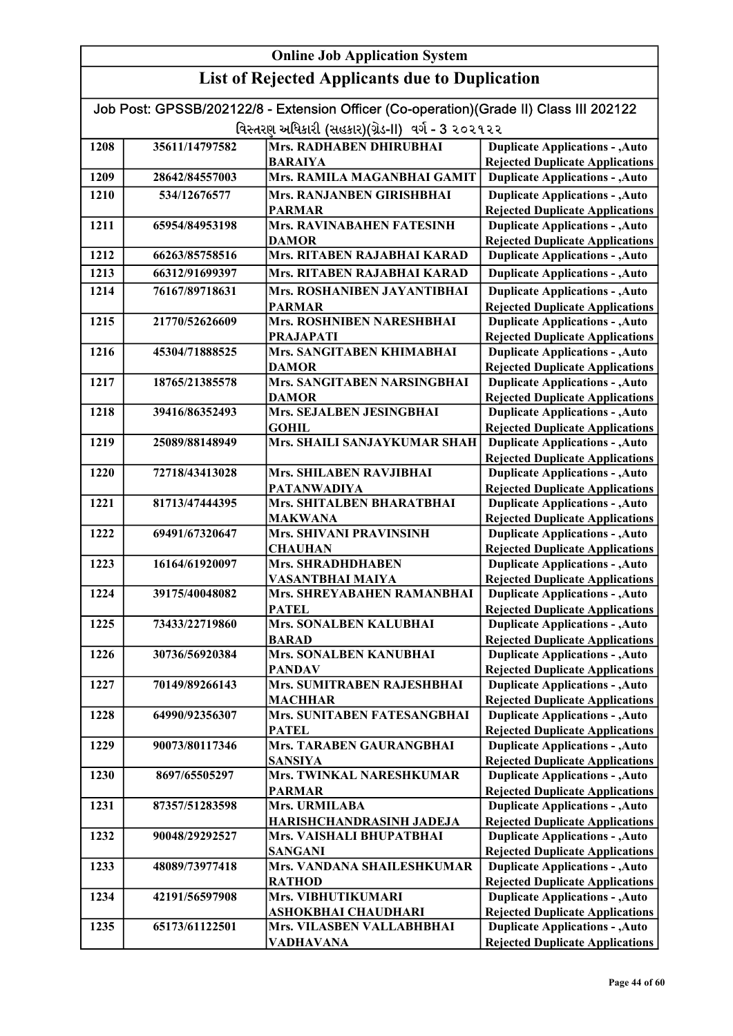| Job Post: GPSSB/202122/8 - Extension Officer (Co-operation)(Grade II) Class III 202122 |                |                                         |                                                                                  |
|----------------------------------------------------------------------------------------|----------------|-----------------------------------------|----------------------------------------------------------------------------------|
| વિસ્તરણ અધિકારી (સહકાર)(ગ્રેડ-II) વર્ગ - 3 ૨૦૨૧૨૨                                      |                |                                         |                                                                                  |
| 1208                                                                                   | 35611/14797582 | Mrs. RADHABEN DHIRUBHAI                 | <b>Duplicate Applications - , Auto</b>                                           |
|                                                                                        |                | <b>BARAIYA</b>                          | <b>Rejected Duplicate Applications</b>                                           |
| 1209                                                                                   | 28642/84557003 | Mrs. RAMILA MAGANBHAI GAMIT             | <b>Duplicate Applications - , Auto</b>                                           |
| 1210                                                                                   | 534/12676577   | Mrs. RANJANBEN GIRISHBHAI               | <b>Duplicate Applications - , Auto</b>                                           |
|                                                                                        |                | <b>PARMAR</b>                           | <b>Rejected Duplicate Applications</b>                                           |
| 1211                                                                                   | 65954/84953198 | Mrs. RAVINABAHEN FATESINH               | <b>Duplicate Applications - , Auto</b>                                           |
|                                                                                        |                | <b>DAMOR</b>                            | <b>Rejected Duplicate Applications</b>                                           |
| 1212                                                                                   | 66263/85758516 | Mrs. RITABEN RAJABHAI KARAD             | <b>Duplicate Applications - , Auto</b>                                           |
| 1213                                                                                   | 66312/91699397 | Mrs. RITABEN RAJABHAI KARAD             | <b>Duplicate Applications - , Auto</b>                                           |
| 1214                                                                                   | 76167/89718631 | Mrs. ROSHANIBEN JAYANTIBHAI             | <b>Duplicate Applications - , Auto</b>                                           |
|                                                                                        |                | <b>PARMAR</b>                           | <b>Rejected Duplicate Applications</b>                                           |
| 1215                                                                                   | 21770/52626609 | Mrs. ROSHNIBEN NARESHBHAI               | <b>Duplicate Applications - , Auto</b>                                           |
|                                                                                        |                | <b>PRAJAPATI</b>                        | <b>Rejected Duplicate Applications</b>                                           |
| 1216                                                                                   | 45304/71888525 | Mrs. SANGITABEN KHIMABHAI               | <b>Duplicate Applications - , Auto</b>                                           |
|                                                                                        |                | <b>DAMOR</b>                            | <b>Rejected Duplicate Applications</b>                                           |
| 1217                                                                                   | 18765/21385578 | Mrs. SANGITABEN NARSINGBHAI             | <b>Duplicate Applications - , Auto</b>                                           |
|                                                                                        |                | <b>DAMOR</b>                            | <b>Rejected Duplicate Applications</b>                                           |
| 1218                                                                                   | 39416/86352493 | Mrs. SEJALBEN JESINGBHAI                | <b>Duplicate Applications - , Auto</b>                                           |
|                                                                                        |                | <b>GOHIL</b>                            | <b>Rejected Duplicate Applications</b>                                           |
| 1219                                                                                   | 25089/88148949 | Mrs. SHAILI SANJAYKUMAR SHAH            | <b>Duplicate Applications - , Auto</b>                                           |
| 1220                                                                                   | 72718/43413028 | Mrs. SHILABEN RAVJIBHAI                 | <b>Rejected Duplicate Applications</b><br><b>Duplicate Applications - , Auto</b> |
|                                                                                        |                | <b>PATANWADIYA</b>                      | <b>Rejected Duplicate Applications</b>                                           |
| 1221                                                                                   | 81713/47444395 | Mrs. SHITALBEN BHARATBHAI               | <b>Duplicate Applications - , Auto</b>                                           |
|                                                                                        |                | <b>MAKWANA</b>                          | <b>Rejected Duplicate Applications</b>                                           |
| 1222                                                                                   | 69491/67320647 | Mrs. SHIVANI PRAVINSINH                 | <b>Duplicate Applications - , Auto</b>                                           |
|                                                                                        |                | <b>CHAUHAN</b>                          | <b>Rejected Duplicate Applications</b>                                           |
| 1223                                                                                   | 16164/61920097 | Mrs. SHRADHDHABEN                       | <b>Duplicate Applications - , Auto</b>                                           |
|                                                                                        |                | <b>VASANTBHAI MAIYA</b>                 | <b>Rejected Duplicate Applications</b>                                           |
| 1224                                                                                   | 39175/40048082 | Mrs. SHREYABAHEN RAMANBHAI              | <b>Duplicate Applications - , Auto</b>                                           |
|                                                                                        |                | <b>PATEL</b>                            | <b>Rejected Duplicate Applications</b>                                           |
| 1225                                                                                   | 73433/22719860 | Mrs. SONALBEN KALUBHAI                  | <b>Duplicate Applications - , Auto</b>                                           |
|                                                                                        |                | <b>BARAD</b>                            | <b>Rejected Duplicate Applications</b><br><b>Duplicate Applications - , Auto</b> |
| 1226                                                                                   | 30736/56920384 | Mrs. SONALBEN KANUBHAI<br><b>PANDAV</b> | <b>Rejected Duplicate Applications</b>                                           |
| 1227                                                                                   | 70149/89266143 | Mrs. SUMITRABEN RAJESHBHAI              | <b>Duplicate Applications - , Auto</b>                                           |
|                                                                                        |                | <b>MACHHAR</b>                          | <b>Rejected Duplicate Applications</b>                                           |
| 1228                                                                                   | 64990/92356307 | Mrs. SUNITABEN FATESANGBHAI             | <b>Duplicate Applications - , Auto</b>                                           |
|                                                                                        |                | <b>PATEL</b>                            | <b>Rejected Duplicate Applications</b>                                           |
| 1229                                                                                   | 90073/80117346 | Mrs. TARABEN GAURANGBHAI                | <b>Duplicate Applications - , Auto</b>                                           |
|                                                                                        |                | <b>SANSIYA</b>                          | <b>Rejected Duplicate Applications</b>                                           |
| 1230                                                                                   | 8697/65505297  | Mrs. TWINKAL NARESHKUMAR                | <b>Duplicate Applications - , Auto</b>                                           |
|                                                                                        |                | <b>PARMAR</b>                           | <b>Rejected Duplicate Applications</b>                                           |
| 1231                                                                                   | 87357/51283598 | <b>Mrs. URMILABA</b>                    | <b>Duplicate Applications - , Auto</b>                                           |
|                                                                                        |                | <b>HARISHCHANDRASINH JADEJA</b>         | <b>Rejected Duplicate Applications</b>                                           |
| 1232                                                                                   | 90048/29292527 | Mrs. VAISHALI BHUPATBHAI                | <b>Duplicate Applications - , Auto</b>                                           |
|                                                                                        |                | <b>SANGANI</b>                          | <b>Rejected Duplicate Applications</b>                                           |
| 1233                                                                                   | 48089/73977418 | Mrs. VANDANA SHAILESHKUMAR              | <b>Duplicate Applications - , Auto</b>                                           |
| 1234                                                                                   | 42191/56597908 | <b>RATHOD</b><br>Mrs. VIBHUTIKUMARI     | <b>Rejected Duplicate Applications</b><br><b>Duplicate Applications - , Auto</b> |
|                                                                                        |                | <b>ASHOKBHAI CHAUDHARI</b>              | <b>Rejected Duplicate Applications</b>                                           |
| 1235                                                                                   | 65173/61122501 | Mrs. VILASBEN VALLABHBHAI               | <b>Duplicate Applications - , Auto</b>                                           |
|                                                                                        |                | <b>VADHAVANA</b>                        | <b>Rejected Duplicate Applications</b>                                           |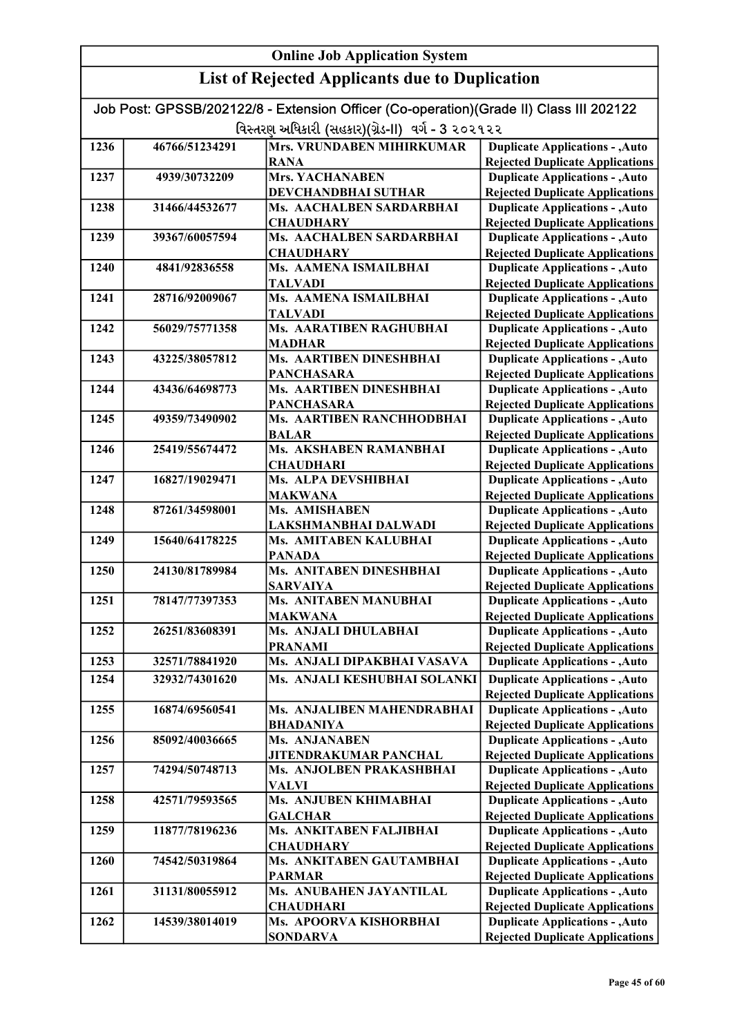#### Online Job Application System List of Rejected Applicants due to Duplication Job Post: GPSSB/202122/8 - Extension Officer (Co-operation)(Grade II) Class III 202122 વિસ્તરણ અધિકારી (સહકાર)(ગ્રેડ-II) વર્ગ - 3 ૨૦૨૧૨૨ 1236 46766/51234291 Mrs. VRUNDABEN MIHIRKUMAR RANA 1237 4939/30732209 Mrs. YACHANABEN DEVCHANDBHAI SUTHAR 1238 31466/44532677 Ms. AACHALBEN SARDARBHAI **CHAUDHARY** 1239 39367/60057594 Ms. AACHALBEN SARDARBHAI **CHAUDHARY** 1240 4841/92836558 Ms. AAMENA ISMAILBHAI TALVADI 1241 28716/92009067 Ms. AAMENA ISMAILBHAI TALVADI 1242 56029/75771358 Ms. AARATIBEN RAGHUBHAI MADHAR 1243 43225/38057812 Ms. AARTIBEN DINESHBHAI **PANCHASARA** 1244 43436/64698773 Ms. AARTIBEN DINESHBHAI **PANCHASARA** 1245 49359/73490902 Ms. AARTIBEN RANCHHODBHAI BALAR 1246 25419/55674472 Ms. AKSHABEN RAMANBHAI **CHAUDHARI** 1247 16827/19029471 Ms. ALPA DEVSHIBHAI MAKWANA 1248 87261/34598001 Ms. AMISHABEN LAKSHMANBHAI DALWADI 1249 15640/64178225 Ms. AMITABEN KALUBHAI PANADA 1250 24130/81789984 Ms. ANITABEN DINESHBHAI SARVAIYA 1251 78147/77397353 Ms. ANITABEN MANUBHAI MAKWANA 1252 26251/83608391 Ms. ANJALI DHULABHAI PRANAMI 1253 32571/78841920 Ms. ANJALI DIPAKBHAI VASAVA 1254 32932/74301620 Ms. ANJALI KESHUBHAI SOLANKI 1255 16874/69560541 Ms. ANJALIBEN MAHENDRABHAI BHADANIYA 1256 85092/40036665 Ms. ANJANABEN JITENDRAKUMAR PANCHAL 1257 74294/50748713 Ms. ANJOLBEN PRAKASHBHAI VALVI 1258 42571/79593565 Ms. ANJUBEN KHIMABHAI **GALCHAR** 1259 11877/78196236 Ms. ANKITABEN FALJIBHAI **CHAUDHARY** 1260 74542/50319864 Ms. ANKITABEN GAUTAMBHAI PARMAR 1261 31131/80055912 Ms. ANUBAHEN JAYANTILAL **CHAUDHARI** 1262 14539/38014019 Ms. APOORVA KISHORBHAI **SONDARVA** Duplicate Applications - ,Auto Rejected Duplicate Applications Duplicate Applications - ,Auto Rejected Duplicate Applications Duplicate Applications - ,Auto Rejected Duplicate Applications Duplicate Applications - ,Auto Rejected Duplicate Applications Duplicate Applications - ,Auto Rejected Duplicate Applications Duplicate Applications - ,Auto Rejected Duplicate Applications Duplicate Applications - ,Auto Rejected Duplicate Applications Duplicate Applications - ,Auto Rejected Duplicate Applications Duplicate Applications - ,Auto Rejected Duplicate Applications Duplicate Applications - ,Auto Rejected Duplicate Applications Duplicate Applications - ,Auto Rejected Duplicate Applications Duplicate Applications - ,Auto Rejected Duplicate Applications Duplicate Applications - ,Auto Rejected Duplicate Applications Duplicate Applications - ,Auto Rejected Duplicate Applications Duplicate Applications - ,Auto Rejected Duplicate Applications Duplicate Applications - ,Auto Rejected Duplicate Applications Duplicate Applications - ,Auto Rejected Duplicate Applications Duplicate Applications - ,Auto Rejected Duplicate Applications Duplicate Applications - ,Auto Rejected Duplicate Applications Duplicate Applications - ,Auto Rejected Duplicate Applications Duplicate Applications - ,Auto Rejected Duplicate Applications Duplicate Applications - ,Auto Rejected Duplicate Applications Duplicate Applications - ,Auto Rejected Duplicate Applications Duplicate Applications - ,Auto Rejected Duplicate Applications Duplicate Applications - ,Auto Rejected Duplicate Applications Duplicate Applications - ,Auto **Duplicate Applications - ,Auto** Rejected Duplicate Applications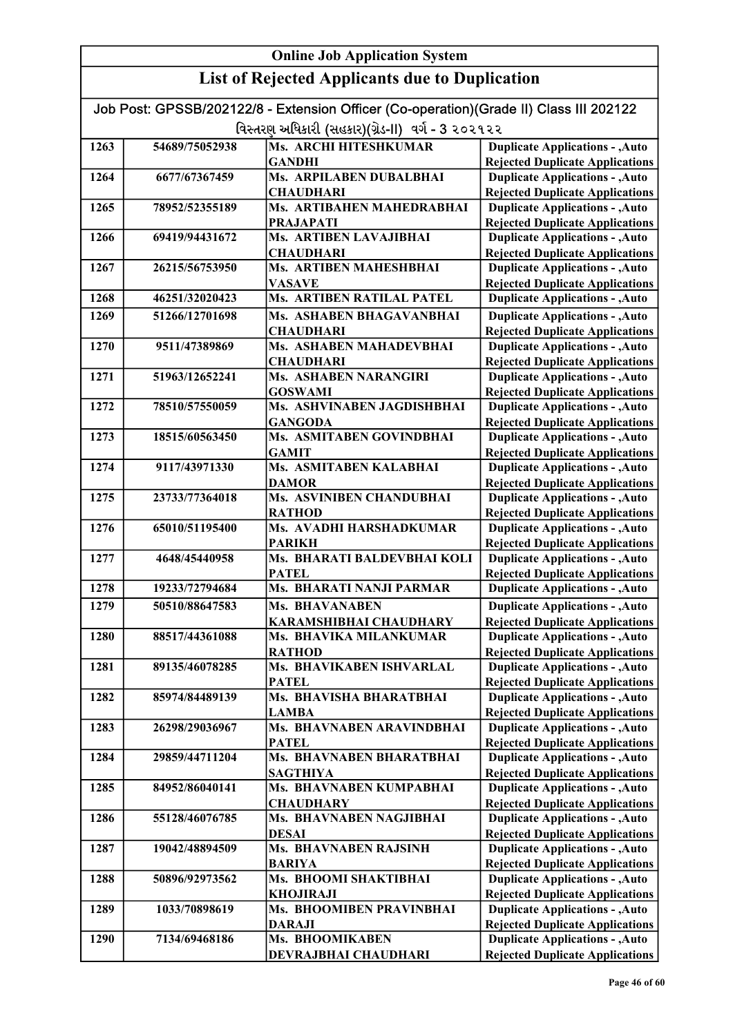|      | Job Post: GPSSB/202122/8 - Extension Officer (Co-operation)(Grade II) Class III 202122 |                                                   |                                                                                  |  |
|------|----------------------------------------------------------------------------------------|---------------------------------------------------|----------------------------------------------------------------------------------|--|
|      | વિસ્તરણ અધિકારી (સહકાર)(ગ્રેડ-II) વર્ગ - 3 ૨૦૨૧૨૨                                      |                                                   |                                                                                  |  |
| 1263 | 54689/75052938                                                                         | Ms. ARCHI HITESHKUMAR                             | <b>Duplicate Applications - , Auto</b>                                           |  |
|      |                                                                                        | <b>GANDHI</b>                                     | <b>Rejected Duplicate Applications</b>                                           |  |
| 1264 | 6677/67367459                                                                          | Ms. ARPILABEN DUBALBHAI                           | <b>Duplicate Applications - , Auto</b>                                           |  |
|      |                                                                                        | <b>CHAUDHARI</b>                                  | <b>Rejected Duplicate Applications</b>                                           |  |
| 1265 | 78952/52355189                                                                         | Ms. ARTIBAHEN MAHEDRABHAI                         | <b>Duplicate Applications - , Auto</b>                                           |  |
|      |                                                                                        | <b>PRAJAPATI</b>                                  | <b>Rejected Duplicate Applications</b>                                           |  |
| 1266 | 69419/94431672                                                                         | Ms. ARTIBEN LAVAJIBHAI                            | <b>Duplicate Applications - , Auto</b>                                           |  |
|      |                                                                                        | <b>CHAUDHARI</b>                                  | <b>Rejected Duplicate Applications</b>                                           |  |
| 1267 | 26215/56753950                                                                         | Ms. ARTIBEN MAHESHBHAI                            | <b>Duplicate Applications - , Auto</b>                                           |  |
| 1268 | 46251/32020423                                                                         | <b>VASAVE</b><br><b>Ms. ARTIBEN RATILAL PATEL</b> | <b>Rejected Duplicate Applications</b><br><b>Duplicate Applications - , Auto</b> |  |
|      |                                                                                        |                                                   |                                                                                  |  |
| 1269 | 51266/12701698                                                                         | Ms. ASHABEN BHAGAVANBHAI                          | <b>Duplicate Applications - , Auto</b>                                           |  |
| 1270 | 9511/47389869                                                                          | <b>CHAUDHARI</b><br>Ms. ASHABEN MAHADEVBHAI       | <b>Rejected Duplicate Applications</b><br><b>Duplicate Applications - , Auto</b> |  |
|      |                                                                                        | <b>CHAUDHARI</b>                                  | <b>Rejected Duplicate Applications</b>                                           |  |
| 1271 | 51963/12652241                                                                         | Ms. ASHABEN NARANGIRI                             | <b>Duplicate Applications - , Auto</b>                                           |  |
|      |                                                                                        | <b>GOSWAMI</b>                                    | <b>Rejected Duplicate Applications</b>                                           |  |
| 1272 | 78510/57550059                                                                         | Ms. ASHVINABEN JAGDISHBHAI                        | <b>Duplicate Applications - , Auto</b>                                           |  |
|      |                                                                                        | <b>GANGODA</b>                                    | <b>Rejected Duplicate Applications</b>                                           |  |
| 1273 | 18515/60563450                                                                         | Ms. ASMITABEN GOVINDBHAI                          | <b>Duplicate Applications - , Auto</b>                                           |  |
|      |                                                                                        | <b>GAMIT</b>                                      | <b>Rejected Duplicate Applications</b>                                           |  |
| 1274 | 9117/43971330                                                                          | Ms. ASMITABEN KALABHAI                            | <b>Duplicate Applications - , Auto</b>                                           |  |
|      |                                                                                        | <b>DAMOR</b>                                      | <b>Rejected Duplicate Applications</b>                                           |  |
| 1275 | 23733/77364018                                                                         | Ms. ASVINIBEN CHANDUBHAI                          | <b>Duplicate Applications - , Auto</b>                                           |  |
|      |                                                                                        | <b>RATHOD</b>                                     | <b>Rejected Duplicate Applications</b>                                           |  |
| 1276 | 65010/51195400                                                                         | Ms. AVADHI HARSHADKUMAR                           | <b>Duplicate Applications - , Auto</b>                                           |  |
| 1277 | 4648/45440958                                                                          | <b>PARIKH</b><br>Ms. BHARATI BALDEVBHAI KOLI      | <b>Rejected Duplicate Applications</b><br><b>Duplicate Applications - , Auto</b> |  |
|      |                                                                                        | <b>PATEL</b>                                      | <b>Rejected Duplicate Applications</b>                                           |  |
| 1278 | 19233/72794684                                                                         | <b>Ms. BHARATI NANJI PARMAR</b>                   | <b>Duplicate Applications - , Auto</b>                                           |  |
| 1279 | 50510/88647583                                                                         | <b>Ms. BHAVANABEN</b>                             | <b>Duplicate Applications - , Auto</b>                                           |  |
|      |                                                                                        | KARAMSHIBHAI CHAUDHARY                            | <b>Rejected Duplicate Applications</b>                                           |  |
| 1280 | 88517/44361088                                                                         | Ms. BHAVIKA MILANKUMAR                            | <b>Duplicate Applications - , Auto</b>                                           |  |
|      |                                                                                        | RATHOD                                            | <b>Rejected Duplicate Applications</b>                                           |  |
| 1281 | 89135/46078285                                                                         | Ms. BHAVIKABEN ISHVARLAL                          | <b>Duplicate Applications - , Auto</b>                                           |  |
|      |                                                                                        | <b>PATEL</b>                                      | <b>Rejected Duplicate Applications</b>                                           |  |
| 1282 | 85974/84489139                                                                         | Ms. BHAVISHA BHARATBHAI                           | <b>Duplicate Applications - , Auto</b>                                           |  |
|      |                                                                                        | <b>LAMBA</b>                                      | <b>Rejected Duplicate Applications</b>                                           |  |
| 1283 | 26298/29036967                                                                         | Ms. BHAVNABEN ARAVINDBHAI                         | <b>Duplicate Applications - , Auto</b>                                           |  |
|      |                                                                                        | <b>PATEL</b>                                      | <b>Rejected Duplicate Applications</b>                                           |  |
| 1284 | 29859/44711204                                                                         | Ms. BHAVNABEN BHARATBHAI                          | <b>Duplicate Applications - , Auto</b>                                           |  |
| 1285 | 84952/86040141                                                                         | <b>SAGTHIYA</b><br>Ms. BHAVNABEN KUMPABHAI        | <b>Rejected Duplicate Applications</b><br><b>Duplicate Applications - , Auto</b> |  |
|      |                                                                                        | <b>CHAUDHARY</b>                                  | <b>Rejected Duplicate Applications</b>                                           |  |
| 1286 | 55128/46076785                                                                         | Ms. BHAVNABEN NAGJIBHAI                           | <b>Duplicate Applications - , Auto</b>                                           |  |
|      |                                                                                        | <b>DESAI</b>                                      | <b>Rejected Duplicate Applications</b>                                           |  |
| 1287 | 19042/48894509                                                                         | Ms. BHAVNABEN RAJSINH                             | <b>Duplicate Applications - , Auto</b>                                           |  |
|      |                                                                                        | <b>BARIYA</b>                                     | <b>Rejected Duplicate Applications</b>                                           |  |
| 1288 | 50896/92973562                                                                         | Ms. BHOOMI SHAKTIBHAI                             | <b>Duplicate Applications - , Auto</b>                                           |  |
|      |                                                                                        | <b>KHOJIRAJI</b>                                  | <b>Rejected Duplicate Applications</b>                                           |  |
| 1289 | 1033/70898619                                                                          | Ms. BHOOMIBEN PRAVINBHAI                          | <b>Duplicate Applications - , Auto</b>                                           |  |
|      |                                                                                        | <b>DARAJI</b>                                     | <b>Rejected Duplicate Applications</b>                                           |  |
| 1290 | 7134/69468186                                                                          | Ms. BHOOMIKABEN                                   | <b>Duplicate Applications - , Auto</b>                                           |  |
|      |                                                                                        | DEVRAJBHAI CHAUDHARI                              | <b>Rejected Duplicate Applications</b>                                           |  |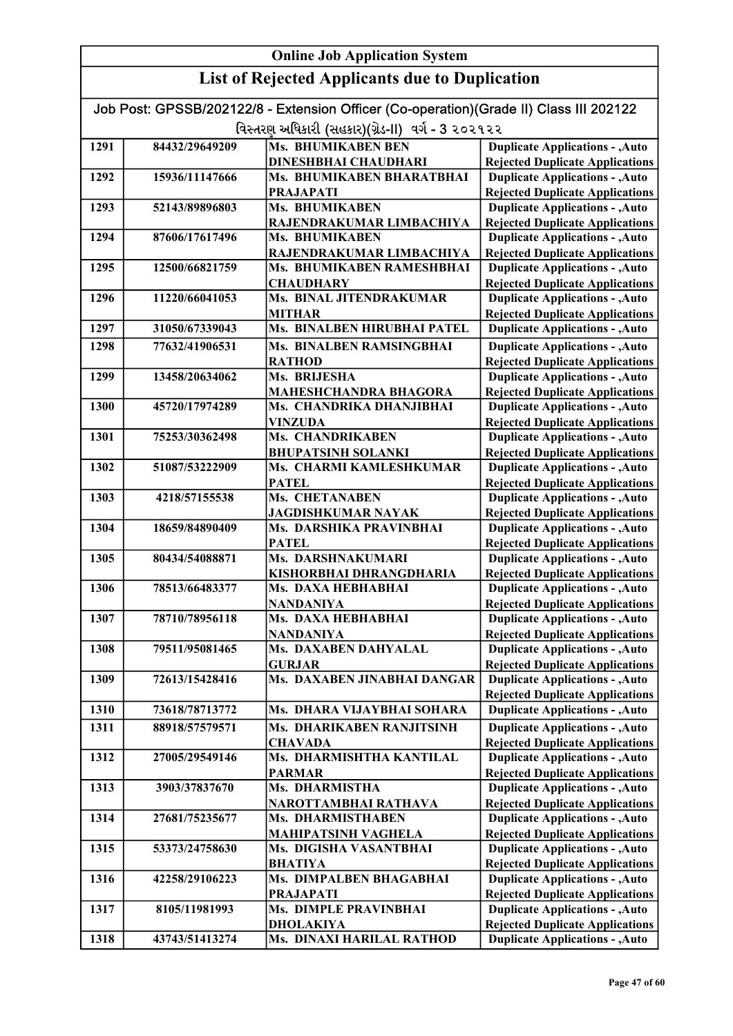#### Online Job Application System List of Rejected Applicants due to Duplication Job Post: GPSSB/202122/8 - Extension Officer (Co-operation)(Grade II) Class III 202122 વિસ્તરણ અધિકારી (સહકાર)(ગ્રેડ-II) વર્ગ - 3 ૨૦૨૧૨૨ 1291 84432/29649209 Ms. BHUMIKABEN BEN DINESHBHAI CHAUDHARI 1292 15936/11147666 Ms. BHUMIKABEN BHARATBHAI PRAJAPATI 1293 52143/89896803 Ms. BHUMIKABEN RAJENDRAKUMAR LIMBACHIYA 1294 87606/17617496 Ms. BHUMIKABEN RAJENDRAKUMAR LIMBACHIYA 1295 12500/66821759 Ms. BHUMIKABEN RAMESHBHAI **CHAUDHARY** 1296 11220/66041053 Ms. BINAL JITENDRAKUMAR MITHAR 1297 31050/67339043 Ms. BINALBEN HIRUBHAI PATEL 1298 77632/41906531 Ms. BINALBEN RAMSINGBHAI **RATHOD** 1299 13458/20634062 Ms. BRIJESHA MAHESHCHANDRA BHAGORA 1300 45720/17974289 Ms. CHANDRIKA DHANJIBHAI VINZUDA 1301 75253/30362498 Ms. CHANDRIKABEN BHUPATSINH SOLANKI 1302 51087/53222909 Ms. CHARMI KAMLESHKUMAR PATEL 1303 4218/57155538 Ms. CHETANABEN JAGDISHKUMAR NAYAK 1304 18659/84890409 Ms. DARSHIKA PRAVINBHAI PATEL 1305 80434/54088871 Ms. DARSHNAKUMARI KISHORBHAI DHRANGDHARIA 1306 78513/66483377 Ms. DAXA HEBHABHAI NANDANIYA 1307 78710/78956118 Ms. DAXA HEBHABHAI NANDANIYA 1308 79511/95081465 Ms. DAXABEN DAHYALAL GURJAR 1309 72613/15428416 Ms. DAXABEN JINABHAI DANGAR 1310 73618/78713772 Ms. DHARA VIJAYBHAI SOHARA 1311 88918/57579571 Ms. DHARIKABEN RANJITSINH **CHAVADA** 1312 27005/29549146 Ms. DHARMISHTHA KANTILAL PARMAR 1313 3903/37837670 Ms. DHARMISTHA NAROTTAMBHAI RATHAVA 1314 27681/75235677 Ms. DHARMISTHABEN MAHIPATSINH VAGHELA 1315 53373/24758630 Ms. DIGISHA VASANTBHAI BHATIYA 1316 42258/29106223 Ms. DIMPALBEN BHAGABHAI PRAJAPATI 1317 8105/11981993 Ms. DIMPLE PRAVINBHAI DHOLAKIYA 1318 43743/51413274 Ms. DINAXI HARILAL RATHOD Duplicate Applications - ,Auto **Duplicate Applications - ,Auto** Rejected Duplicate Applications Duplicate Applications - ,Auto Rejected Duplicate Applications Duplicate Applications - ,Auto Rejected Duplicate Applications Duplicate Applications - ,Auto Rejected Duplicate Applications Duplicate Applications - ,Auto Rejected Duplicate Applications Duplicate Applications - ,Auto Rejected Duplicate Applications Duplicate Applications - ,Auto Rejected Duplicate Applications Duplicate Applications - ,Auto Rejected Duplicate Applications Duplicate Applications - ,Auto Rejected Duplicate Applications Duplicate Applications - ,Auto Rejected Duplicate Applications Duplicate Applications - ,Auto Rejected Duplicate Applications Duplicate Applications - ,Auto Rejected Duplicate Applications Duplicate Applications - ,Auto Rejected Duplicate Applications Duplicate Applications - ,Auto Rejected Duplicate Applications Duplicate Applications - ,Auto Duplicate Applications - ,Auto Rejected Duplicate Applications Duplicate Applications - ,Auto **Duplicate Applications - ,Auto** Rejected Duplicate Applications Duplicate Applications - ,Auto Rejected Duplicate Applications Duplicate Applications - ,Auto Rejected Duplicate Applications Duplicate Applications - ,Auto Rejected Duplicate Applications Duplicate Applications - ,Auto Rejected Duplicate Applications Duplicate Applications - ,Auto Rejected Duplicate Applications Duplicate Applications - ,Auto Rejected Duplicate Applications Duplicate Applications - ,Auto Rejected Duplicate Applications Duplicate Applications - ,Auto Rejected Duplicate Applications Duplicate Applications - ,Auto Rejected Duplicate Applications

Rejected Duplicate Applications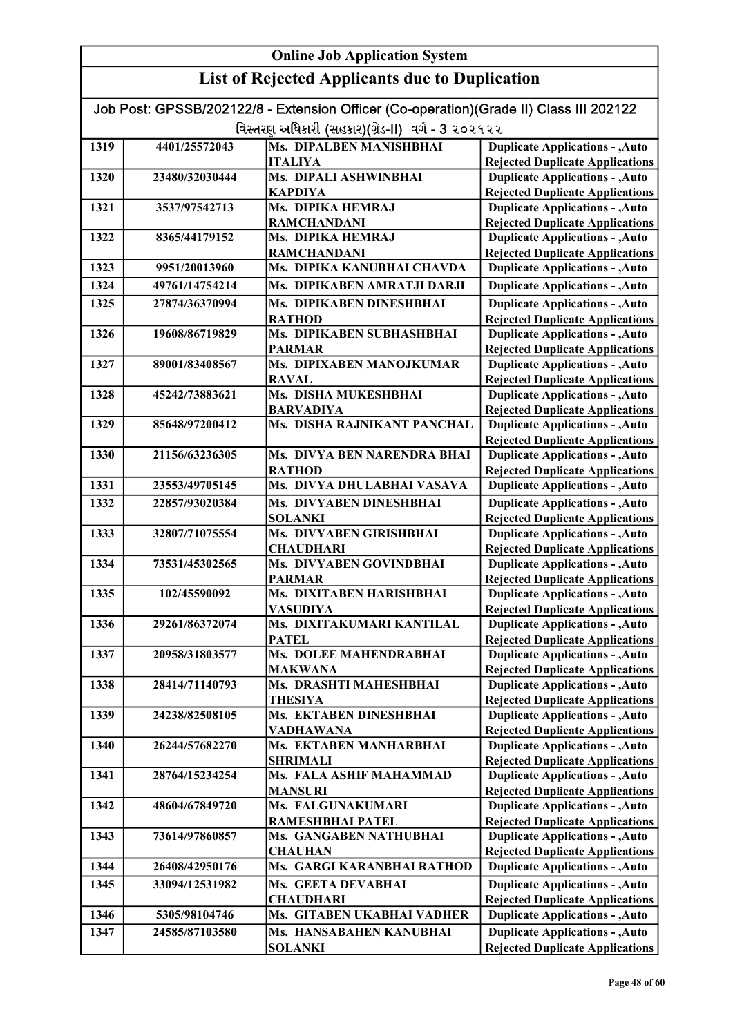|      |                | <b>Online Job Application System</b>                                                                                                        |                                                                                  |
|------|----------------|---------------------------------------------------------------------------------------------------------------------------------------------|----------------------------------------------------------------------------------|
|      |                | <b>List of Rejected Applicants due to Duplication</b>                                                                                       |                                                                                  |
|      |                | Job Post: GPSSB/202122/8 - Extension Officer (Co-operation)(Grade II) Class III 202122<br>વિસ્તરણ અધિકારી (સહકાર)(ગ્રેડ-II) વર્ગ - 3 ૨૦૨૧૨૨ |                                                                                  |
| 1319 |                | <b>Ms. DIPALBEN MANISHBHAI</b>                                                                                                              |                                                                                  |
|      | 4401/25572043  | <b>ITALIYA</b>                                                                                                                              | <b>Duplicate Applications - , Auto</b><br><b>Rejected Duplicate Applications</b> |
| 1320 | 23480/32030444 | Ms. DIPALI ASHWINBHAI                                                                                                                       | <b>Duplicate Applications - , Auto</b>                                           |
|      |                | <b>KAPDIYA</b>                                                                                                                              | <b>Rejected Duplicate Applications</b>                                           |
| 1321 | 3537/97542713  | Ms. DIPIKA HEMRAJ                                                                                                                           | <b>Duplicate Applications - , Auto</b>                                           |
|      |                | <b>RAMCHANDANI</b>                                                                                                                          | <b>Rejected Duplicate Applications</b>                                           |
| 1322 | 8365/44179152  | Ms. DIPIKA HEMRAJ                                                                                                                           | <b>Duplicate Applications - , Auto</b>                                           |
|      |                | <b>RAMCHANDANI</b>                                                                                                                          | <b>Rejected Duplicate Applications</b>                                           |
| 1323 | 9951/20013960  | Ms. DIPIKA KANUBHAI CHAVDA                                                                                                                  | <b>Duplicate Applications - , Auto</b>                                           |
| 1324 | 49761/14754214 | Ms. DIPIKABEN AMRATJI DARJI                                                                                                                 | <b>Duplicate Applications - , Auto</b>                                           |
| 1325 | 27874/36370994 | Ms. DIPIKABEN DINESHBHAI                                                                                                                    | <b>Duplicate Applications - , Auto</b>                                           |
|      |                | <b>RATHOD</b>                                                                                                                               | <b>Rejected Duplicate Applications</b>                                           |
| 1326 | 19608/86719829 | Ms. DIPIKABEN SUBHASHBHAI                                                                                                                   | <b>Duplicate Applications - , Auto</b>                                           |
|      |                | <b>PARMAR</b>                                                                                                                               | <b>Rejected Duplicate Applications</b>                                           |
| 1327 | 89001/83408567 | Ms. DIPIXABEN MANOJKUMAR                                                                                                                    | <b>Duplicate Applications - , Auto</b>                                           |
|      |                | <b>RAVAL</b>                                                                                                                                | <b>Rejected Duplicate Applications</b>                                           |
| 1328 | 45242/73883621 | Ms. DISHA MUKESHBHAI                                                                                                                        | <b>Duplicate Applications - , Auto</b>                                           |
|      |                | <b>BARVADIYA</b>                                                                                                                            | <b>Rejected Duplicate Applications</b>                                           |
| 1329 | 85648/97200412 | Ms. DISHA RAJNIKANT PANCHAL                                                                                                                 | <b>Duplicate Applications - , Auto</b>                                           |
|      |                |                                                                                                                                             | <b>Rejected Duplicate Applications</b>                                           |
| 1330 | 21156/63236305 | Ms. DIVYA BEN NARENDRA BHAI                                                                                                                 | <b>Duplicate Applications - , Auto</b>                                           |
|      |                | <b>RATHOD</b>                                                                                                                               | <b>Rejected Duplicate Applications</b>                                           |
| 1331 | 23553/49705145 | Ms. DIVYA DHULABHAI VASAVA                                                                                                                  | <b>Duplicate Applications - , Auto</b>                                           |
| 1332 | 22857/93020384 | Ms. DIVYABEN DINESHBHAI                                                                                                                     | <b>Duplicate Applications - , Auto</b>                                           |
|      |                | <b>SOLANKI</b>                                                                                                                              | <b>Rejected Duplicate Applications</b>                                           |
| 1333 | 32807/71075554 | Ms. DIVYABEN GIRISHBHAI                                                                                                                     | <b>Duplicate Applications - , Auto</b>                                           |
| 1334 | 73531/45302565 | <b>CHAUDHARI</b><br>Ms. DIVYABEN GOVINDBHAI                                                                                                 | <b>Rejected Duplicate Applications</b><br><b>Duplicate Applications - , Auto</b> |
|      |                | <b>PARMAR</b>                                                                                                                               | <b>Rejected Duplicate Applications</b>                                           |
| 1335 | 102/45590092   | Ms. DIXITABEN HARISHBHAI                                                                                                                    | <b>Duplicate Applications - , Auto</b>                                           |
|      |                | VASUDIYA                                                                                                                                    | <b>Rejected Duplicate Applications</b>                                           |
| 1336 | 29261/86372074 | Ms. DIXITAKUMARI KANTILAL                                                                                                                   | <b>Duplicate Applications - , Auto</b>                                           |
|      |                | <b>PATEL</b>                                                                                                                                | <b>Rejected Duplicate Applications</b>                                           |
| 1337 | 20958/31803577 | Ms. DOLEE MAHENDRABHAI                                                                                                                      | <b>Duplicate Applications - , Auto</b>                                           |
|      |                | <b>MAKWANA</b>                                                                                                                              | <b>Rejected Duplicate Applications</b>                                           |
| 1338 | 28414/71140793 | Ms. DRASHTI MAHESHBHAI                                                                                                                      | <b>Duplicate Applications - , Auto</b>                                           |
|      |                | <b>THESIYA</b>                                                                                                                              | <b>Rejected Duplicate Applications</b>                                           |
| 1339 | 24238/82508105 | Ms. EKTABEN DINESHBHAI                                                                                                                      | <b>Duplicate Applications - , Auto</b>                                           |
| 1340 | 26244/57682270 | <b>VADHAWANA</b><br>Ms. EKTABEN MANHARBHAI                                                                                                  | <b>Rejected Duplicate Applications</b>                                           |
|      |                | <b>SHRIMALI</b>                                                                                                                             | <b>Duplicate Applications - , Auto</b><br><b>Rejected Duplicate Applications</b> |
| 1341 | 28764/15234254 | Ms. FALA ASHIF MAHAMMAD                                                                                                                     | <b>Duplicate Applications - , Auto</b>                                           |
|      |                | <b>MANSURI</b>                                                                                                                              | <b>Rejected Duplicate Applications</b>                                           |
| 1342 | 48604/67849720 | Ms. FALGUNAKUMARI                                                                                                                           | <b>Duplicate Applications - , Auto</b>                                           |
|      |                | RAMESHBHAI PATEL                                                                                                                            | <b>Rejected Duplicate Applications</b>                                           |
| 1343 | 73614/97860857 | Ms. GANGABEN NATHUBHAI                                                                                                                      | <b>Duplicate Applications - , Auto</b>                                           |
|      |                | <b>CHAUHAN</b>                                                                                                                              | <b>Rejected Duplicate Applications</b>                                           |
| 1344 | 26408/42950176 | Ms. GARGI KARANBHAI RATHOD                                                                                                                  | <b>Duplicate Applications - , Auto</b>                                           |
| 1345 | 33094/12531982 | Ms. GEETA DEVABHAI                                                                                                                          | <b>Duplicate Applications - , Auto</b>                                           |
|      |                | <b>CHAUDHARI</b>                                                                                                                            | <b>Rejected Duplicate Applications</b>                                           |
| 1346 | 5305/98104746  | Ms. GITABEN UKABHAI VADHER                                                                                                                  | <b>Duplicate Applications - , Auto</b>                                           |
| 1347 | 24585/87103580 | Ms. HANSABAHEN KANUBHAI                                                                                                                     | <b>Duplicate Applications - , Auto</b>                                           |
|      |                | <b>SOLANKI</b>                                                                                                                              | <b>Rejected Duplicate Applications</b>                                           |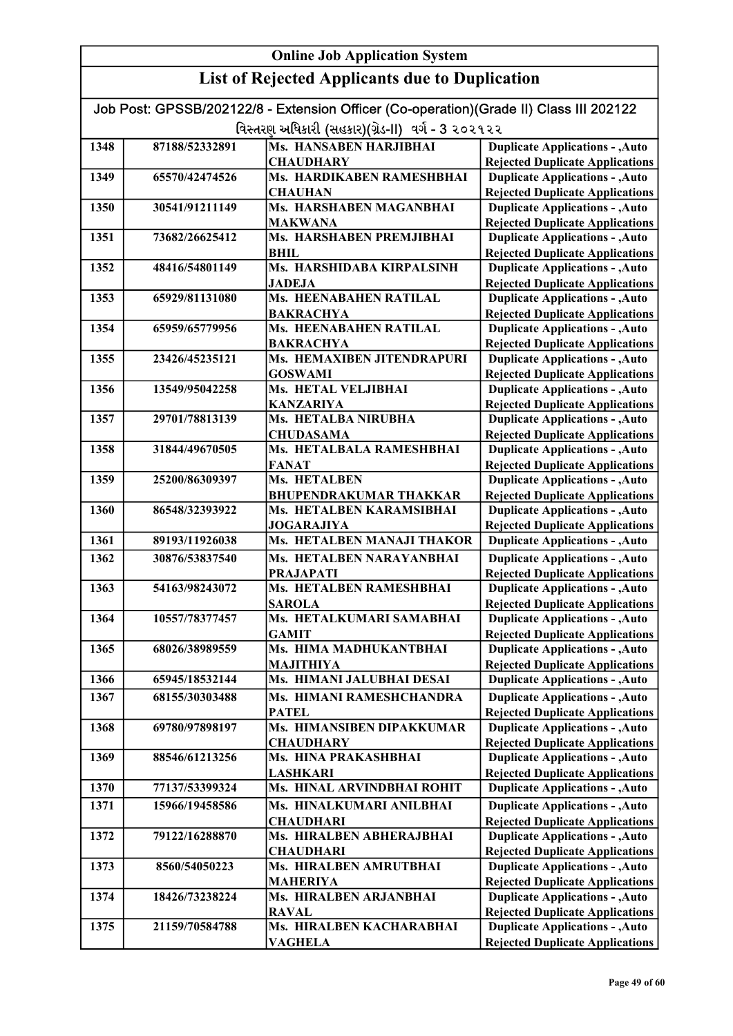|      | Job Post: GPSSB/202122/8 - Extension Officer (Co-operation)(Grade II) Class III 202122 |                                               |                                                                                  |  |
|------|----------------------------------------------------------------------------------------|-----------------------------------------------|----------------------------------------------------------------------------------|--|
|      | વિસ્તરણ અધિકારી (સહકાર)(ગ્રેડ-II) વર્ગ - 3 ૨૦૨૧૨૨                                      |                                               |                                                                                  |  |
| 1348 | 87188/52332891                                                                         | <b>Ms. HANSABEN HARJIBHAI</b>                 | <b>Duplicate Applications - , Auto</b>                                           |  |
|      |                                                                                        | <b>CHAUDHARY</b>                              | <b>Rejected Duplicate Applications</b>                                           |  |
| 1349 | 65570/42474526                                                                         | Ms. HARDIKABEN RAMESHBHAI                     | <b>Duplicate Applications - , Auto</b>                                           |  |
|      |                                                                                        | <b>CHAUHAN</b>                                | <b>Rejected Duplicate Applications</b>                                           |  |
| 1350 | 30541/91211149                                                                         | Ms. HARSHABEN MAGANBHAI                       | <b>Duplicate Applications - , Auto</b>                                           |  |
|      |                                                                                        | <b>MAKWANA</b>                                | <b>Rejected Duplicate Applications</b>                                           |  |
| 1351 | 73682/26625412                                                                         | Ms. HARSHABEN PREMJIBHAI                      | <b>Duplicate Applications - , Auto</b>                                           |  |
|      |                                                                                        | <b>BHIL</b>                                   | <b>Rejected Duplicate Applications</b>                                           |  |
| 1352 | 48416/54801149                                                                         | Ms. HARSHIDABA KIRPALSINH                     | <b>Duplicate Applications - , Auto</b>                                           |  |
|      |                                                                                        | <b>JADEJA</b>                                 | <b>Rejected Duplicate Applications</b>                                           |  |
| 1353 | 65929/81131080                                                                         | <b>Ms. HEENABAHEN RATILAL</b>                 | <b>Duplicate Applications - , Auto</b>                                           |  |
|      |                                                                                        | <b>BAKRACHYA</b>                              | <b>Rejected Duplicate Applications</b>                                           |  |
| 1354 | 65959/65779956                                                                         | <b>Ms. HEENABAHEN RATILAL</b>                 | <b>Duplicate Applications - , Auto</b>                                           |  |
|      |                                                                                        | <b>BAKRACHYA</b>                              | <b>Rejected Duplicate Applications</b>                                           |  |
| 1355 | 23426/45235121                                                                         | Ms. HEMAXIBEN JITENDRAPURI                    | <b>Duplicate Applications - , Auto</b>                                           |  |
| 1356 | 13549/95042258                                                                         | <b>GOSWAMI</b><br>Ms. HETAL VELJIBHAI         | <b>Rejected Duplicate Applications</b><br><b>Duplicate Applications - , Auto</b> |  |
|      |                                                                                        | <b>KANZARIYA</b>                              | <b>Rejected Duplicate Applications</b>                                           |  |
| 1357 | 29701/78813139                                                                         | <b>Ms. HETALBA NIRUBHA</b>                    | <b>Duplicate Applications - , Auto</b>                                           |  |
|      |                                                                                        | <b>CHUDASAMA</b>                              | <b>Rejected Duplicate Applications</b>                                           |  |
| 1358 | 31844/49670505                                                                         | Ms. HETALBALA RAMESHBHAI                      | <b>Duplicate Applications - , Auto</b>                                           |  |
|      |                                                                                        | <b>FANAT</b>                                  | <b>Rejected Duplicate Applications</b>                                           |  |
| 1359 | 25200/86309397                                                                         | Ms. HETALBEN                                  | <b>Duplicate Applications - , Auto</b>                                           |  |
|      |                                                                                        | <b>BHUPENDRAKUMAR THAKKAR</b>                 | <b>Rejected Duplicate Applications</b>                                           |  |
| 1360 | 86548/32393922                                                                         | Ms. HETALBEN KARAMSIBHAI                      | <b>Duplicate Applications - , Auto</b>                                           |  |
|      |                                                                                        | <b>JOGARAJIYA</b>                             | <b>Rejected Duplicate Applications</b>                                           |  |
| 1361 | 89193/11926038                                                                         | Ms. HETALBEN MANAJI THAKOR                    | <b>Duplicate Applications - , Auto</b>                                           |  |
| 1362 | 30876/53837540                                                                         | Ms. HETALBEN NARAYANBHAI                      | <b>Duplicate Applications - , Auto</b>                                           |  |
|      |                                                                                        | <b>PRAJAPATI</b>                              | <b>Rejected Duplicate Applications</b>                                           |  |
| 1363 | 54163/98243072                                                                         | Ms. HETALBEN RAMESHBHAI                       | <b>Duplicate Applications - , Auto</b>                                           |  |
|      |                                                                                        | <b>SAROLA</b>                                 | <b>Rejected Duplicate Applications</b>                                           |  |
| 1364 | 10557/78377457                                                                         | Ms. HETALKUMARI SAMABHAI                      | <b>Duplicate Applications - , Auto</b>                                           |  |
|      |                                                                                        | <b>GAMIT</b>                                  | <b>Rejected Duplicate Applications</b>                                           |  |
| 1365 | 68026/38989559                                                                         | Ms. HIMA MADHUKANTBHAI                        | Duplicate Applications - , Auto                                                  |  |
|      |                                                                                        | <b>MAJITHIYA</b>                              | <b>Rejected Duplicate Applications</b>                                           |  |
| 1366 | 65945/18532144                                                                         | Ms. HIMANI JALUBHAI DESAI                     | <b>Duplicate Applications - , Auto</b>                                           |  |
| 1367 | 68155/30303488                                                                         | Ms. HIMANI RAMESHCHANDRA                      | <b>Duplicate Applications - , Auto</b>                                           |  |
|      |                                                                                        | <b>PATEL</b>                                  | <b>Rejected Duplicate Applications</b>                                           |  |
| 1368 | 69780/97898197                                                                         | Ms. HIMANSIBEN DIPAKKUMAR                     | <b>Duplicate Applications - , Auto</b>                                           |  |
|      |                                                                                        | <b>CHAUDHARY</b>                              | <b>Rejected Duplicate Applications</b>                                           |  |
| 1369 | 88546/61213256                                                                         | Ms. HINA PRAKASHBHAI                          | <b>Duplicate Applications - , Auto</b>                                           |  |
|      | 77137/53399324                                                                         | <b>LASHKARI</b><br>Ms. HINAL ARVINDBHAI ROHIT | <b>Rejected Duplicate Applications</b>                                           |  |
| 1370 |                                                                                        |                                               | <b>Duplicate Applications - , Auto</b>                                           |  |
| 1371 | 15966/19458586                                                                         | Ms. HINALKUMARI ANILBHAI                      | <b>Duplicate Applications - , Auto</b>                                           |  |
|      |                                                                                        | <b>CHAUDHARI</b>                              | <b>Rejected Duplicate Applications</b>                                           |  |
| 1372 | 79122/16288870                                                                         | Ms. HIRALBEN ABHERAJBHAI                      | <b>Duplicate Applications - , Auto</b>                                           |  |
| 1373 | 8560/54050223                                                                          | <b>CHAUDHARI</b><br>Ms. HIRALBEN AMRUTBHAI    | <b>Rejected Duplicate Applications</b><br><b>Duplicate Applications - , Auto</b> |  |
|      |                                                                                        | <b>MAHERIYA</b>                               | <b>Rejected Duplicate Applications</b>                                           |  |
| 1374 | 18426/73238224                                                                         | Ms. HIRALBEN ARJANBHAI                        | <b>Duplicate Applications - , Auto</b>                                           |  |
|      |                                                                                        | <b>RAVAL</b>                                  | <b>Rejected Duplicate Applications</b>                                           |  |
| 1375 | 21159/70584788                                                                         | Ms. HIRALBEN KACHARABHAI                      | <b>Duplicate Applications - , Auto</b>                                           |  |
|      |                                                                                        | <b>VAGHELA</b>                                | <b>Rejected Duplicate Applications</b>                                           |  |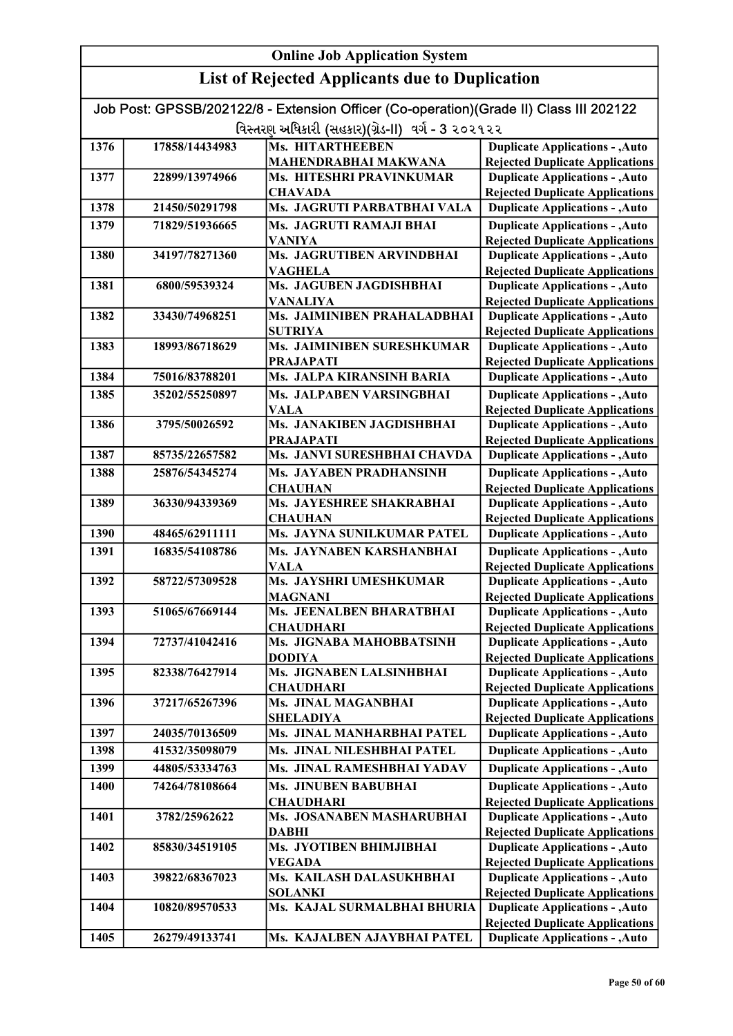|      | <b>Online Job Application System</b> |                                                                                        |                                                                                  |  |
|------|--------------------------------------|----------------------------------------------------------------------------------------|----------------------------------------------------------------------------------|--|
|      |                                      | <b>List of Rejected Applicants due to Duplication</b>                                  |                                                                                  |  |
|      |                                      | Job Post: GPSSB/202122/8 - Extension Officer (Co-operation)(Grade II) Class III 202122 |                                                                                  |  |
|      |                                      | વિસ્તરણ અધિકારી (સહકાર)(ગ્રેડ-II) વર્ગ - 3 ૨૦૨૧૨૨                                      |                                                                                  |  |
| 1376 | 17858/14434983                       | <b>Ms. HITARTHEEBEN</b>                                                                | <b>Duplicate Applications - , Auto</b>                                           |  |
|      |                                      | MAHENDRABHAI MAKWANA                                                                   | <b>Rejected Duplicate Applications</b>                                           |  |
| 1377 | 22899/13974966                       | <b>Ms. HITESHRI PRAVINKUMAR</b>                                                        | <b>Duplicate Applications - , Auto</b>                                           |  |
|      |                                      | <b>CHAVADA</b>                                                                         | <b>Rejected Duplicate Applications</b>                                           |  |
| 1378 | 21450/50291798                       | Ms. JAGRUTI PARBATBHAI VALA                                                            | <b>Duplicate Applications - , Auto</b>                                           |  |
| 1379 | 71829/51936665                       | Ms. JAGRUTI RAMAJI BHAI                                                                | <b>Duplicate Applications - , Auto</b>                                           |  |
|      |                                      | <b>VANIYA</b>                                                                          | <b>Rejected Duplicate Applications</b>                                           |  |
| 1380 | 34197/78271360                       | Ms. JAGRUTIBEN ARVINDBHAI<br><b>VAGHELA</b>                                            | <b>Duplicate Applications - , Auto</b><br><b>Rejected Duplicate Applications</b> |  |
| 1381 | 6800/59539324                        | Ms. JAGUBEN JAGDISHBHAI                                                                | <b>Duplicate Applications - , Auto</b>                                           |  |
|      |                                      | <b>VANALIYA</b>                                                                        | <b>Rejected Duplicate Applications</b>                                           |  |
| 1382 | 33430/74968251                       | Ms. JAIMINIBEN PRAHALADBHAI                                                            | <b>Duplicate Applications - , Auto</b>                                           |  |
|      |                                      | <b>SUTRIYA</b>                                                                         | <b>Rejected Duplicate Applications</b>                                           |  |
| 1383 | 18993/86718629                       | Ms. JAIMINIBEN SURESHKUMAR                                                             | <b>Duplicate Applications - , Auto</b>                                           |  |
| 1384 | 75016/83788201                       | <b>PRAJAPATI</b><br>Ms. JALPA KIRANSINH BARIA                                          | <b>Rejected Duplicate Applications</b><br><b>Duplicate Applications - , Auto</b> |  |
|      |                                      |                                                                                        |                                                                                  |  |
| 1385 | 35202/55250897                       | Ms. JALPABEN VARSINGBHAI<br><b>VALA</b>                                                | <b>Duplicate Applications - , Auto</b><br><b>Rejected Duplicate Applications</b> |  |
| 1386 | 3795/50026592                        | Ms. JANAKIBEN JAGDISHBHAI                                                              | <b>Duplicate Applications - , Auto</b>                                           |  |
|      |                                      | <b>PRAJAPATI</b>                                                                       | <b>Rejected Duplicate Applications</b>                                           |  |
| 1387 | 85735/22657582                       | Ms. JANVI SURESHBHAI CHAVDA                                                            | <b>Duplicate Applications - , Auto</b>                                           |  |
| 1388 | 25876/54345274                       | <b>Ms. JAYABEN PRADHANSINH</b>                                                         | <b>Duplicate Applications - , Auto</b>                                           |  |
|      |                                      | <b>CHAUHAN</b>                                                                         | <b>Rejected Duplicate Applications</b>                                           |  |
| 1389 | 36330/94339369                       | Ms. JAYESHREE SHAKRABHAI                                                               | <b>Duplicate Applications - , Auto</b>                                           |  |
| 1390 | 48465/62911111                       | <b>CHAUHAN</b><br>Ms. JAYNA SUNILKUMAR PATEL                                           | <b>Rejected Duplicate Applications</b><br><b>Duplicate Applications - , Auto</b> |  |
| 1391 | 16835/54108786                       | Ms. JAYNABEN KARSHANBHAI                                                               | <b>Duplicate Applications - , Auto</b>                                           |  |
|      |                                      | <b>VALA</b>                                                                            | <b>Rejected Duplicate Applications</b>                                           |  |
| 1392 | 58722/57309528                       | Ms. JAYSHRI UMESHKUMAR                                                                 | <b>Duplicate Applications - , Auto</b>                                           |  |
| 1393 | 51065/67669144                       | <b>MAGNANI</b><br>Ms. JEENALBEN BHARATBHAI                                             | <b>Rejected Duplicate Applications</b><br><b>Duplicate Applications - , Auto</b> |  |
|      |                                      | <b>CHAUDHARI</b>                                                                       | <b>Rejected Duplicate Applications</b>                                           |  |
| 1394 | 72737/41042416                       | Ms. JIGNABA MAHOBBATSINH                                                               | <b>Duplicate Applications - , Auto</b>                                           |  |
|      |                                      | DODIYA                                                                                 | <b>Rejected Duplicate Applications</b>                                           |  |
| 1395 | 82338/76427914                       | Ms. JIGNABEN LALSINHBHAI                                                               | <b>Duplicate Applications - , Auto</b>                                           |  |
|      |                                      | <b>CHAUDHARI</b>                                                                       | <b>Rejected Duplicate Applications</b>                                           |  |
| 1396 | 37217/65267396                       | <b>Ms. JINAL MAGANBHAI</b>                                                             | <b>Duplicate Applications - , Auto</b>                                           |  |
|      |                                      | <b>SHELADIYA</b>                                                                       | <b>Rejected Duplicate Applications</b>                                           |  |
| 1397 | 24035/70136509                       | Ms. JINAL MANHARBHAI PATEL                                                             | <b>Duplicate Applications - , Auto</b>                                           |  |
| 1398 | 41532/35098079                       | Ms. JINAL NILESHBHAI PATEL                                                             | <b>Duplicate Applications - , Auto</b>                                           |  |
| 1399 | 44805/53334763                       | Ms. JINAL RAMESHBHAI YADAV                                                             | <b>Duplicate Applications - , Auto</b>                                           |  |
| 1400 | 74264/78108664                       | <b>Ms. JINUBEN BABUBHAI</b>                                                            | <b>Duplicate Applications - , Auto</b>                                           |  |
|      |                                      | <b>CHAUDHARI</b>                                                                       | <b>Rejected Duplicate Applications</b>                                           |  |
| 1401 | 3782/25962622                        | Ms. JOSANABEN MASHARUBHAI<br><b>DABHI</b>                                              | <b>Duplicate Applications - , Auto</b><br><b>Rejected Duplicate Applications</b> |  |
| 1402 | 85830/34519105                       | Ms. JYOTIBEN BHIMJIBHAI                                                                | <b>Duplicate Applications - , Auto</b>                                           |  |
|      |                                      | <b>VEGADA</b>                                                                          | <b>Rejected Duplicate Applications</b>                                           |  |
| 1403 | 39822/68367023                       | Ms. KAILASH DALASUKHBHAI                                                               | <b>Duplicate Applications - , Auto</b>                                           |  |
| 1404 | 10820/89570533                       | <b>SOLANKI</b><br>Ms. KAJAL SURMALBHAI BHURIA                                          | <b>Rejected Duplicate Applications</b><br><b>Duplicate Applications - , Auto</b> |  |
|      |                                      |                                                                                        | <b>Rejected Duplicate Applications</b>                                           |  |
| 1405 | 26279/49133741                       | Ms. KAJALBEN AJAYBHAI PATEL                                                            | <b>Duplicate Applications - , Auto</b>                                           |  |

Rejected Duplicate Applications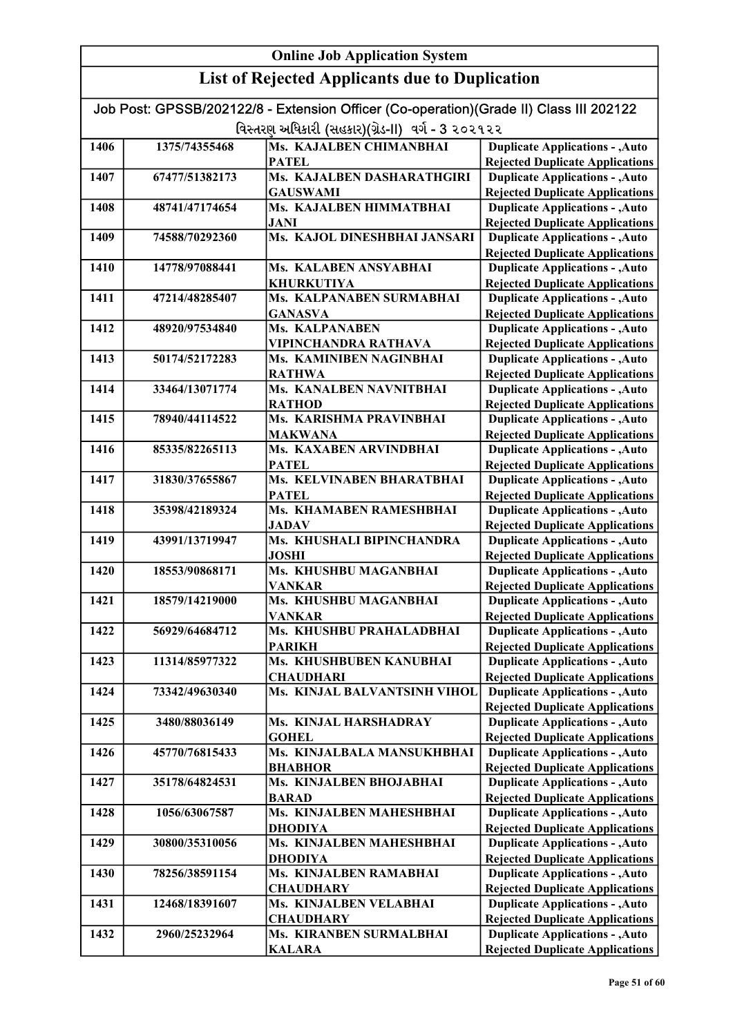|                                                   | Job Post: GPSSB/202122/8 - Extension Officer (Co-operation)(Grade II) Class III 202122 |                                             |                                                                                  |  |
|---------------------------------------------------|----------------------------------------------------------------------------------------|---------------------------------------------|----------------------------------------------------------------------------------|--|
| વિસ્તરણ અધિકારી (સહકાર)(ગ્રેડ-II) વર્ગ - 3 ૨૦૨૧૨૨ |                                                                                        |                                             |                                                                                  |  |
| 1406                                              | 1375/74355468                                                                          | Ms. KAJALBEN CHIMANBHAI                     | <b>Duplicate Applications - , Auto</b>                                           |  |
|                                                   |                                                                                        | <b>PATEL</b>                                | <b>Rejected Duplicate Applications</b>                                           |  |
| 1407                                              | 67477/51382173                                                                         | Ms. KAJALBEN DASHARATHGIRI                  | <b>Duplicate Applications - , Auto</b>                                           |  |
|                                                   |                                                                                        | <b>GAUSWAMI</b>                             | <b>Rejected Duplicate Applications</b>                                           |  |
| 1408                                              | 48741/47174654                                                                         | Ms. KAJALBEN HIMMATBHAI                     | <b>Duplicate Applications - , Auto</b>                                           |  |
|                                                   |                                                                                        | <b>JANI</b><br>Ms. KAJOL DINESHBHAI JANSARI | <b>Rejected Duplicate Applications</b>                                           |  |
| 1409                                              | 74588/70292360                                                                         |                                             | <b>Duplicate Applications - , Auto</b>                                           |  |
| 1410                                              | 14778/97088441                                                                         | Ms. KALABEN ANSYABHAI                       | <b>Rejected Duplicate Applications</b><br><b>Duplicate Applications - , Auto</b> |  |
|                                                   |                                                                                        | <b>KHURKUTIYA</b>                           | <b>Rejected Duplicate Applications</b>                                           |  |
| 1411                                              | 47214/48285407                                                                         | Ms. KALPANABEN SURMABHAI                    | <b>Duplicate Applications - , Auto</b>                                           |  |
|                                                   |                                                                                        | <b>GANASVA</b>                              | <b>Rejected Duplicate Applications</b>                                           |  |
| 1412                                              | 48920/97534840                                                                         | Ms. KALPANABEN                              | <b>Duplicate Applications - , Auto</b>                                           |  |
|                                                   |                                                                                        | VIPINCHANDRA RATHAVA                        | <b>Rejected Duplicate Applications</b>                                           |  |
| 1413                                              | 50174/52172283                                                                         | Ms. KAMINIBEN NAGINBHAI                     | <b>Duplicate Applications - , Auto</b>                                           |  |
|                                                   |                                                                                        | <b>RATHWA</b>                               | <b>Rejected Duplicate Applications</b>                                           |  |
| 1414                                              | 33464/13071774                                                                         | Ms. KANALBEN NAVNITBHAI                     | <b>Duplicate Applications - , Auto</b>                                           |  |
|                                                   |                                                                                        | <b>RATHOD</b>                               | <b>Rejected Duplicate Applications</b>                                           |  |
| 1415                                              | 78940/44114522                                                                         | Ms. KARISHMA PRAVINBHAI                     | <b>Duplicate Applications - , Auto</b>                                           |  |
| 1416                                              | 85335/82265113                                                                         | <b>MAKWANA</b><br>Ms. KAXABEN ARVINDBHAI    | <b>Rejected Duplicate Applications</b><br><b>Duplicate Applications - , Auto</b> |  |
|                                                   |                                                                                        | <b>PATEL</b>                                | <b>Rejected Duplicate Applications</b>                                           |  |
| 1417                                              | 31830/37655867                                                                         | Ms. KELVINABEN BHARATBHAI                   | <b>Duplicate Applications - , Auto</b>                                           |  |
|                                                   |                                                                                        | <b>PATEL</b>                                | <b>Rejected Duplicate Applications</b>                                           |  |
| 1418                                              | 35398/42189324                                                                         | Ms. KHAMABEN RAMESHBHAI                     | <b>Duplicate Applications - , Auto</b>                                           |  |
|                                                   |                                                                                        | <b>JADAV</b>                                | <b>Rejected Duplicate Applications</b>                                           |  |
| 1419                                              | 43991/13719947                                                                         | Ms. KHUSHALI BIPINCHANDRA                   | <b>Duplicate Applications - , Auto</b>                                           |  |
|                                                   |                                                                                        | <b>JOSHI</b>                                | <b>Rejected Duplicate Applications</b>                                           |  |
| 1420                                              | 18553/90868171                                                                         | Ms. KHUSHBU MAGANBHAI                       | <b>Duplicate Applications - , Auto</b>                                           |  |
|                                                   |                                                                                        | <b>VANKAR</b>                               | <b>Rejected Duplicate Applications</b>                                           |  |
| 1421                                              | 18579/14219000                                                                         | Ms. KHUSHBU MAGANBHAI<br><b>VANKAR</b>      | <b>Duplicate Applications - , Auto</b>                                           |  |
| 1422                                              | 56929/64684712                                                                         | Ms. KHUSHBU PRAHALADBHAI                    | <b>Rejected Duplicate Applications</b><br><b>Duplicate Applications - , Auto</b> |  |
|                                                   |                                                                                        | <b>PARIKH</b>                               | <b>Rejected Duplicate Applications</b>                                           |  |
| 1423                                              | 11314/85977322                                                                         | Ms. KHUSHBUBEN KANUBHAI                     | <b>Duplicate Applications - , Auto</b>                                           |  |
|                                                   |                                                                                        | <b>CHAUDHARI</b>                            | <b>Rejected Duplicate Applications</b>                                           |  |
| 1424                                              | 73342/49630340                                                                         | Ms. KINJAL BALVANTSINH VIHOL                | <b>Duplicate Applications - , Auto</b>                                           |  |
|                                                   |                                                                                        |                                             | <b>Rejected Duplicate Applications</b>                                           |  |
| 1425                                              | 3480/88036149                                                                          | Ms. KINJAL HARSHADRAY                       | <b>Duplicate Applications - , Auto</b>                                           |  |
|                                                   |                                                                                        | <b>GOHEL</b>                                | <b>Rejected Duplicate Applications</b>                                           |  |
| 1426                                              | 45770/76815433                                                                         | Ms. KINJALBALA MANSUKHBHAI                  | <b>Duplicate Applications - , Auto</b>                                           |  |
| 1427                                              | 35178/64824531                                                                         | <b>BHABHOR</b><br>Ms. KINJALBEN BHOJABHAI   | <b>Rejected Duplicate Applications</b><br><b>Duplicate Applications - , Auto</b> |  |
|                                                   |                                                                                        | <b>BARAD</b>                                | <b>Rejected Duplicate Applications</b>                                           |  |
| 1428                                              | 1056/63067587                                                                          | Ms. KINJALBEN MAHESHBHAI                    | <b>Duplicate Applications - , Auto</b>                                           |  |
|                                                   |                                                                                        | <b>DHODIYA</b>                              | <b>Rejected Duplicate Applications</b>                                           |  |
| 1429                                              | 30800/35310056                                                                         | Ms. KINJALBEN MAHESHBHAI                    | <b>Duplicate Applications - , Auto</b>                                           |  |
|                                                   |                                                                                        | <b>DHODIYA</b>                              | <b>Rejected Duplicate Applications</b>                                           |  |
| 1430                                              | 78256/38591154                                                                         | Ms. KINJALBEN RAMABHAI                      | <b>Duplicate Applications - , Auto</b>                                           |  |
|                                                   |                                                                                        | <b>CHAUDHARY</b>                            | <b>Rejected Duplicate Applications</b>                                           |  |
| 1431                                              | 12468/18391607                                                                         | Ms. KINJALBEN VELABHAI                      | <b>Duplicate Applications - , Auto</b>                                           |  |
|                                                   |                                                                                        | <b>CHAUDHARY</b>                            | <b>Rejected Duplicate Applications</b>                                           |  |
| 1432                                              | 2960/25232964                                                                          | Ms. KIRANBEN SURMALBHAI                     | <b>Duplicate Applications - , Auto</b>                                           |  |
|                                                   |                                                                                        | <b>KALARA</b>                               | <b>Rejected Duplicate Applications</b>                                           |  |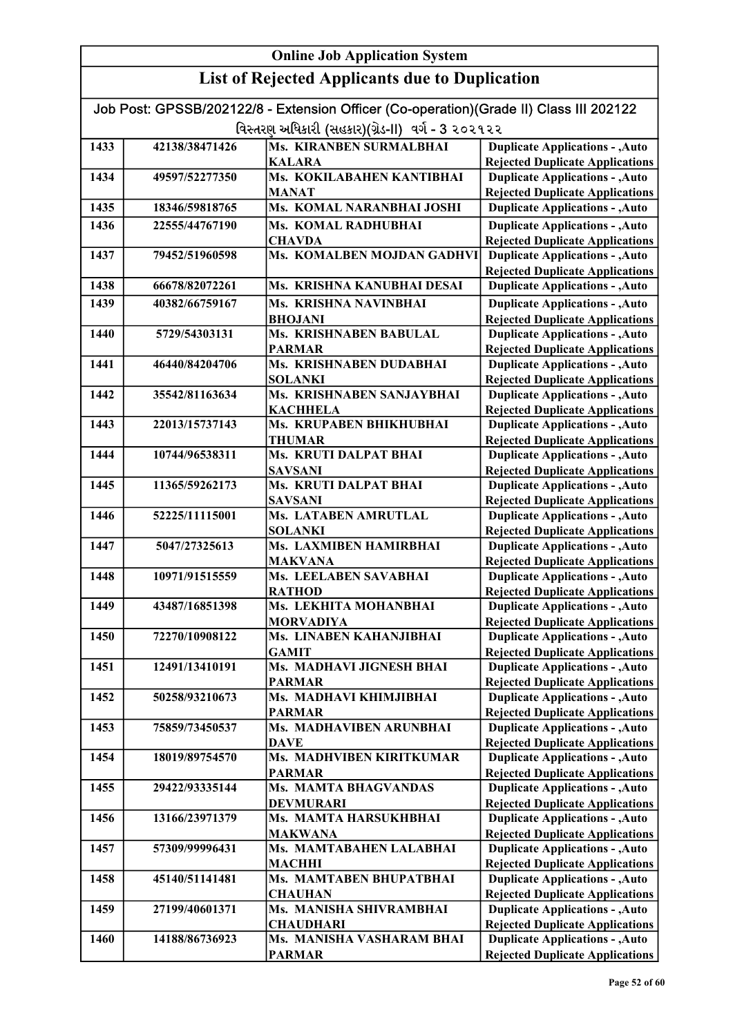| Job Post: GPSSB/202122/8 - Extension Officer (Co-operation)(Grade II) Class III 202122 |                |                                                    |                                                                                  |
|----------------------------------------------------------------------------------------|----------------|----------------------------------------------------|----------------------------------------------------------------------------------|
|                                                                                        |                | વિસ્તરણ અધિકારી (સહકાર)(ગ્રેડ-II)  વર્ગ - 3 ૨૦૨૧૨૨ |                                                                                  |
| 1433                                                                                   | 42138/38471426 | <b>Ms. KIRANBEN SURMALBHAI</b>                     | <b>Duplicate Applications - , Auto</b>                                           |
|                                                                                        |                | <b>KALARA</b>                                      | <b>Rejected Duplicate Applications</b>                                           |
| 1434                                                                                   | 49597/52277350 | Ms. KOKILABAHEN KANTIBHAI                          | <b>Duplicate Applications - , Auto</b>                                           |
|                                                                                        |                | <b>MANAT</b>                                       | <b>Rejected Duplicate Applications</b>                                           |
| 1435                                                                                   | 18346/59818765 | Ms. KOMAL NARANBHAI JOSHI                          | <b>Duplicate Applications - , Auto</b>                                           |
| 1436                                                                                   | 22555/44767190 | Ms. KOMAL RADHUBHAI                                | <b>Duplicate Applications - , Auto</b>                                           |
|                                                                                        |                | <b>CHAVDA</b>                                      | <b>Rejected Duplicate Applications</b>                                           |
| 1437                                                                                   | 79452/51960598 | Ms. KOMALBEN MOJDAN GADHVI                         | <b>Duplicate Applications - , Auto</b>                                           |
|                                                                                        |                |                                                    | <b>Rejected Duplicate Applications</b>                                           |
| 1438                                                                                   | 66678/82072261 | Ms. KRISHNA KANUBHAI DESAI                         | <b>Duplicate Applications - , Auto</b>                                           |
| 1439                                                                                   | 40382/66759167 | Ms. KRISHNA NAVINBHAI                              | <b>Duplicate Applications - , Auto</b>                                           |
|                                                                                        |                | <b>BHOJANI</b>                                     | <b>Rejected Duplicate Applications</b>                                           |
| 1440                                                                                   | 5729/54303131  | Ms. KRISHNABEN BABULAL                             | <b>Duplicate Applications - , Auto</b>                                           |
| 1441                                                                                   | 46440/84204706 | <b>PARMAR</b><br>Ms. KRISHNABEN DUDABHAI           | <b>Rejected Duplicate Applications</b><br><b>Duplicate Applications - , Auto</b> |
|                                                                                        |                | <b>SOLANKI</b>                                     | <b>Rejected Duplicate Applications</b>                                           |
| 1442                                                                                   | 35542/81163634 | Ms. KRISHNABEN SANJAYBHAI                          | <b>Duplicate Applications - , Auto</b>                                           |
|                                                                                        |                | <b>KACHHELA</b>                                    | <b>Rejected Duplicate Applications</b>                                           |
| 1443                                                                                   | 22013/15737143 | Ms. KRUPABEN BHIKHUBHAI                            | <b>Duplicate Applications - , Auto</b>                                           |
|                                                                                        |                | <b>THUMAR</b>                                      | <b>Rejected Duplicate Applications</b>                                           |
| 1444                                                                                   | 10744/96538311 | Ms. KRUTI DALPAT BHAI                              | <b>Duplicate Applications - , Auto</b>                                           |
|                                                                                        |                | <b>SAVSANI</b>                                     | <b>Rejected Duplicate Applications</b>                                           |
| 1445                                                                                   | 11365/59262173 | Ms. KRUTI DALPAT BHAI                              | <b>Duplicate Applications - , Auto</b>                                           |
|                                                                                        |                | <b>SAVSANI</b>                                     | <b>Rejected Duplicate Applications</b>                                           |
| 1446                                                                                   | 52225/11115001 | Ms. LATABEN AMRUTLAL                               | <b>Duplicate Applications - , Auto</b>                                           |
|                                                                                        |                | <b>SOLANKI</b>                                     | <b>Rejected Duplicate Applications</b>                                           |
| 1447                                                                                   | 5047/27325613  | Ms. LAXMIBEN HAMIRBHAI                             | <b>Duplicate Applications - , Auto</b>                                           |
|                                                                                        |                | <b>MAKVANA</b>                                     | <b>Rejected Duplicate Applications</b>                                           |
| 1448                                                                                   | 10971/91515559 | Ms. LEELABEN SAVABHAI<br><b>RATHOD</b>             | <b>Duplicate Applications - , Auto</b><br><b>Rejected Duplicate Applications</b> |
| 1449                                                                                   | 43487/16851398 | Ms. LEKHITA MOHANBHAI                              | <b>Duplicate Applications - , Auto</b>                                           |
|                                                                                        |                | <b>MORVADIYA</b>                                   | <b>Rejected Duplicate Applications</b>                                           |
| 1450                                                                                   | 72270/10908122 | Ms. LINABEN KAHANJIBHAI                            | <b>Duplicate Applications - , Auto</b>                                           |
|                                                                                        |                | <b>GAMIT</b>                                       | <b>Rejected Duplicate Applications</b>                                           |
| 1451                                                                                   | 12491/13410191 | Ms. MADHAVI JIGNESH BHAI                           | <b>Duplicate Applications - , Auto</b>                                           |
|                                                                                        |                | <b>PARMAR</b>                                      | <b>Rejected Duplicate Applications</b>                                           |
| 1452                                                                                   | 50258/93210673 | Ms. MADHAVI KHIMJIBHAI                             | <b>Duplicate Applications - , Auto</b>                                           |
|                                                                                        |                | <b>PARMAR</b>                                      | <b>Rejected Duplicate Applications</b>                                           |
| 1453                                                                                   | 75859/73450537 | Ms. MADHAVIBEN ARUNBHAI                            | <b>Duplicate Applications - , Auto</b>                                           |
|                                                                                        |                | DAVE                                               | <b>Rejected Duplicate Applications</b>                                           |
| 1454                                                                                   | 18019/89754570 | Ms. MADHVIBEN KIRITKUMAR                           | <b>Duplicate Applications - , Auto</b>                                           |
| 1455                                                                                   | 29422/93335144 | <b>PARMAR</b><br>Ms. MAMTA BHAGVANDAS              | <b>Rejected Duplicate Applications</b><br><b>Duplicate Applications - , Auto</b> |
|                                                                                        |                | <b>DEVMURARI</b>                                   | <b>Rejected Duplicate Applications</b>                                           |
| 1456                                                                                   | 13166/23971379 | Ms. MAMTA HARSUKHBHAI                              | <b>Duplicate Applications - , Auto</b>                                           |
|                                                                                        |                | <b>MAKWANA</b>                                     | <b>Rejected Duplicate Applications</b>                                           |
| 1457                                                                                   | 57309/99996431 | Ms. MAMTABAHEN LALABHAI                            | <b>Duplicate Applications - , Auto</b>                                           |
|                                                                                        |                | <b>MACHHI</b>                                      | <b>Rejected Duplicate Applications</b>                                           |
| 1458                                                                                   | 45140/51141481 | Ms. MAMTABEN BHUPATBHAI                            | <b>Duplicate Applications - , Auto</b>                                           |
|                                                                                        |                | <b>CHAUHAN</b>                                     | <b>Rejected Duplicate Applications</b>                                           |
| 1459                                                                                   | 27199/40601371 | Ms. MANISHA SHIVRAMBHAI                            | <b>Duplicate Applications - , Auto</b>                                           |
|                                                                                        |                | <b>CHAUDHARI</b>                                   | <b>Rejected Duplicate Applications</b>                                           |
| 1460                                                                                   | 14188/86736923 | Ms. MANISHA VASHARAM BHAI                          | <b>Duplicate Applications - , Auto</b>                                           |
|                                                                                        |                | <b>PARMAR</b>                                      | <b>Rejected Duplicate Applications</b>                                           |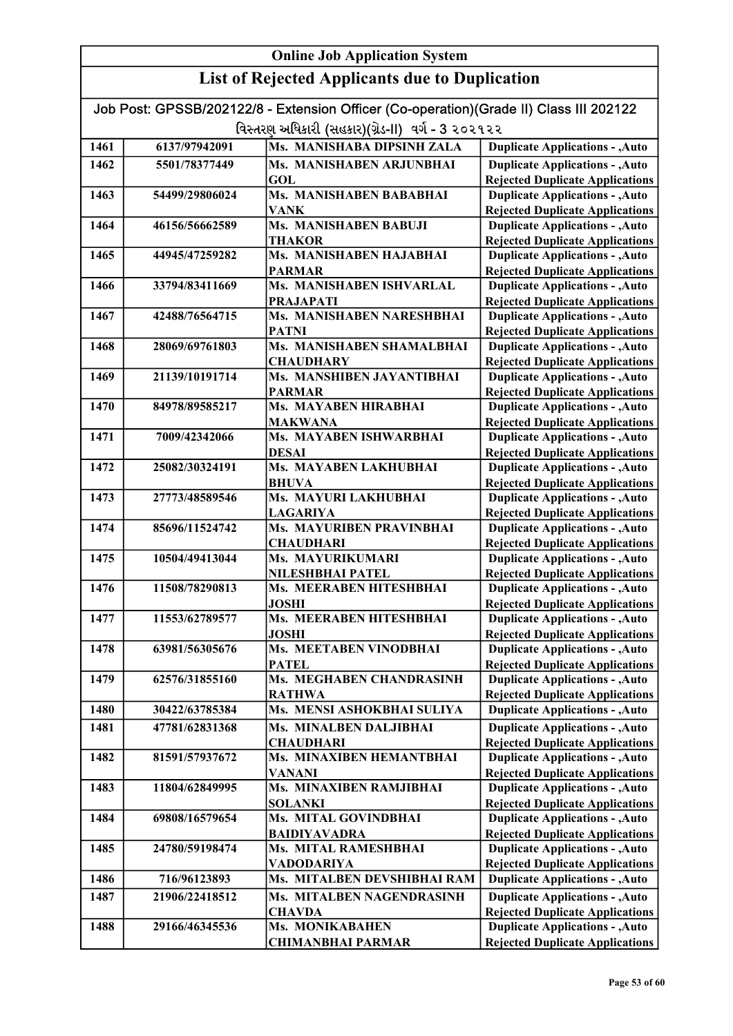| Job Post: GPSSB/202122/8 - Extension Officer (Co-operation)(Grade II) Class III 202122<br>વિસ્તરણ અધિકારી (સહકાર)(ગ્રેડ-II)  વર્ગ - 3 ૨૦૨૧૨૨ |                |                                      |                                                                                  |
|----------------------------------------------------------------------------------------------------------------------------------------------|----------------|--------------------------------------|----------------------------------------------------------------------------------|
| 1461                                                                                                                                         | 6137/97942091  | Ms. MANISHABA DIPSINH ZALA           | <b>Duplicate Applications - , Auto</b>                                           |
| 1462                                                                                                                                         | 5501/78377449  | Ms. MANISHABEN ARJUNBHAI             | <b>Duplicate Applications - , Auto</b>                                           |
|                                                                                                                                              |                | <b>GOL</b>                           | <b>Rejected Duplicate Applications</b>                                           |
| 1463                                                                                                                                         | 54499/29806024 | Ms. MANISHABEN BABABHAI              | <b>Duplicate Applications - , Auto</b>                                           |
|                                                                                                                                              |                | VANK                                 | <b>Rejected Duplicate Applications</b>                                           |
| 1464                                                                                                                                         | 46156/56662589 | <b>Ms. MANISHABEN BABUJI</b>         | <b>Duplicate Applications - , Auto</b>                                           |
|                                                                                                                                              |                | <b>THAKOR</b>                        | <b>Rejected Duplicate Applications</b>                                           |
| 1465                                                                                                                                         | 44945/47259282 | Ms. MANISHABEN HAJABHAI              | <b>Duplicate Applications - , Auto</b>                                           |
|                                                                                                                                              |                | <b>PARMAR</b>                        | <b>Rejected Duplicate Applications</b>                                           |
| 1466                                                                                                                                         | 33794/83411669 | Ms. MANISHABEN ISHVARLAL             | <b>Duplicate Applications - , Auto</b>                                           |
|                                                                                                                                              |                | <b>PRAJAPATI</b>                     | <b>Rejected Duplicate Applications</b>                                           |
| 1467                                                                                                                                         | 42488/76564715 | Ms. MANISHABEN NARESHBHAI            | <b>Duplicate Applications - , Auto</b>                                           |
|                                                                                                                                              |                | <b>PATNI</b>                         | <b>Rejected Duplicate Applications</b>                                           |
| 1468                                                                                                                                         | 28069/69761803 | Ms. MANISHABEN SHAMALBHAI            | <b>Duplicate Applications - , Auto</b>                                           |
|                                                                                                                                              |                | <b>CHAUDHARY</b>                     | <b>Rejected Duplicate Applications</b>                                           |
| 1469                                                                                                                                         | 21139/10191714 | Ms. MANSHIBEN JAYANTIBHAI            | <b>Duplicate Applications - , Auto</b>                                           |
|                                                                                                                                              |                | <b>PARMAR</b>                        | <b>Rejected Duplicate Applications</b>                                           |
| 1470                                                                                                                                         | 84978/89585217 | Ms. MAYABEN HIRABHAI                 | <b>Duplicate Applications - , Auto</b>                                           |
|                                                                                                                                              |                | <b>MAKWANA</b>                       | <b>Rejected Duplicate Applications</b>                                           |
| 1471                                                                                                                                         | 7009/42342066  | Ms. MAYABEN ISHWARBHAI               | <b>Duplicate Applications - , Auto</b>                                           |
|                                                                                                                                              |                | <b>DESAI</b>                         | <b>Rejected Duplicate Applications</b>                                           |
| 1472                                                                                                                                         | 25082/30324191 | Ms. MAYABEN LAKHUBHAI                | <b>Duplicate Applications - , Auto</b>                                           |
| 1473                                                                                                                                         | 27773/48589546 | <b>BHUVA</b><br>Ms. MAYURI LAKHUBHAI | <b>Rejected Duplicate Applications</b>                                           |
|                                                                                                                                              |                | <b>LAGARIYA</b>                      | <b>Duplicate Applications - , Auto</b><br><b>Rejected Duplicate Applications</b> |
| 1474                                                                                                                                         | 85696/11524742 | Ms. MAYURIBEN PRAVINBHAI             | <b>Duplicate Applications - , Auto</b>                                           |
|                                                                                                                                              |                | <b>CHAUDHARI</b>                     | <b>Rejected Duplicate Applications</b>                                           |
| 1475                                                                                                                                         | 10504/49413044 | Ms. MAYURIKUMARI                     | <b>Duplicate Applications - , Auto</b>                                           |
|                                                                                                                                              |                | NILESHBHAI PATEL                     | <b>Rejected Duplicate Applications</b>                                           |
| 1476                                                                                                                                         | 11508/78290813 | Ms. MEERABEN HITESHBHAI              | <b>Duplicate Applications - , Auto</b>                                           |
|                                                                                                                                              |                | <b>JOSHI</b>                         | <b>Rejected Duplicate Applications</b>                                           |
| 1477                                                                                                                                         | 11553/62789577 | Ms. MEERABEN HITESHBHAI              | <b>Duplicate Applications - , Auto</b>                                           |
|                                                                                                                                              |                | <b>JOSHI</b>                         | <b>Rejected Duplicate Applications</b>                                           |
| 1478                                                                                                                                         | 63981/56305676 | Ms. MEETABEN VINODBHAI               | <b>Duplicate Applications - , Auto</b>                                           |
|                                                                                                                                              |                | <b>PATEL</b>                         | <b>Rejected Duplicate Applications</b>                                           |
| 1479                                                                                                                                         | 62576/31855160 | Ms. MEGHABEN CHANDRASINH             | <b>Duplicate Applications - , Auto</b>                                           |
|                                                                                                                                              |                | <b>RATHWA</b>                        | <b>Rejected Duplicate Applications</b>                                           |
| 1480                                                                                                                                         | 30422/63785384 | Ms. MENSI ASHOKBHAI SULIYA           | <b>Duplicate Applications - , Auto</b>                                           |
| 1481                                                                                                                                         | 47781/62831368 | <b>Ms. MINALBEN DALJIBHAI</b>        | <b>Duplicate Applications - , Auto</b>                                           |
|                                                                                                                                              |                | <b>CHAUDHARI</b>                     | <b>Rejected Duplicate Applications</b>                                           |
| 1482                                                                                                                                         | 81591/57937672 | Ms. MINAXIBEN HEMANTBHAI             | <b>Duplicate Applications - , Auto</b>                                           |
|                                                                                                                                              |                | <b>VANANI</b>                        | <b>Rejected Duplicate Applications</b>                                           |
| 1483                                                                                                                                         | 11804/62849995 | Ms. MINAXIBEN RAMJIBHAI              | <b>Duplicate Applications - , Auto</b>                                           |
|                                                                                                                                              |                | <b>SOLANKI</b>                       | <b>Rejected Duplicate Applications</b>                                           |
| 1484                                                                                                                                         | 69808/16579654 | Ms. MITAL GOVINDBHAI                 | <b>Duplicate Applications - , Auto</b>                                           |
|                                                                                                                                              |                | <b>BAIDIYAVADRA</b>                  | <b>Rejected Duplicate Applications</b>                                           |
| 1485                                                                                                                                         | 24780/59198474 | Ms. MITAL RAMESHBHAI                 | <b>Duplicate Applications - , Auto</b>                                           |
|                                                                                                                                              |                | VADODARIYA                           | <b>Rejected Duplicate Applications</b>                                           |
| 1486                                                                                                                                         | 716/96123893   | Ms. MITALBEN DEVSHIBHAI RAM          | <b>Duplicate Applications - , Auto</b>                                           |
| 1487                                                                                                                                         | 21906/22418512 | Ms. MITALBEN NAGENDRASINH            | <b>Duplicate Applications - , Auto</b>                                           |
|                                                                                                                                              |                | <b>CHAVDA</b>                        | <b>Rejected Duplicate Applications</b>                                           |
| 1488                                                                                                                                         | 29166/46345536 | Ms. MONIKABAHEN                      | <b>Duplicate Applications - , Auto</b>                                           |
|                                                                                                                                              |                | <b>CHIMANBHAI PARMAR</b>             | <b>Rejected Duplicate Applications</b>                                           |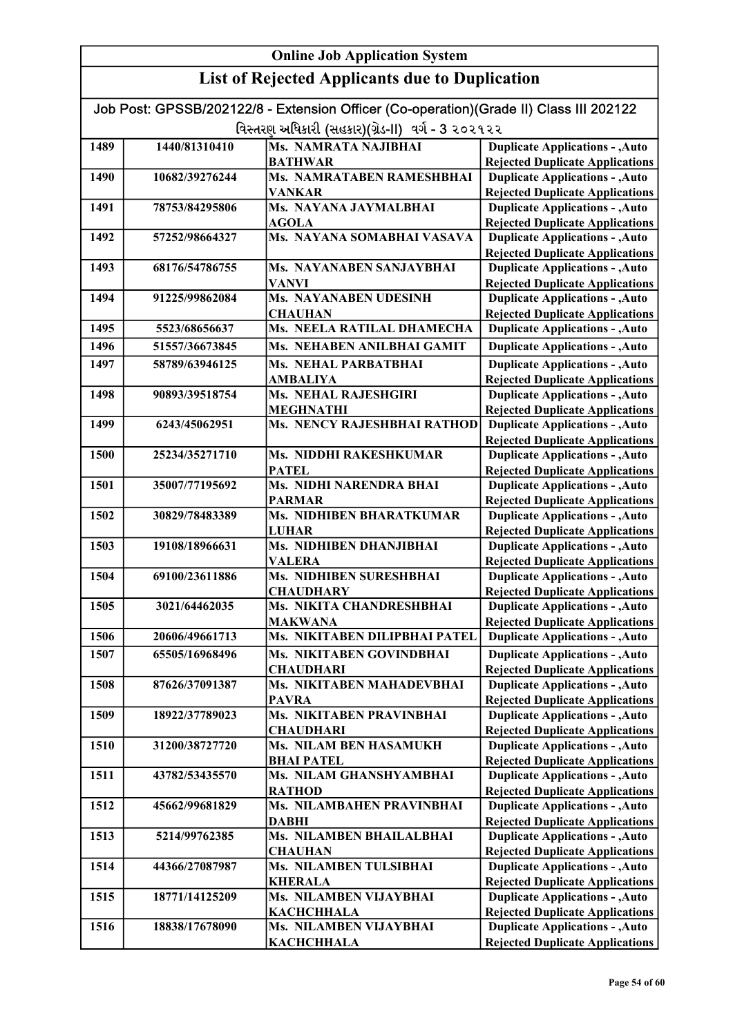|                                                   | Job Post: GPSSB/202122/8 - Extension Officer (Co-operation)(Grade II) Class III 202122 |                                                  |                                                                                  |  |
|---------------------------------------------------|----------------------------------------------------------------------------------------|--------------------------------------------------|----------------------------------------------------------------------------------|--|
| વિસ્તરણ અધિકારી (સહકાર)(ગ્રેડ-II) વર્ગ - 3 ૨૦૨૧૨૨ |                                                                                        |                                                  |                                                                                  |  |
| 1489                                              | 1440/81310410                                                                          | <b>Ms. NAMRATA NAJIBHAI</b>                      | <b>Duplicate Applications - , Auto</b>                                           |  |
|                                                   |                                                                                        | <b>BATHWAR</b>                                   | <b>Rejected Duplicate Applications</b>                                           |  |
| 1490                                              | 10682/39276244                                                                         | Ms. NAMRATABEN RAMESHBHAI                        | <b>Duplicate Applications - , Auto</b>                                           |  |
|                                                   |                                                                                        | <b>VANKAR</b>                                    | <b>Rejected Duplicate Applications</b>                                           |  |
| 1491                                              | 78753/84295806                                                                         | Ms. NAYANA JAYMALBHAI                            | <b>Duplicate Applications - , Auto</b>                                           |  |
|                                                   |                                                                                        | <b>AGOLA</b>                                     | <b>Rejected Duplicate Applications</b>                                           |  |
| 1492                                              | 57252/98664327                                                                         | Ms. NAYANA SOMABHAI VASAVA                       | <b>Duplicate Applications - , Auto</b>                                           |  |
|                                                   | 68176/54786755                                                                         | Ms. NAYANABEN SANJAYBHAI                         | <b>Rejected Duplicate Applications</b><br><b>Duplicate Applications - , Auto</b> |  |
| 1493                                              |                                                                                        | <b>VANVI</b>                                     | <b>Rejected Duplicate Applications</b>                                           |  |
| 1494                                              | 91225/99862084                                                                         | Ms. NAYANABEN UDESINH                            | <b>Duplicate Applications - , Auto</b>                                           |  |
|                                                   |                                                                                        | <b>CHAUHAN</b>                                   | <b>Rejected Duplicate Applications</b>                                           |  |
| 1495                                              | 5523/68656637                                                                          | Ms. NEELA RATILAL DHAMECHA                       | <b>Duplicate Applications - , Auto</b>                                           |  |
| 1496                                              | 51557/36673845                                                                         | Ms. NEHABEN ANILBHAI GAMIT                       | <b>Duplicate Applications - , Auto</b>                                           |  |
| 1497                                              | 58789/63946125                                                                         | <b>Ms. NEHAL PARBATBHAI</b>                      | <b>Duplicate Applications - , Auto</b>                                           |  |
|                                                   |                                                                                        | <b>AMBALIYA</b>                                  | <b>Rejected Duplicate Applications</b>                                           |  |
| 1498                                              | 90893/39518754                                                                         | <b>Ms. NEHAL RAJESHGIRI</b>                      | <b>Duplicate Applications - , Auto</b>                                           |  |
|                                                   |                                                                                        | <b>MEGHNATHI</b>                                 | <b>Rejected Duplicate Applications</b>                                           |  |
| 1499                                              | 6243/45062951                                                                          | Ms. NENCY RAJESHBHAI RATHOD                      | <b>Duplicate Applications - , Auto</b>                                           |  |
|                                                   |                                                                                        |                                                  | <b>Rejected Duplicate Applications</b>                                           |  |
| 1500                                              | 25234/35271710                                                                         | Ms. NIDDHI RAKESHKUMAR                           | <b>Duplicate Applications - , Auto</b>                                           |  |
|                                                   |                                                                                        | <b>PATEL</b>                                     | <b>Rejected Duplicate Applications</b>                                           |  |
| 1501                                              | 35007/77195692                                                                         | Ms. NIDHI NARENDRA BHAI                          | <b>Duplicate Applications - , Auto</b>                                           |  |
|                                                   | 30829/78483389                                                                         | <b>PARMAR</b><br><b>Ms. NIDHIBEN BHARATKUMAR</b> | <b>Rejected Duplicate Applications</b>                                           |  |
| 1502                                              |                                                                                        | <b>LUHAR</b>                                     | <b>Duplicate Applications - , Auto</b><br><b>Rejected Duplicate Applications</b> |  |
| 1503                                              | 19108/18966631                                                                         | Ms. NIDHIBEN DHANJIBHAI                          | <b>Duplicate Applications - , Auto</b>                                           |  |
|                                                   |                                                                                        | <b>VALERA</b>                                    | <b>Rejected Duplicate Applications</b>                                           |  |
| 1504                                              | 69100/23611886                                                                         | Ms. NIDHIBEN SURESHBHAI                          | <b>Duplicate Applications - , Auto</b>                                           |  |
|                                                   |                                                                                        | <b>CHAUDHARY</b>                                 | <b>Rejected Duplicate Applications</b>                                           |  |
| 1505                                              | 3021/64462035                                                                          | Ms. NIKITA CHANDRESHBHAI                         | <b>Duplicate Applications - , Auto</b>                                           |  |
|                                                   |                                                                                        | <b>MAKWANA</b>                                   | <b>Rejected Duplicate Applications</b>                                           |  |
| 1506                                              | 20606/49661713                                                                         | Ms. NIKITABEN DILIPBHAI PATEL                    | <b>Duplicate Applications - , Auto</b>                                           |  |
| 1507                                              | 65505/16968496                                                                         | Ms. NIKITABEN GOVINDBHAI                         | <b>Duplicate Applications - , Auto</b>                                           |  |
|                                                   |                                                                                        | <b>CHAUDHARI</b>                                 | <b>Rejected Duplicate Applications</b>                                           |  |
| 1508                                              | 87626/37091387                                                                         | Ms. NIKITABEN MAHADEVBHAI                        | <b>Duplicate Applications - , Auto</b>                                           |  |
|                                                   |                                                                                        | <b>PAVRA</b>                                     | <b>Rejected Duplicate Applications</b>                                           |  |
| 1509                                              | 18922/37789023                                                                         | Ms. NIKITABEN PRAVINBHAI                         | <b>Duplicate Applications - , Auto</b>                                           |  |
| 1510                                              | 31200/38727720                                                                         | <b>CHAUDHARI</b><br>Ms. NILAM BEN HASAMUKH       | <b>Rejected Duplicate Applications</b><br><b>Duplicate Applications - , Auto</b> |  |
|                                                   |                                                                                        | <b>BHAI PATEL</b>                                | <b>Rejected Duplicate Applications</b>                                           |  |
| 1511                                              | 43782/53435570                                                                         | Ms. NILAM GHANSHYAMBHAI                          | <b>Duplicate Applications - , Auto</b>                                           |  |
|                                                   |                                                                                        | <b>RATHOD</b>                                    | <b>Rejected Duplicate Applications</b>                                           |  |
| 1512                                              | 45662/99681829                                                                         | Ms. NILAMBAHEN PRAVINBHAI                        | <b>Duplicate Applications - , Auto</b>                                           |  |
|                                                   |                                                                                        | <b>DABHI</b>                                     | <b>Rejected Duplicate Applications</b>                                           |  |
| 1513                                              | 5214/99762385                                                                          | Ms. NILAMBEN BHAILALBHAI                         | <b>Duplicate Applications - , Auto</b>                                           |  |
|                                                   |                                                                                        | <b>CHAUHAN</b>                                   | <b>Rejected Duplicate Applications</b>                                           |  |
| 1514                                              | 44366/27087987                                                                         | Ms. NILAMBEN TULSIBHAI                           | <b>Duplicate Applications - , Auto</b>                                           |  |
|                                                   |                                                                                        | <b>KHERALA</b>                                   | <b>Rejected Duplicate Applications</b>                                           |  |
| 1515                                              | 18771/14125209                                                                         | Ms. NILAMBEN VIJAYBHAI                           | <b>Duplicate Applications - , Auto</b>                                           |  |
| 1516                                              | 18838/17678090                                                                         | <b>KACHCHHALA</b><br>Ms. NILAMBEN VIJAYBHAI      | <b>Rejected Duplicate Applications</b><br><b>Duplicate Applications - , Auto</b> |  |
|                                                   |                                                                                        | <b>KACHCHHALA</b>                                | <b>Rejected Duplicate Applications</b>                                           |  |
|                                                   |                                                                                        |                                                  |                                                                                  |  |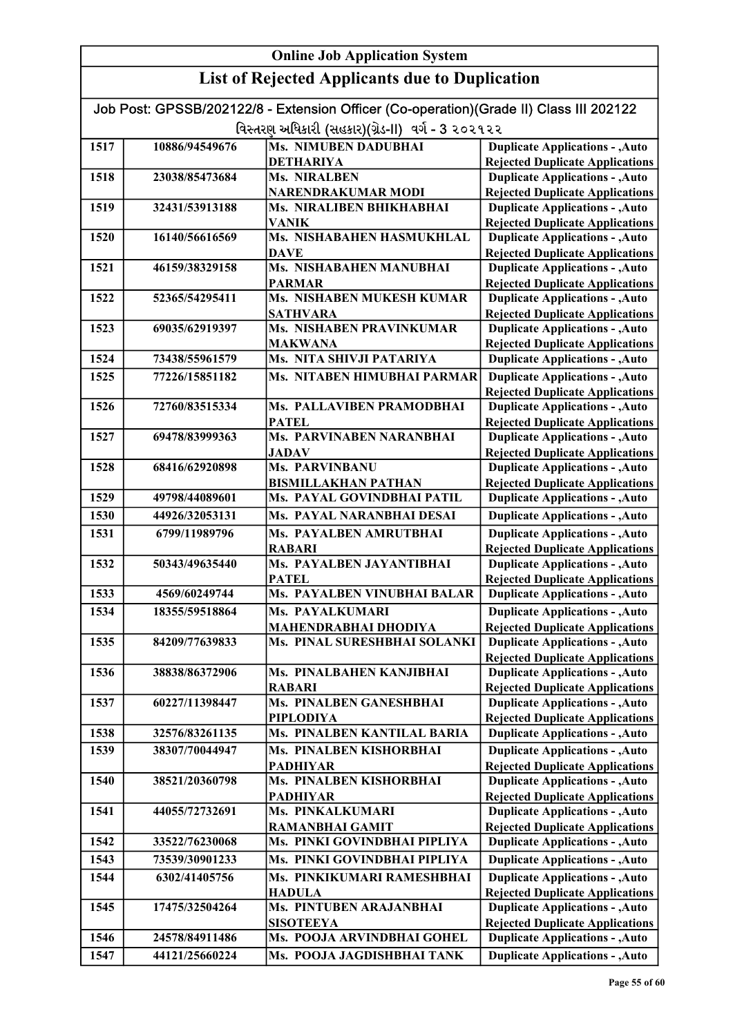#### Online Job Application System List of Rejected Applicants due to Duplication Job Post: GPSSB/202122/8 - Extension Officer (Co-operation)(Grade II) Class III 202122 વિસ્તરણ અધિકારી (સહકાર)(ગ્રેડ-II) વર્ગ - 3 ૨૦૨૧૨૨ 1517 10886/94549676 Ms. NIMUBEN DADUBHAI DETHARIYA 1518 23038/85473684 Ms. NIRALBEN NARENDRAKUMAR MODI 1519 32431/53913188 Ms. NIRALIBEN BHIKHABHAI VANIK 1520 16140/56616569 Ms. NISHABAHEN HASMUKHLAL DAVE 1521 46159/38329158 Ms. NISHABAHEN MANUBHAI PARMAR 1522 52365/54295411 Ms. NISHABEN MUKESH KUMAR SATHVARA 1523 69035/62919397 Ms. NISHABEN PRAVINKUMAR MAKWANA 1524 73438/55961579 Ms. NITA SHIVJI PATARIYA 1525 77226/15851182 Ms. NITABEN HIMUBHAI PARMAR 1526 72760/83515334 Ms. PALLAVIBEN PRAMODBHAI PATEL 1527 69478/83999363 Ms. PARVINABEN NARANBHAI JADAV 1528 68416/62920898 Ms. PARVINBANU BISMILLAKHAN PATHAN 1529 49798/44089601 Ms. PAYAL GOVINDBHAI PATIL 1530 44926/32053131 Ms. PAYAL NARANBHAI DESAI 1531 6799/11989796 Ms. PAYALBEN AMRUTBHAI RABARI 1532 50343/49635440 Ms. PAYALBEN JAYANTIBHAI **PATEL** 1533 4569/60249744 Ms. PAYALBEN VINUBHAI BALAR 1534 18355/59518864 Ms. PAYALKUMARI MAHENDRABHAI DHODIYA 1535 84209/77639833 Ms. PINAL SURESHBHAI SOLANKI 1536 38838/86372906 Ms. PINALBAHEN KANJIBHAI RABARI 1537 60227/11398447 Ms. PINALBEN GANESHBHAI PIPLODIYA 1538 32576/83261135 Ms. PINALBEN KANTILAL BARIA 1539 38307/70044947 Ms. PINALBEN KISHORBHAI PADHIYAR 1540 38521/20360798 Ms. PINALBEN KISHORBHAI PADHIYAR 1541 | 44055/72732691 | Ms. PINKALKUMARI RAMANBHAI GAMIT 1542 33522/76230068 Ms. PINKI GOVINDBHAI PIPLIYA 1543 73539/30901233 Ms. PINKI GOVINDBHAI PIPLIYA 1544 6302/41405756 Ms. PINKIKUMARI RAMESHBHAI HADULA 1545 17475/32504264 Ms. PINTUBEN ARAJANBHAI **SISOTEEYA** 1546 24578/84911486 Ms. POOJA ARVINDBHAI GOHEL 1547 44121/25660224 Ms. POOJA JAGDISHBHAI TANK Duplicate Applications - ,Auto Rejected Duplicate Applications Duplicate Applications - ,Auto Rejected Duplicate Applications **Duplicate Applications - , Auto** Rejected Duplicate Applications Duplicate Applications - ,Auto Rejected Duplicate Applications Duplicate Applications - ,Auto **Duplicate Applications - ,Auto** Rejected Duplicate Applications Duplicate Applications - ,Auto Rejected Duplicate Applications Duplicate Applications - ,Auto Rejected Duplicate Applications **Duplicate Applications - , Auto** Rejected Duplicate Applications Duplicate Applications - ,Auto Rejected Duplicate Applications Duplicate Applications - ,Auto Rejected Duplicate Applications Duplicate Applications - ,Auto Rejected Duplicate Applications Duplicate Applications - ,Auto **Duplicate Applications - ,Auto** Duplicate Applications - ,Auto Rejected Duplicate Applications Duplicate Applications - ,Auto Rejected Duplicate Applications Duplicate Applications - ,Auto Rejected Duplicate Applications Duplicate Applications - ,Auto Rejected Duplicate Applications Duplicate Applications - ,Auto Rejected Duplicate Applications Duplicate Applications - ,Auto **Duplicate Applications - , Auto Duplicate Applications - ,Auto** Rejected Duplicate Applications Duplicate Applications - ,Auto Rejected Duplicate Applications Duplicate Applications - ,Auto **Duplicate Applications - ,Auto** Duplicate Applications - ,Auto Rejected Duplicate Applications Duplicate Applications - ,Auto **Duplicate Applications - ,Auto** Rejected Duplicate Applications Duplicate Applications - ,Auto Rejected Duplicate Applications Duplicate Applications - ,Auto Rejected Duplicate Applications Duplicate Applications - ,Auto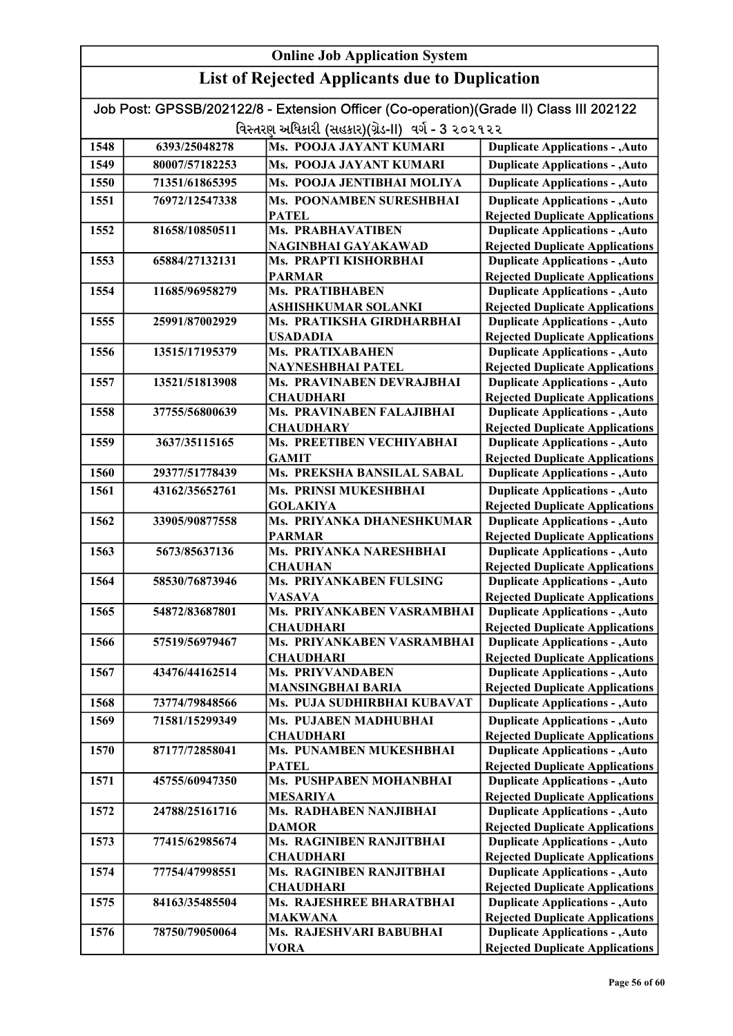|                                                   | Job Post: GPSSB/202122/8 - Extension Officer (Co-operation)(Grade II) Class III 202122 |                                               |                                                                                  |  |
|---------------------------------------------------|----------------------------------------------------------------------------------------|-----------------------------------------------|----------------------------------------------------------------------------------|--|
| વિસ્તરણ અધિકારી (સહકાર)(ગ્રેડ-II) વર્ગ - 3 ૨૦૨૧૨૨ |                                                                                        |                                               |                                                                                  |  |
| 1548                                              | 6393/25048278                                                                          | Ms. POOJA JAYANT KUMARI                       | <b>Duplicate Applications - , Auto</b>                                           |  |
| 1549                                              | 80007/57182253                                                                         | Ms. POOJA JAYANT KUMARI                       | <b>Duplicate Applications - , Auto</b>                                           |  |
| 1550                                              | 71351/61865395                                                                         | Ms. POOJA JENTIBHAI MOLIYA                    | <b>Duplicate Applications - , Auto</b>                                           |  |
| 1551                                              | 76972/12547338                                                                         | Ms. POONAMBEN SURESHBHAI                      | <b>Duplicate Applications - , Auto</b>                                           |  |
|                                                   |                                                                                        | <b>PATEL</b>                                  | <b>Rejected Duplicate Applications</b>                                           |  |
| 1552                                              | 81658/10850511                                                                         | <b>Ms. PRABHAVATIBEN</b>                      | <b>Duplicate Applications - , Auto</b>                                           |  |
|                                                   |                                                                                        | NAGINBHAI GAYAKAWAD                           | <b>Rejected Duplicate Applications</b>                                           |  |
| 1553                                              | 65884/27132131                                                                         | Ms. PRAPTI KISHORBHAI                         | <b>Duplicate Applications - , Auto</b>                                           |  |
|                                                   |                                                                                        | <b>PARMAR</b>                                 | <b>Rejected Duplicate Applications</b>                                           |  |
| 1554                                              | 11685/96958279                                                                         | Ms. PRATIBHABEN                               | <b>Duplicate Applications - , Auto</b>                                           |  |
|                                                   |                                                                                        | ASHISHKUMAR SOLANKI                           | <b>Rejected Duplicate Applications</b>                                           |  |
| 1555                                              | 25991/87002929                                                                         | Ms. PRATIKSHA GIRDHARBHAI                     | <b>Duplicate Applications - , Auto</b>                                           |  |
|                                                   |                                                                                        | <b>USADADIA</b>                               | <b>Rejected Duplicate Applications</b>                                           |  |
| 1556                                              | 13515/17195379                                                                         | Ms. PRATIXABAHEN                              | <b>Duplicate Applications - , Auto</b>                                           |  |
|                                                   |                                                                                        | NAYNESHBHAI PATEL                             | <b>Rejected Duplicate Applications</b>                                           |  |
| 1557                                              | 13521/51813908                                                                         | Ms. PRAVINABEN DEVRAJBHAI                     | <b>Duplicate Applications - , Auto</b>                                           |  |
|                                                   |                                                                                        | <b>CHAUDHARI</b>                              | <b>Rejected Duplicate Applications</b>                                           |  |
| 1558                                              | 37755/56800639                                                                         | Ms. PRAVINABEN FALAJIBHAI                     | <b>Duplicate Applications - , Auto</b>                                           |  |
| 1559                                              | 3637/35115165                                                                          | <b>CHAUDHARY</b><br>Ms. PREETIBEN VECHIYABHAI | <b>Rejected Duplicate Applications</b><br><b>Duplicate Applications - , Auto</b> |  |
|                                                   |                                                                                        | <b>GAMIT</b>                                  | <b>Rejected Duplicate Applications</b>                                           |  |
| 1560                                              | 29377/51778439                                                                         | Ms. PREKSHA BANSILAL SABAL                    | <b>Duplicate Applications - , Auto</b>                                           |  |
| 1561                                              |                                                                                        | Ms. PRINSI MUKESHBHAI                         | <b>Duplicate Applications - , Auto</b>                                           |  |
|                                                   | 43162/35652761                                                                         | <b>GOLAKIYA</b>                               | <b>Rejected Duplicate Applications</b>                                           |  |
| 1562                                              | 33905/90877558                                                                         | Ms. PRIYANKA DHANESHKUMAR                     | <b>Duplicate Applications - , Auto</b>                                           |  |
|                                                   |                                                                                        | <b>PARMAR</b>                                 | <b>Rejected Duplicate Applications</b>                                           |  |
| 1563                                              | 5673/85637136                                                                          | Ms. PRIYANKA NARESHBHAI                       | <b>Duplicate Applications - , Auto</b>                                           |  |
|                                                   |                                                                                        | <b>CHAUHAN</b>                                | <b>Rejected Duplicate Applications</b>                                           |  |
| 1564                                              | 58530/76873946                                                                         | Ms. PRIYANKABEN FULSING                       | <b>Duplicate Applications - , Auto</b>                                           |  |
|                                                   |                                                                                        | <b>VASAVA</b>                                 | <b>Rejected Duplicate Applications</b>                                           |  |
| 1565                                              | 54872/83687801                                                                         | Ms. PRIYANKABEN VASRAMBHAI                    | <b>Duplicate Applications - , Auto</b>                                           |  |
|                                                   |                                                                                        | <b>CHAUDHARI</b>                              | <b>Rejected Duplicate Applications</b>                                           |  |
| 1566                                              | 57519/56979467                                                                         | Ms. PRIYANKABEN VASRAMBHAI                    | <b>Duplicate Applications - , Auto</b>                                           |  |
|                                                   |                                                                                        | <b>CHAUDHARI</b>                              | <b>Rejected Duplicate Applications</b>                                           |  |
| 1567                                              | 43476/44162514                                                                         | <b>Ms. PRIYVANDABEN</b>                       | <b>Duplicate Applications - , Auto</b>                                           |  |
|                                                   |                                                                                        | <b>MANSINGBHAI BARIA</b>                      | <b>Rejected Duplicate Applications</b>                                           |  |
| 1568                                              | 73774/79848566                                                                         | Ms. PUJA SUDHIRBHAI KUBAVAT                   | <b>Duplicate Applications - , Auto</b>                                           |  |
| 1569                                              | 71581/15299349                                                                         | Ms. PUJABEN MADHUBHAI                         | <b>Duplicate Applications - , Auto</b>                                           |  |
|                                                   |                                                                                        | <b>CHAUDHARI</b>                              | <b>Rejected Duplicate Applications</b>                                           |  |
| 1570                                              | 87177/72858041                                                                         | Ms. PUNAMBEN MUKESHBHAI                       | <b>Duplicate Applications - , Auto</b>                                           |  |
| 1571                                              | 45755/60947350                                                                         | <b>PATEL</b><br>Ms. PUSHPABEN MOHANBHAI       | <b>Rejected Duplicate Applications</b><br><b>Duplicate Applications - , Auto</b> |  |
|                                                   |                                                                                        | <b>MESARIYA</b>                               | <b>Rejected Duplicate Applications</b>                                           |  |
| 1572                                              | 24788/25161716                                                                         | Ms. RADHABEN NANJIBHAI                        | <b>Duplicate Applications - , Auto</b>                                           |  |
|                                                   |                                                                                        | <b>DAMOR</b>                                  | <b>Rejected Duplicate Applications</b>                                           |  |
| 1573                                              | 77415/62985674                                                                         | Ms. RAGINIBEN RANJITBHAI                      | <b>Duplicate Applications - , Auto</b>                                           |  |
|                                                   |                                                                                        | <b>CHAUDHARI</b>                              | <b>Rejected Duplicate Applications</b>                                           |  |
| 1574                                              | 77754/47998551                                                                         | Ms. RAGINIBEN RANJITBHAI                      | <b>Duplicate Applications - , Auto</b>                                           |  |
|                                                   |                                                                                        | <b>CHAUDHARI</b>                              | <b>Rejected Duplicate Applications</b>                                           |  |
| 1575                                              | 84163/35485504                                                                         | Ms. RAJESHREE BHARATBHAI                      | <b>Duplicate Applications - , Auto</b>                                           |  |
|                                                   |                                                                                        | <b>MAKWANA</b>                                | <b>Rejected Duplicate Applications</b>                                           |  |
| 1576                                              | 78750/79050064                                                                         | Ms. RAJESHVARI BABUBHAI                       | <b>Duplicate Applications - , Auto</b>                                           |  |
|                                                   |                                                                                        | <b>VORA</b>                                   | <b>Rejected Duplicate Applications</b>                                           |  |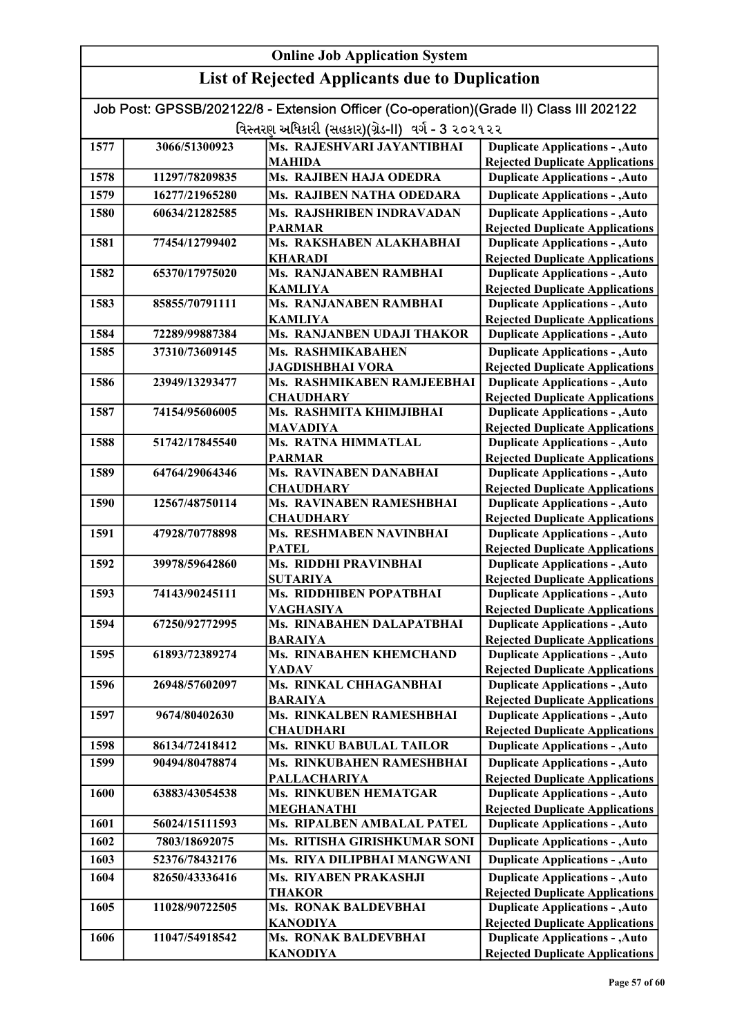#### Online Job Application System List of Rejected Applicants due to Duplication Job Post: GPSSB/202122/8 - Extension Officer (Co-operation)(Grade II) Class III 202122 વિસ્તરણ અધિકારી (સહકાર)(ગ્રેડ-II) વર્ગ - 3 ૨૦૨૧૨૨ 1577 3066/51300923 Ms. RAJESHVARI JAYANTIBHAI MAHIDA 1578 11297/78209835 Ms. RAJIBEN HAJA ODEDRA 1579 16277/21965280 Ms. RAJIBEN NATHA ODEDARA 1580 60634/21282585 Ms. RAJSHRIBEN INDRAVADAN PARMAR 1581 77454/12799402 Ms. RAKSHABEN ALAKHABHAI KHARADI 1582 65370/17975020 Ms. RANJANABEN RAMBHAI KAMLIYA 1583 85855/70791111 Ms. RANJANABEN RAMBHAI KAMLIYA 1584 72289/99887384 Ms. RANJANBEN UDAJI THAKOR 1585 37310/73609145 Ms. RASHMIKABAHEN JAGDISHBHAI VORA 1586 23949/13293477 Ms. RASHMIKABEN RAMJEEBHAI **CHAUDHARY** 1587 74154/95606005 Ms. RASHMITA KHIMJIBHAI MAVADIYA 1588 51742/17845540 Ms. RATNA HIMMATLAL PARMAR 1589 64764/29064346 Ms. RAVINABEN DANABHAI **CHAUDHARY** 1590 12567/48750114 Ms. RAVINABEN RAMESHBHAI **CHAUDHARY** 1591 47928/70778898 Ms. RESHMABEN NAVINBHAI **PATEL** 1592 39978/59642860 Ms. RIDDHI PRAVINBHAI SUTARIYA 1593 74143/90245111 Ms. RIDDHIBEN POPATBHAI VAGHASIYA 1594 67250/92772995 Ms. RINABAHEN DALAPATBHAI BARAIYA 1595 61893/72389274 Ms. RINABAHEN KHEMCHAND YADAV 1596 26948/57602097 Ms. RINKAL CHHAGANBHAI BARAIYA 1597 9674/80402630 Ms. RINKALBEN RAMESHBHAI **CHAUDHARI** 1598 86134/72418412 Ms. RINKU BABULAL TAILOR 1599 90494/80478874 Ms. RINKUBAHEN RAMESHBHAI **PALLACHARIYA** 1600 63883/43054538 Ms. RINKUBEN HEMATGAR MEGHANATHI 1601 56024/15111593 Ms. RIPALBEN AMBALAL PATEL 1602 7803/18692075 Ms. RITISHA GIRISHKUMAR SONI 1603 52376/78432176 Ms. RIYA DILIPBHAI MANGWANI 1604 82650/43336416 Ms. RIYABEN PRAKASHJI THAKOR 1605 11028/90722505 Ms. RONAK BALDEVBHAI KANODIYA 1606 11047/54918542 Ms. RONAK BALDEVBHAI KANODIYA **Duplicate Applications - , Auto** Rejected Duplicate Applications Duplicate Applications - ,Auto Rejected Duplicate Applications Duplicate Applications - ,Auto Rejected Duplicate Applications Duplicate Applications - ,Auto Rejected Duplicate Applications Duplicate Applications - ,Auto Rejected Duplicate Applications Duplicate Applications - ,Auto Rejected Duplicate Applications **Duplicate Applications - , Auto Duplicate Applications - ,Auto** Rejected Duplicate Applications Duplicate Applications - ,Auto Rejected Duplicate Applications Duplicate Applications - ,Auto Rejected Duplicate Applications Duplicate Applications - ,Auto Rejected Duplicate Applications Duplicate Applications - ,Auto Duplicate Applications - ,Auto Rejected Duplicate Applications Duplicate Applications - ,Auto **Duplicate Applications - , Auto Duplicate Applications - ,Auto** Rejected Duplicate Applications Duplicate Applications - ,Auto Rejected Duplicate Applications Duplicate Applications - ,Auto Rejected Duplicate Applications Duplicate Applications - ,Auto Rejected Duplicate Applications Duplicate Applications - ,Auto **Duplicate Applications - ,Auto** Rejected Duplicate Applications Duplicate Applications - ,Auto Rejected Duplicate Applications Duplicate Applications - ,Auto **Duplicate Applications - ,Auto** Duplicate Applications - ,Auto Rejected Duplicate Applications Duplicate Applications - ,Auto Rejected Duplicate Applications Duplicate Applications - ,Auto Rejected Duplicate Applications Duplicate Applications - ,Auto Rejected Duplicate Applications Duplicate Applications - ,Auto Rejected Duplicate Applications Duplicate Applications - ,Auto Rejected Duplicate Applications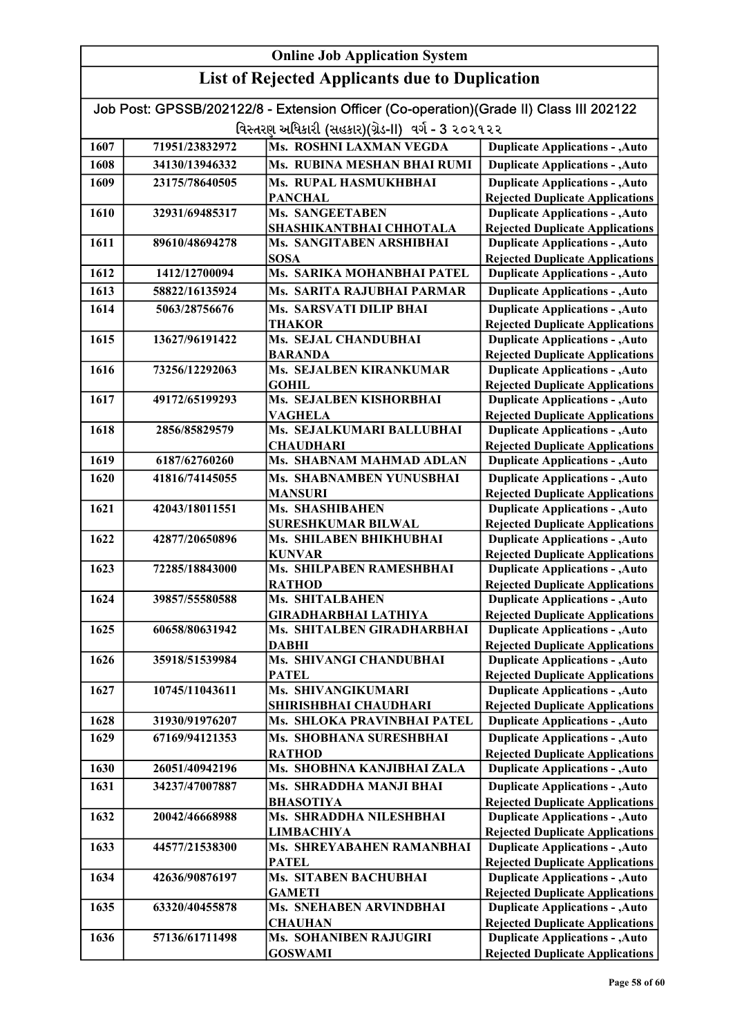| Job Post: GPSSB/202122/8 - Extension Officer (Co-operation)(Grade II) Class III 202122 |                |                                                      |                                                                                  |
|----------------------------------------------------------------------------------------|----------------|------------------------------------------------------|----------------------------------------------------------------------------------|
|                                                                                        |                | વિસ્તરણ અધિકારી (સહકાર)(ગ્રેડ-II) વર્ગ - 3 ૨૦૨૧૨૨    |                                                                                  |
| 1607                                                                                   | 71951/23832972 | Ms. ROSHNI LAXMAN VEGDA                              | <b>Duplicate Applications - , Auto</b>                                           |
| 1608                                                                                   | 34130/13946332 | Ms. RUBINA MESHAN BHAI RUMI                          | <b>Duplicate Applications - , Auto</b>                                           |
| 1609                                                                                   | 23175/78640505 | Ms. RUPAL HASMUKHBHAI                                | <b>Duplicate Applications - , Auto</b>                                           |
|                                                                                        |                | <b>PANCHAL</b>                                       | <b>Rejected Duplicate Applications</b>                                           |
| 1610                                                                                   | 32931/69485317 | <b>Ms. SANGEETABEN</b>                               | <b>Duplicate Applications - , Auto</b>                                           |
|                                                                                        |                | SHASHIKANTBHAI CHHOTALA                              | <b>Rejected Duplicate Applications</b>                                           |
| 1611                                                                                   | 89610/48694278 | Ms. SANGITABEN ARSHIBHAI<br><b>SOSA</b>              | <b>Duplicate Applications - , Auto</b>                                           |
| 1612                                                                                   | 1412/12700094  | Ms. SARIKA MOHANBHAI PATEL                           | <b>Rejected Duplicate Applications</b><br><b>Duplicate Applications - , Auto</b> |
| 1613                                                                                   | 58822/16135924 | Ms. SARITA RAJUBHAI PARMAR                           | <b>Duplicate Applications - , Auto</b>                                           |
| 1614                                                                                   | 5063/28756676  | Ms. SARSVATI DILIP BHAI                              | Duplicate Applications - , Auto                                                  |
|                                                                                        |                | <b>THAKOR</b>                                        | <b>Rejected Duplicate Applications</b>                                           |
| 1615                                                                                   | 13627/96191422 | <b>Ms. SEJAL CHANDUBHAI</b>                          | <b>Duplicate Applications - , Auto</b>                                           |
|                                                                                        |                | <b>BARANDA</b>                                       | <b>Rejected Duplicate Applications</b>                                           |
| 1616                                                                                   | 73256/12292063 | Ms. SEJALBEN KIRANKUMAR                              | <b>Duplicate Applications - , Auto</b>                                           |
|                                                                                        |                | <b>GOHIL</b>                                         | <b>Rejected Duplicate Applications</b>                                           |
| 1617                                                                                   | 49172/65199293 | Ms. SEJALBEN KISHORBHAI                              | <b>Duplicate Applications - , Auto</b>                                           |
| 1618                                                                                   | 2856/85829579  | <b>VAGHELA</b><br>Ms. SEJALKUMARI BALLUBHAI          | <b>Rejected Duplicate Applications</b><br><b>Duplicate Applications - , Auto</b> |
|                                                                                        |                | <b>CHAUDHARI</b>                                     | <b>Rejected Duplicate Applications</b>                                           |
| 1619                                                                                   | 6187/62760260  | Ms. SHABNAM MAHMAD ADLAN                             | <b>Duplicate Applications - , Auto</b>                                           |
| 1620                                                                                   | 41816/74145055 | Ms. SHABNAMBEN YUNUSBHAI                             | <b>Duplicate Applications - , Auto</b>                                           |
|                                                                                        |                | <b>MANSURI</b>                                       | <b>Rejected Duplicate Applications</b>                                           |
| 1621                                                                                   | 42043/18011551 | Ms. SHASHIBAHEN                                      | <b>Duplicate Applications - , Auto</b>                                           |
|                                                                                        |                | <b>SURESHKUMAR BILWAL</b>                            | <b>Rejected Duplicate Applications</b>                                           |
| 1622                                                                                   | 42877/20650896 | Ms. SHILABEN BHIKHUBHAI                              | <b>Duplicate Applications - , Auto</b>                                           |
|                                                                                        |                | <b>KUNVAR</b>                                        | <b>Rejected Duplicate Applications</b>                                           |
| 1623                                                                                   | 72285/18843000 | Ms. SHILPABEN RAMESHBHAI<br><b>RATHOD</b>            | <b>Duplicate Applications - , Auto</b><br><b>Rejected Duplicate Applications</b> |
| 1624                                                                                   | 39857/55580588 | <b>Ms. SHITALBAHEN</b>                               | <b>Duplicate Applications - , Auto</b>                                           |
|                                                                                        |                | <b>GIRADHARBHAI LATHIYA</b>                          | <b>Rejected Duplicate Applications</b>                                           |
| 1625                                                                                   | 60658/80631942 | Ms. SHITALBEN GIRADHARBHAI                           | <b>Duplicate Applications - , Auto</b>                                           |
|                                                                                        |                | DABHI                                                | <b>Rejected Duplicate Applications</b>                                           |
| 1626                                                                                   | 35918/51539984 | Ms. SHIVANGI CHANDUBHAI                              | <b>Duplicate Applications - , Auto</b>                                           |
|                                                                                        |                | <b>PATEL</b>                                         | <b>Rejected Duplicate Applications</b>                                           |
| 1627                                                                                   | 10745/11043611 | Ms. SHIVANGIKUMARI                                   | <b>Duplicate Applications - , Auto</b>                                           |
| 1628                                                                                   | 31930/91976207 | SHIRISHBHAI CHAUDHARI<br>Ms. SHLOKA PRAVINBHAI PATEL | <b>Rejected Duplicate Applications</b><br><b>Duplicate Applications - , Auto</b> |
| 1629                                                                                   | 67169/94121353 | Ms. SHOBHANA SURESHBHAI                              | <b>Duplicate Applications - , Auto</b>                                           |
|                                                                                        |                | <b>RATHOD</b>                                        | <b>Rejected Duplicate Applications</b>                                           |
| 1630                                                                                   | 26051/40942196 | Ms. SHOBHNA KANJIBHAI ZALA                           | <b>Duplicate Applications - , Auto</b>                                           |
| 1631                                                                                   | 34237/47007887 | Ms. SHRADDHA MANJI BHAI                              | <b>Duplicate Applications - , Auto</b>                                           |
|                                                                                        |                | <b>BHASOTIYA</b>                                     | <b>Rejected Duplicate Applications</b>                                           |
| 1632                                                                                   | 20042/46668988 | Ms. SHRADDHA NILESHBHAI                              | <b>Duplicate Applications - , Auto</b>                                           |
|                                                                                        |                | <b>LIMBACHIYA</b>                                    | <b>Rejected Duplicate Applications</b>                                           |
| 1633                                                                                   | 44577/21538300 | Ms. SHREYABAHEN RAMANBHAI                            | <b>Duplicate Applications - , Auto</b>                                           |
|                                                                                        |                | <b>PATEL</b>                                         | <b>Rejected Duplicate Applications</b>                                           |
| 1634                                                                                   | 42636/90876197 | Ms. SITABEN BACHUBHAI                                | <b>Duplicate Applications - , Auto</b>                                           |
| 1635                                                                                   | 63320/40455878 | <b>GAMETI</b><br>Ms. SNEHABEN ARVINDBHAI             | <b>Rejected Duplicate Applications</b><br><b>Duplicate Applications - , Auto</b> |
|                                                                                        |                | <b>CHAUHAN</b>                                       | <b>Rejected Duplicate Applications</b>                                           |
| 1636                                                                                   | 57136/61711498 | Ms. SOHANIBEN RAJUGIRI                               | <b>Duplicate Applications - , Auto</b>                                           |
|                                                                                        |                | <b>GOSWAMI</b>                                       | <b>Rejected Duplicate Applications</b>                                           |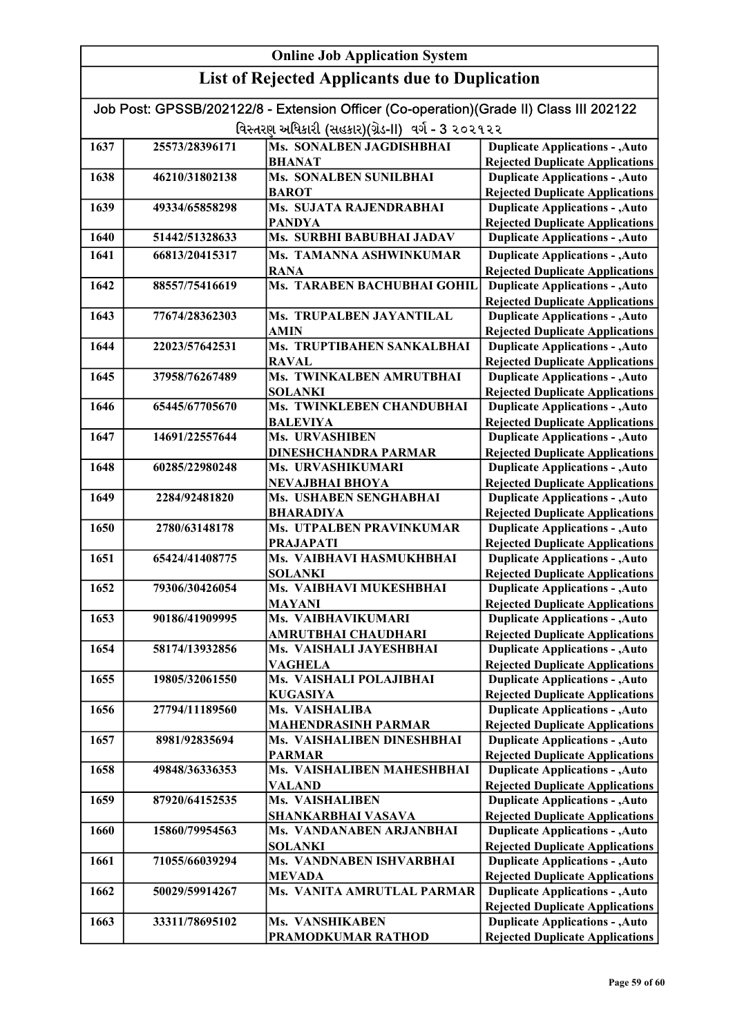|      | Job Post: GPSSB/202122/8 - Extension Officer (Co-operation)(Grade II) Class III 202122 |                                             |                                                                                  |  |
|------|----------------------------------------------------------------------------------------|---------------------------------------------|----------------------------------------------------------------------------------|--|
|      | વિસ્તરણ અધિકારી (સહકાર)(ગ્રેડ-II) વર્ગ - 3 ૨૦૨૧૨૨                                      |                                             |                                                                                  |  |
| 1637 | 25573/28396171                                                                         | Ms. SONALBEN JAGDISHBHAI                    | <b>Duplicate Applications - , Auto</b>                                           |  |
|      |                                                                                        | <b>BHANAT</b>                               | <b>Rejected Duplicate Applications</b>                                           |  |
| 1638 | 46210/31802138                                                                         | <b>Ms. SONALBEN SUNILBHAI</b>               | <b>Duplicate Applications - , Auto</b>                                           |  |
|      |                                                                                        | <b>BAROT</b>                                | <b>Rejected Duplicate Applications</b>                                           |  |
| 1639 | 49334/65858298                                                                         | Ms. SUJATA RAJENDRABHAI                     | <b>Duplicate Applications - , Auto</b>                                           |  |
|      |                                                                                        | <b>PANDYA</b>                               | <b>Rejected Duplicate Applications</b>                                           |  |
| 1640 | 51442/51328633                                                                         | Ms. SURBHI BABUBHAI JADAV                   | <b>Duplicate Applications - , Auto</b>                                           |  |
| 1641 | 66813/20415317                                                                         | Ms. TAMANNA ASHWINKUMAR                     | <b>Duplicate Applications - , Auto</b>                                           |  |
|      |                                                                                        | <b>RANA</b>                                 | <b>Rejected Duplicate Applications</b>                                           |  |
| 1642 | 88557/75416619                                                                         | Ms. TARABEN BACHUBHAI GOHIL                 | <b>Duplicate Applications - , Auto</b>                                           |  |
|      |                                                                                        |                                             | <b>Rejected Duplicate Applications</b>                                           |  |
| 1643 | 77674/28362303                                                                         | Ms. TRUPALBEN JAYANTILAL                    | <b>Duplicate Applications - , Auto</b>                                           |  |
|      |                                                                                        | <b>AMIN</b>                                 | <b>Rejected Duplicate Applications</b>                                           |  |
| 1644 | 22023/57642531                                                                         | Ms. TRUPTIBAHEN SANKALBHAI                  | <b>Duplicate Applications - , Auto</b>                                           |  |
|      |                                                                                        | <b>RAVAL</b>                                | <b>Rejected Duplicate Applications</b>                                           |  |
| 1645 | 37958/76267489                                                                         | Ms. TWINKALBEN AMRUTBHAI                    | <b>Duplicate Applications - , Auto</b>                                           |  |
|      |                                                                                        | <b>SOLANKI</b>                              | <b>Rejected Duplicate Applications</b>                                           |  |
| 1646 | 65445/67705670                                                                         | Ms. TWINKLEBEN CHANDUBHAI                   | <b>Duplicate Applications - , Auto</b>                                           |  |
|      |                                                                                        | <b>BALEVIYA</b>                             | <b>Rejected Duplicate Applications</b>                                           |  |
| 1647 | 14691/22557644                                                                         | Ms. URVASHIBEN                              | <b>Duplicate Applications - , Auto</b>                                           |  |
|      |                                                                                        | <b>DINESHCHANDRA PARMAR</b>                 | <b>Rejected Duplicate Applications</b>                                           |  |
| 1648 | 60285/22980248                                                                         | Ms. URVASHIKUMARI                           | <b>Duplicate Applications - , Auto</b>                                           |  |
|      |                                                                                        | NEVAJBHAI BHOYA                             | <b>Rejected Duplicate Applications</b>                                           |  |
| 1649 | 2284/92481820                                                                          | Ms. USHABEN SENGHABHAI                      | <b>Duplicate Applications - , Auto</b>                                           |  |
|      |                                                                                        | <b>BHARADIYA</b>                            | <b>Rejected Duplicate Applications</b>                                           |  |
| 1650 | 2780/63148178                                                                          | <b>Ms. UTPALBEN PRAVINKUMAR</b>             | <b>Duplicate Applications - , Auto</b>                                           |  |
|      |                                                                                        | <b>PRAJAPATI</b>                            | <b>Rejected Duplicate Applications</b>                                           |  |
| 1651 | 65424/41408775                                                                         | Ms. VAIBHAVI HASMUKHBHAI                    | <b>Duplicate Applications - , Auto</b>                                           |  |
|      |                                                                                        | <b>SOLANKI</b>                              | <b>Rejected Duplicate Applications</b>                                           |  |
| 1652 | 79306/30426054                                                                         | Ms. VAIBHAVI MUKESHBHAI                     | <b>Duplicate Applications - , Auto</b>                                           |  |
|      |                                                                                        | <b>MAYANI</b>                               | <b>Rejected Duplicate Applications</b>                                           |  |
| 1653 | 90186/41909995                                                                         | Ms. VAIBHAVIKUMARI                          | <b>Duplicate Applications - , Auto</b>                                           |  |
|      |                                                                                        | AMRUTBHAI CHAUDHARI                         | <b>Rejected Duplicate Applications</b>                                           |  |
| 1654 | 58174/13932856                                                                         | Ms. VAISHALI JAYESHBHAI                     | <b>Duplicate Applications - , Auto</b>                                           |  |
|      |                                                                                        | <b>VAGHELA</b>                              | <b>Rejected Duplicate Applications</b>                                           |  |
| 1655 | 19805/32061550                                                                         | Ms. VAISHALI POLAJIBHAI                     | <b>Duplicate Applications - , Auto</b>                                           |  |
|      |                                                                                        | <b>KUGASIYA</b>                             | <b>Rejected Duplicate Applications</b>                                           |  |
| 1656 | 27794/11189560                                                                         | Ms. VAISHALIBA                              | <b>Duplicate Applications - , Auto</b>                                           |  |
|      |                                                                                        | <b>MAHENDRASINH PARMAR</b>                  | <b>Rejected Duplicate Applications</b>                                           |  |
| 1657 | 8981/92835694                                                                          | Ms. VAISHALIBEN DINESHBHAI                  | <b>Duplicate Applications - , Auto</b>                                           |  |
| 1658 |                                                                                        | <b>PARMAR</b><br>Ms. VAISHALIBEN MAHESHBHAI | <b>Rejected Duplicate Applications</b>                                           |  |
|      | 49848/36336353                                                                         |                                             | <b>Duplicate Applications - , Auto</b>                                           |  |
| 1659 | 87920/64152535                                                                         | <b>VALAND</b><br>Ms. VAISHALIBEN            | <b>Rejected Duplicate Applications</b><br><b>Duplicate Applications - , Auto</b> |  |
|      |                                                                                        | SHANKARBHAI VASAVA                          | <b>Rejected Duplicate Applications</b>                                           |  |
| 1660 | 15860/79954563                                                                         | Ms. VANDANABEN ARJANBHAI                    | <b>Duplicate Applications - , Auto</b>                                           |  |
|      |                                                                                        | <b>SOLANKI</b>                              |                                                                                  |  |
| 1661 | 71055/66039294                                                                         | Ms. VANDNABEN ISHVARBHAI                    | <b>Rejected Duplicate Applications</b><br><b>Duplicate Applications - , Auto</b> |  |
|      |                                                                                        | <b>MEVADA</b>                               | <b>Rejected Duplicate Applications</b>                                           |  |
| 1662 | 50029/59914267                                                                         | Ms. VANITA AMRUTLAL PARMAR                  | <b>Duplicate Applications - , Auto</b>                                           |  |
|      |                                                                                        |                                             | <b>Rejected Duplicate Applications</b>                                           |  |
| 1663 | 33311/78695102                                                                         | Ms. VANSHIKABEN                             | <b>Duplicate Applications - , Auto</b>                                           |  |
|      |                                                                                        | PRAMODKUMAR RATHOD                          | <b>Rejected Duplicate Applications</b>                                           |  |
|      |                                                                                        |                                             |                                                                                  |  |